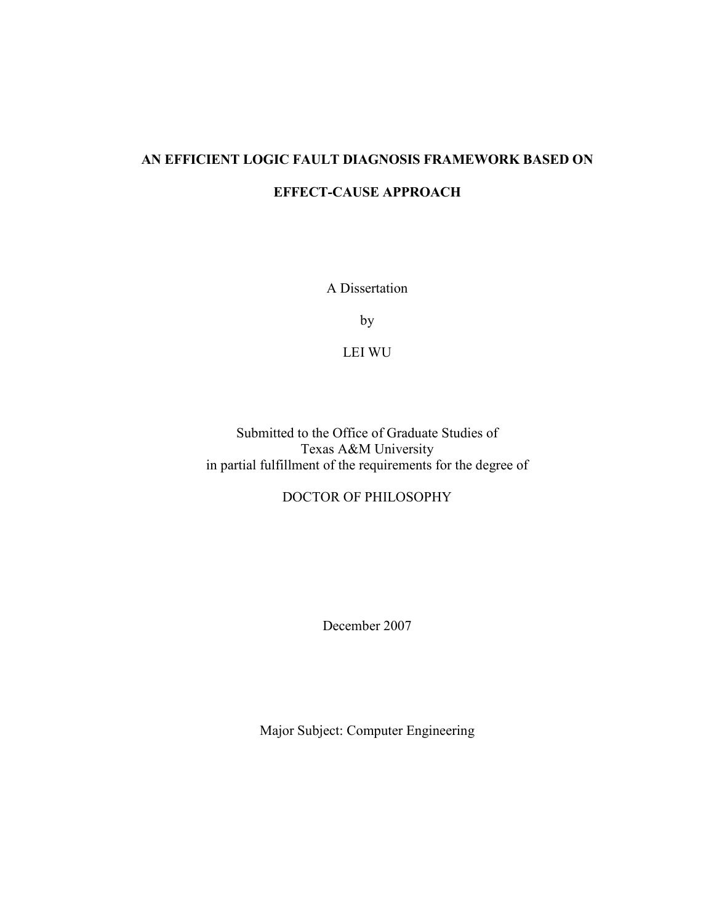# AN EFFICIENT LOGIC FAULT DIAGNOSIS FRAMEWORK BASED ON EFFECT-CAUSE APPROACH

A Dissertation

by

LEI WU

Submitted to the Office of Graduate Studies of Texas A&M University in partial fulfillment of the requirements for the degree of

## DOCTOR OF PHILOSOPHY

December 2007

Major Subject: Computer Engineering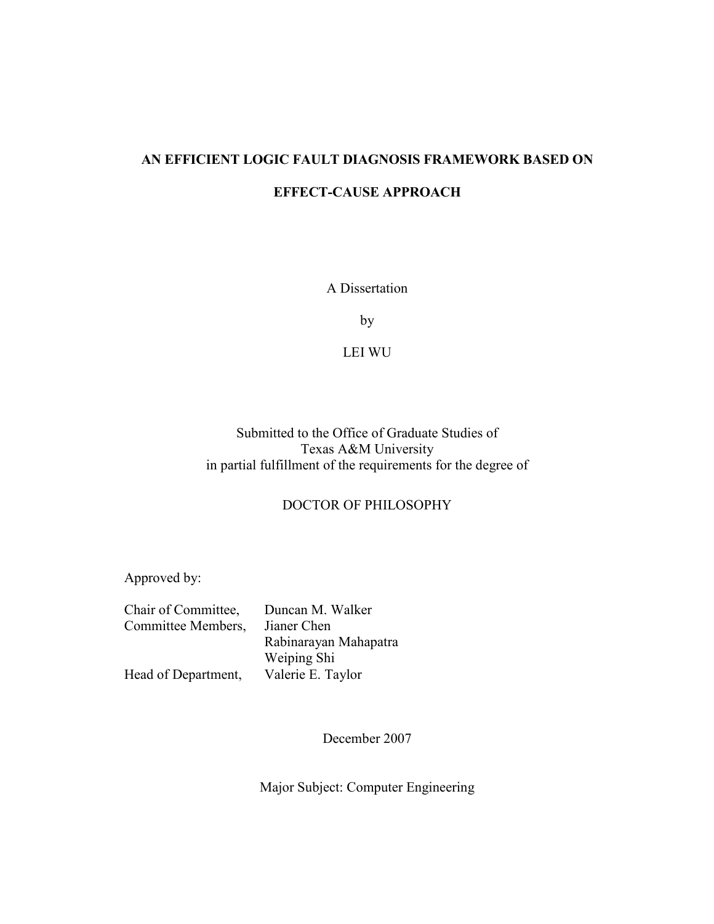# AN EFFICIENT LOGIC FAULT DIAGNOSIS FRAMEWORK BASED ON EFFECT-CAUSE APPROACH

A Dissertation

by

LEI WU

Submitted to the Office of Graduate Studies of Texas A&M University in partial fulfillment of the requirements for the degree of

### DOCTOR OF PHILOSOPHY

Approved by:

| Chair of Committee, | Duncan M. Walker      |
|---------------------|-----------------------|
| Committee Members,  | Jianer Chen           |
|                     | Rabinarayan Mahapatra |
|                     | Weiping Shi           |
| Head of Department, | Valerie E. Taylor     |

December 2007

Major Subject: Computer Engineering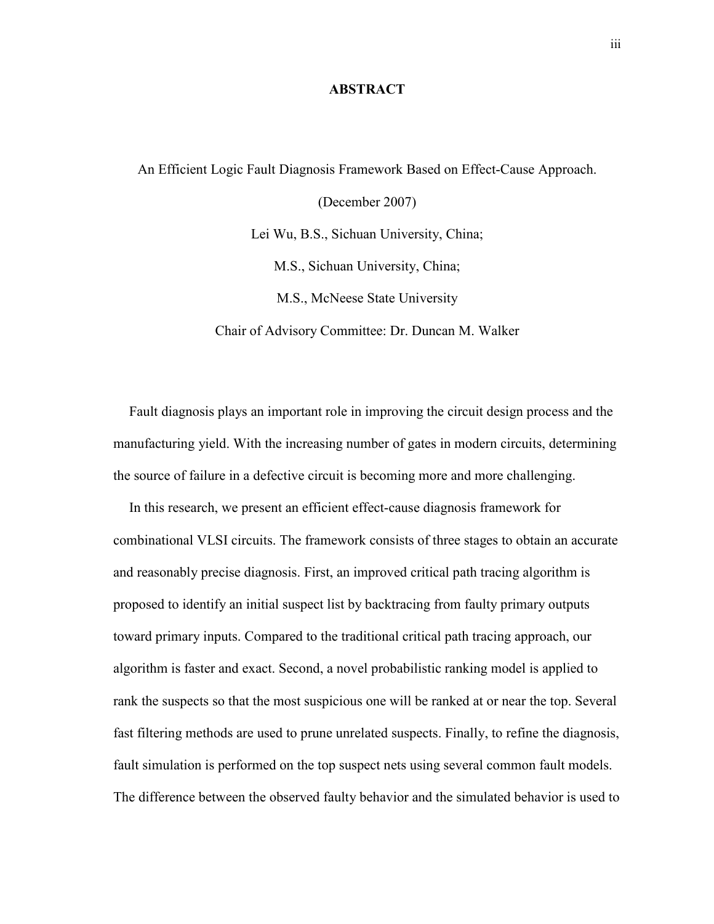#### **ABSTRACT**

An Efficient Logic Fault Diagnosis Framework Based on Effect-Cause Approach. (December 2007) Lei Wu, B.S., Sichuan University, China; M.S., Sichuan University, China; M.S., McNeese State University Chair of Advisory Committee: Dr. Duncan M. Walker

Fault diagnosis plays an important role in improving the circuit design process and the manufacturing yield. With the increasing number of gates in modern circuits, determining the source of failure in a defective circuit is becoming more and more challenging.

In this research, we present an efficient effect-cause diagnosis framework for combinational VLSI circuits. The framework consists of three stages to obtain an accurate and reasonably precise diagnosis. First, an improved critical path tracing algorithm is proposed to identify an initial suspect list by backtracing from faulty primary outputs toward primary inputs. Compared to the traditional critical path tracing approach, our algorithm is faster and exact. Second, a novel probabilistic ranking model is applied to rank the suspects so that the most suspicious one will be ranked at or near the top. Several fast filtering methods are used to prune unrelated suspects. Finally, to refine the diagnosis, fault simulation is performed on the top suspect nets using several common fault models. The difference between the observed faulty behavior and the simulated behavior is used to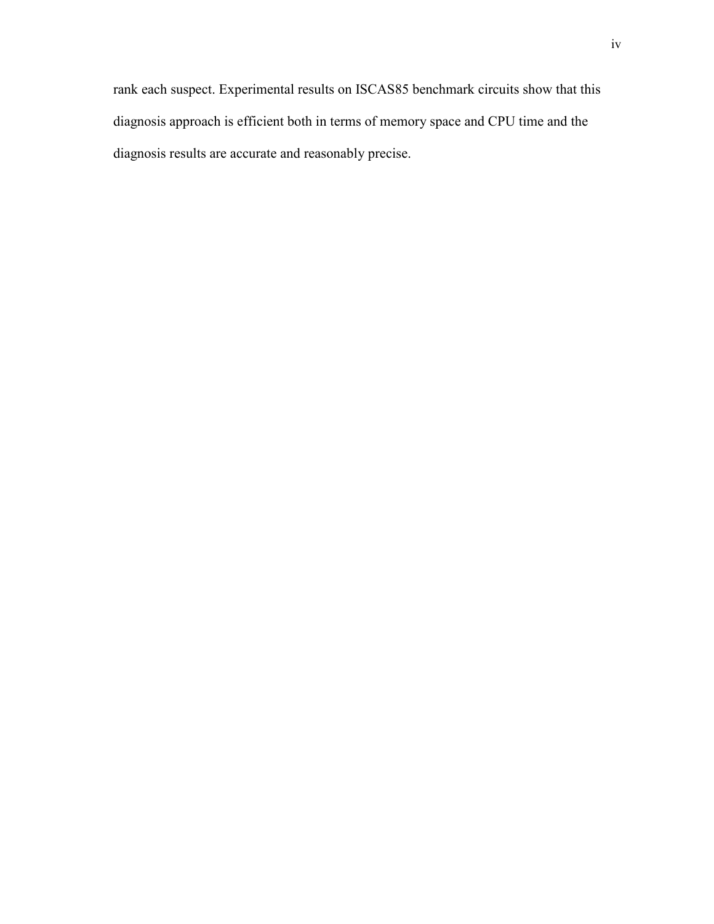rank each suspect. Experimental results on ISCAS85 benchmark circuits show that this diagnosis approach is efficient both in terms of memory space and CPU time and the diagnosis results are accurate and reasonably precise.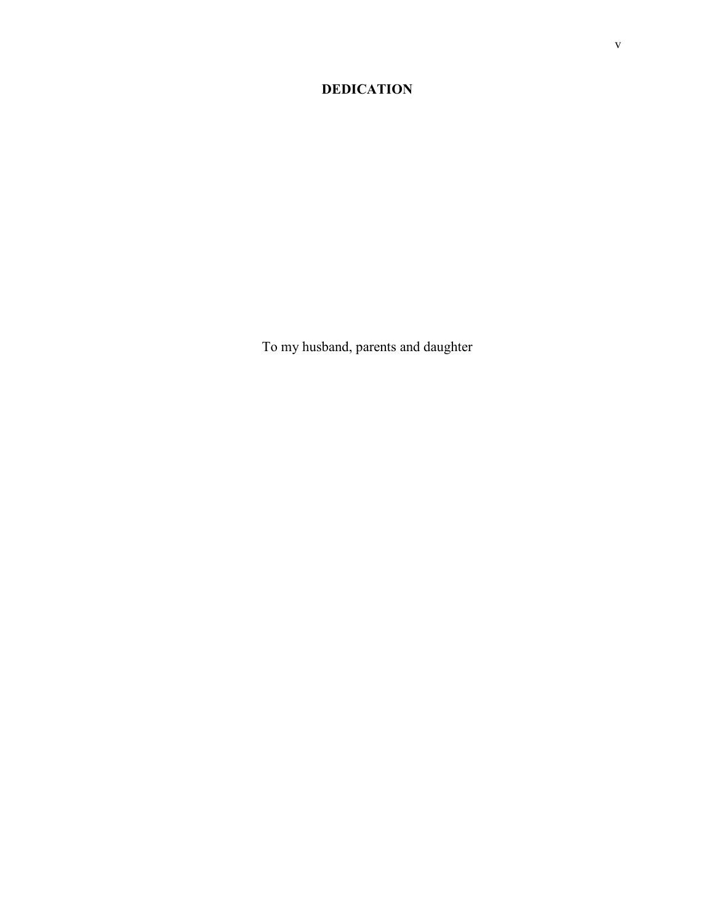## DEDICATION

To my husband, parents and daughter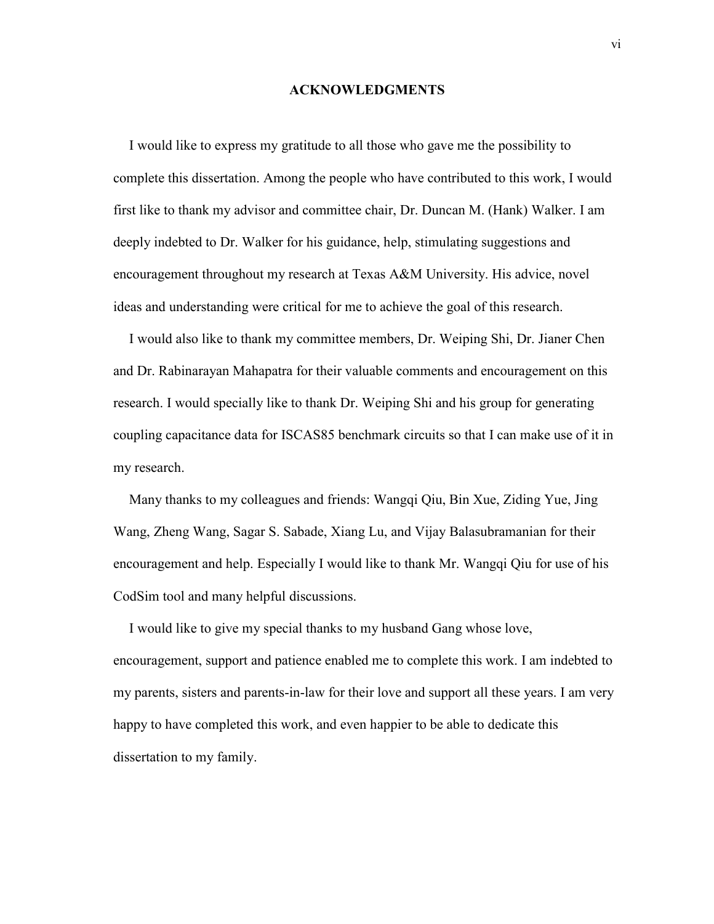#### ACKNOWLEDGMENTS

I would like to express my gratitude to all those who gave me the possibility to complete this dissertation. Among the people who have contributed to this work, I would first like to thank my advisor and committee chair, Dr. Duncan M. (Hank) Walker. I am deeply indebted to Dr. Walker for his guidance, help, stimulating suggestions and encouragement throughout my research at Texas A&M University. His advice, novel ideas and understanding were critical for me to achieve the goal of this research.

I would also like to thank my committee members, Dr. Weiping Shi, Dr. Jianer Chen and Dr. Rabinarayan Mahapatra for their valuable comments and encouragement on this research. I would specially like to thank Dr. Weiping Shi and his group for generating coupling capacitance data for ISCAS85 benchmark circuits so that I can make use of it in my research.

Many thanks to my colleagues and friends: Wangqi Qiu, Bin Xue, Ziding Yue, Jing Wang, Zheng Wang, Sagar S. Sabade, Xiang Lu, and Vijay Balasubramanian for their encouragement and help. Especially I would like to thank Mr. Wangqi Qiu for use of his CodSim tool and many helpful discussions.

I would like to give my special thanks to my husband Gang whose love, encouragement, support and patience enabled me to complete this work. I am indebted to my parents, sisters and parents-in-law for their love and support all these years. I am very happy to have completed this work, and even happier to be able to dedicate this dissertation to my family.

vi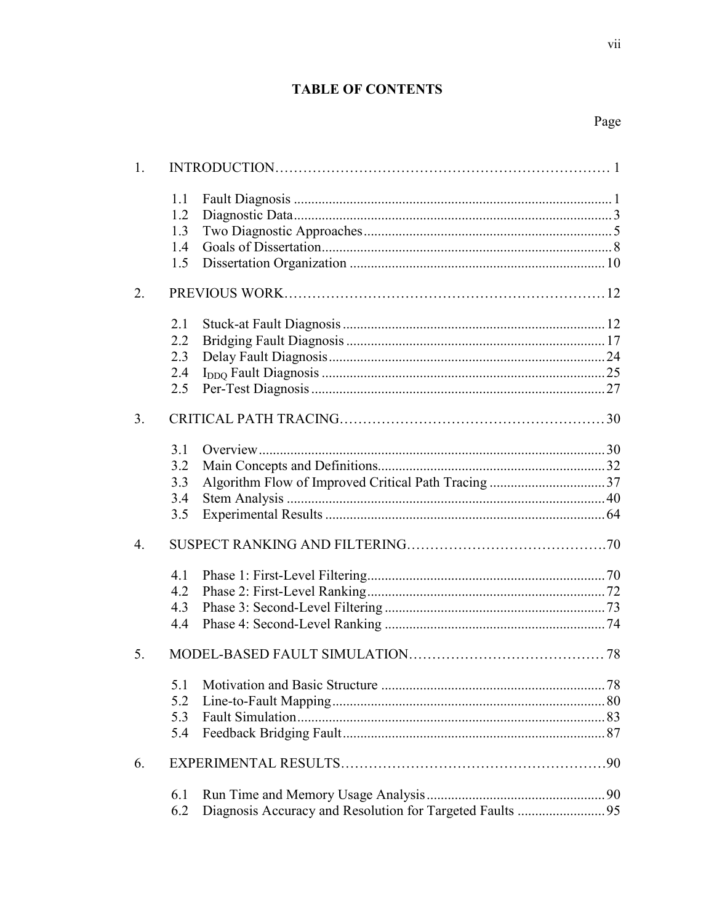## **TABLE OF CONTENTS**

vii

| 1.               |                                 |                                                          |  |
|------------------|---------------------------------|----------------------------------------------------------|--|
|                  | 1.1<br>1.2<br>1.3<br>1.4        |                                                          |  |
|                  | 1.5                             |                                                          |  |
| 2.               |                                 |                                                          |  |
|                  | 2.1<br>2.2<br>2.3<br>2.4<br>2.5 |                                                          |  |
| 3.               |                                 |                                                          |  |
|                  | 3.1<br>3.2<br>3.3<br>3.4<br>3.5 |                                                          |  |
| $\overline{4}$ . |                                 |                                                          |  |
|                  | 4.1<br>4.2<br>4.3<br>4.4        |                                                          |  |
| 5.               |                                 |                                                          |  |
|                  | 5.1<br>5.2<br>5.3<br>5.4        |                                                          |  |
| 6.               |                                 |                                                          |  |
|                  | 6.1<br>6.2                      | Diagnosis Accuracy and Resolution for Targeted Faults 95 |  |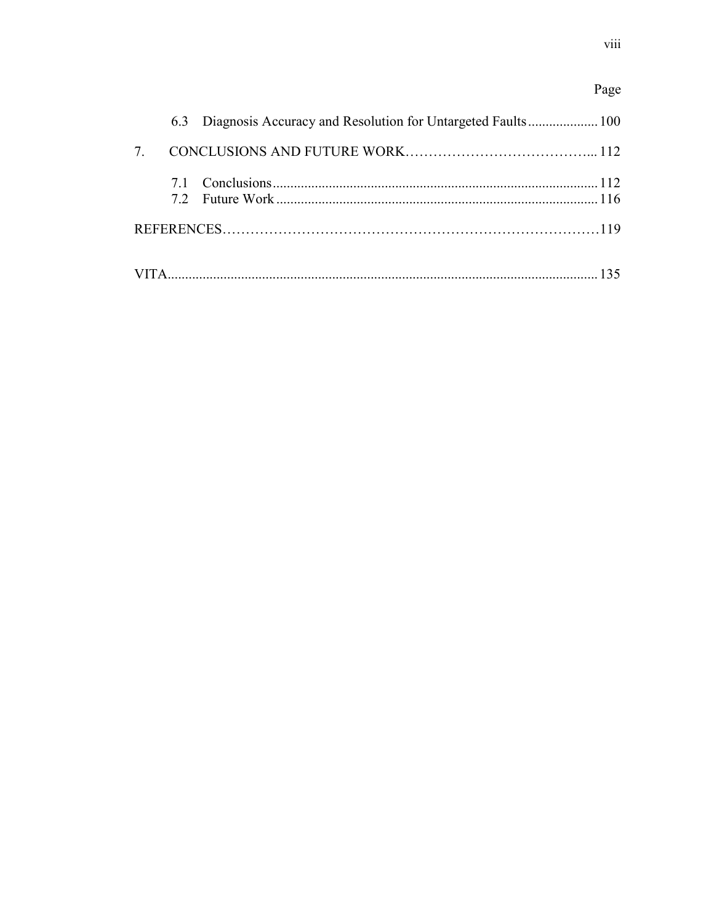## Page

| $7\overline{ }$ |  |  |
|-----------------|--|--|
|                 |  |  |
|                 |  |  |
|                 |  |  |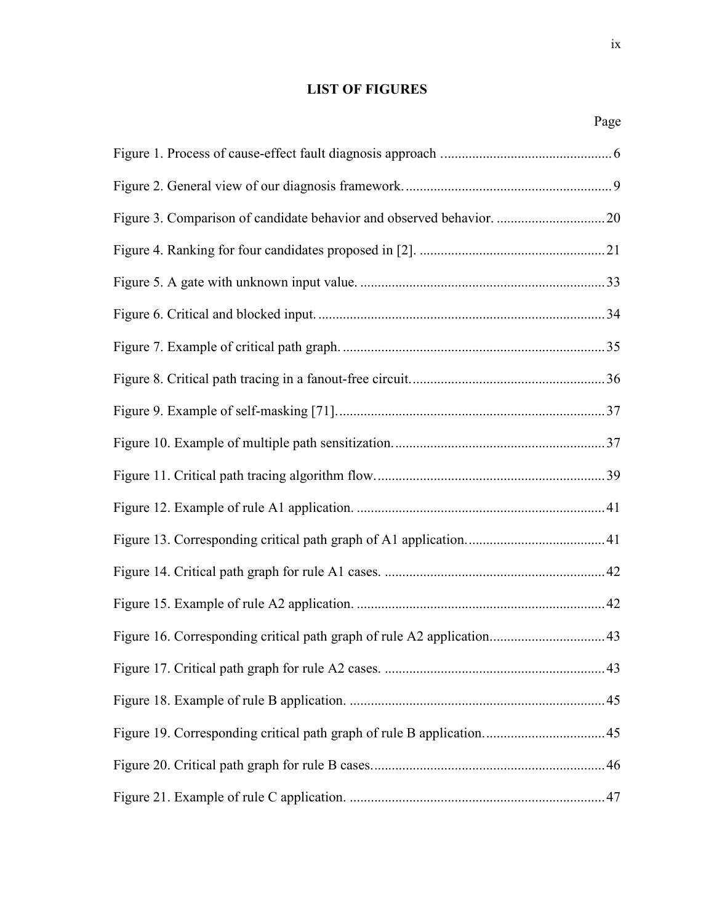## LIST OF FIGURES

|--|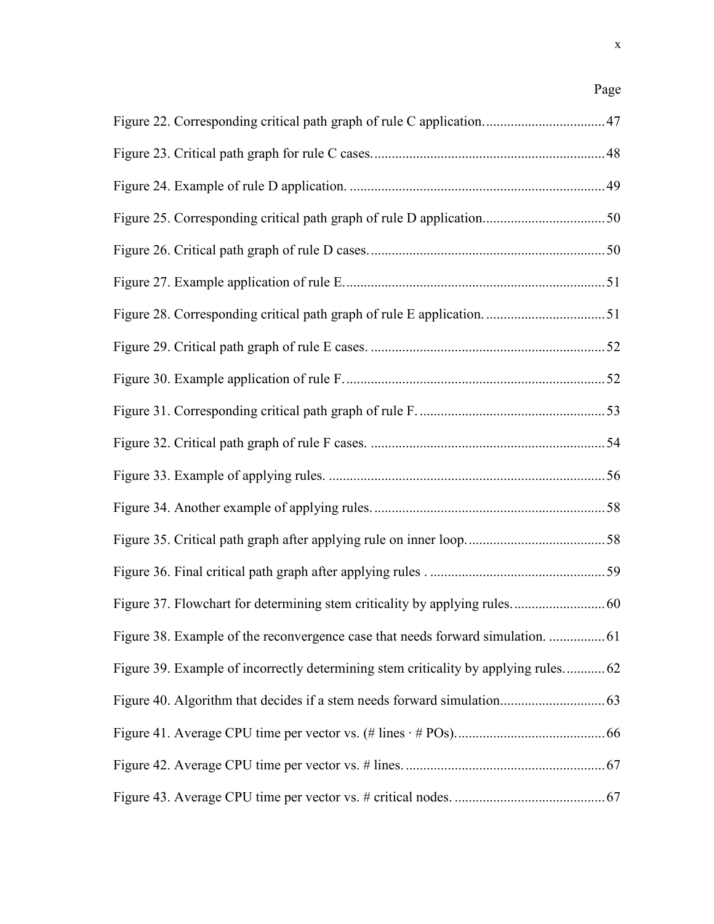## Page

| Figure 39. Example of incorrectly determining stem criticality by applying rules 62 |  |
|-------------------------------------------------------------------------------------|--|
|                                                                                     |  |
|                                                                                     |  |
|                                                                                     |  |
|                                                                                     |  |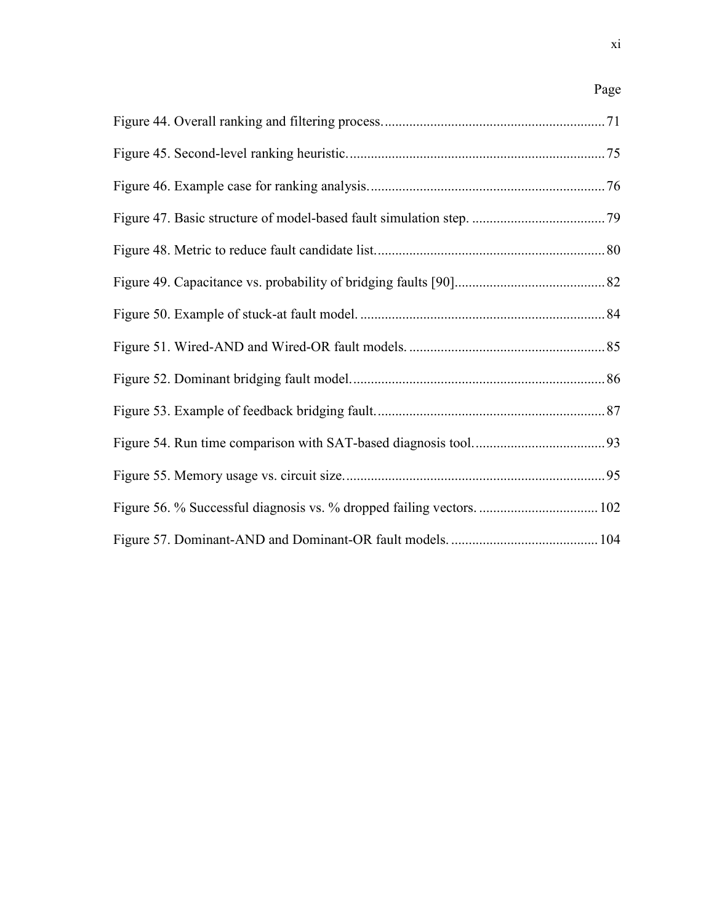## Page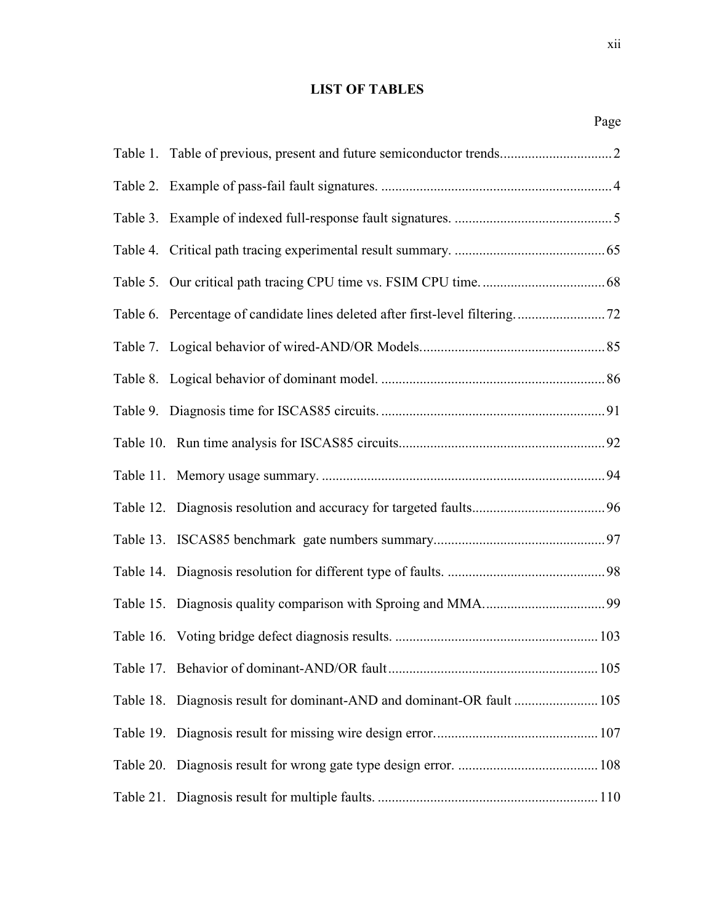## LIST OF TABLES

|                                                                        | Page |
|------------------------------------------------------------------------|------|
|                                                                        |      |
|                                                                        |      |
|                                                                        |      |
|                                                                        |      |
|                                                                        |      |
|                                                                        |      |
|                                                                        |      |
|                                                                        |      |
|                                                                        |      |
|                                                                        |      |
|                                                                        |      |
|                                                                        |      |
|                                                                        |      |
|                                                                        |      |
|                                                                        |      |
|                                                                        |      |
|                                                                        |      |
| Table 18. Diagnosis result for dominant-AND and dominant-OR fault  105 |      |
|                                                                        |      |
|                                                                        |      |
|                                                                        |      |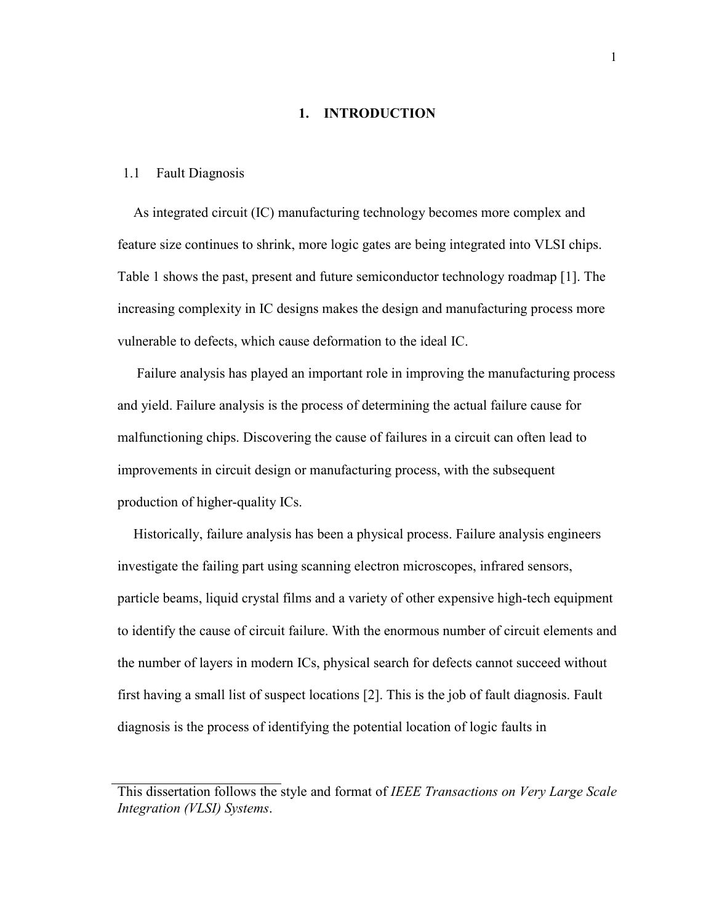#### 1. INTRODUCTION

#### 1.1 Fault Diagnosis

As integrated circuit (IC) manufacturing technology becomes more complex and feature size continues to shrink, more logic gates are being integrated into VLSI chips. Table 1 shows the past, present and future semiconductor technology roadmap [1]. The increasing complexity in IC designs makes the design and manufacturing process more vulnerable to defects, which cause deformation to the ideal IC.

 Failure analysis has played an important role in improving the manufacturing process and yield. Failure analysis is the process of determining the actual failure cause for malfunctioning chips. Discovering the cause of failures in a circuit can often lead to improvements in circuit design or manufacturing process, with the subsequent production of higher-quality ICs.

Historically, failure analysis has been a physical process. Failure analysis engineers investigate the failing part using scanning electron microscopes, infrared sensors, particle beams, liquid crystal films and a variety of other expensive high-tech equipment to identify the cause of circuit failure. With the enormous number of circuit elements and the number of layers in modern ICs, physical search for defects cannot succeed without first having a small list of suspect locations [2]. This is the job of fault diagnosis. Fault diagnosis is the process of identifying the potential location of logic faults in

This dissertation follows the style and format of IEEE Transactions on Very Large Scale Integration (VLSI) Systems.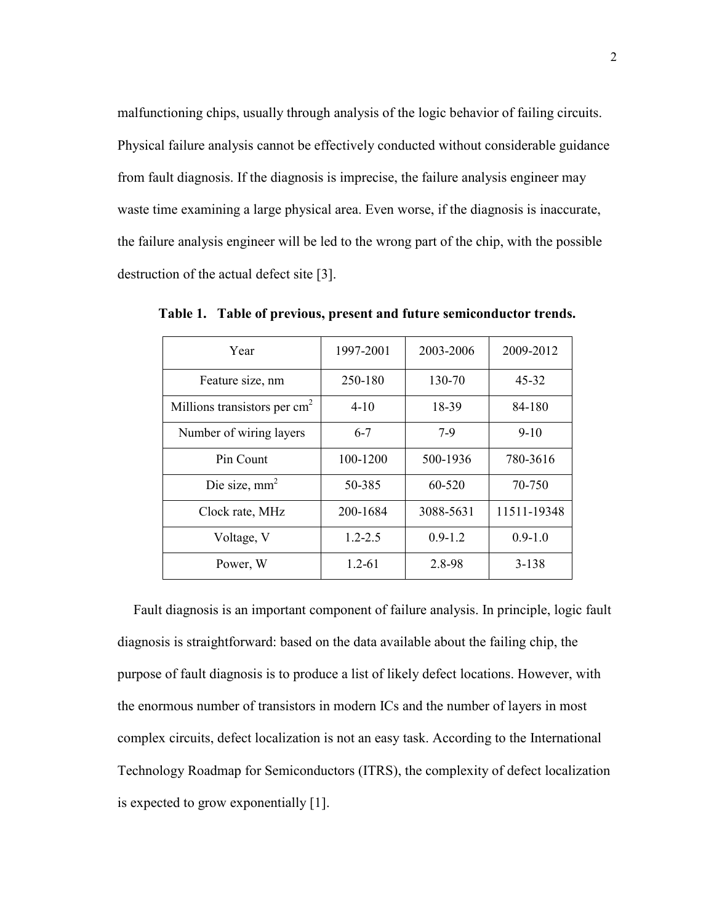malfunctioning chips, usually through analysis of the logic behavior of failing circuits. Physical failure analysis cannot be effectively conducted without considerable guidance from fault diagnosis. If the diagnosis is imprecise, the failure analysis engineer may waste time examining a large physical area. Even worse, if the diagnosis is inaccurate, the failure analysis engineer will be led to the wrong part of the chip, with the possible destruction of the actual defect site [3].

| Year                                     | 1997-2001   | 2003-2006   | 2009-2012   |
|------------------------------------------|-------------|-------------|-------------|
| Feature size, nm                         | 250-180     | 130-70      | $45 - 32$   |
| Millions transistors per cm <sup>2</sup> | $4 - 10$    | 18-39       | 84-180      |
| Number of wiring layers                  | $6 - 7$     | $7-9$       | $9-10$      |
| Pin Count                                | 100-1200    | 500-1936    | 780-3616    |
| Die size, $mm2$                          | 50-385      | 60-520      | 70-750      |
| Clock rate, MHz                          | 200-1684    | 3088-5631   | 11511-19348 |
| Voltage, V                               | $1.2 - 2.5$ | $0.9 - 1.2$ | $0.9 - 1.0$ |
| Power, W                                 | $1.2 - 61$  | 2.8-98      | 3-138       |

Table 1. Table of previous, present and future semiconductor trends.

Fault diagnosis is an important component of failure analysis. In principle, logic fault diagnosis is straightforward: based on the data available about the failing chip, the purpose of fault diagnosis is to produce a list of likely defect locations. However, with the enormous number of transistors in modern ICs and the number of layers in most complex circuits, defect localization is not an easy task. According to the International Technology Roadmap for Semiconductors (ITRS), the complexity of defect localization is expected to grow exponentially [1].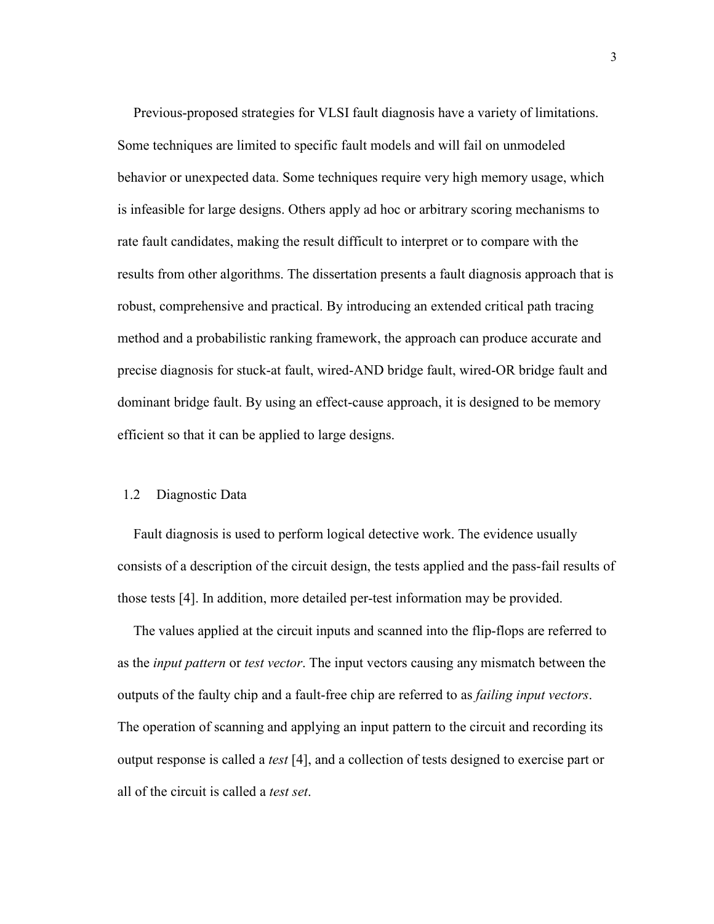Previous-proposed strategies for VLSI fault diagnosis have a variety of limitations. Some techniques are limited to specific fault models and will fail on unmodeled behavior or unexpected data. Some techniques require very high memory usage, which is infeasible for large designs. Others apply ad hoc or arbitrary scoring mechanisms to rate fault candidates, making the result difficult to interpret or to compare with the results from other algorithms. The dissertation presents a fault diagnosis approach that is robust, comprehensive and practical. By introducing an extended critical path tracing method and a probabilistic ranking framework, the approach can produce accurate and precise diagnosis for stuck-at fault, wired-AND bridge fault, wired-OR bridge fault and dominant bridge fault. By using an effect-cause approach, it is designed to be memory efficient so that it can be applied to large designs.

#### 1.2 Diagnostic Data

Fault diagnosis is used to perform logical detective work. The evidence usually consists of a description of the circuit design, the tests applied and the pass-fail results of those tests [4]. In addition, more detailed per-test information may be provided.

The values applied at the circuit inputs and scanned into the flip-flops are referred to as the input pattern or test vector. The input vectors causing any mismatch between the outputs of the faulty chip and a fault-free chip are referred to as failing input vectors. The operation of scanning and applying an input pattern to the circuit and recording its output response is called a test [4], and a collection of tests designed to exercise part or all of the circuit is called a test set.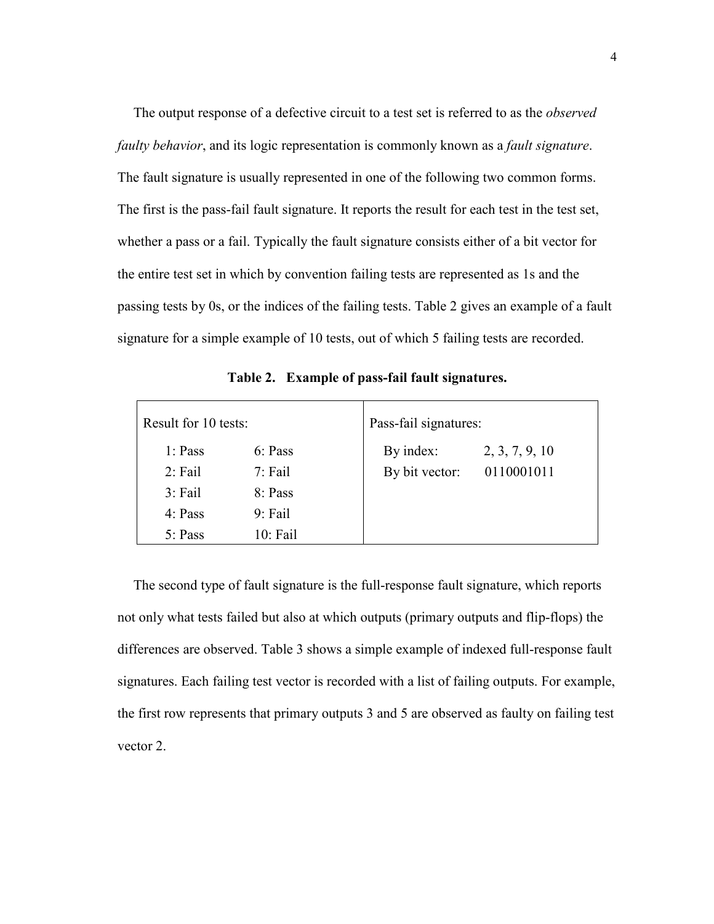The output response of a defective circuit to a test set is referred to as the *observed* faulty behavior, and its logic representation is commonly known as a fault signature. The fault signature is usually represented in one of the following two common forms. The first is the pass-fail fault signature. It reports the result for each test in the test set, whether a pass or a fail. Typically the fault signature consists either of a bit vector for the entire test set in which by convention failing tests are represented as 1s and the passing tests by 0s, or the indices of the failing tests. Table 2 gives an example of a fault signature for a simple example of 10 tests, out of which 5 failing tests are recorded.

| Result for 10 tests: |           | Pass-fail signatures: |                |
|----------------------|-----------|-----------------------|----------------|
| 1: Pass              | 6: Pass   | By index:             | 2, 3, 7, 9, 10 |
| $2:$ Fail            | $7:$ Fail | By bit vector:        | 0110001011     |
| $3:$ Fail            | 8: Pass   |                       |                |
| 4: Pass              | $9:$ Fail |                       |                |
| 5: Pass              | 10: Fail  |                       |                |

Table 2. Example of pass-fail fault signatures.

The second type of fault signature is the full-response fault signature, which reports not only what tests failed but also at which outputs (primary outputs and flip-flops) the differences are observed. Table 3 shows a simple example of indexed full-response fault signatures. Each failing test vector is recorded with a list of failing outputs. For example, the first row represents that primary outputs 3 and 5 are observed as faulty on failing test vector 2.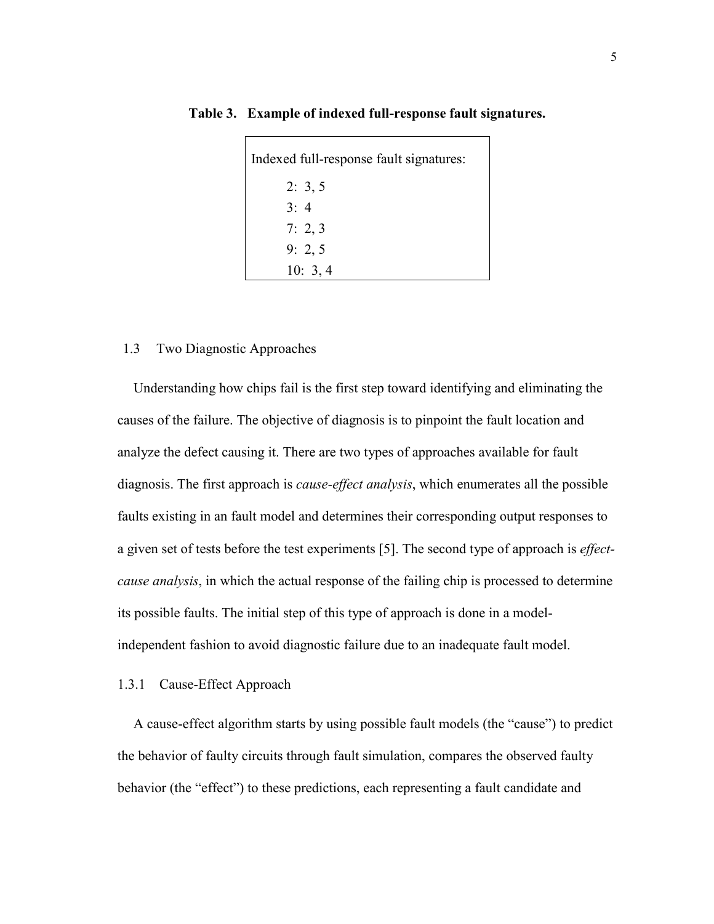| Indexed full-response fault signatures: |  |
|-----------------------------------------|--|
| 2: 3, 5                                 |  |
| 3:4                                     |  |
| 7: 2, 3                                 |  |
| 9: 2, 5                                 |  |
| 10: 3, 4                                |  |

Table 3. Example of indexed full-response fault signatures.

#### 1.3 Two Diagnostic Approaches

Understanding how chips fail is the first step toward identifying and eliminating the causes of the failure. The objective of diagnosis is to pinpoint the fault location and analyze the defect causing it. There are two types of approaches available for fault diagnosis. The first approach is *cause-effect analysis*, which enumerates all the possible faults existing in an fault model and determines their corresponding output responses to a given set of tests before the test experiments [5]. The second type of approach is effectcause analysis, in which the actual response of the failing chip is processed to determine its possible faults. The initial step of this type of approach is done in a modelindependent fashion to avoid diagnostic failure due to an inadequate fault model.

#### 1.3.1 Cause-Effect Approach

A cause-effect algorithm starts by using possible fault models (the "cause") to predict the behavior of faulty circuits through fault simulation, compares the observed faulty behavior (the "effect") to these predictions, each representing a fault candidate and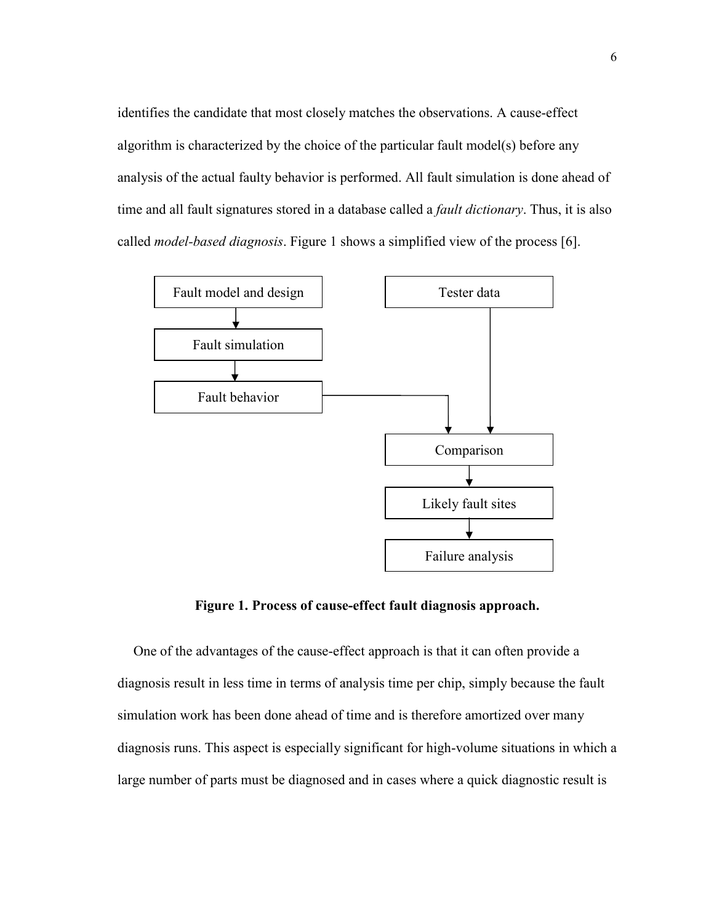identifies the candidate that most closely matches the observations. A cause-effect algorithm is characterized by the choice of the particular fault model(s) before any analysis of the actual faulty behavior is performed. All fault simulation is done ahead of time and all fault signatures stored in a database called a *fault dictionary*. Thus, it is also called model-based diagnosis. Figure 1 shows a simplified view of the process [6].



Figure 1. Process of cause-effect fault diagnosis approach.

One of the advantages of the cause-effect approach is that it can often provide a diagnosis result in less time in terms of analysis time per chip, simply because the fault simulation work has been done ahead of time and is therefore amortized over many diagnosis runs. This aspect is especially significant for high-volume situations in which a large number of parts must be diagnosed and in cases where a quick diagnostic result is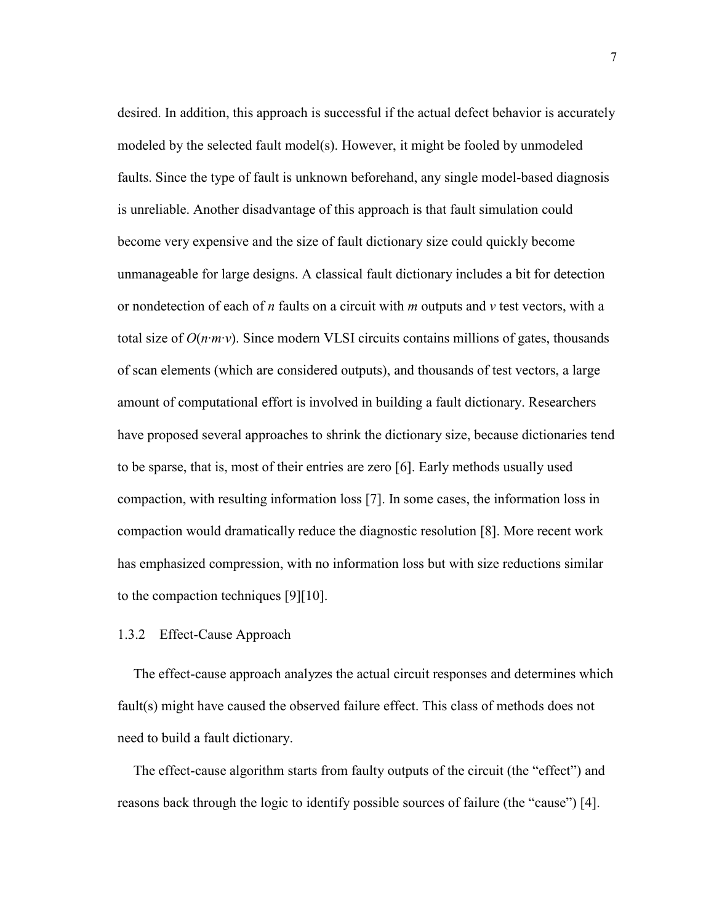desired. In addition, this approach is successful if the actual defect behavior is accurately modeled by the selected fault model(s). However, it might be fooled by unmodeled faults. Since the type of fault is unknown beforehand, any single model-based diagnosis is unreliable. Another disadvantage of this approach is that fault simulation could become very expensive and the size of fault dictionary size could quickly become unmanageable for large designs. A classical fault dictionary includes a bit for detection or nondetection of each of *n* faults on a circuit with *m* outputs and *v* test vectors, with a total size of  $O(n \cdot m \cdot v)$ . Since modern VLSI circuits contains millions of gates, thousands of scan elements (which are considered outputs), and thousands of test vectors, a large amount of computational effort is involved in building a fault dictionary. Researchers have proposed several approaches to shrink the dictionary size, because dictionaries tend to be sparse, that is, most of their entries are zero [6]. Early methods usually used compaction, with resulting information loss [7]. In some cases, the information loss in compaction would dramatically reduce the diagnostic resolution [8]. More recent work has emphasized compression, with no information loss but with size reductions similar to the compaction techniques [9][10].

#### 1.3.2 Effect-Cause Approach

The effect-cause approach analyzes the actual circuit responses and determines which fault(s) might have caused the observed failure effect. This class of methods does not need to build a fault dictionary.

The effect-cause algorithm starts from faulty outputs of the circuit (the "effect") and reasons back through the logic to identify possible sources of failure (the "cause") [4].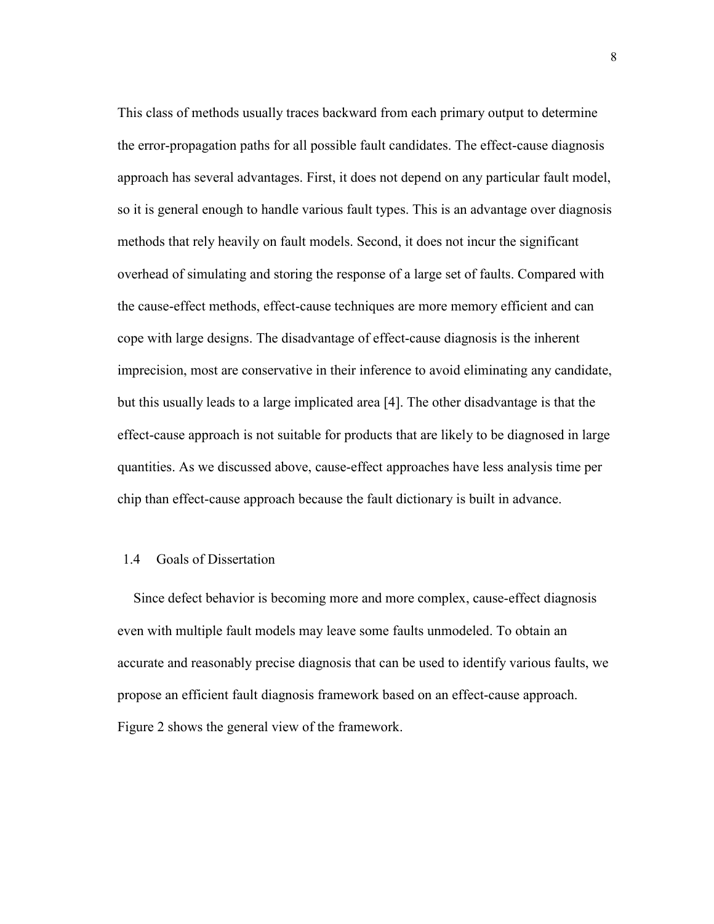This class of methods usually traces backward from each primary output to determine the error-propagation paths for all possible fault candidates. The effect-cause diagnosis approach has several advantages. First, it does not depend on any particular fault model, so it is general enough to handle various fault types. This is an advantage over diagnosis methods that rely heavily on fault models. Second, it does not incur the significant overhead of simulating and storing the response of a large set of faults. Compared with the cause-effect methods, effect-cause techniques are more memory efficient and can cope with large designs. The disadvantage of effect-cause diagnosis is the inherent imprecision, most are conservative in their inference to avoid eliminating any candidate, but this usually leads to a large implicated area [4]. The other disadvantage is that the effect-cause approach is not suitable for products that are likely to be diagnosed in large quantities. As we discussed above, cause-effect approaches have less analysis time per chip than effect-cause approach because the fault dictionary is built in advance.

#### 1.4 Goals of Dissertation

Since defect behavior is becoming more and more complex, cause-effect diagnosis even with multiple fault models may leave some faults unmodeled. To obtain an accurate and reasonably precise diagnosis that can be used to identify various faults, we propose an efficient fault diagnosis framework based on an effect-cause approach. Figure 2 shows the general view of the framework.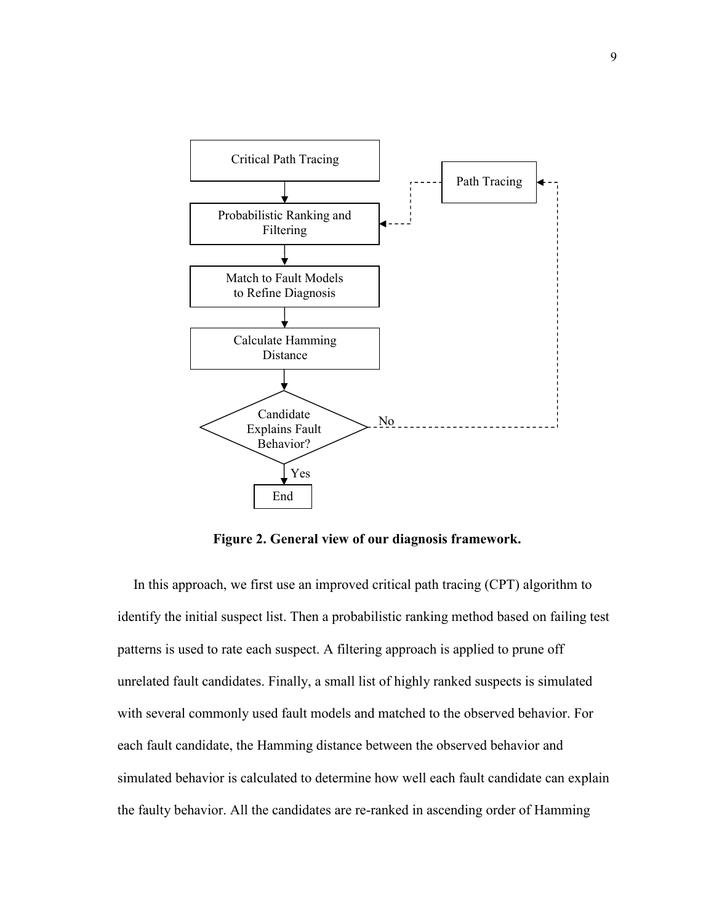

Figure 2. General view of our diagnosis framework.

In this approach, we first use an improved critical path tracing (CPT) algorithm to identify the initial suspect list. Then a probabilistic ranking method based on failing test patterns is used to rate each suspect. A filtering approach is applied to prune off unrelated fault candidates. Finally, a small list of highly ranked suspects is simulated with several commonly used fault models and matched to the observed behavior. For each fault candidate, the Hamming distance between the observed behavior and simulated behavior is calculated to determine how well each fault candidate can explain the faulty behavior. All the candidates are re-ranked in ascending order of Hamming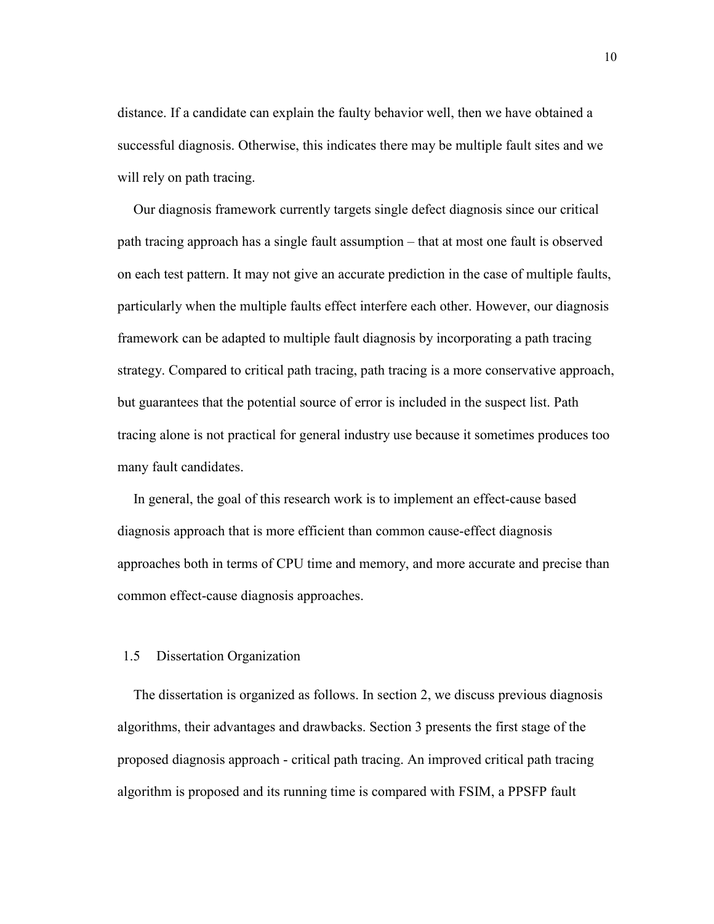distance. If a candidate can explain the faulty behavior well, then we have obtained a successful diagnosis. Otherwise, this indicates there may be multiple fault sites and we will rely on path tracing.

Our diagnosis framework currently targets single defect diagnosis since our critical path tracing approach has a single fault assumption – that at most one fault is observed on each test pattern. It may not give an accurate prediction in the case of multiple faults, particularly when the multiple faults effect interfere each other. However, our diagnosis framework can be adapted to multiple fault diagnosis by incorporating a path tracing strategy. Compared to critical path tracing, path tracing is a more conservative approach, but guarantees that the potential source of error is included in the suspect list. Path tracing alone is not practical for general industry use because it sometimes produces too many fault candidates.

In general, the goal of this research work is to implement an effect-cause based diagnosis approach that is more efficient than common cause-effect diagnosis approaches both in terms of CPU time and memory, and more accurate and precise than common effect-cause diagnosis approaches.

#### 1.5 Dissertation Organization

The dissertation is organized as follows. In section 2, we discuss previous diagnosis algorithms, their advantages and drawbacks. Section 3 presents the first stage of the proposed diagnosis approach - critical path tracing. An improved critical path tracing algorithm is proposed and its running time is compared with FSIM, a PPSFP fault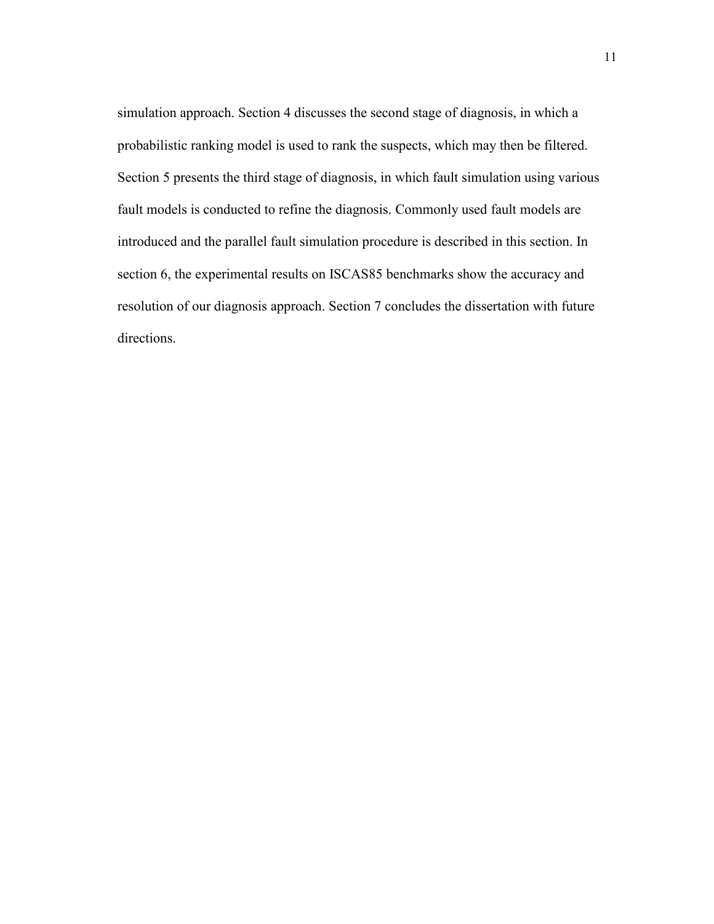simulation approach. Section 4 discusses the second stage of diagnosis, in which a probabilistic ranking model is used to rank the suspects, which may then be filtered. Section 5 presents the third stage of diagnosis, in which fault simulation using various fault models is conducted to refine the diagnosis. Commonly used fault models are introduced and the parallel fault simulation procedure is described in this section. In section 6, the experimental results on ISCAS85 benchmarks show the accuracy and resolution of our diagnosis approach. Section 7 concludes the dissertation with future directions.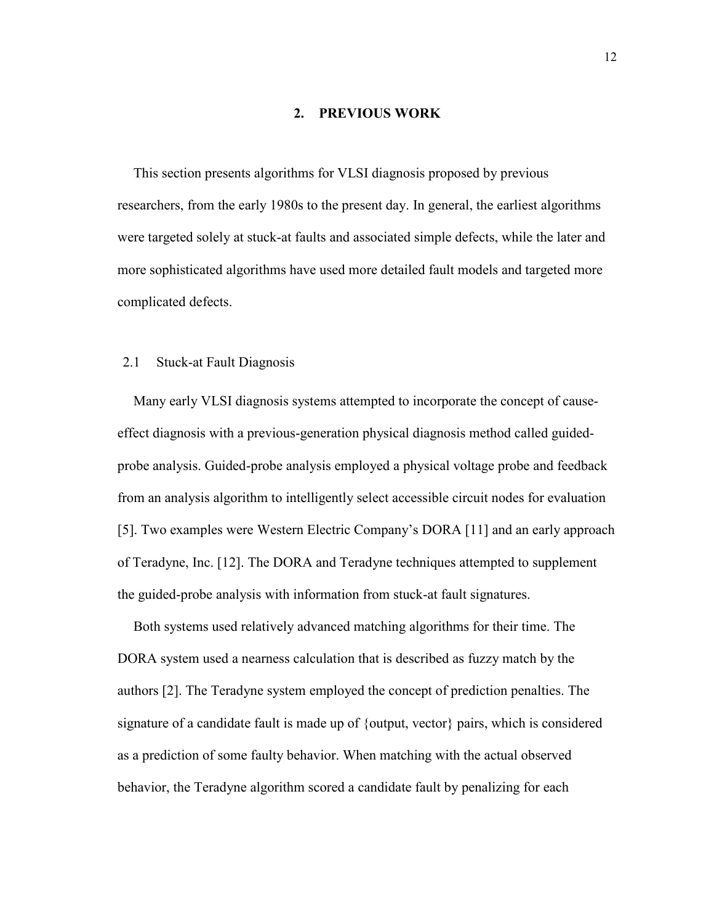#### 2. PREVIOUS WORK

This section presents algorithms for VLSI diagnosis proposed by previous researchers, from the early 1980s to the present day. In general, the earliest algorithms were targeted solely at stuck-at faults and associated simple defects, while the later and more sophisticated algorithms have used more detailed fault models and targeted more complicated defects.

#### 2.1 Stuck-at Fault Diagnosis

Many early VLSI diagnosis systems attempted to incorporate the concept of causeeffect diagnosis with a previous-generation physical diagnosis method called guidedprobe analysis. Guided-probe analysis employed a physical voltage probe and feedback from an analysis algorithm to intelligently select accessible circuit nodes for evaluation [5]. Two examples were Western Electric Company's DORA [11] and an early approach of Teradyne, Inc. [12]. The DORA and Teradyne techniques attempted to supplement the guided-probe analysis with information from stuck-at fault signatures.

Both systems used relatively advanced matching algorithms for their time. The DORA system used a nearness calculation that is described as fuzzy match by the authors [2]. The Teradyne system employed the concept of prediction penalties. The signature of a candidate fault is made up of {output, vector} pairs, which is considered as a prediction of some faulty behavior. When matching with the actual observed behavior, the Teradyne algorithm scored a candidate fault by penalizing for each

12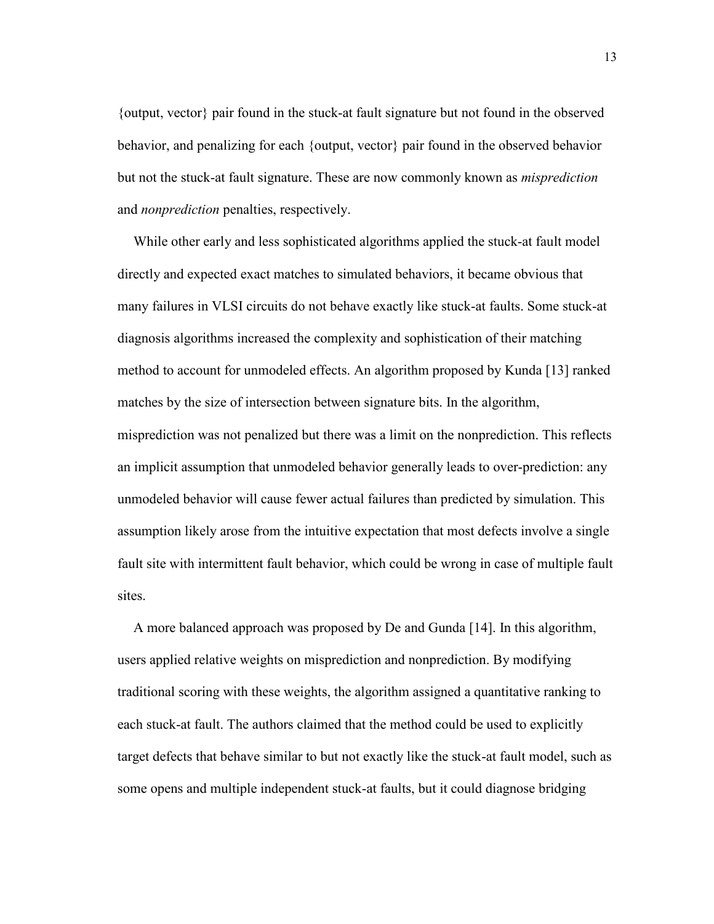{output, vector} pair found in the stuck-at fault signature but not found in the observed behavior, and penalizing for each {output, vector} pair found in the observed behavior but not the stuck-at fault signature. These are now commonly known as misprediction and nonprediction penalties, respectively.

While other early and less sophisticated algorithms applied the stuck-at fault model directly and expected exact matches to simulated behaviors, it became obvious that many failures in VLSI circuits do not behave exactly like stuck-at faults. Some stuck-at diagnosis algorithms increased the complexity and sophistication of their matching method to account for unmodeled effects. An algorithm proposed by Kunda [13] ranked matches by the size of intersection between signature bits. In the algorithm, misprediction was not penalized but there was a limit on the nonprediction. This reflects an implicit assumption that unmodeled behavior generally leads to over-prediction: any unmodeled behavior will cause fewer actual failures than predicted by simulation. This assumption likely arose from the intuitive expectation that most defects involve a single fault site with intermittent fault behavior, which could be wrong in case of multiple fault sites.

A more balanced approach was proposed by De and Gunda [14]. In this algorithm, users applied relative weights on misprediction and nonprediction. By modifying traditional scoring with these weights, the algorithm assigned a quantitative ranking to each stuck-at fault. The authors claimed that the method could be used to explicitly target defects that behave similar to but not exactly like the stuck-at fault model, such as some opens and multiple independent stuck-at faults, but it could diagnose bridging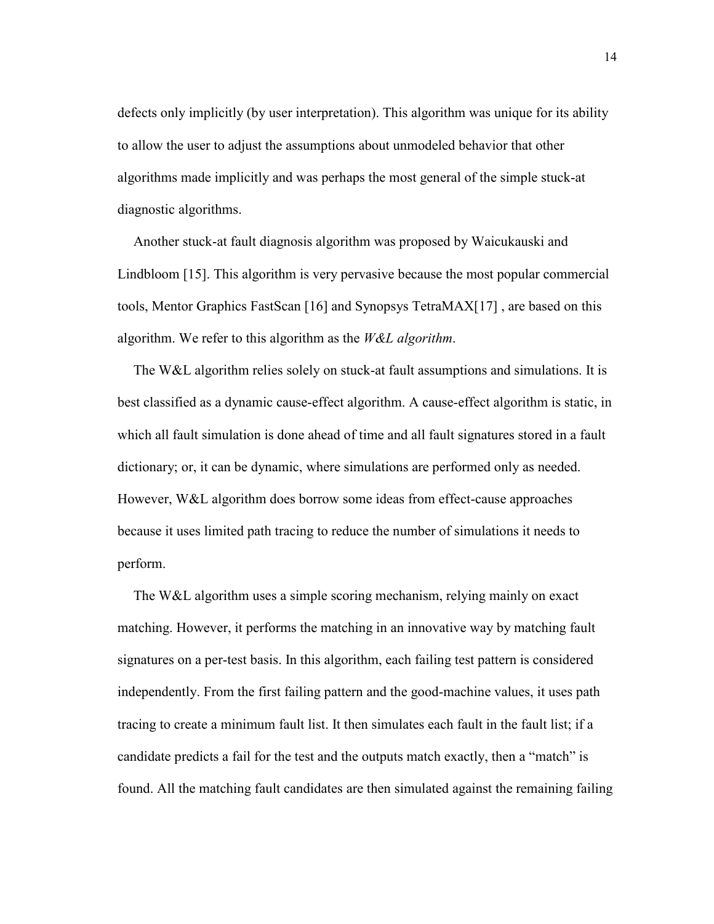defects only implicitly (by user interpretation). This algorithm was unique for its ability to allow the user to adjust the assumptions about unmodeled behavior that other algorithms made implicitly and was perhaps the most general of the simple stuck-at diagnostic algorithms.

Another stuck-at fault diagnosis algorithm was proposed by Waicukauski and Lindbloom [15]. This algorithm is very pervasive because the most popular commercial tools, Mentor Graphics FastScan [16] and Synopsys TetraMAX[17] , are based on this algorithm. We refer to this algorithm as the W&L algorithm.

The W&L algorithm relies solely on stuck-at fault assumptions and simulations. It is best classified as a dynamic cause-effect algorithm. A cause-effect algorithm is static, in which all fault simulation is done ahead of time and all fault signatures stored in a fault dictionary; or, it can be dynamic, where simulations are performed only as needed. However, W&L algorithm does borrow some ideas from effect-cause approaches because it uses limited path tracing to reduce the number of simulations it needs to perform.

The W&L algorithm uses a simple scoring mechanism, relying mainly on exact matching. However, it performs the matching in an innovative way by matching fault signatures on a per-test basis. In this algorithm, each failing test pattern is considered independently. From the first failing pattern and the good-machine values, it uses path tracing to create a minimum fault list. It then simulates each fault in the fault list; if a candidate predicts a fail for the test and the outputs match exactly, then a "match" is found. All the matching fault candidates are then simulated against the remaining failing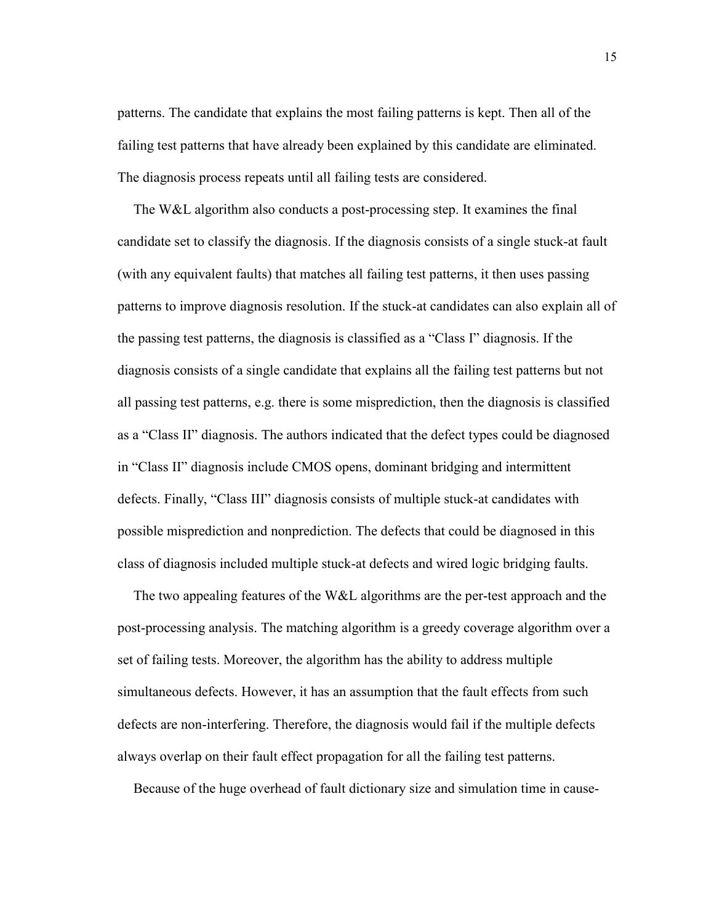patterns. The candidate that explains the most failing patterns is kept. Then all of the failing test patterns that have already been explained by this candidate are eliminated. The diagnosis process repeats until all failing tests are considered.

The W&L algorithm also conducts a post-processing step. It examines the final candidate set to classify the diagnosis. If the diagnosis consists of a single stuck-at fault (with any equivalent faults) that matches all failing test patterns, it then uses passing patterns to improve diagnosis resolution. If the stuck-at candidates can also explain all of the passing test patterns, the diagnosis is classified as a "Class I" diagnosis. If the diagnosis consists of a single candidate that explains all the failing test patterns but not all passing test patterns, e.g. there is some misprediction, then the diagnosis is classified as a "Class II" diagnosis. The authors indicated that the defect types could be diagnosed in "Class II" diagnosis include CMOS opens, dominant bridging and intermittent defects. Finally, "Class III" diagnosis consists of multiple stuck-at candidates with possible misprediction and nonprediction. The defects that could be diagnosed in this class of diagnosis included multiple stuck-at defects and wired logic bridging faults.

The two appealing features of the W&L algorithms are the per-test approach and the post-processing analysis. The matching algorithm is a greedy coverage algorithm over a set of failing tests. Moreover, the algorithm has the ability to address multiple simultaneous defects. However, it has an assumption that the fault effects from such defects are non-interfering. Therefore, the diagnosis would fail if the multiple defects always overlap on their fault effect propagation for all the failing test patterns.

Because of the huge overhead of fault dictionary size and simulation time in cause-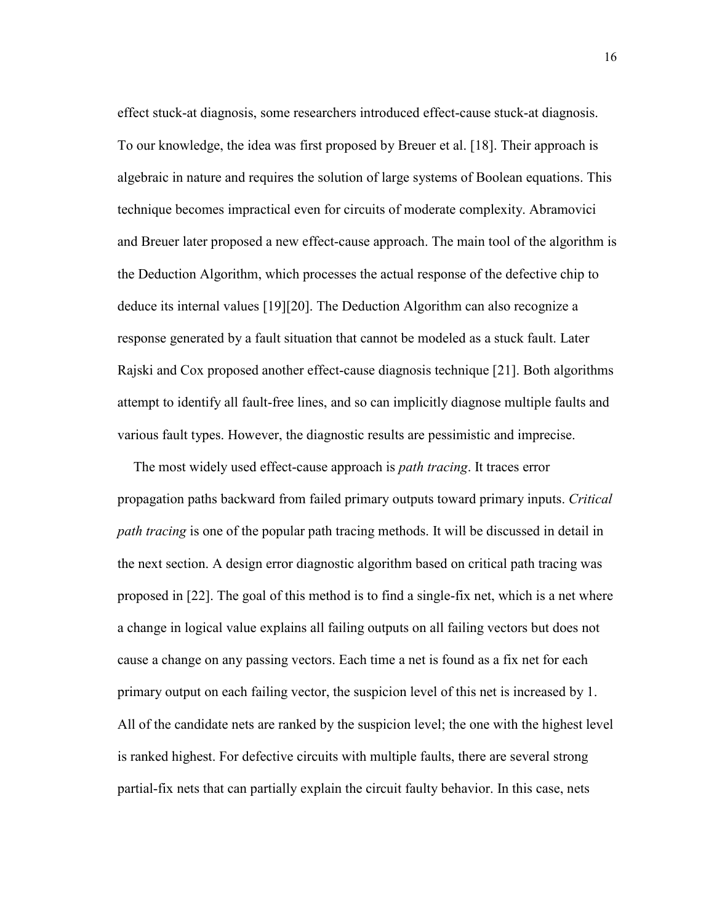effect stuck-at diagnosis, some researchers introduced effect-cause stuck-at diagnosis. To our knowledge, the idea was first proposed by Breuer et al. [18]. Their approach is algebraic in nature and requires the solution of large systems of Boolean equations. This technique becomes impractical even for circuits of moderate complexity. Abramovici and Breuer later proposed a new effect-cause approach. The main tool of the algorithm is the Deduction Algorithm, which processes the actual response of the defective chip to deduce its internal values [19][20]. The Deduction Algorithm can also recognize a response generated by a fault situation that cannot be modeled as a stuck fault. Later Rajski and Cox proposed another effect-cause diagnosis technique [21]. Both algorithms attempt to identify all fault-free lines, and so can implicitly diagnose multiple faults and various fault types. However, the diagnostic results are pessimistic and imprecise.

The most widely used effect-cause approach is *path tracing*. It traces error propagation paths backward from failed primary outputs toward primary inputs. Critical path tracing is one of the popular path tracing methods. It will be discussed in detail in the next section. A design error diagnostic algorithm based on critical path tracing was proposed in [22]. The goal of this method is to find a single-fix net, which is a net where a change in logical value explains all failing outputs on all failing vectors but does not cause a change on any passing vectors. Each time a net is found as a fix net for each primary output on each failing vector, the suspicion level of this net is increased by 1. All of the candidate nets are ranked by the suspicion level; the one with the highest level is ranked highest. For defective circuits with multiple faults, there are several strong partial-fix nets that can partially explain the circuit faulty behavior. In this case, nets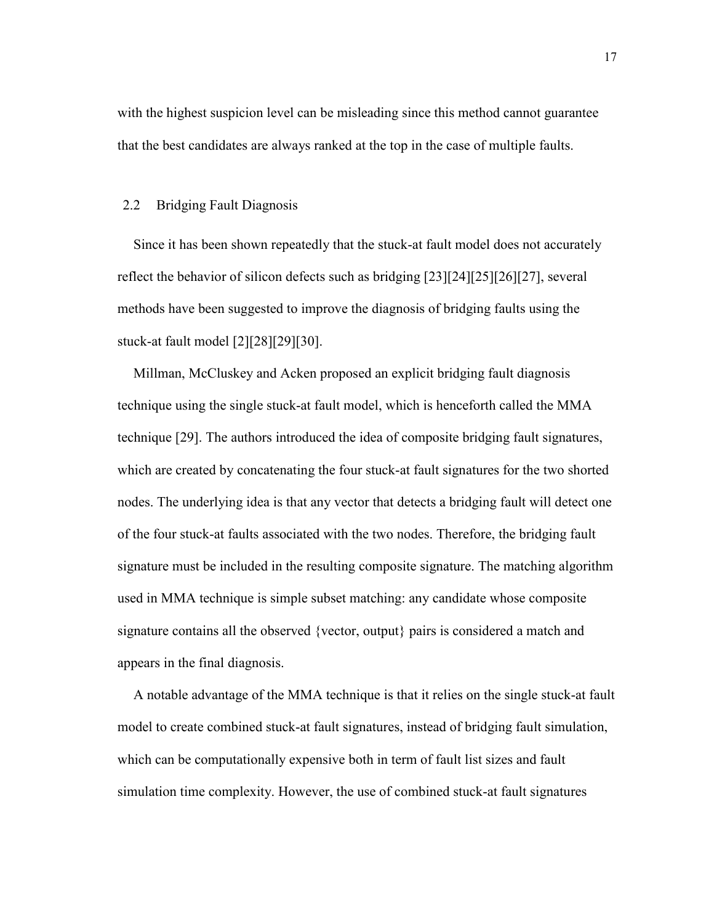with the highest suspicion level can be misleading since this method cannot guarantee that the best candidates are always ranked at the top in the case of multiple faults.

#### 2.2 Bridging Fault Diagnosis

Since it has been shown repeatedly that the stuck-at fault model does not accurately reflect the behavior of silicon defects such as bridging [23][24][25][26][27], several methods have been suggested to improve the diagnosis of bridging faults using the stuck-at fault model [2][28][29][30].

Millman, McCluskey and Acken proposed an explicit bridging fault diagnosis technique using the single stuck-at fault model, which is henceforth called the MMA technique [29]. The authors introduced the idea of composite bridging fault signatures, which are created by concatenating the four stuck-at fault signatures for the two shorted nodes. The underlying idea is that any vector that detects a bridging fault will detect one of the four stuck-at faults associated with the two nodes. Therefore, the bridging fault signature must be included in the resulting composite signature. The matching algorithm used in MMA technique is simple subset matching: any candidate whose composite signature contains all the observed {vector, output} pairs is considered a match and appears in the final diagnosis.

A notable advantage of the MMA technique is that it relies on the single stuck-at fault model to create combined stuck-at fault signatures, instead of bridging fault simulation, which can be computationally expensive both in term of fault list sizes and fault simulation time complexity. However, the use of combined stuck-at fault signatures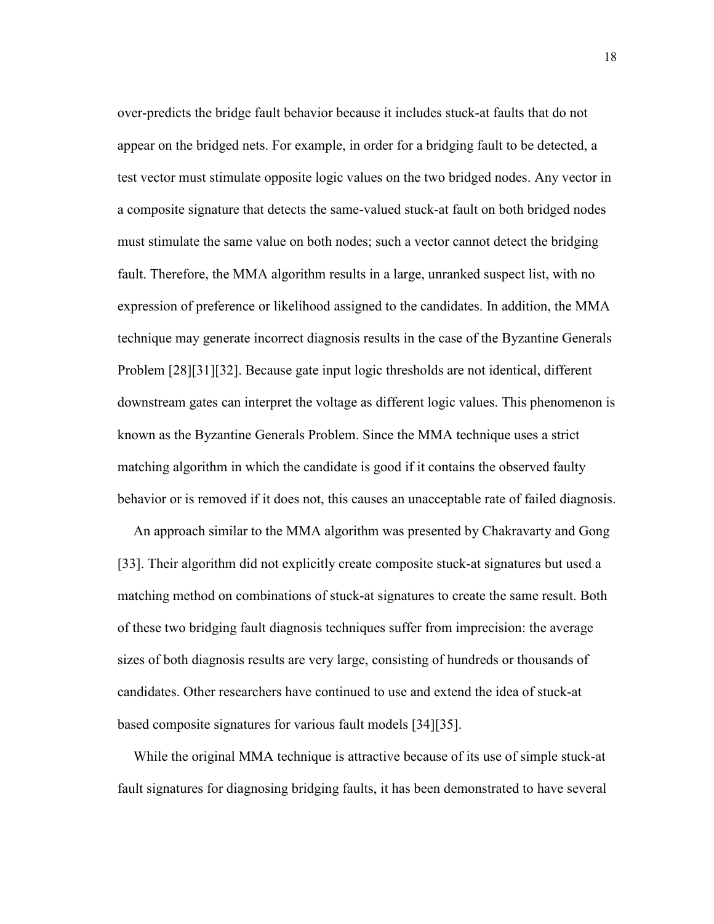over-predicts the bridge fault behavior because it includes stuck-at faults that do not appear on the bridged nets. For example, in order for a bridging fault to be detected, a test vector must stimulate opposite logic values on the two bridged nodes. Any vector in a composite signature that detects the same-valued stuck-at fault on both bridged nodes must stimulate the same value on both nodes; such a vector cannot detect the bridging fault. Therefore, the MMA algorithm results in a large, unranked suspect list, with no expression of preference or likelihood assigned to the candidates. In addition, the MMA technique may generate incorrect diagnosis results in the case of the Byzantine Generals Problem [28][31][32]. Because gate input logic thresholds are not identical, different downstream gates can interpret the voltage as different logic values. This phenomenon is known as the Byzantine Generals Problem. Since the MMA technique uses a strict matching algorithm in which the candidate is good if it contains the observed faulty behavior or is removed if it does not, this causes an unacceptable rate of failed diagnosis.

An approach similar to the MMA algorithm was presented by Chakravarty and Gong [33]. Their algorithm did not explicitly create composite stuck-at signatures but used a matching method on combinations of stuck-at signatures to create the same result. Both of these two bridging fault diagnosis techniques suffer from imprecision: the average sizes of both diagnosis results are very large, consisting of hundreds or thousands of candidates. Other researchers have continued to use and extend the idea of stuck-at based composite signatures for various fault models [34][35].

While the original MMA technique is attractive because of its use of simple stuck-at fault signatures for diagnosing bridging faults, it has been demonstrated to have several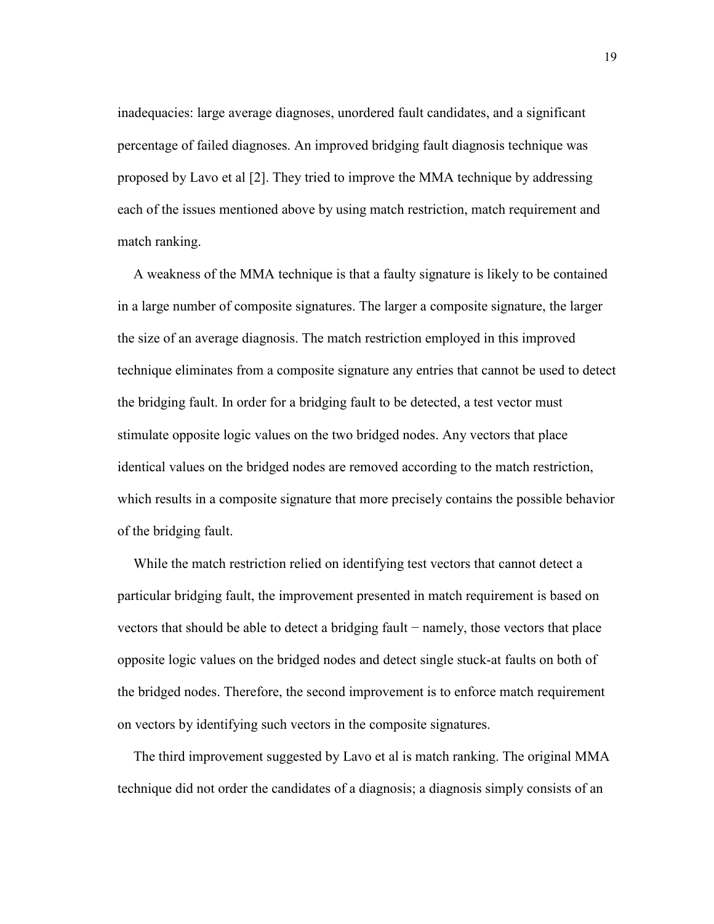inadequacies: large average diagnoses, unordered fault candidates, and a significant percentage of failed diagnoses. An improved bridging fault diagnosis technique was proposed by Lavo et al [2]. They tried to improve the MMA technique by addressing each of the issues mentioned above by using match restriction, match requirement and match ranking.

A weakness of the MMA technique is that a faulty signature is likely to be contained in a large number of composite signatures. The larger a composite signature, the larger the size of an average diagnosis. The match restriction employed in this improved technique eliminates from a composite signature any entries that cannot be used to detect the bridging fault. In order for a bridging fault to be detected, a test vector must stimulate opposite logic values on the two bridged nodes. Any vectors that place identical values on the bridged nodes are removed according to the match restriction, which results in a composite signature that more precisely contains the possible behavior of the bridging fault.

While the match restriction relied on identifying test vectors that cannot detect a particular bridging fault, the improvement presented in match requirement is based on vectors that should be able to detect a bridging fault − namely, those vectors that place opposite logic values on the bridged nodes and detect single stuck-at faults on both of the bridged nodes. Therefore, the second improvement is to enforce match requirement on vectors by identifying such vectors in the composite signatures.

The third improvement suggested by Lavo et al is match ranking. The original MMA technique did not order the candidates of a diagnosis; a diagnosis simply consists of an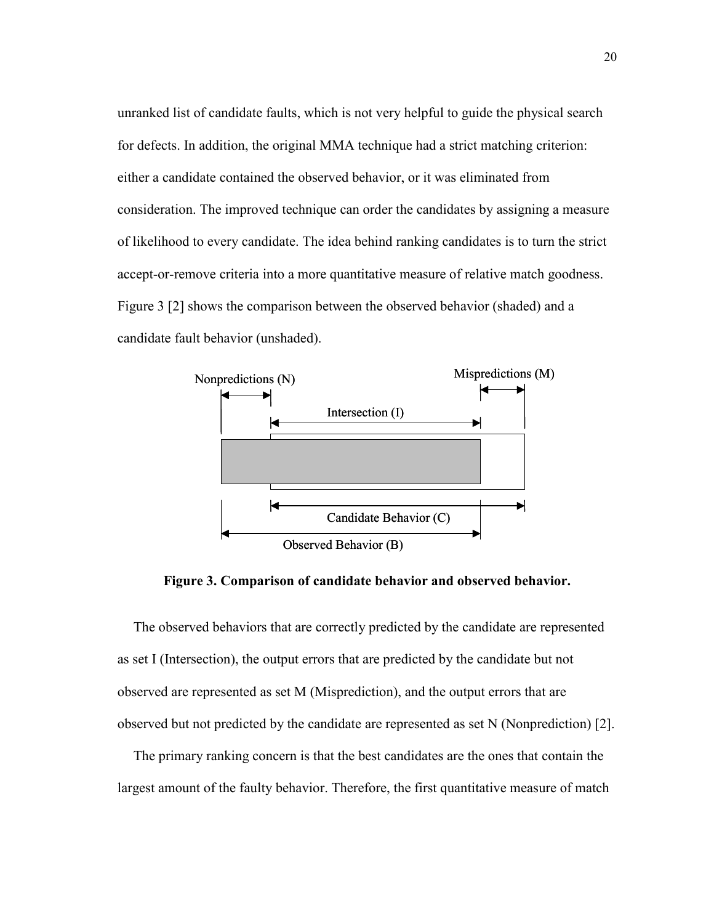unranked list of candidate faults, which is not very helpful to guide the physical search for defects. In addition, the original MMA technique had a strict matching criterion: either a candidate contained the observed behavior, or it was eliminated from consideration. The improved technique can order the candidates by assigning a measure of likelihood to every candidate. The idea behind ranking candidates is to turn the strict accept-or-remove criteria into a more quantitative measure of relative match goodness. Figure 3 [2] shows the comparison between the observed behavior (shaded) and a candidate fault behavior (unshaded).



Figure 3. Comparison of candidate behavior and observed behavior.

The observed behaviors that are correctly predicted by the candidate are represented as set I (Intersection), the output errors that are predicted by the candidate but not observed are represented as set M (Misprediction), and the output errors that are observed but not predicted by the candidate are represented as set N (Nonprediction) [2].

The primary ranking concern is that the best candidates are the ones that contain the largest amount of the faulty behavior. Therefore, the first quantitative measure of match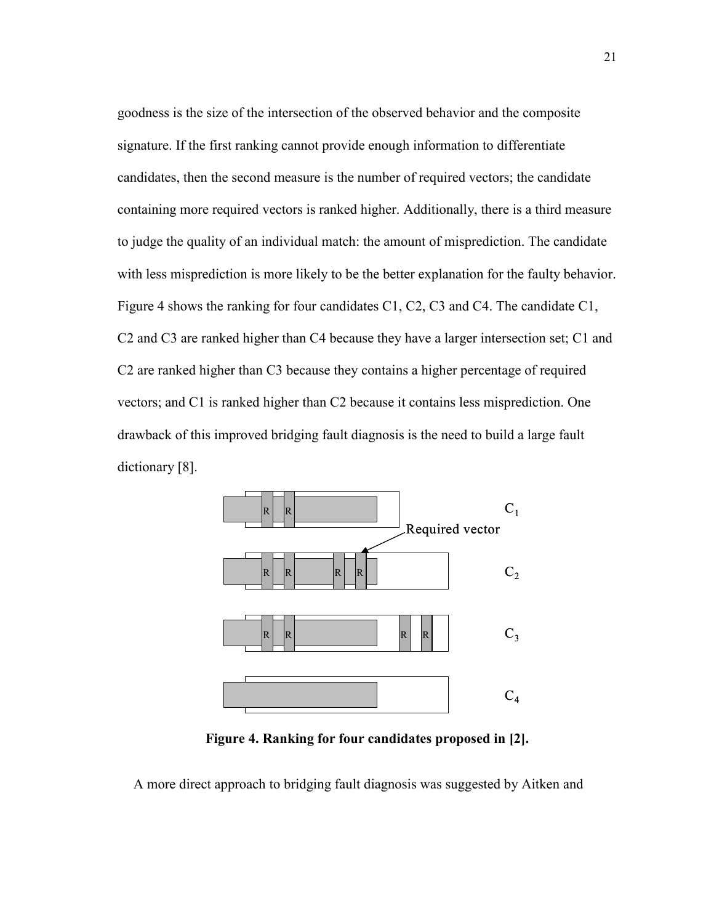goodness is the size of the intersection of the observed behavior and the composite signature. If the first ranking cannot provide enough information to differentiate candidates, then the second measure is the number of required vectors; the candidate containing more required vectors is ranked higher. Additionally, there is a third measure to judge the quality of an individual match: the amount of misprediction. The candidate with less misprediction is more likely to be the better explanation for the faulty behavior. Figure 4 shows the ranking for four candidates C1, C2, C3 and C4. The candidate C1, C2 and C3 are ranked higher than C4 because they have a larger intersection set; C1 and C2 are ranked higher than C3 because they contains a higher percentage of required vectors; and C1 is ranked higher than C2 because it contains less misprediction. One drawback of this improved bridging fault diagnosis is the need to build a large fault dictionary [8].



Figure 4. Ranking for four candidates proposed in [2].

A more direct approach to bridging fault diagnosis was suggested by Aitken and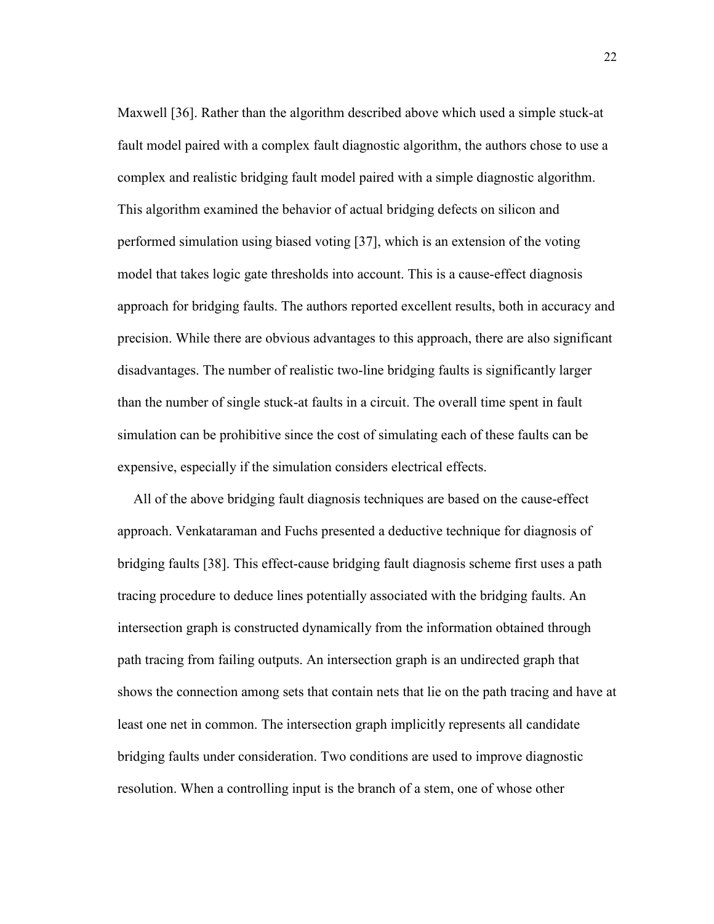Maxwell [36]. Rather than the algorithm described above which used a simple stuck-at fault model paired with a complex fault diagnostic algorithm, the authors chose to use a complex and realistic bridging fault model paired with a simple diagnostic algorithm. This algorithm examined the behavior of actual bridging defects on silicon and performed simulation using biased voting [37], which is an extension of the voting model that takes logic gate thresholds into account. This is a cause-effect diagnosis approach for bridging faults. The authors reported excellent results, both in accuracy and precision. While there are obvious advantages to this approach, there are also significant disadvantages. The number of realistic two-line bridging faults is significantly larger than the number of single stuck-at faults in a circuit. The overall time spent in fault simulation can be prohibitive since the cost of simulating each of these faults can be expensive, especially if the simulation considers electrical effects.

All of the above bridging fault diagnosis techniques are based on the cause-effect approach. Venkataraman and Fuchs presented a deductive technique for diagnosis of bridging faults [38]. This effect-cause bridging fault diagnosis scheme first uses a path tracing procedure to deduce lines potentially associated with the bridging faults. An intersection graph is constructed dynamically from the information obtained through path tracing from failing outputs. An intersection graph is an undirected graph that shows the connection among sets that contain nets that lie on the path tracing and have at least one net in common. The intersection graph implicitly represents all candidate bridging faults under consideration. Two conditions are used to improve diagnostic resolution. When a controlling input is the branch of a stem, one of whose other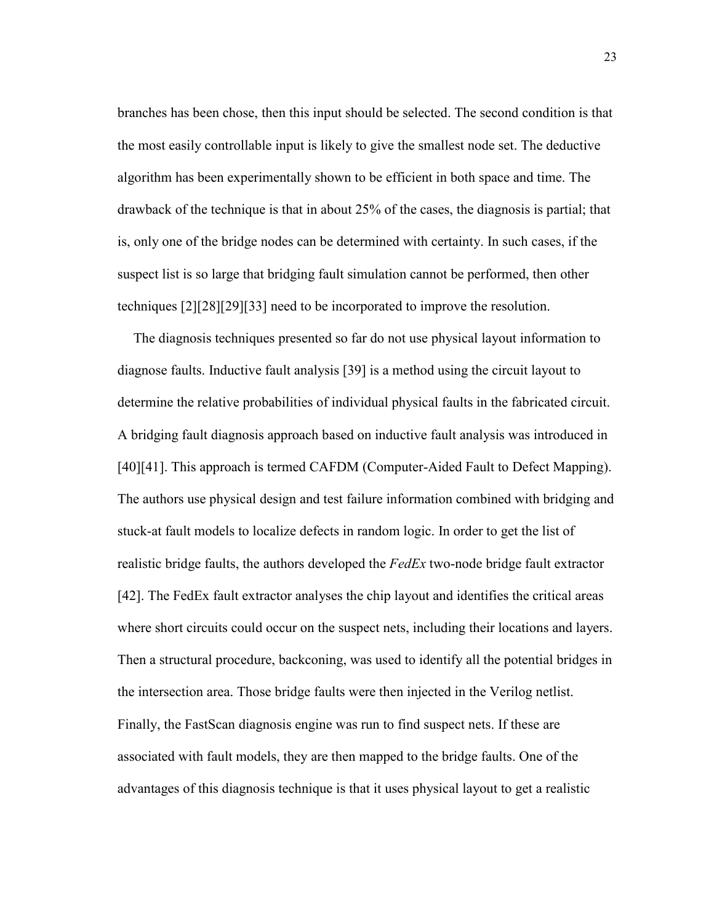branches has been chose, then this input should be selected. The second condition is that the most easily controllable input is likely to give the smallest node set. The deductive algorithm has been experimentally shown to be efficient in both space and time. The drawback of the technique is that in about 25% of the cases, the diagnosis is partial; that is, only one of the bridge nodes can be determined with certainty. In such cases, if the suspect list is so large that bridging fault simulation cannot be performed, then other techniques [2][28][29][33] need to be incorporated to improve the resolution.

The diagnosis techniques presented so far do not use physical layout information to diagnose faults. Inductive fault analysis [39] is a method using the circuit layout to determine the relative probabilities of individual physical faults in the fabricated circuit. A bridging fault diagnosis approach based on inductive fault analysis was introduced in [40][41]. This approach is termed CAFDM (Computer-Aided Fault to Defect Mapping). The authors use physical design and test failure information combined with bridging and stuck-at fault models to localize defects in random logic. In order to get the list of realistic bridge faults, the authors developed the FedEx two-node bridge fault extractor [42]. The FedEx fault extractor analyses the chip layout and identifies the critical areas where short circuits could occur on the suspect nets, including their locations and layers. Then a structural procedure, backconing, was used to identify all the potential bridges in the intersection area. Those bridge faults were then injected in the Verilog netlist. Finally, the FastScan diagnosis engine was run to find suspect nets. If these are associated with fault models, they are then mapped to the bridge faults. One of the advantages of this diagnosis technique is that it uses physical layout to get a realistic

23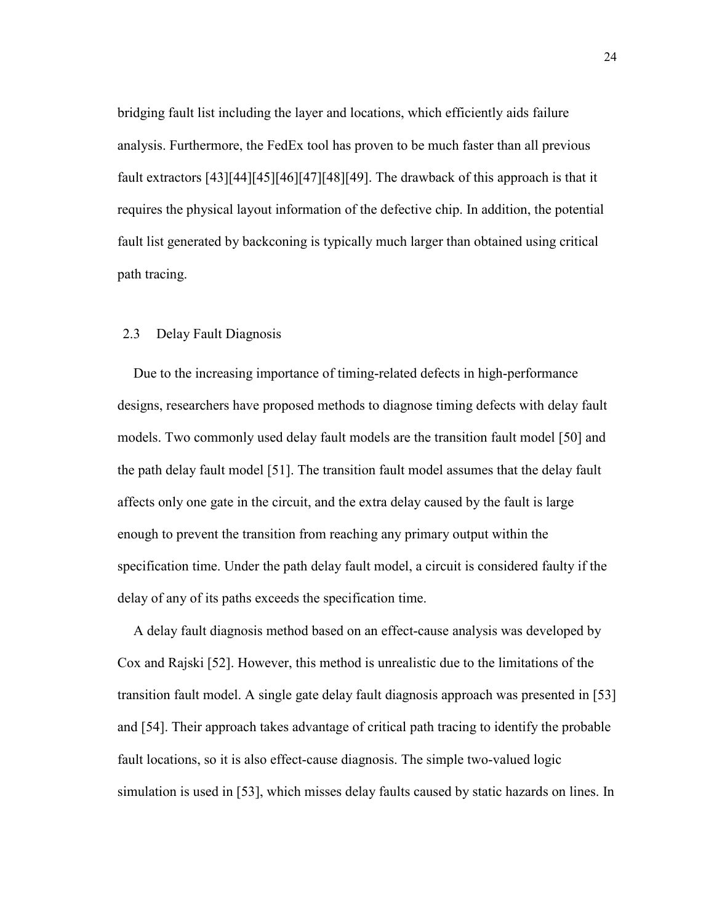bridging fault list including the layer and locations, which efficiently aids failure analysis. Furthermore, the FedEx tool has proven to be much faster than all previous fault extractors [43][44][45][46][47][48][49]. The drawback of this approach is that it requires the physical layout information of the defective chip. In addition, the potential fault list generated by backconing is typically much larger than obtained using critical path tracing.

#### 2.3 Delay Fault Diagnosis

Due to the increasing importance of timing-related defects in high-performance designs, researchers have proposed methods to diagnose timing defects with delay fault models. Two commonly used delay fault models are the transition fault model [50] and the path delay fault model [51]. The transition fault model assumes that the delay fault affects only one gate in the circuit, and the extra delay caused by the fault is large enough to prevent the transition from reaching any primary output within the specification time. Under the path delay fault model, a circuit is considered faulty if the delay of any of its paths exceeds the specification time.

A delay fault diagnosis method based on an effect-cause analysis was developed by Cox and Rajski [52]. However, this method is unrealistic due to the limitations of the transition fault model. A single gate delay fault diagnosis approach was presented in [53] and [54]. Their approach takes advantage of critical path tracing to identify the probable fault locations, so it is also effect-cause diagnosis. The simple two-valued logic simulation is used in [53], which misses delay faults caused by static hazards on lines. In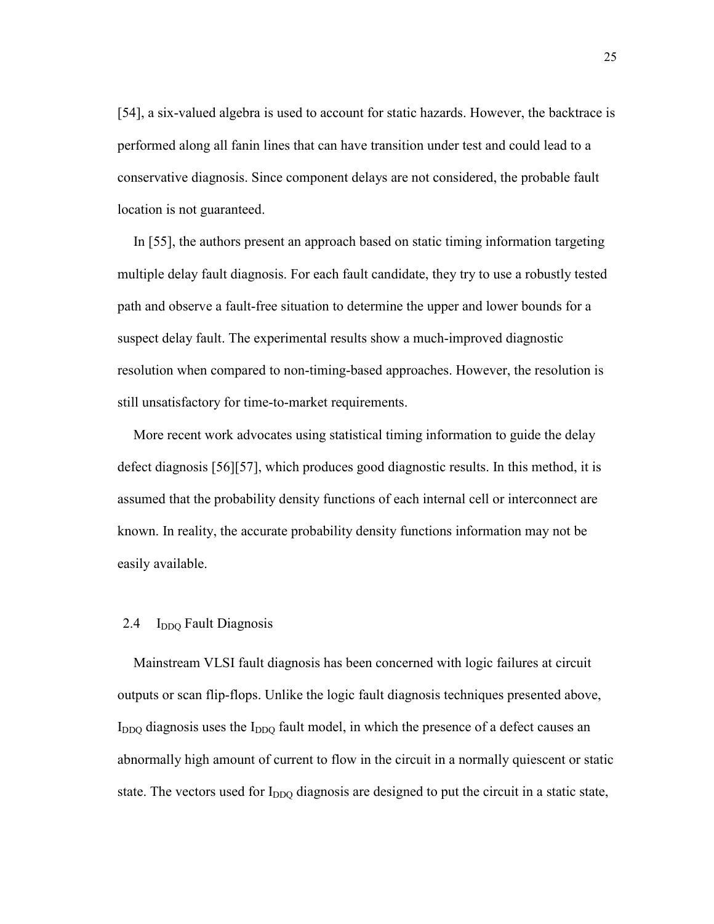[54], a six-valued algebra is used to account for static hazards. However, the backtrace is performed along all fanin lines that can have transition under test and could lead to a conservative diagnosis. Since component delays are not considered, the probable fault location is not guaranteed.

In [55], the authors present an approach based on static timing information targeting multiple delay fault diagnosis. For each fault candidate, they try to use a robustly tested path and observe a fault-free situation to determine the upper and lower bounds for a suspect delay fault. The experimental results show a much-improved diagnostic resolution when compared to non-timing-based approaches. However, the resolution is still unsatisfactory for time-to-market requirements.

More recent work advocates using statistical timing information to guide the delay defect diagnosis [56][57], which produces good diagnostic results. In this method, it is assumed that the probability density functions of each internal cell or interconnect are known. In reality, the accurate probability density functions information may not be easily available.

### 2.4  $I_{DDO}$  Fault Diagnosis

Mainstream VLSI fault diagnosis has been concerned with logic failures at circuit outputs or scan flip-flops. Unlike the logic fault diagnosis techniques presented above,  $I_{DDO}$  diagnosis uses the  $I_{DDO}$  fault model, in which the presence of a defect causes an abnormally high amount of current to flow in the circuit in a normally quiescent or static state. The vectors used for I<sub>DDO</sub> diagnosis are designed to put the circuit in a static state,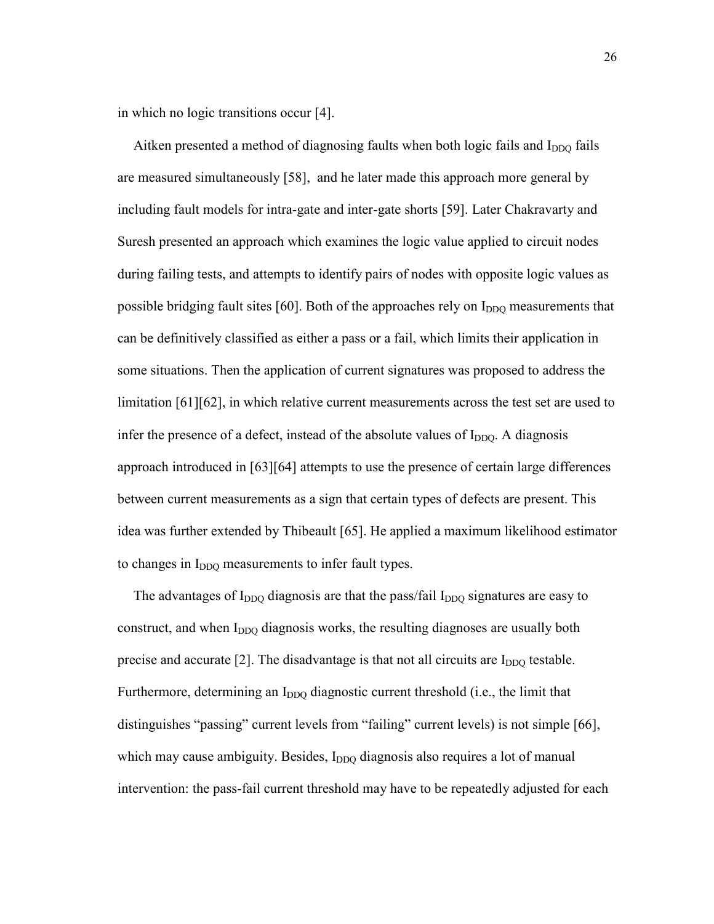in which no logic transitions occur [4].

Aitken presented a method of diagnosing faults when both logic fails and  $I_{DDO}$  fails are measured simultaneously [58], and he later made this approach more general by including fault models for intra-gate and inter-gate shorts [59]. Later Chakravarty and Suresh presented an approach which examines the logic value applied to circuit nodes during failing tests, and attempts to identify pairs of nodes with opposite logic values as possible bridging fault sites  $[60]$ . Both of the approaches rely on  $I_{DDO}$  measurements that can be definitively classified as either a pass or a fail, which limits their application in some situations. Then the application of current signatures was proposed to address the limitation [61][62], in which relative current measurements across the test set are used to infer the presence of a defect, instead of the absolute values of  $I_{DDQ}$ . A diagnosis approach introduced in [63][64] attempts to use the presence of certain large differences between current measurements as a sign that certain types of defects are present. This idea was further extended by Thibeault [65]. He applied a maximum likelihood estimator to changes in I<sub>DDQ</sub> measurements to infer fault types.

The advantages of  $I_{DDQ}$  diagnosis are that the pass/fail  $I_{DDQ}$  signatures are easy to construct, and when I<sub>DDO</sub> diagnosis works, the resulting diagnoses are usually both precise and accurate  $[2]$ . The disadvantage is that not all circuits are  $I_{DDO}$  testable. Furthermore, determining an I<sub>DDQ</sub> diagnostic current threshold (i.e., the limit that distinguishes "passing" current levels from "failing" current levels) is not simple [66], which may cause ambiguity. Besides, I<sub>DDO</sub> diagnosis also requires a lot of manual intervention: the pass-fail current threshold may have to be repeatedly adjusted for each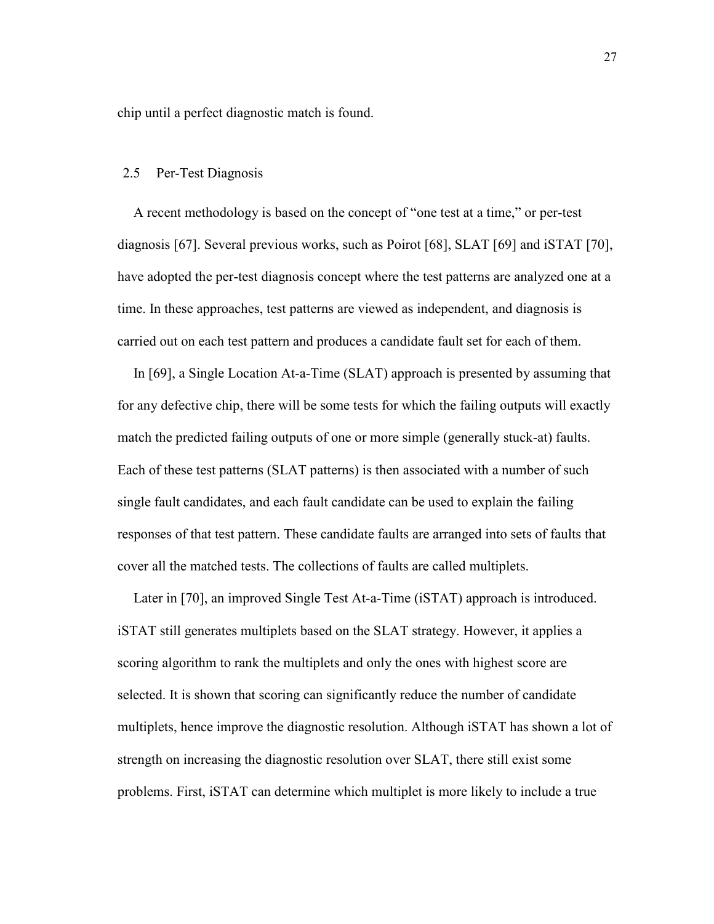chip until a perfect diagnostic match is found.

#### 2.5 Per-Test Diagnosis

A recent methodology is based on the concept of "one test at a time," or per-test diagnosis [67]. Several previous works, such as Poirot [68], SLAT [69] and iSTAT [70], have adopted the per-test diagnosis concept where the test patterns are analyzed one at a time. In these approaches, test patterns are viewed as independent, and diagnosis is carried out on each test pattern and produces a candidate fault set for each of them.

In [69], a Single Location At-a-Time (SLAT) approach is presented by assuming that for any defective chip, there will be some tests for which the failing outputs will exactly match the predicted failing outputs of one or more simple (generally stuck-at) faults. Each of these test patterns (SLAT patterns) is then associated with a number of such single fault candidates, and each fault candidate can be used to explain the failing responses of that test pattern. These candidate faults are arranged into sets of faults that cover all the matched tests. The collections of faults are called multiplets.

Later in [70], an improved Single Test At-a-Time (iSTAT) approach is introduced. iSTAT still generates multiplets based on the SLAT strategy. However, it applies a scoring algorithm to rank the multiplets and only the ones with highest score are selected. It is shown that scoring can significantly reduce the number of candidate multiplets, hence improve the diagnostic resolution. Although iSTAT has shown a lot of strength on increasing the diagnostic resolution over SLAT, there still exist some problems. First, iSTAT can determine which multiplet is more likely to include a true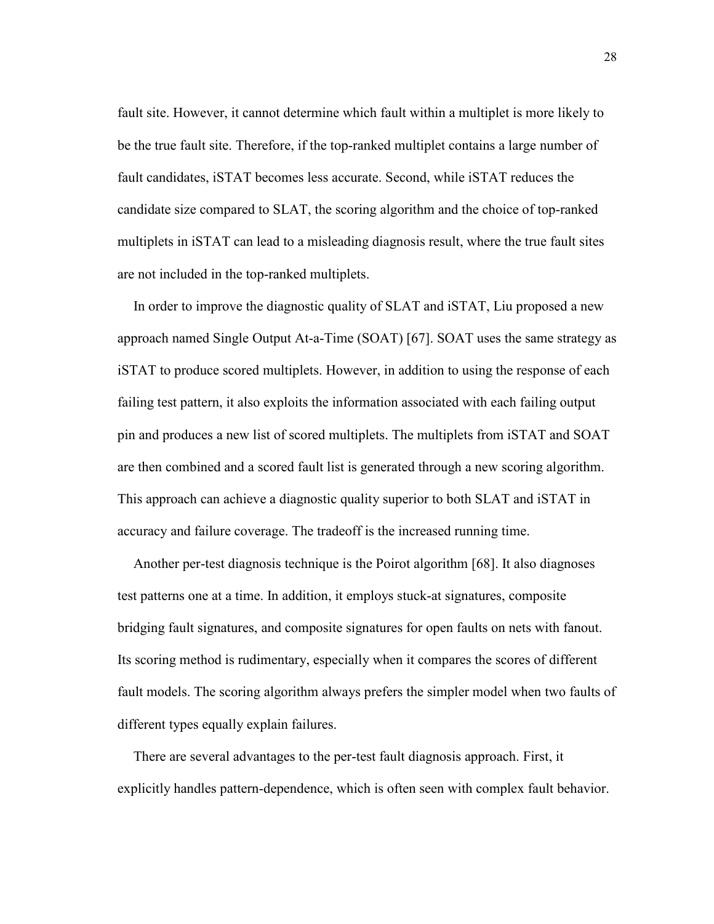fault site. However, it cannot determine which fault within a multiplet is more likely to be the true fault site. Therefore, if the top-ranked multiplet contains a large number of fault candidates, iSTAT becomes less accurate. Second, while iSTAT reduces the candidate size compared to SLAT, the scoring algorithm and the choice of top-ranked multiplets in iSTAT can lead to a misleading diagnosis result, where the true fault sites are not included in the top-ranked multiplets.

In order to improve the diagnostic quality of SLAT and iSTAT, Liu proposed a new approach named Single Output At-a-Time (SOAT) [67]. SOAT uses the same strategy as iSTAT to produce scored multiplets. However, in addition to using the response of each failing test pattern, it also exploits the information associated with each failing output pin and produces a new list of scored multiplets. The multiplets from iSTAT and SOAT are then combined and a scored fault list is generated through a new scoring algorithm. This approach can achieve a diagnostic quality superior to both SLAT and iSTAT in accuracy and failure coverage. The tradeoff is the increased running time.

Another per-test diagnosis technique is the Poirot algorithm [68]. It also diagnoses test patterns one at a time. In addition, it employs stuck-at signatures, composite bridging fault signatures, and composite signatures for open faults on nets with fanout. Its scoring method is rudimentary, especially when it compares the scores of different fault models. The scoring algorithm always prefers the simpler model when two faults of different types equally explain failures.

There are several advantages to the per-test fault diagnosis approach. First, it explicitly handles pattern-dependence, which is often seen with complex fault behavior.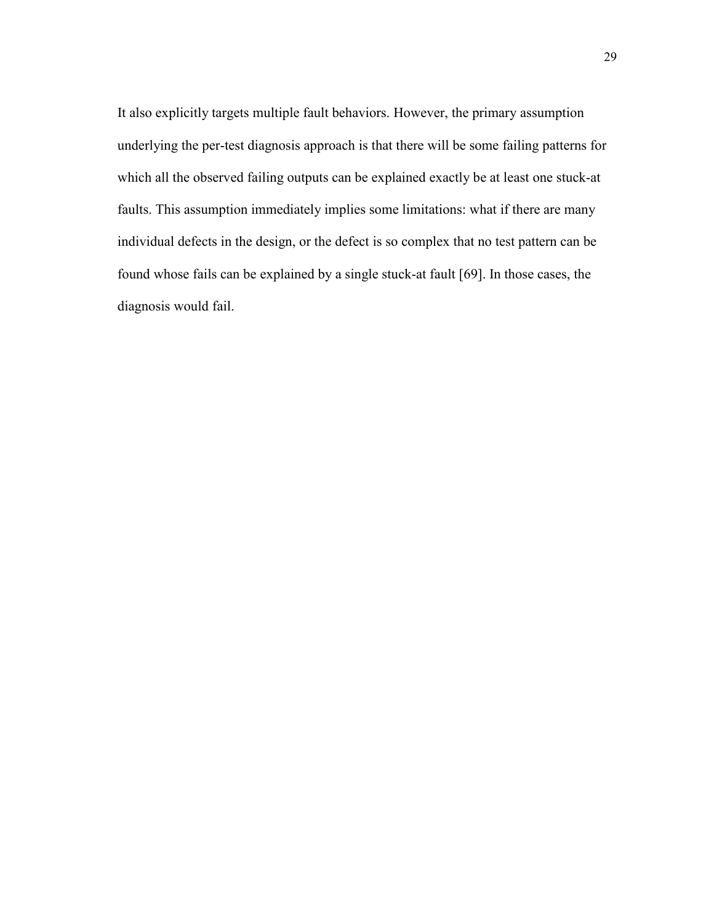It also explicitly targets multiple fault behaviors. However, the primary assumption underlying the per-test diagnosis approach is that there will be some failing patterns for which all the observed failing outputs can be explained exactly be at least one stuck-at faults. This assumption immediately implies some limitations: what if there are many individual defects in the design, or the defect is so complex that no test pattern can be found whose fails can be explained by a single stuck-at fault [69]. In those cases, the diagnosis would fail.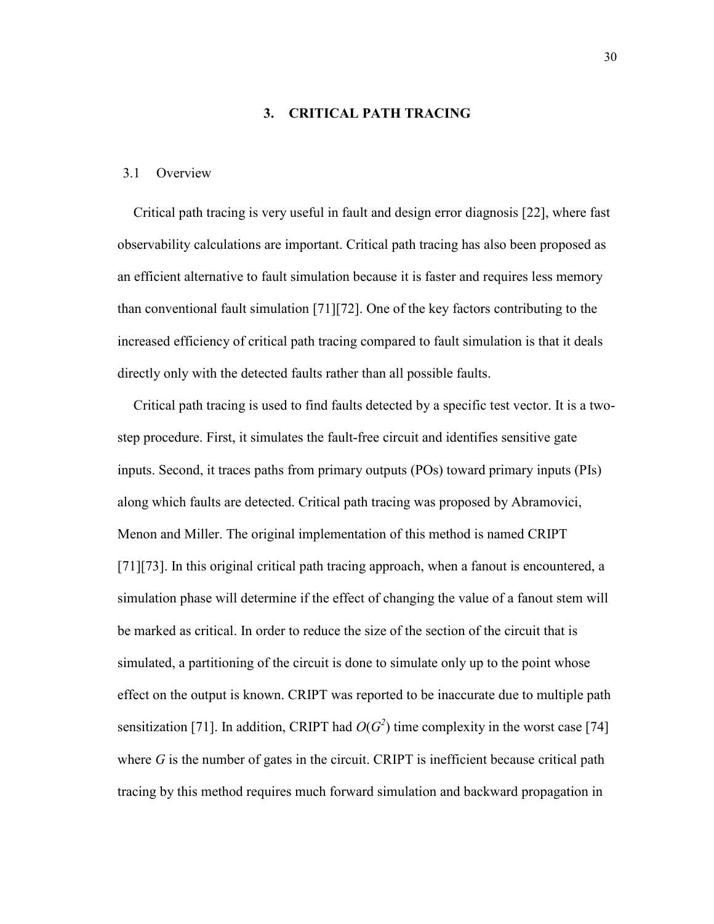### 3. CRITICAL PATH TRACING

### 3.1 Overview

Critical path tracing is very useful in fault and design error diagnosis [22], where fast observability calculations are important. Critical path tracing has also been proposed as an efficient alternative to fault simulation because it is faster and requires less memory than conventional fault simulation [71][72]. One of the key factors contributing to the increased efficiency of critical path tracing compared to fault simulation is that it deals directly only with the detected faults rather than all possible faults.

Critical path tracing is used to find faults detected by a specific test vector. It is a twostep procedure. First, it simulates the fault-free circuit and identifies sensitive gate inputs. Second, it traces paths from primary outputs (POs) toward primary inputs (PIs) along which faults are detected. Critical path tracing was proposed by Abramovici, Menon and Miller. The original implementation of this method is named CRIPT [71][73]. In this original critical path tracing approach, when a fanout is encountered, a simulation phase will determine if the effect of changing the value of a fanout stem will be marked as critical. In order to reduce the size of the section of the circuit that is simulated, a partitioning of the circuit is done to simulate only up to the point whose effect on the output is known. CRIPT was reported to be inaccurate due to multiple path sensitization [71]. In addition, CRIPT had  $O(G^2)$  time complexity in the worst case [74] where  $G$  is the number of gates in the circuit. CRIPT is inefficient because critical path tracing by this method requires much forward simulation and backward propagation in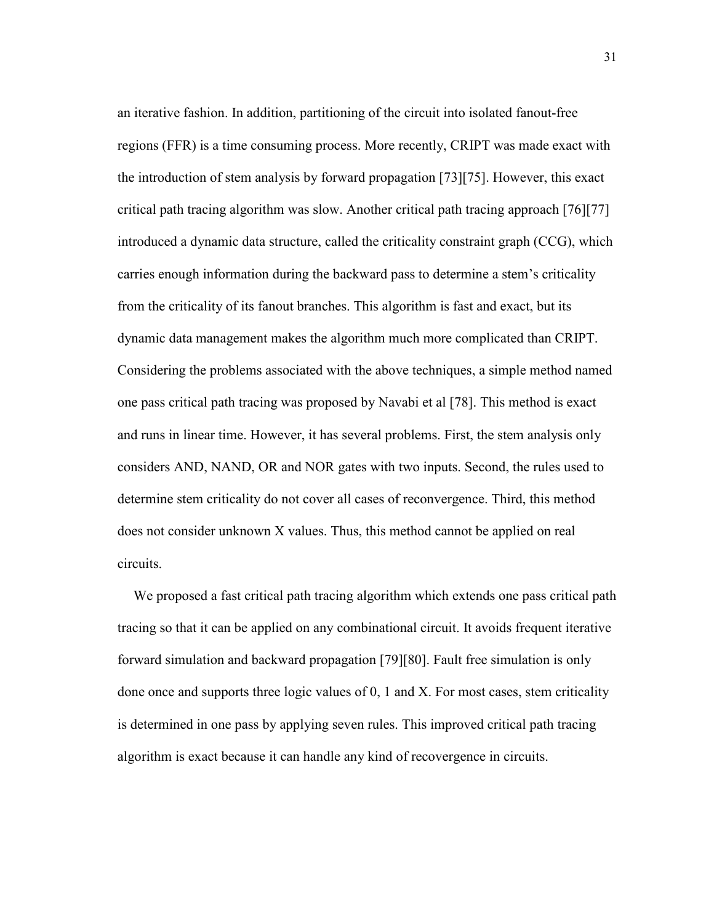an iterative fashion. In addition, partitioning of the circuit into isolated fanout-free regions (FFR) is a time consuming process. More recently, CRIPT was made exact with the introduction of stem analysis by forward propagation [73][75]. However, this exact critical path tracing algorithm was slow. Another critical path tracing approach [76][77] introduced a dynamic data structure, called the criticality constraint graph (CCG), which carries enough information during the backward pass to determine a stem's criticality from the criticality of its fanout branches. This algorithm is fast and exact, but its dynamic data management makes the algorithm much more complicated than CRIPT. Considering the problems associated with the above techniques, a simple method named one pass critical path tracing was proposed by Navabi et al [78]. This method is exact and runs in linear time. However, it has several problems. First, the stem analysis only considers AND, NAND, OR and NOR gates with two inputs. Second, the rules used to determine stem criticality do not cover all cases of reconvergence. Third, this method does not consider unknown X values. Thus, this method cannot be applied on real circuits.

We proposed a fast critical path tracing algorithm which extends one pass critical path tracing so that it can be applied on any combinational circuit. It avoids frequent iterative forward simulation and backward propagation [79][80]. Fault free simulation is only done once and supports three logic values of 0, 1 and X. For most cases, stem criticality is determined in one pass by applying seven rules. This improved critical path tracing algorithm is exact because it can handle any kind of recovergence in circuits.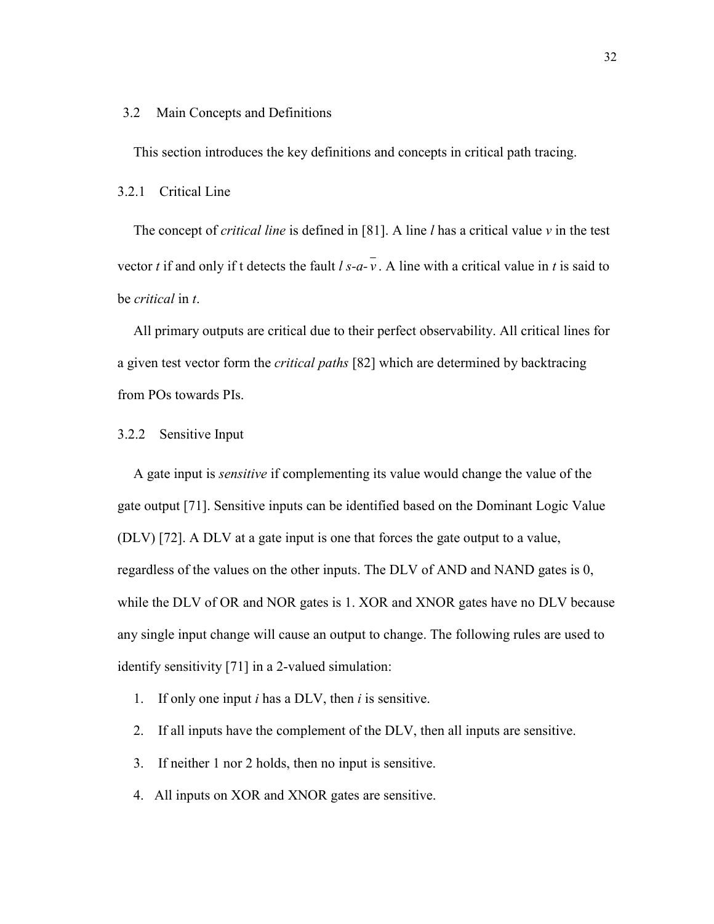### 3.2 Main Concepts and Definitions

This section introduces the key definitions and concepts in critical path tracing.

3.2.1 Critical Line

The concept of *critical line* is defined in [81]. A line  $l$  has a critical value  $v$  in the test vector t if and only if t detects the fault  $l s-a-v$ . A line with a critical value in t is said to be critical in t.

All primary outputs are critical due to their perfect observability. All critical lines for a given test vector form the *critical paths* [82] which are determined by backtracing from POs towards PIs.

#### 3.2.2 Sensitive Input

A gate input is sensitive if complementing its value would change the value of the gate output [71]. Sensitive inputs can be identified based on the Dominant Logic Value (DLV) [72]. A DLV at a gate input is one that forces the gate output to a value, regardless of the values on the other inputs. The DLV of AND and NAND gates is 0, while the DLV of OR and NOR gates is 1. XOR and XNOR gates have no DLV because any single input change will cause an output to change. The following rules are used to identify sensitivity [71] in a 2-valued simulation:

- 1. If only one input *i* has a DLV, then *i* is sensitive.
- 2. If all inputs have the complement of the DLV, then all inputs are sensitive.
- 3. If neither 1 nor 2 holds, then no input is sensitive.
- 4. All inputs on XOR and XNOR gates are sensitive.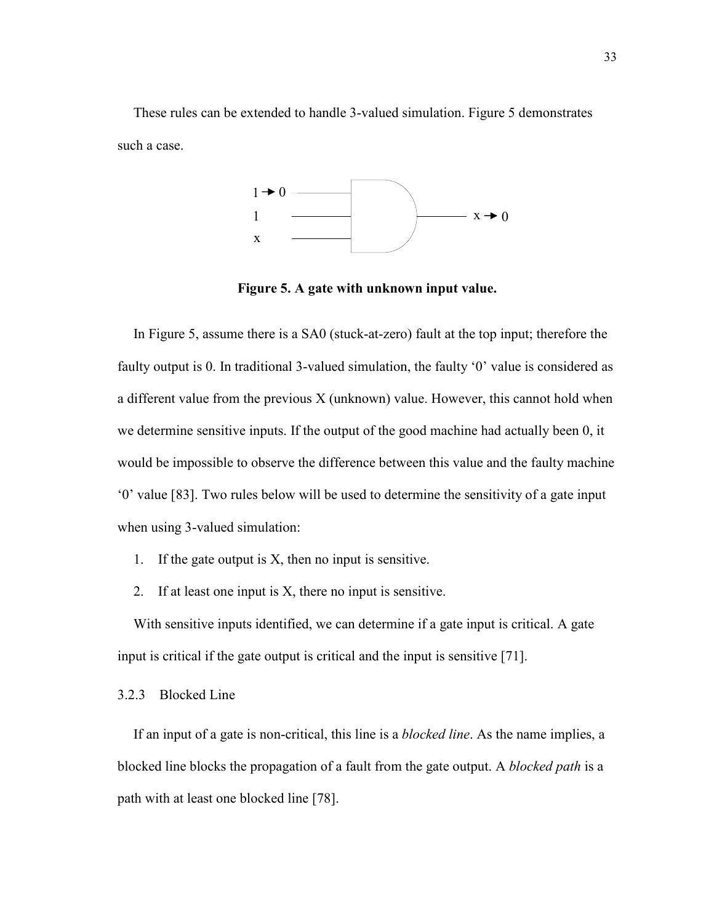These rules can be extended to handle 3-valued simulation. Figure 5 demonstrates such a case.



Figure 5. A gate with unknown input value.

In Figure 5, assume there is a SA0 (stuck-at-zero) fault at the top input; therefore the faulty output is 0. In traditional 3-valued simulation, the faulty '0' value is considered as a different value from the previous X (unknown) value. However, this cannot hold when we determine sensitive inputs. If the output of the good machine had actually been 0, it would be impossible to observe the difference between this value and the faulty machine '0' value [83]. Two rules below will be used to determine the sensitivity of a gate input when using 3-valued simulation:

- 1. If the gate output is X, then no input is sensitive.
- 2. If at least one input is X, there no input is sensitive.

With sensitive inputs identified, we can determine if a gate input is critical. A gate input is critical if the gate output is critical and the input is sensitive [71].

### 3.2.3 Blocked Line

If an input of a gate is non-critical, this line is a *blocked line*. As the name implies, a blocked line blocks the propagation of a fault from the gate output. A blocked path is a path with at least one blocked line [78].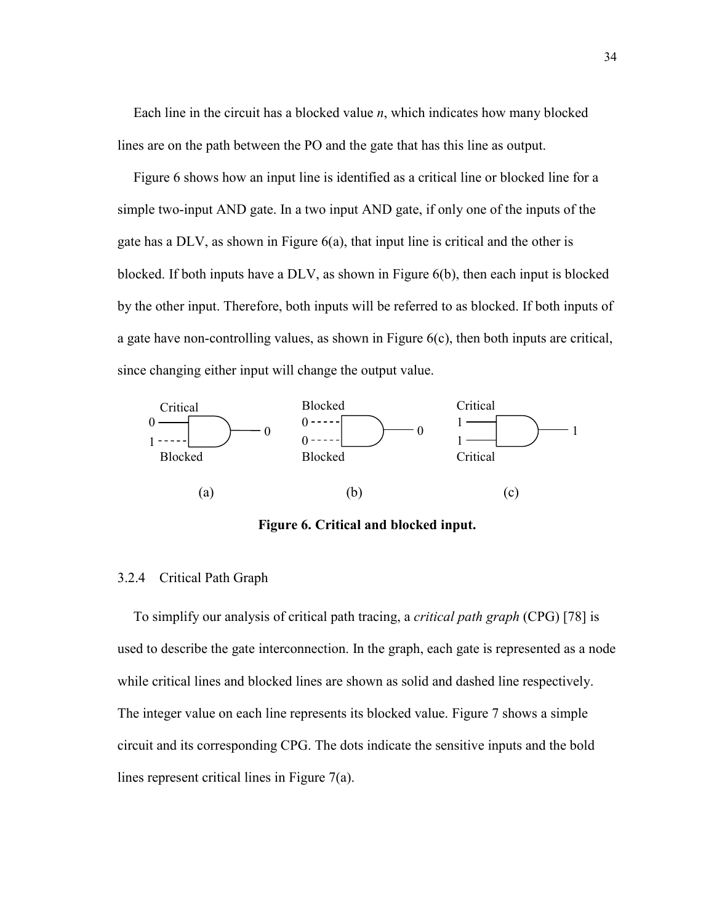Each line in the circuit has a blocked value  $n$ , which indicates how many blocked lines are on the path between the PO and the gate that has this line as output.

Figure 6 shows how an input line is identified as a critical line or blocked line for a simple two-input AND gate. In a two input AND gate, if only one of the inputs of the gate has a  $DLV$ , as shown in Figure  $6(a)$ , that input line is critical and the other is blocked. If both inputs have a DLV, as shown in Figure 6(b), then each input is blocked by the other input. Therefore, both inputs will be referred to as blocked. If both inputs of a gate have non-controlling values, as shown in Figure  $6(c)$ , then both inputs are critical, since changing either input will change the output value.



Figure 6. Critical and blocked input.

### 3.2.4 Critical Path Graph

To simplify our analysis of critical path tracing, a critical path graph (CPG) [78] is used to describe the gate interconnection. In the graph, each gate is represented as a node while critical lines and blocked lines are shown as solid and dashed line respectively. The integer value on each line represents its blocked value. Figure 7 shows a simple circuit and its corresponding CPG. The dots indicate the sensitive inputs and the bold lines represent critical lines in Figure 7(a).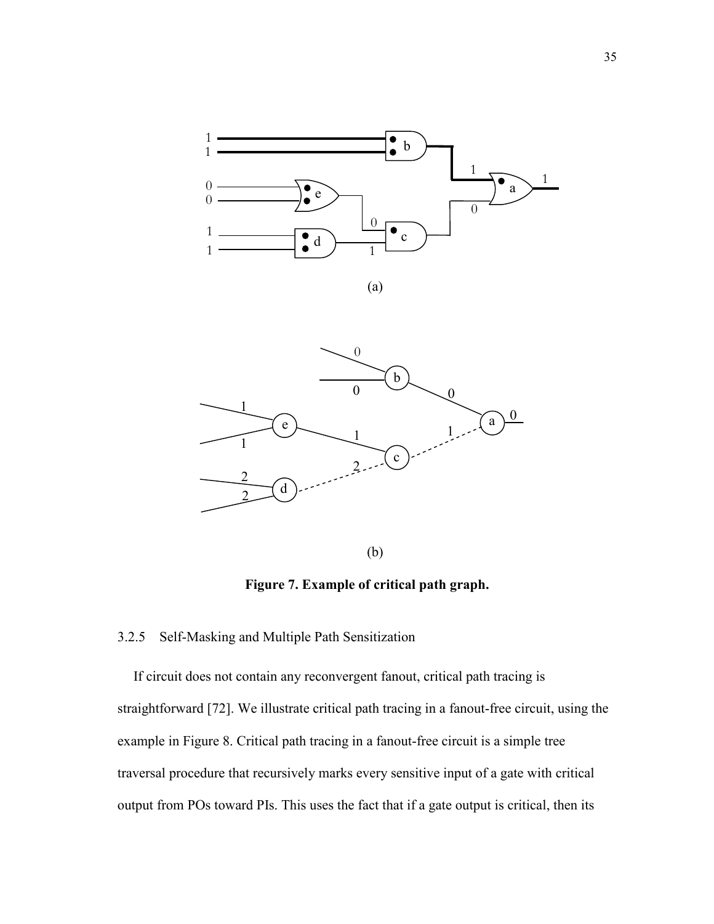



(b)

Figure 7. Example of critical path graph.

# 3.2.5 Self-Masking and Multiple Path Sensitization

If circuit does not contain any reconvergent fanout, critical path tracing is straightforward [72]. We illustrate critical path tracing in a fanout-free circuit, using the example in Figure 8. Critical path tracing in a fanout-free circuit is a simple tree traversal procedure that recursively marks every sensitive input of a gate with critical output from POs toward PIs. This uses the fact that if a gate output is critical, then its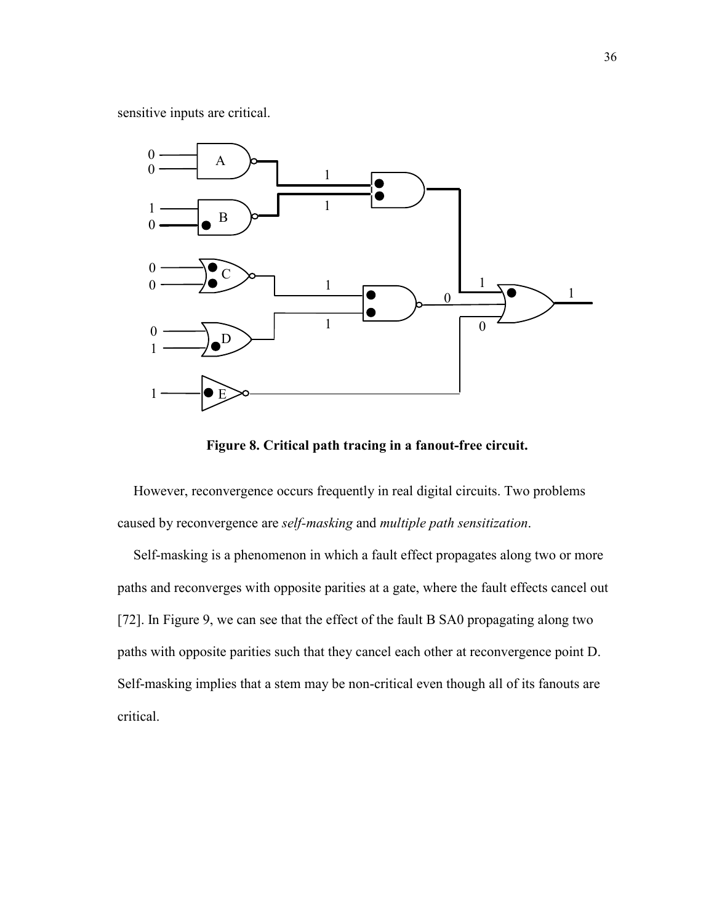sensitive inputs are critical.



Figure 8. Critical path tracing in a fanout-free circuit.

However, reconvergence occurs frequently in real digital circuits. Two problems caused by reconvergence are self-masking and multiple path sensitization.

Self-masking is a phenomenon in which a fault effect propagates along two or more paths and reconverges with opposite parities at a gate, where the fault effects cancel out [72]. In Figure 9, we can see that the effect of the fault B SA0 propagating along two paths with opposite parities such that they cancel each other at reconvergence point D. Self-masking implies that a stem may be non-critical even though all of its fanouts are critical.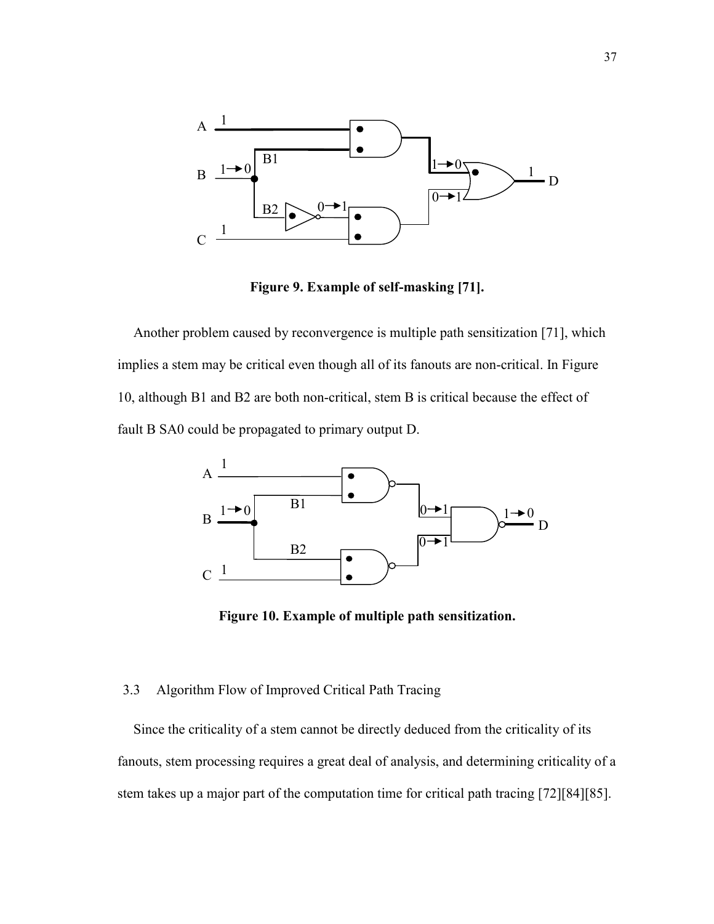

Figure 9. Example of self-masking [71].

Another problem caused by reconvergence is multiple path sensitization [71], which implies a stem may be critical even though all of its fanouts are non-critical. In Figure 10, although B1 and B2 are both non-critical, stem B is critical because the effect of fault B SA0 could be propagated to primary output D.



Figure 10. Example of multiple path sensitization.

### 3.3 Algorithm Flow of Improved Critical Path Tracing

Since the criticality of a stem cannot be directly deduced from the criticality of its fanouts, stem processing requires a great deal of analysis, and determining criticality of a stem takes up a major part of the computation time for critical path tracing [72][84][85].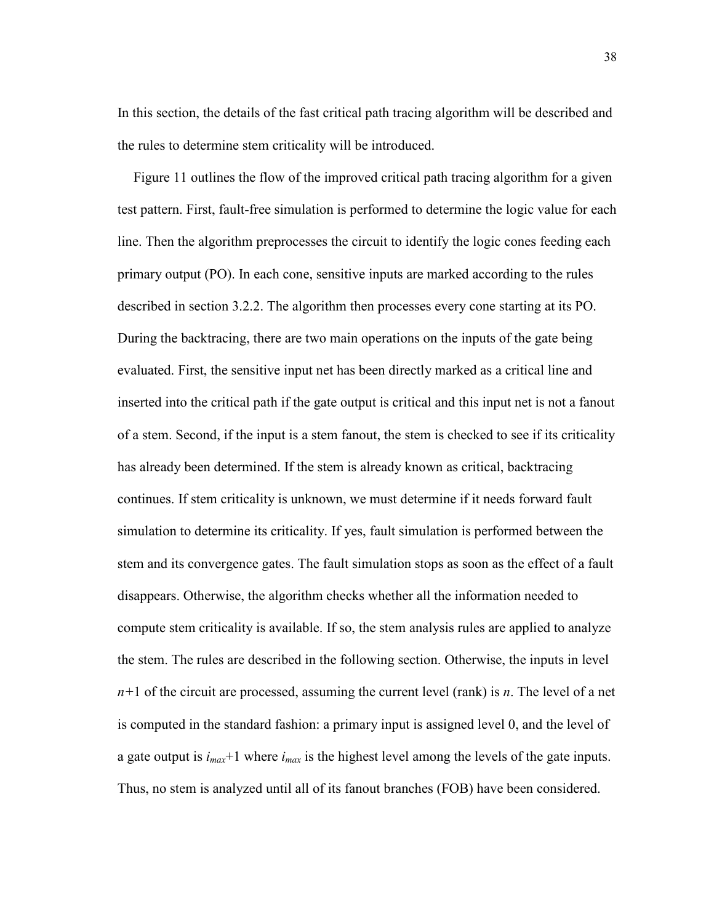In this section, the details of the fast critical path tracing algorithm will be described and the rules to determine stem criticality will be introduced.

Figure 11 outlines the flow of the improved critical path tracing algorithm for a given test pattern. First, fault-free simulation is performed to determine the logic value for each line. Then the algorithm preprocesses the circuit to identify the logic cones feeding each primary output (PO). In each cone, sensitive inputs are marked according to the rules described in section 3.2.2. The algorithm then processes every cone starting at its PO. During the backtracing, there are two main operations on the inputs of the gate being evaluated. First, the sensitive input net has been directly marked as a critical line and inserted into the critical path if the gate output is critical and this input net is not a fanout of a stem. Second, if the input is a stem fanout, the stem is checked to see if its criticality has already been determined. If the stem is already known as critical, backtracing continues. If stem criticality is unknown, we must determine if it needs forward fault simulation to determine its criticality. If yes, fault simulation is performed between the stem and its convergence gates. The fault simulation stops as soon as the effect of a fault disappears. Otherwise, the algorithm checks whether all the information needed to compute stem criticality is available. If so, the stem analysis rules are applied to analyze the stem. The rules are described in the following section. Otherwise, the inputs in level  $n+1$  of the circuit are processed, assuming the current level (rank) is n. The level of a net is computed in the standard fashion: a primary input is assigned level 0, and the level of a gate output is  $i_{max}+1$  where  $i_{max}$  is the highest level among the levels of the gate inputs. Thus, no stem is analyzed until all of its fanout branches (FOB) have been considered.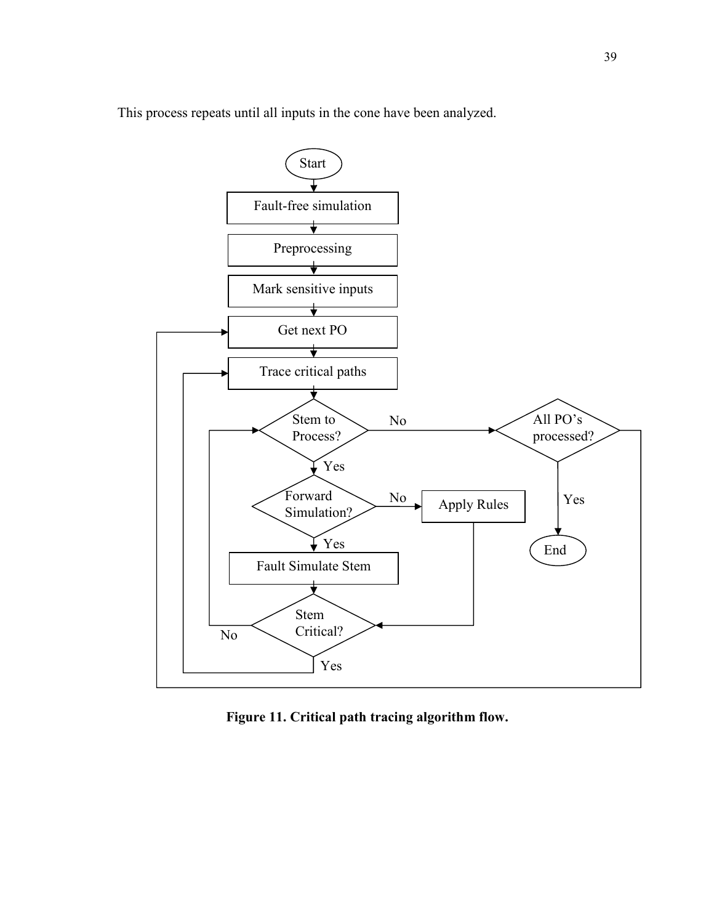This process repeats until all inputs in the cone have been analyzed.



Figure 11. Critical path tracing algorithm flow.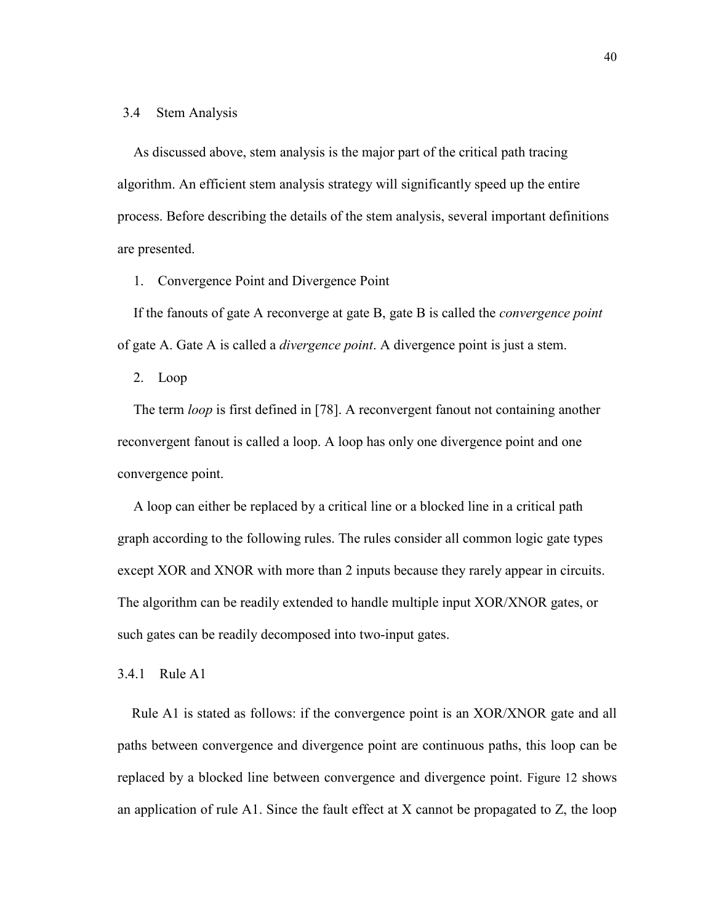### 3.4 Stem Analysis

As discussed above, stem analysis is the major part of the critical path tracing algorithm. An efficient stem analysis strategy will significantly speed up the entire process. Before describing the details of the stem analysis, several important definitions are presented.

1. Convergence Point and Divergence Point

If the fanouts of gate A reconverge at gate B, gate B is called the convergence point of gate A. Gate A is called a divergence point. A divergence point is just a stem.

2. Loop

The term loop is first defined in [78]. A reconvergent fanout not containing another reconvergent fanout is called a loop. A loop has only one divergence point and one convergence point.

A loop can either be replaced by a critical line or a blocked line in a critical path graph according to the following rules. The rules consider all common logic gate types except XOR and XNOR with more than 2 inputs because they rarely appear in circuits. The algorithm can be readily extended to handle multiple input XOR/XNOR gates, or such gates can be readily decomposed into two-input gates.

3.4.1 Rule A1

Rule A1 is stated as follows: if the convergence point is an XOR/XNOR gate and all paths between convergence and divergence point are continuous paths, this loop can be replaced by a blocked line between convergence and divergence point. Figure 12 shows an application of rule A1. Since the fault effect at X cannot be propagated to Z, the loop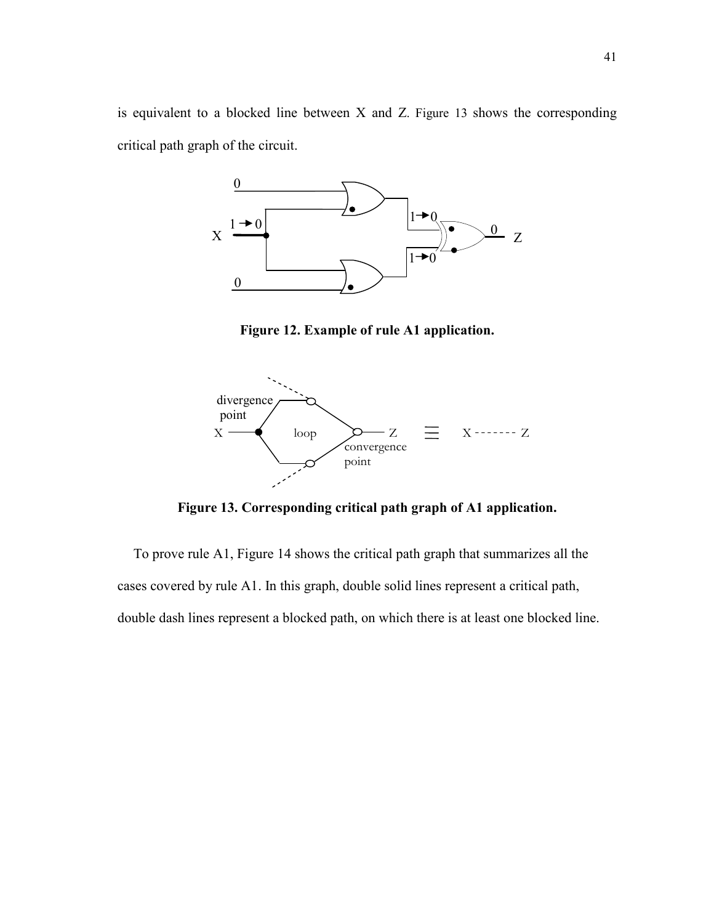is equivalent to a blocked line between X and Z. Figure 13 shows the corresponding critical path graph of the circuit.



Figure 12. Example of rule A1 application.



Figure 13. Corresponding critical path graph of A1 application.

To prove rule A1, Figure 14 shows the critical path graph that summarizes all the cases covered by rule A1. In this graph, double solid lines represent a critical path, double dash lines represent a blocked path, on which there is at least one blocked line.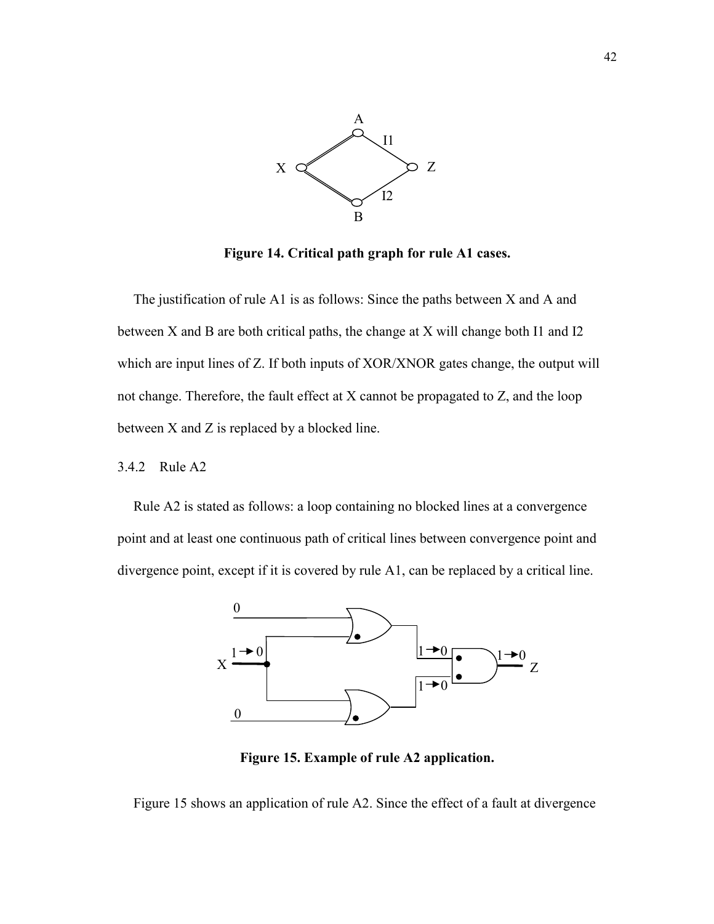

Figure 14. Critical path graph for rule A1 cases.

The justification of rule A1 is as follows: Since the paths between X and A and between X and B are both critical paths, the change at X will change both I1 and I2 which are input lines of Z. If both inputs of XOR/XNOR gates change, the output will not change. Therefore, the fault effect at X cannot be propagated to Z, and the loop between X and Z is replaced by a blocked line.

### 3.4.2 Rule A2

Rule A2 is stated as follows: a loop containing no blocked lines at a convergence point and at least one continuous path of critical lines between convergence point and divergence point, except if it is covered by rule A1, can be replaced by a critical line.



Figure 15. Example of rule A2 application.

Figure 15 shows an application of rule A2. Since the effect of a fault at divergence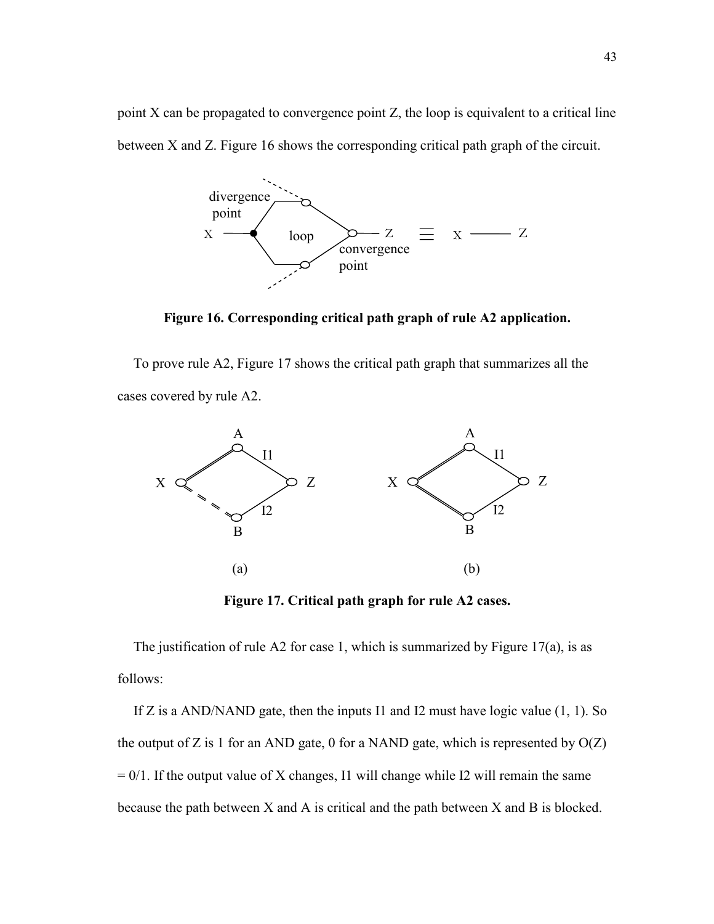point X can be propagated to convergence point Z, the loop is equivalent to a critical line between X and Z. Figure 16 shows the corresponding critical path graph of the circuit.



Figure 16. Corresponding critical path graph of rule A2 application.

To prove rule A2, Figure 17 shows the critical path graph that summarizes all the cases covered by rule A2.



Figure 17. Critical path graph for rule A2 cases.

The justification of rule A2 for case 1, which is summarized by Figure  $17(a)$ , is as follows:

If Z is a AND/NAND gate, then the inputs I1 and I2 must have logic value (1, 1). So the output of Z is 1 for an AND gate, 0 for a NAND gate, which is represented by  $O(Z)$  $= 0/1$ . If the output value of X changes, I1 will change while I2 will remain the same because the path between X and A is critical and the path between X and B is blocked.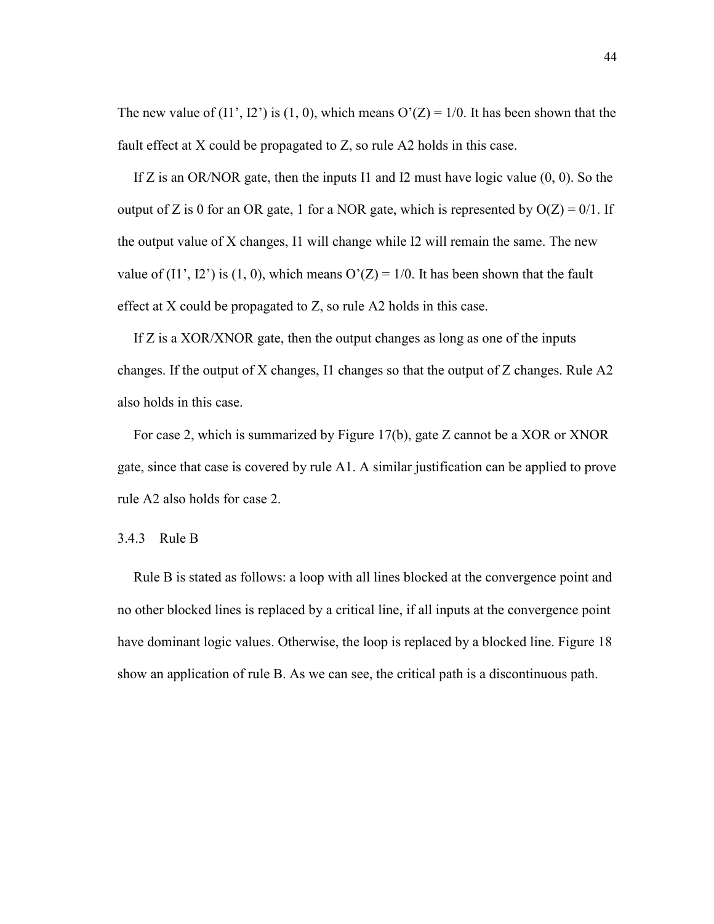The new value of (I1', I2') is (1, 0), which means  $O'(Z) = 1/0$ . It has been shown that the fault effect at X could be propagated to Z, so rule A2 holds in this case.

If Z is an OR/NOR gate, then the inputs I1 and I2 must have logic value  $(0, 0)$ . So the output of Z is 0 for an OR gate, 1 for a NOR gate, which is represented by  $O(Z) = 0/1$ . If the output value of X changes, I1 will change while I2 will remain the same. The new value of (I1', I2') is (1, 0), which means  $O'(Z) = 1/0$ . It has been shown that the fault effect at X could be propagated to Z, so rule A2 holds in this case.

If Z is a XOR/XNOR gate, then the output changes as long as one of the inputs changes. If the output of X changes, I1 changes so that the output of Z changes. Rule A2 also holds in this case.

For case 2, which is summarized by Figure 17(b), gate Z cannot be a XOR or XNOR gate, since that case is covered by rule A1. A similar justification can be applied to prove rule A2 also holds for case 2.

### 3.4.3 Rule B

Rule B is stated as follows: a loop with all lines blocked at the convergence point and no other blocked lines is replaced by a critical line, if all inputs at the convergence point have dominant logic values. Otherwise, the loop is replaced by a blocked line. Figure 18 show an application of rule B. As we can see, the critical path is a discontinuous path.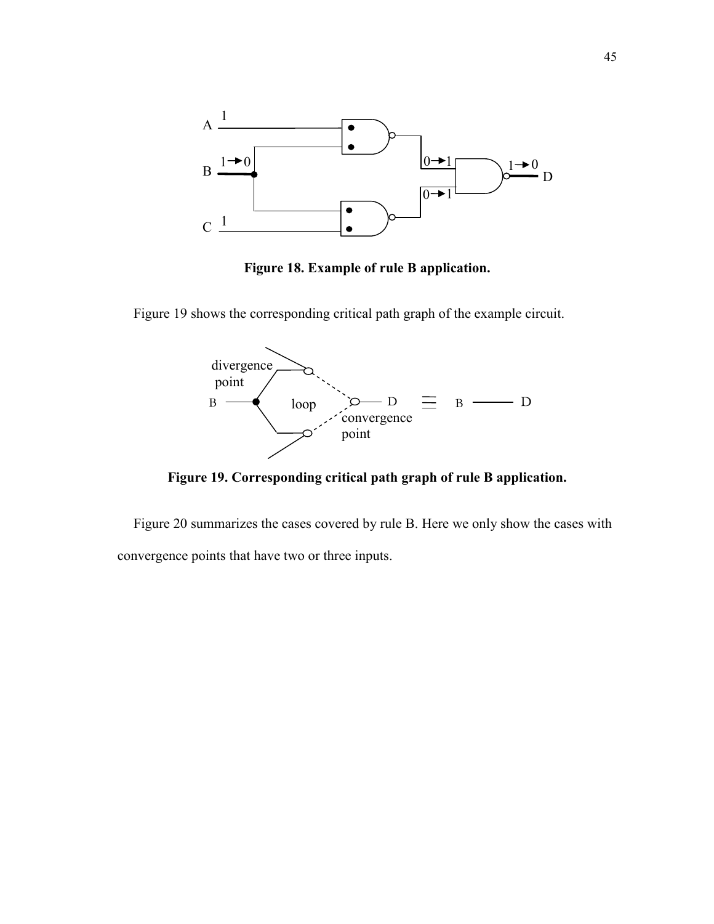

Figure 18. Example of rule B application.

Figure 19 shows the corresponding critical path graph of the example circuit.



Figure 19. Corresponding critical path graph of rule B application.

Figure 20 summarizes the cases covered by rule B. Here we only show the cases with convergence points that have two or three inputs.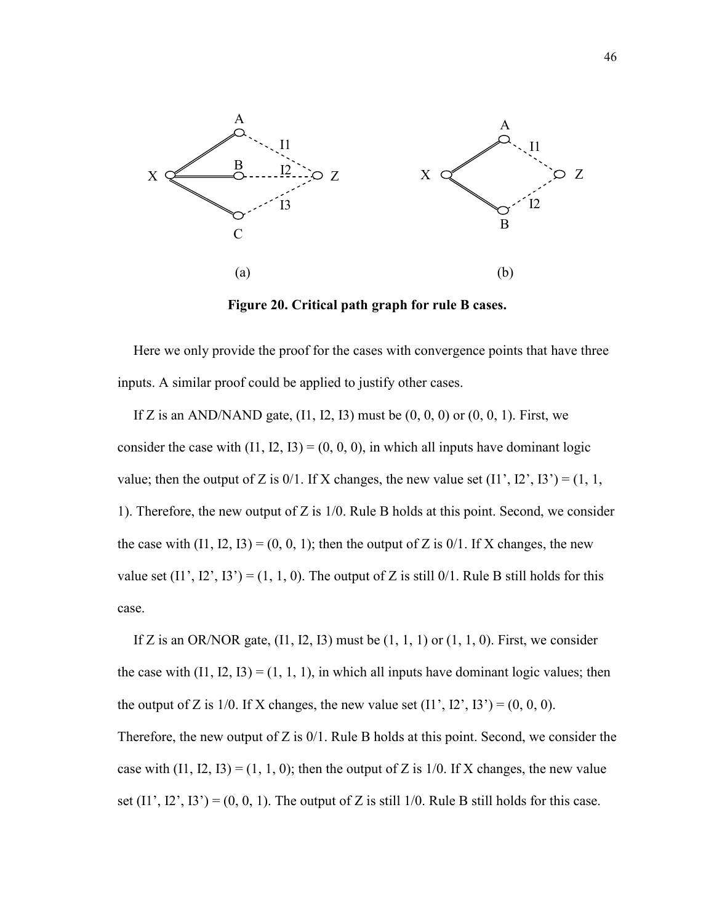

Figure 20. Critical path graph for rule B cases.

Here we only provide the proof for the cases with convergence points that have three inputs. A similar proof could be applied to justify other cases.

If Z is an AND/NAND gate,  $(11, 12, 13)$  must be  $(0, 0, 0)$  or  $(0, 0, 1)$ . First, we consider the case with  $(11, 12, 13) = (0, 0, 0)$ , in which all inputs have dominant logic value; then the output of Z is  $0/1$ . If X changes, the new value set  $(11', 12', 13') = (1, 1, 1)$ 1). Therefore, the new output of Z is 1/0. Rule B holds at this point. Second, we consider the case with  $(11, 12, 13) = (0, 0, 1)$ ; then the output of Z is  $0/1$ . If X changes, the new value set  $(11', 12', 13') = (1, 1, 0)$ . The output of Z is still 0/1. Rule B still holds for this case.

If Z is an OR/NOR gate,  $(11, 12, 13)$  must be  $(1, 1, 1)$  or  $(1, 1, 0)$ . First, we consider the case with  $(11, 12, 13) = (1, 1, 1)$ , in which all inputs have dominant logic values; then the output of Z is  $1/0$ . If X changes, the new value set  $(11', 12', 13') = (0, 0, 0)$ . Therefore, the new output of Z is  $0/1$ . Rule B holds at this point. Second, we consider the case with  $(11, 12, 13) = (1, 1, 0)$ ; then the output of Z is 1/0. If X changes, the new value set  $(11', 12', 13') = (0, 0, 1)$ . The output of Z is still 1/0. Rule B still holds for this case.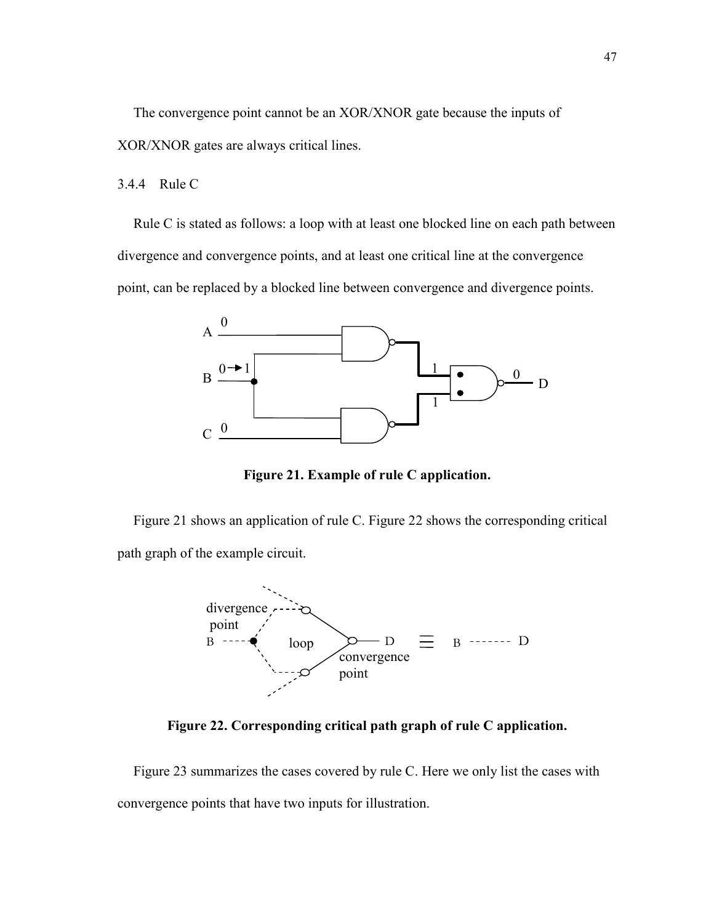The convergence point cannot be an XOR/XNOR gate because the inputs of XOR/XNOR gates are always critical lines.

### 3.4.4 Rule C

Rule C is stated as follows: a loop with at least one blocked line on each path between divergence and convergence points, and at least one critical line at the convergence point, can be replaced by a blocked line between convergence and divergence points.



Figure 21. Example of rule C application.

Figure 21 shows an application of rule C. Figure 22 shows the corresponding critical path graph of the example circuit.



Figure 22. Corresponding critical path graph of rule C application.

Figure 23 summarizes the cases covered by rule C. Here we only list the cases with convergence points that have two inputs for illustration.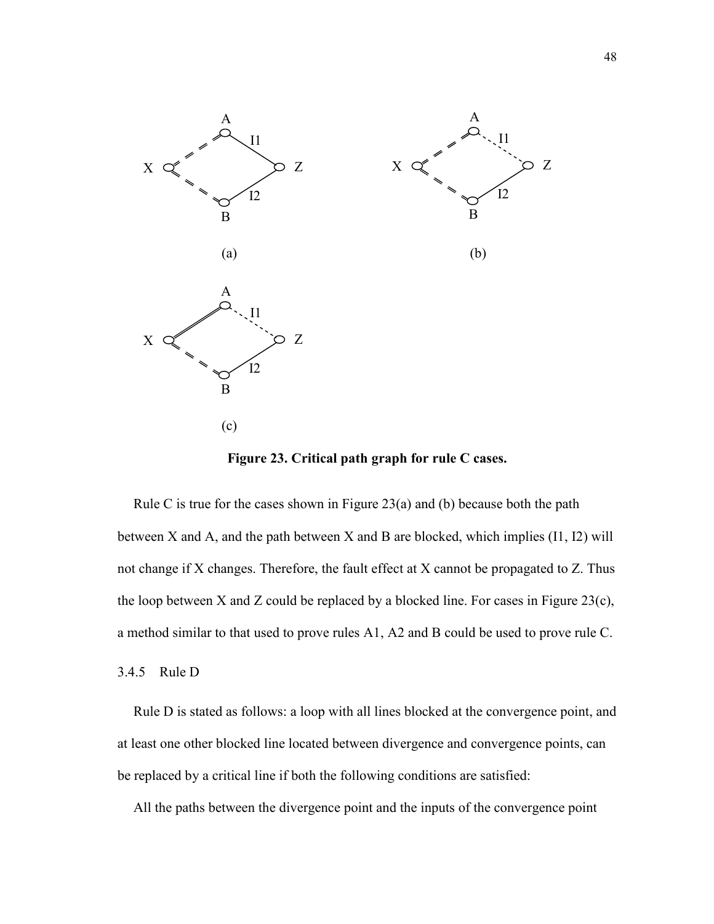

Figure 23. Critical path graph for rule C cases.

Rule C is true for the cases shown in Figure 23(a) and (b) because both the path between X and A, and the path between X and B are blocked, which implies (I1, I2) will not change if X changes. Therefore, the fault effect at X cannot be propagated to Z. Thus the loop between X and Z could be replaced by a blocked line. For cases in Figure 23(c), a method similar to that used to prove rules A1, A2 and B could be used to prove rule C.

### 3.4.5 Rule D

Rule D is stated as follows: a loop with all lines blocked at the convergence point, and at least one other blocked line located between divergence and convergence points, can be replaced by a critical line if both the following conditions are satisfied:

All the paths between the divergence point and the inputs of the convergence point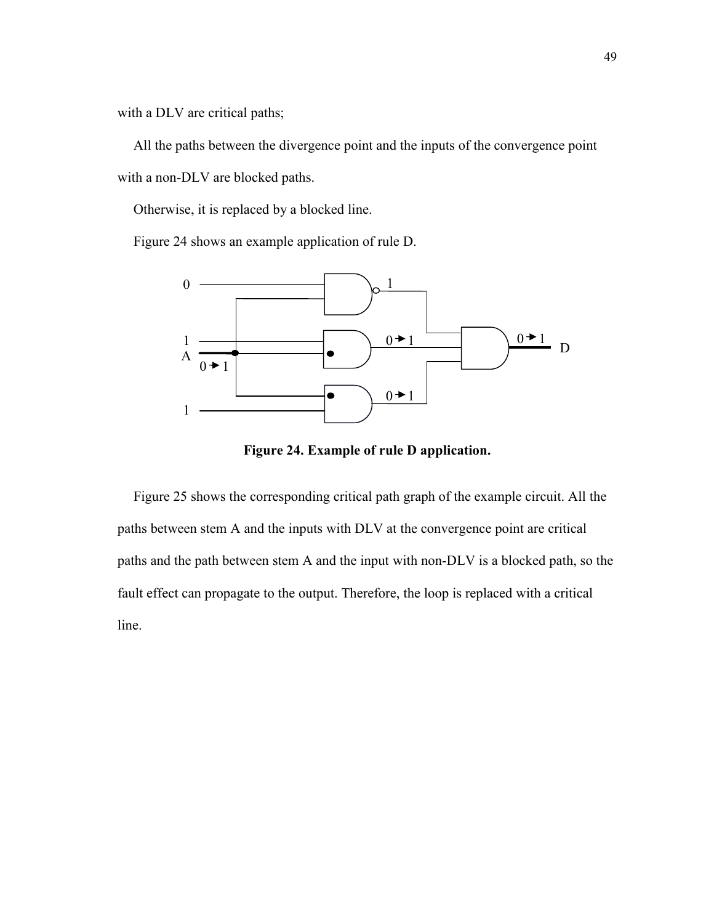with a DLV are critical paths;

All the paths between the divergence point and the inputs of the convergence point with a non-DLV are blocked paths.

Otherwise, it is replaced by a blocked line.

Figure 24 shows an example application of rule D.



Figure 24. Example of rule D application.

Figure 25 shows the corresponding critical path graph of the example circuit. All the paths between stem A and the inputs with DLV at the convergence point are critical paths and the path between stem A and the input with non-DLV is a blocked path, so the fault effect can propagate to the output. Therefore, the loop is replaced with a critical line.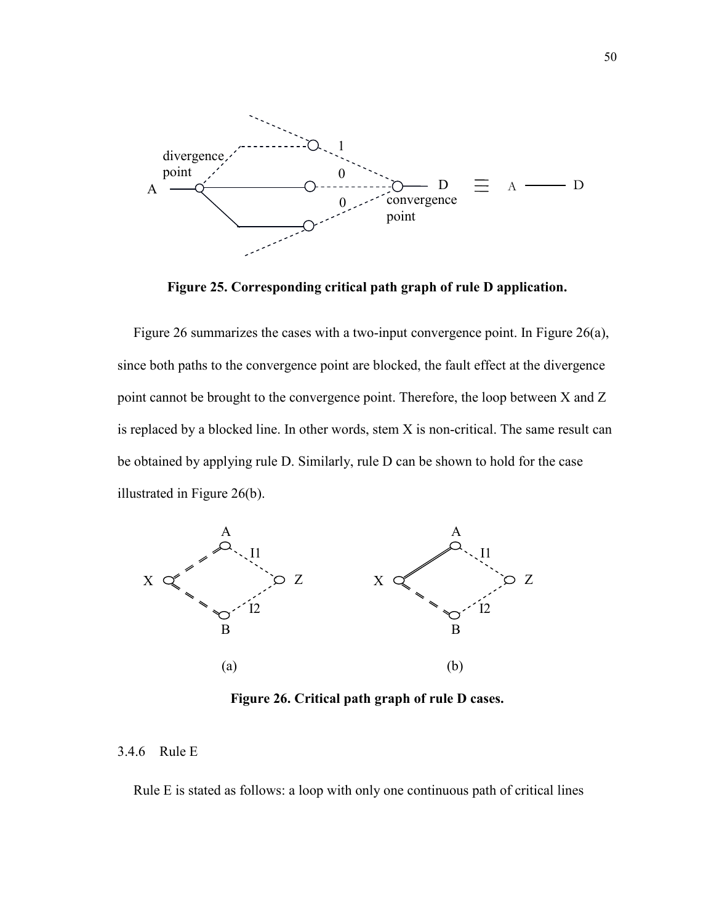

Figure 25. Corresponding critical path graph of rule D application.

Figure 26 summarizes the cases with a two-input convergence point. In Figure 26(a), since both paths to the convergence point are blocked, the fault effect at the divergence point cannot be brought to the convergence point. Therefore, the loop between X and Z is replaced by a blocked line. In other words, stem X is non-critical. The same result can be obtained by applying rule D. Similarly, rule D can be shown to hold for the case illustrated in Figure 26(b).



Figure 26. Critical path graph of rule D cases.

### 3.4.6 Rule E

Rule E is stated as follows: a loop with only one continuous path of critical lines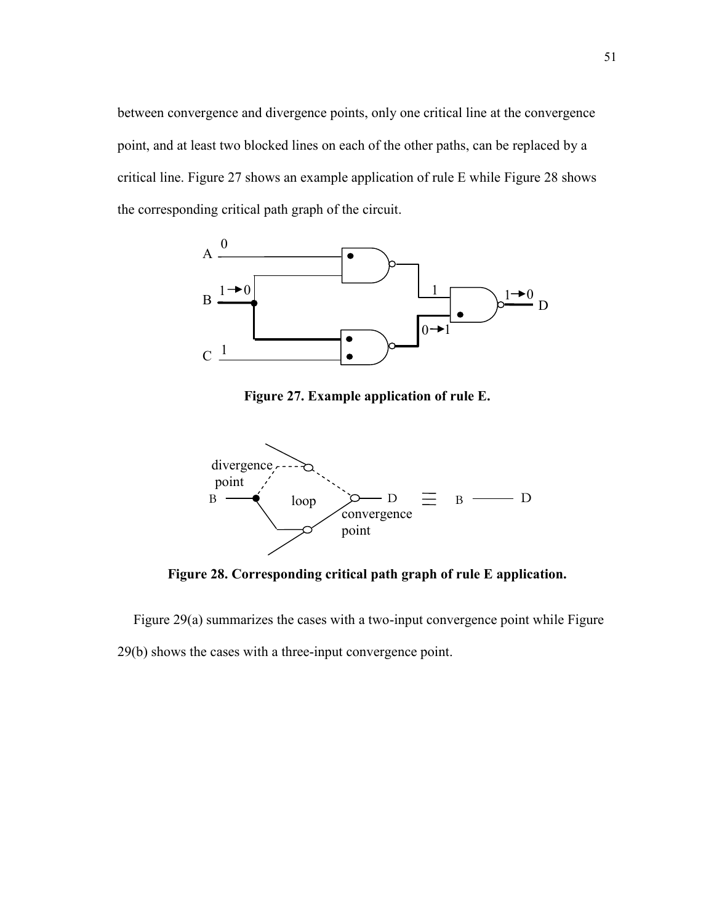between convergence and divergence points, only one critical line at the convergence point, and at least two blocked lines on each of the other paths, can be replaced by a critical line. Figure 27 shows an example application of rule E while Figure 28 shows the corresponding critical path graph of the circuit.



Figure 27. Example application of rule E.



Figure 28. Corresponding critical path graph of rule E application.

Figure 29(a) summarizes the cases with a two-input convergence point while Figure 29(b) shows the cases with a three-input convergence point.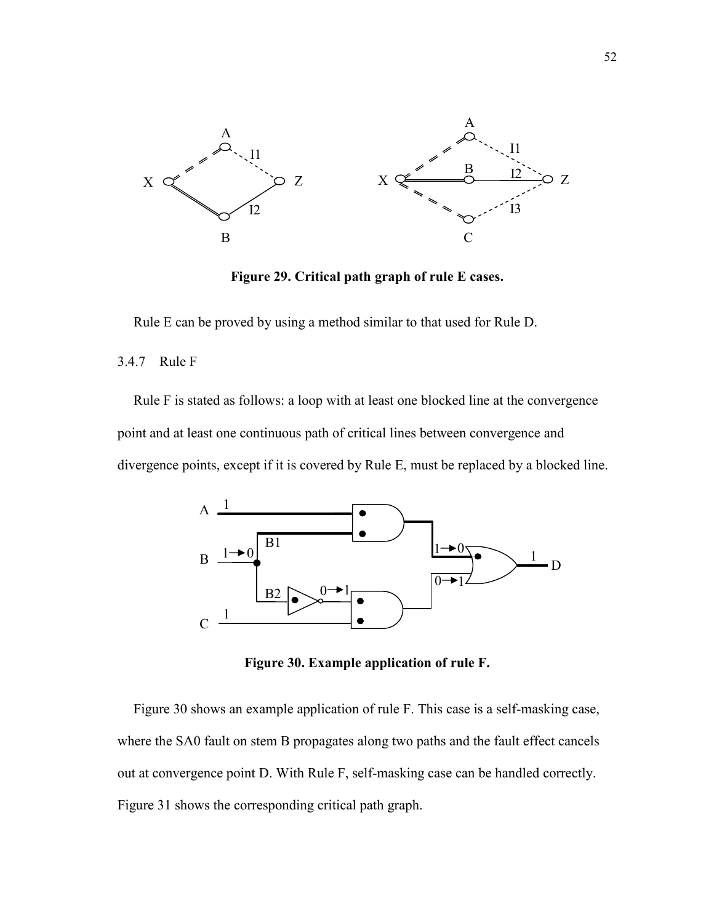

Figure 29. Critical path graph of rule E cases.

Rule E can be proved by using a method similar to that used for Rule D.

### 3.4.7 Rule F

Rule F is stated as follows: a loop with at least one blocked line at the convergence point and at least one continuous path of critical lines between convergence and divergence points, except if it is covered by Rule E, must be replaced by a blocked line.



Figure 30. Example application of rule F.

Figure 30 shows an example application of rule F. This case is a self-masking case, where the SA0 fault on stem B propagates along two paths and the fault effect cancels out at convergence point D. With Rule F, self-masking case can be handled correctly. Figure 31 shows the corresponding critical path graph.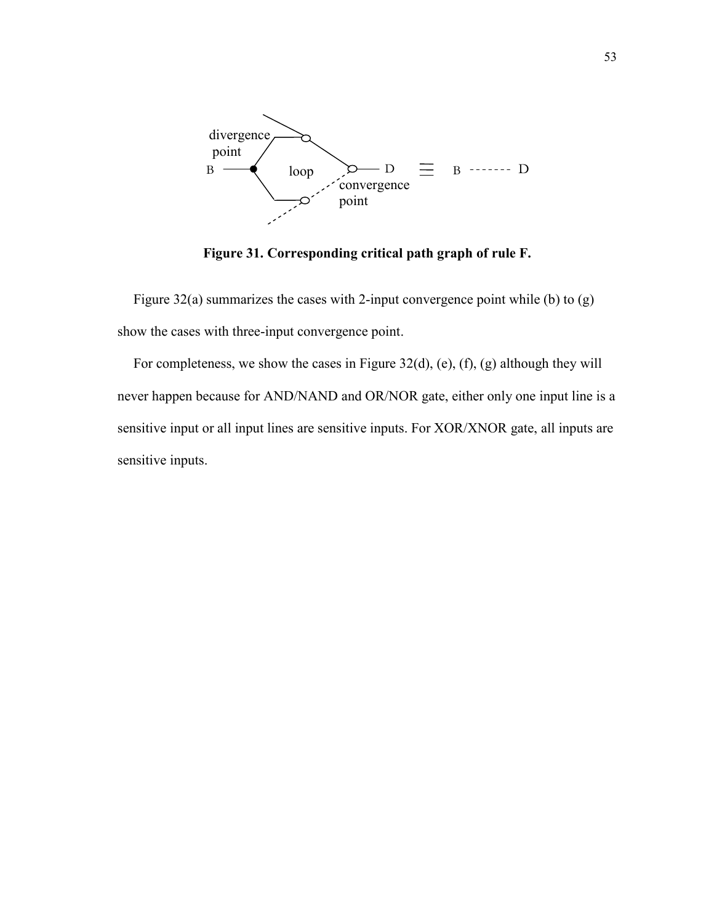

Figure 31. Corresponding critical path graph of rule F.

Figure 32(a) summarizes the cases with 2-input convergence point while (b) to (g) show the cases with three-input convergence point.

For completeness, we show the cases in Figure 32(d), (e), (f), (g) although they will never happen because for AND/NAND and OR/NOR gate, either only one input line is a sensitive input or all input lines are sensitive inputs. For XOR/XNOR gate, all inputs are sensitive inputs.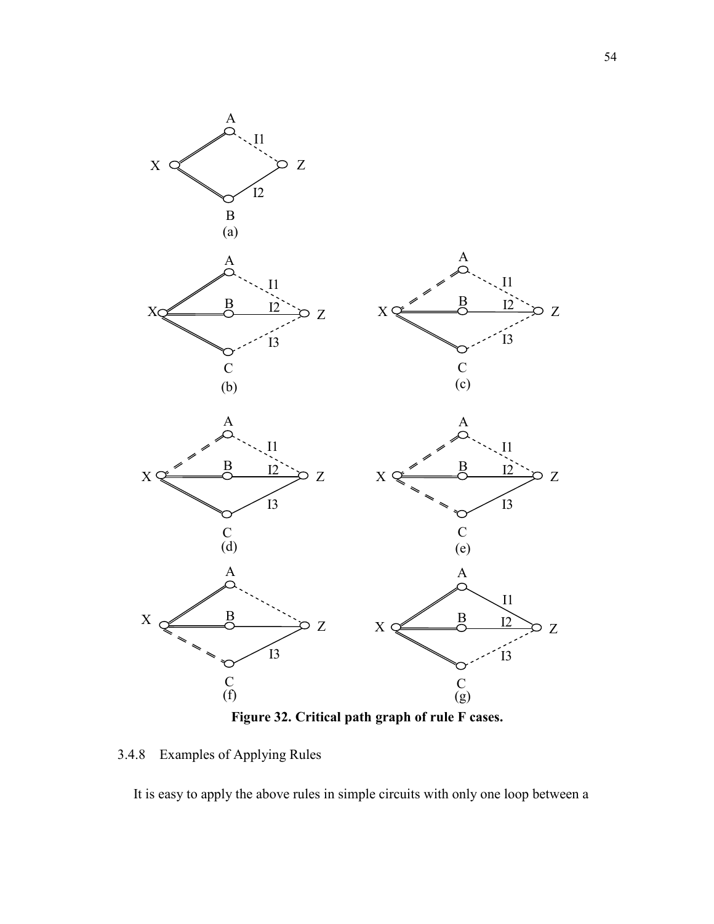

3.4.8 Examples of Applying Rules

It is easy to apply the above rules in simple circuits with only one loop between a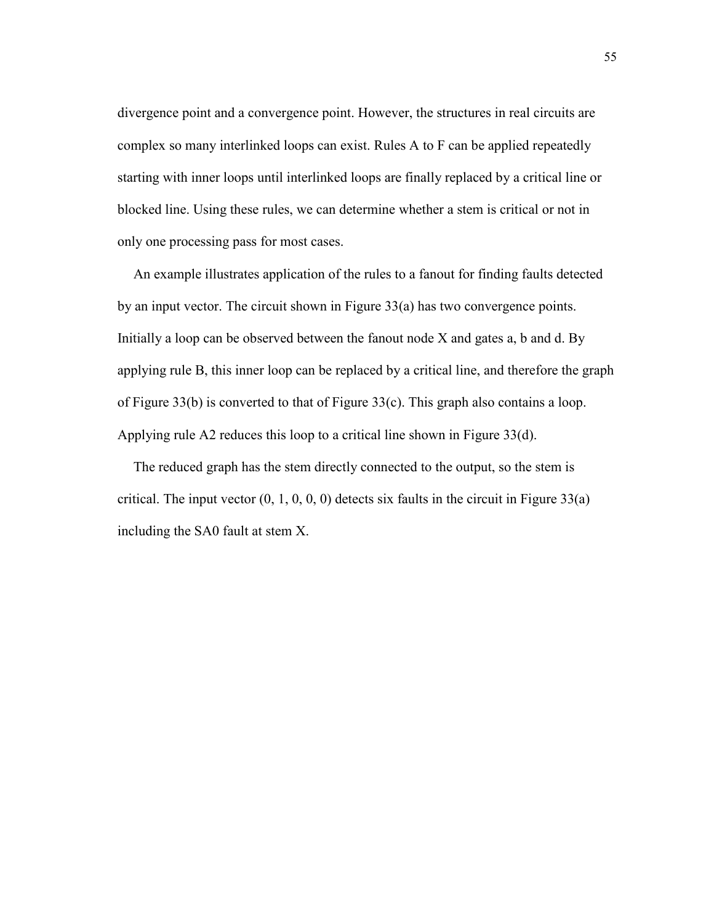divergence point and a convergence point. However, the structures in real circuits are complex so many interlinked loops can exist. Rules A to F can be applied repeatedly starting with inner loops until interlinked loops are finally replaced by a critical line or blocked line. Using these rules, we can determine whether a stem is critical or not in only one processing pass for most cases.

An example illustrates application of the rules to a fanout for finding faults detected by an input vector. The circuit shown in Figure 33(a) has two convergence points. Initially a loop can be observed between the fanout node X and gates a, b and d. By applying rule B, this inner loop can be replaced by a critical line, and therefore the graph of Figure 33(b) is converted to that of Figure 33(c). This graph also contains a loop. Applying rule A2 reduces this loop to a critical line shown in Figure 33(d).

The reduced graph has the stem directly connected to the output, so the stem is critical. The input vector  $(0, 1, 0, 0, 0)$  detects six faults in the circuit in Figure 33(a) including the SA0 fault at stem X.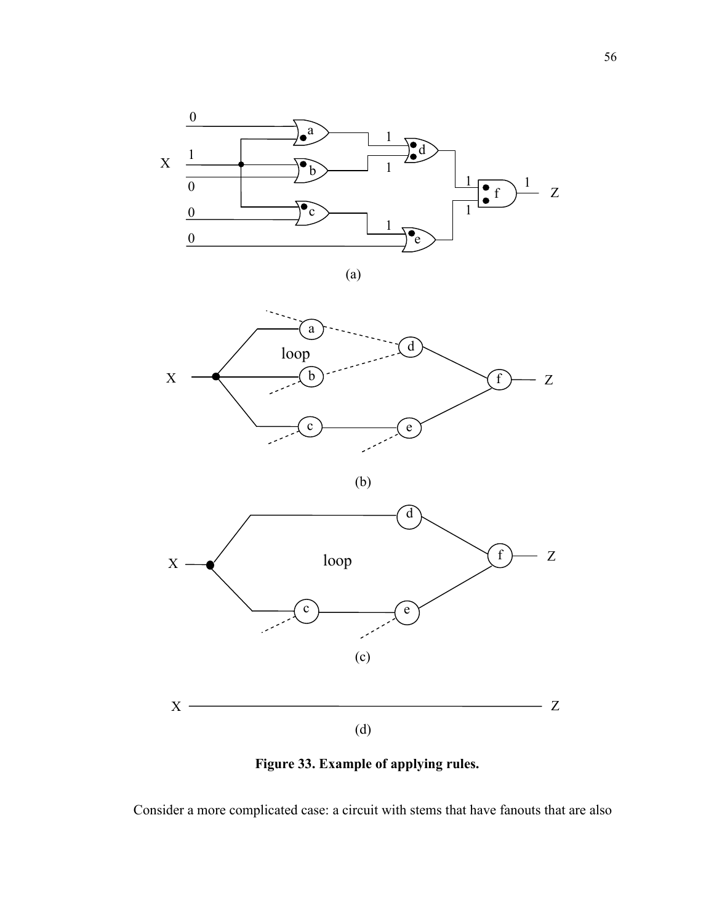

(a)



(b)



Figure 33. Example of applying rules.

Consider a more complicated case: a circuit with stems that have fanouts that are also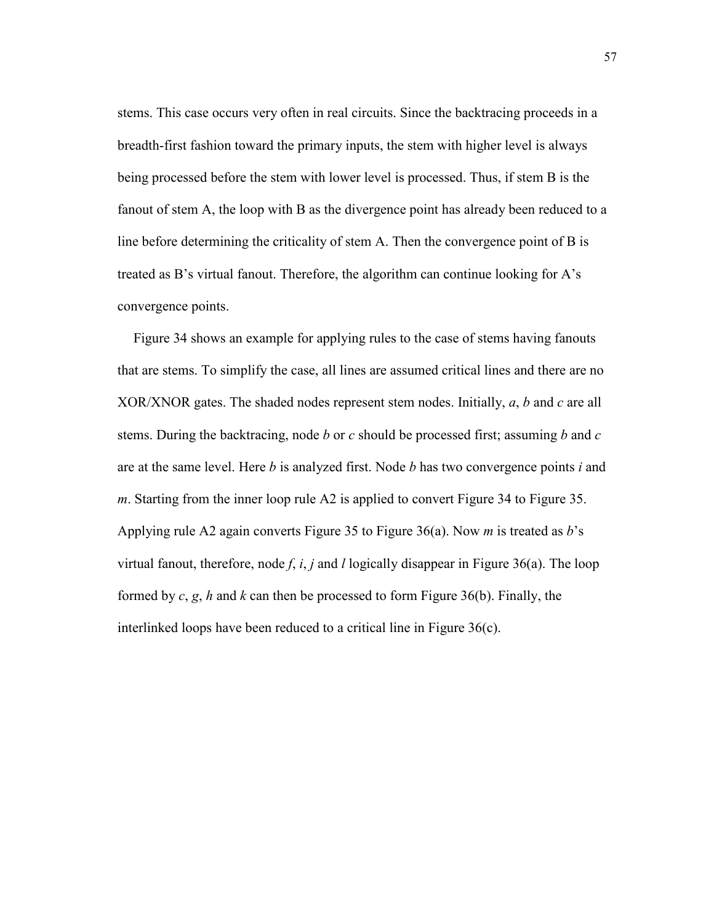stems. This case occurs very often in real circuits. Since the backtracing proceeds in a breadth-first fashion toward the primary inputs, the stem with higher level is always being processed before the stem with lower level is processed. Thus, if stem B is the fanout of stem A, the loop with B as the divergence point has already been reduced to a line before determining the criticality of stem A. Then the convergence point of B is treated as B's virtual fanout. Therefore, the algorithm can continue looking for A's convergence points.

Figure 34 shows an example for applying rules to the case of stems having fanouts that are stems. To simplify the case, all lines are assumed critical lines and there are no XOR/XNOR gates. The shaded nodes represent stem nodes. Initially, a, b and c are all stems. During the backtracing, node b or c should be processed first; assuming b and c are at the same level. Here b is analyzed first. Node b has two convergence points i and m. Starting from the inner loop rule A2 is applied to convert Figure 34 to Figure 35. Applying rule A2 again converts Figure 35 to Figure 36(a). Now *m* is treated as  $b$ 's virtual fanout, therefore, node f, i, j and l logically disappear in Figure 36(a). The loop formed by  $c, g, h$  and k can then be processed to form Figure 36(b). Finally, the interlinked loops have been reduced to a critical line in Figure 36(c).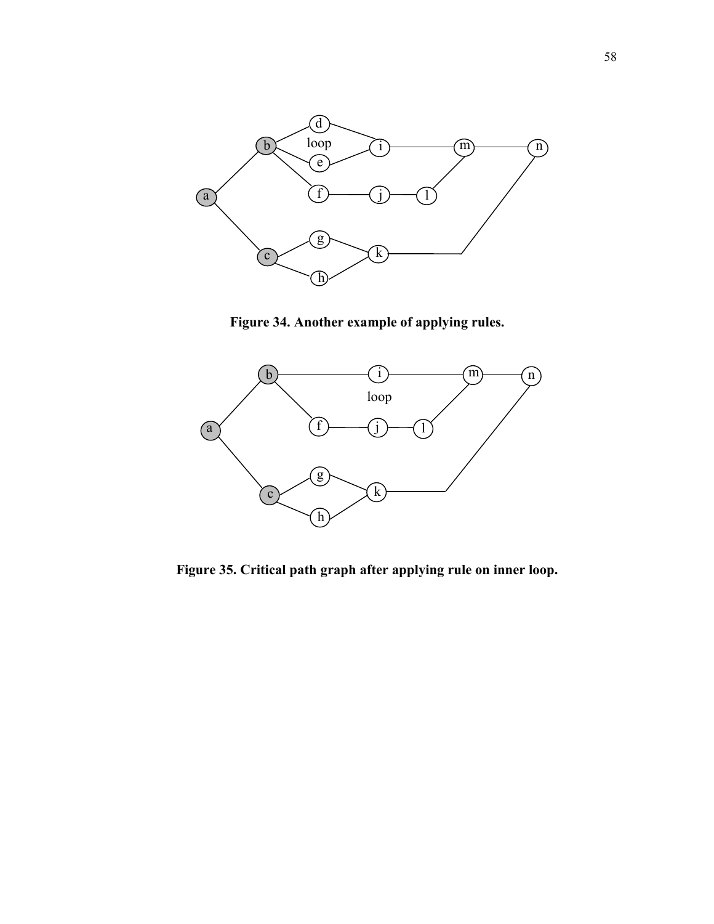

Figure 34. Another example of applying rules.



Figure 35. Critical path graph after applying rule on inner loop.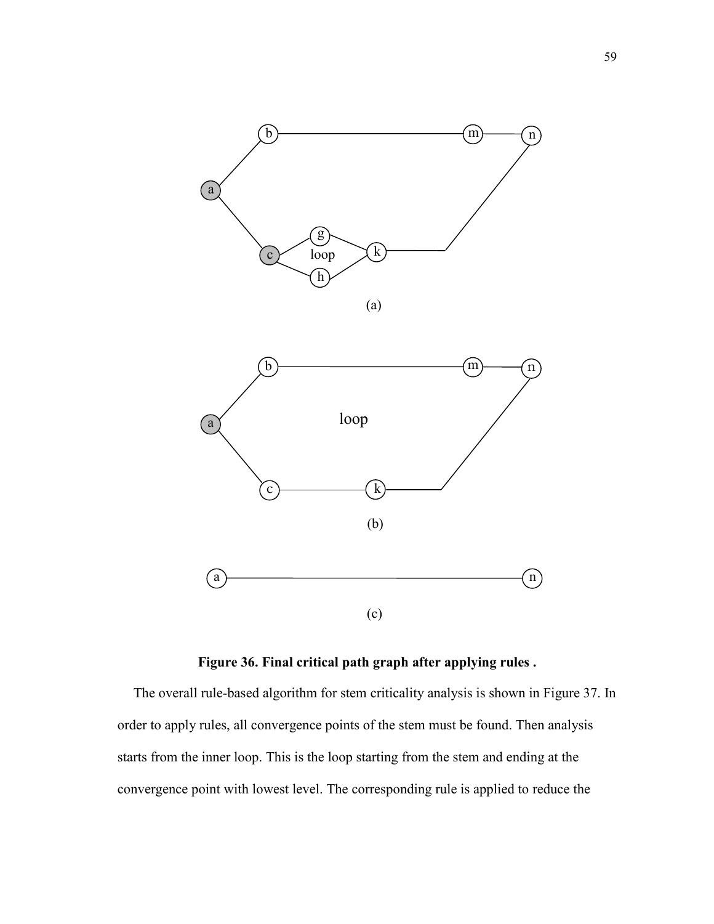



Figure 36. Final critical path graph after applying rules .

The overall rule-based algorithm for stem criticality analysis is shown in Figure 37. In order to apply rules, all convergence points of the stem must be found. Then analysis starts from the inner loop. This is the loop starting from the stem and ending at the convergence point with lowest level. The corresponding rule is applied to reduce the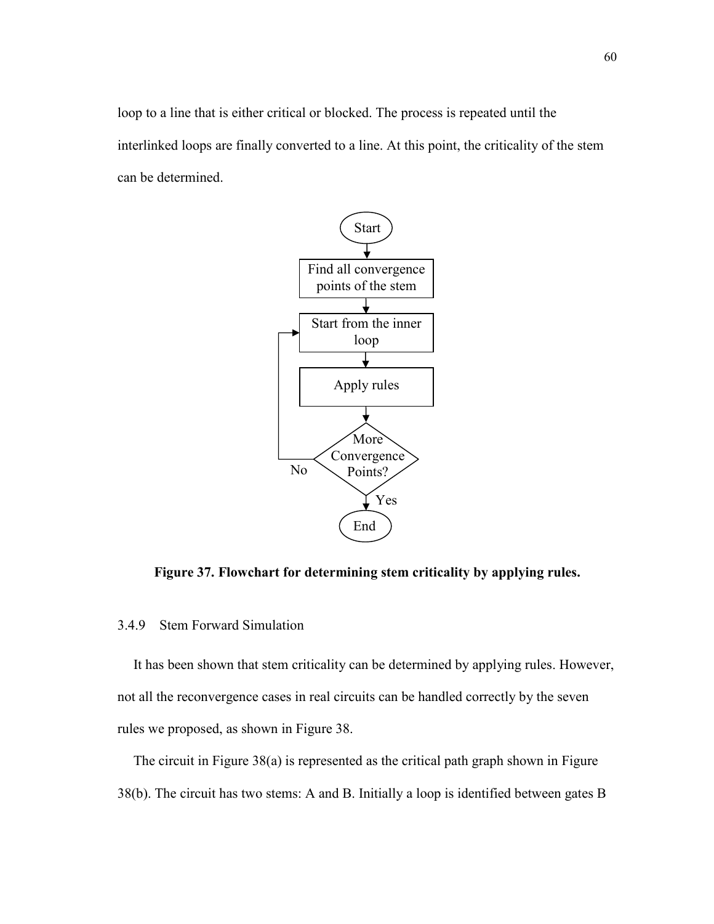loop to a line that is either critical or blocked. The process is repeated until the interlinked loops are finally converted to a line. At this point, the criticality of the stem can be determined.



Figure 37. Flowchart for determining stem criticality by applying rules.

## 3.4.9 Stem Forward Simulation

It has been shown that stem criticality can be determined by applying rules. However, not all the reconvergence cases in real circuits can be handled correctly by the seven rules we proposed, as shown in Figure 38.

The circuit in Figure 38(a) is represented as the critical path graph shown in Figure 38(b). The circuit has two stems: A and B. Initially a loop is identified between gates B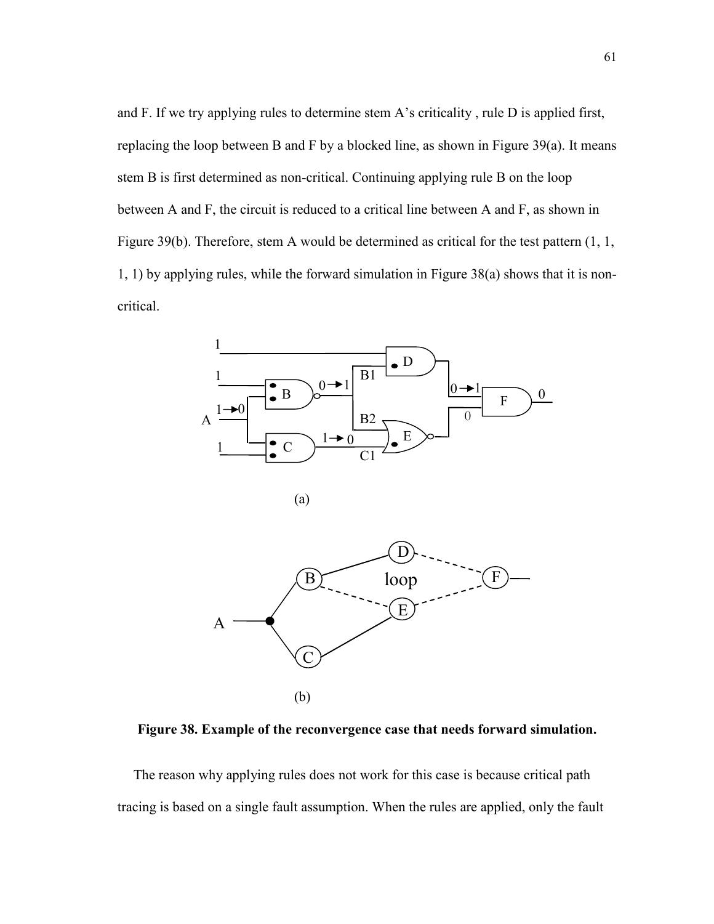and F. If we try applying rules to determine stem A's criticality , rule D is applied first, replacing the loop between B and F by a blocked line, as shown in Figure  $39(a)$ . It means stem B is first determined as non-critical. Continuing applying rule B on the loop between A and F, the circuit is reduced to a critical line between A and F, as shown in Figure 39(b). Therefore, stem A would be determined as critical for the test pattern (1, 1, 1, 1) by applying rules, while the forward simulation in Figure 38(a) shows that it is noncritical.



Figure 38. Example of the reconvergence case that needs forward simulation.

The reason why applying rules does not work for this case is because critical path tracing is based on a single fault assumption. When the rules are applied, only the fault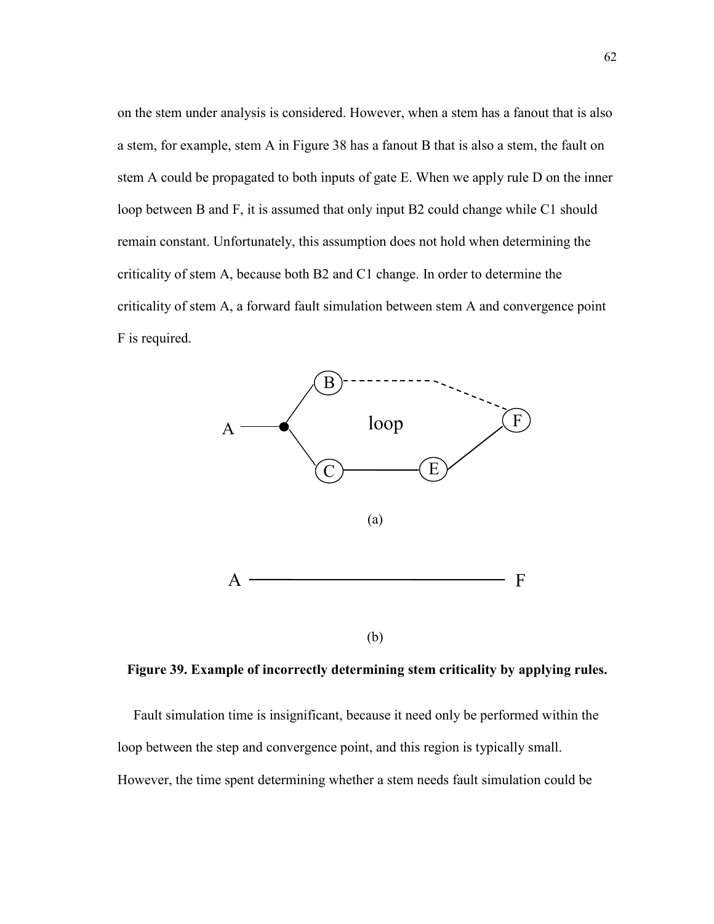on the stem under analysis is considered. However, when a stem has a fanout that is also a stem, for example, stem A in Figure 38 has a fanout B that is also a stem, the fault on stem A could be propagated to both inputs of gate E. When we apply rule D on the inner loop between B and F, it is assumed that only input B2 could change while C1 should remain constant. Unfortunately, this assumption does not hold when determining the criticality of stem A, because both B2 and C1 change. In order to determine the criticality of stem A, a forward fault simulation between stem A and convergence point F is required.



Figure 39. Example of incorrectly determining stem criticality by applying rules.

Fault simulation time is insignificant, because it need only be performed within the loop between the step and convergence point, and this region is typically small. However, the time spent determining whether a stem needs fault simulation could be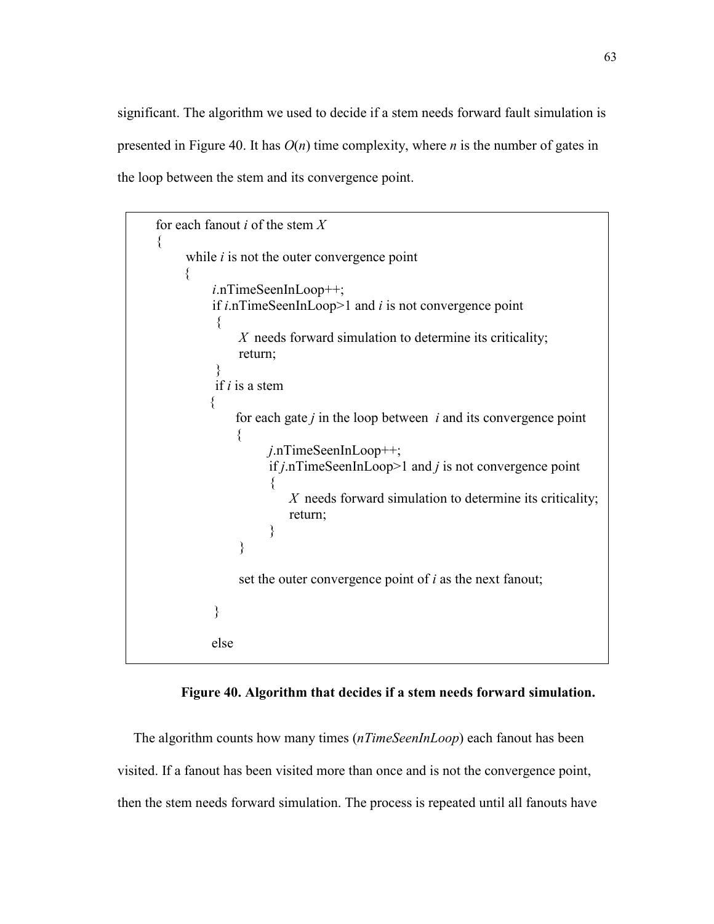significant. The algorithm we used to decide if a stem needs forward fault simulation is presented in Figure 40. It has  $O(n)$  time complexity, where *n* is the number of gates in the loop between the stem and its convergence point.

```
for each fanout i of the stem X\{while i is not the outer convergence point
      { 
           i.nTimeSeenInLoop++; 
          if i.nTimeSeenInLoop>1 and i is not convergence point
\left\{\begin{array}{cc} & \end{array}\right.X needs forward simulation to determine its criticality;
               return; 
 } 
          if i is a stem
\{for each gate j in the loop between i and its convergence point
\{ j.nTimeSeenInLoop++; 
                   if j.nTimeSeenInLoop>1 and j is not convergence point
\{X needs forward simulation to determine its criticality;
                       return; 
 } 
 } 
              set the outer convergence point of i as the next fanout;
           } 
           else
```
# Figure 40. Algorithm that decides if a stem needs forward simulation.

The algorithm counts how many times (*nTimeSeenInLoop*) each fanout has been visited. If a fanout has been visited more than once and is not the convergence point, then the stem needs forward simulation. The process is repeated until all fanouts have

 $\overline{\phantom{a}}$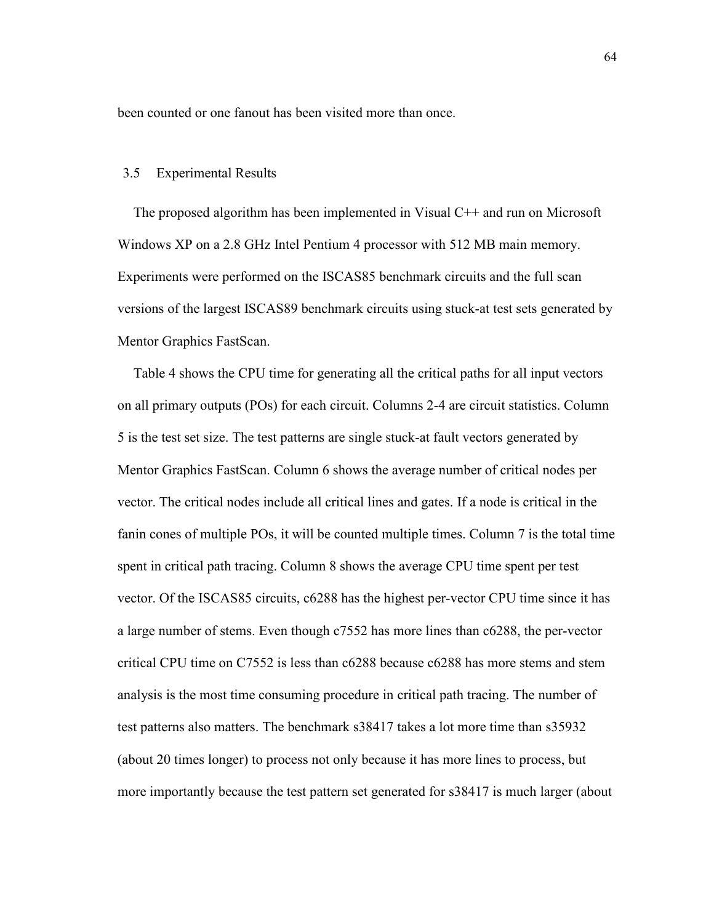been counted or one fanout has been visited more than once.

#### 3.5 Experimental Results

The proposed algorithm has been implemented in Visual C++ and run on Microsoft Windows XP on a 2.8 GHz Intel Pentium 4 processor with 512 MB main memory. Experiments were performed on the ISCAS85 benchmark circuits and the full scan versions of the largest ISCAS89 benchmark circuits using stuck-at test sets generated by Mentor Graphics FastScan.

Table 4 shows the CPU time for generating all the critical paths for all input vectors on all primary outputs (POs) for each circuit. Columns 2-4 are circuit statistics. Column 5 is the test set size. The test patterns are single stuck-at fault vectors generated by Mentor Graphics FastScan. Column 6 shows the average number of critical nodes per vector. The critical nodes include all critical lines and gates. If a node is critical in the fanin cones of multiple POs, it will be counted multiple times. Column 7 is the total time spent in critical path tracing. Column 8 shows the average CPU time spent per test vector. Of the ISCAS85 circuits, c6288 has the highest per-vector CPU time since it has a large number of stems. Even though c7552 has more lines than c6288, the per-vector critical CPU time on C7552 is less than c6288 because c6288 has more stems and stem analysis is the most time consuming procedure in critical path tracing. The number of test patterns also matters. The benchmark s38417 takes a lot more time than s35932 (about 20 times longer) to process not only because it has more lines to process, but more importantly because the test pattern set generated for s38417 is much larger (about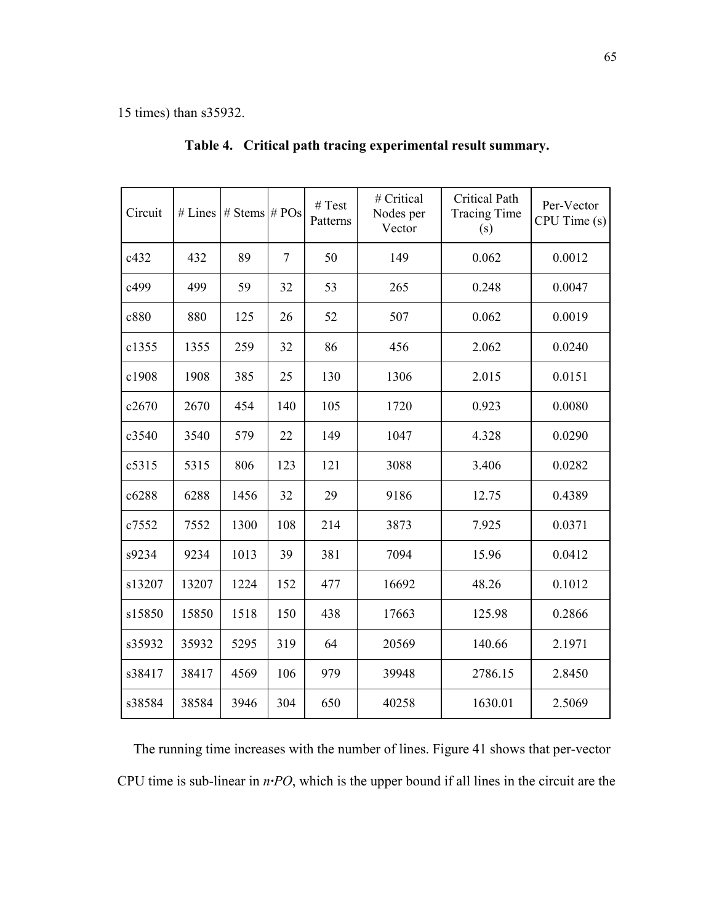15 times) than s35932.

| Circuit | # Lines | # Stems $# POS$ |                | # Test<br>Patterns | # Critical<br>Nodes per<br>Vector | <b>Critical Path</b><br><b>Tracing Time</b><br>(s) | Per-Vector<br>CPU Time (s) |
|---------|---------|-----------------|----------------|--------------------|-----------------------------------|----------------------------------------------------|----------------------------|
| c432    | 432     | 89              | $\overline{7}$ | 50                 | 149                               | 0.062                                              | 0.0012                     |
| c499    | 499     | 59              | 32             | 53                 | 265                               | 0.248                                              | 0.0047                     |
| c880    | 880     | 125             | 26             | 52                 | 507                               | 0.062                                              | 0.0019                     |
| c1355   | 1355    | 259             | 32             | 86                 | 456                               | 2.062                                              | 0.0240                     |
| c1908   | 1908    | 385             | 25             | 130                | 1306                              | 2.015                                              | 0.0151                     |
| c2670   | 2670    | 454             | 140            | 105                | 1720                              | 0.923                                              | 0.0080                     |
| c3540   | 3540    | 579             | 22             | 149                | 1047                              | 4.328                                              | 0.0290                     |
| c5315   | 5315    | 806             | 123            | 121                | 3088                              | 3.406                                              | 0.0282                     |
| c6288   | 6288    | 1456            | 32             | 29                 | 9186                              | 12.75                                              | 0.4389                     |
| c7552   | 7552    | 1300            | 108            | 214                | 3873                              | 7.925                                              | 0.0371                     |
| s9234   | 9234    | 1013            | 39             | 381                | 7094                              | 15.96                                              | 0.0412                     |
| s13207  | 13207   | 1224            | 152            | 477                | 16692                             | 48.26                                              | 0.1012                     |
| s15850  | 15850   | 1518            | 150            | 438                | 17663                             | 125.98                                             | 0.2866                     |
| s35932  | 35932   | 5295            | 319            | 64                 | 20569                             | 140.66                                             | 2.1971                     |
| s38417  | 38417   | 4569            | 106            | 979                | 39948                             | 2786.15                                            | 2.8450                     |
| s38584  | 38584   | 3946            | 304            | 650                | 40258                             | 1630.01                                            | 2.5069                     |

Table 4. Critical path tracing experimental result summary.

The running time increases with the number of lines. Figure 41 shows that per-vector CPU time is sub-linear in n·PO, which is the upper bound if all lines in the circuit are the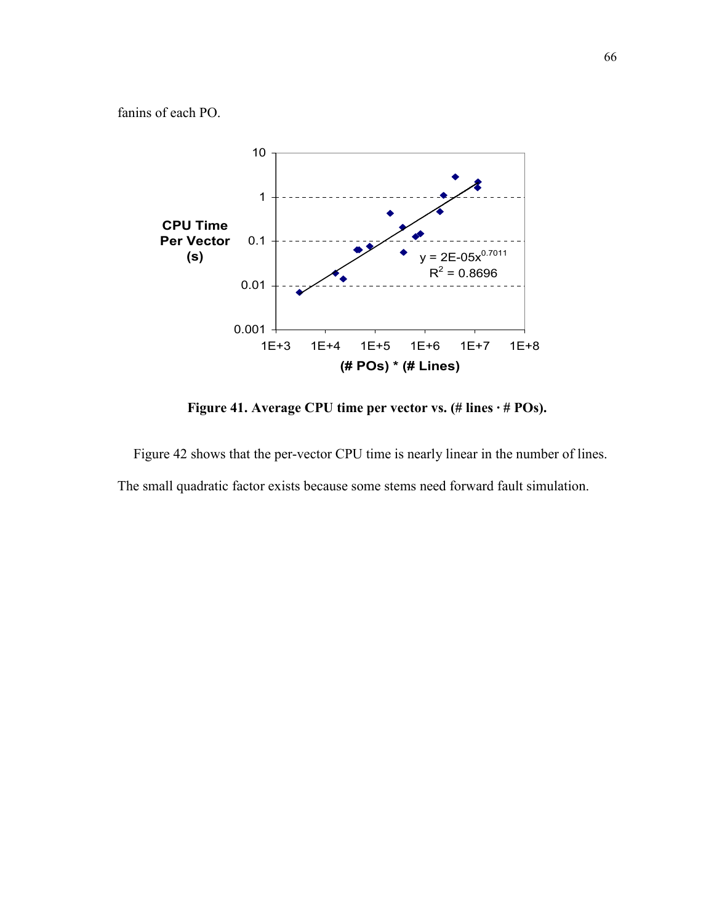fanins of each PO.



Figure 41. Average CPU time per vector vs. (# lines · # POs).

Figure 42 shows that the per-vector CPU time is nearly linear in the number of lines. The small quadratic factor exists because some stems need forward fault simulation.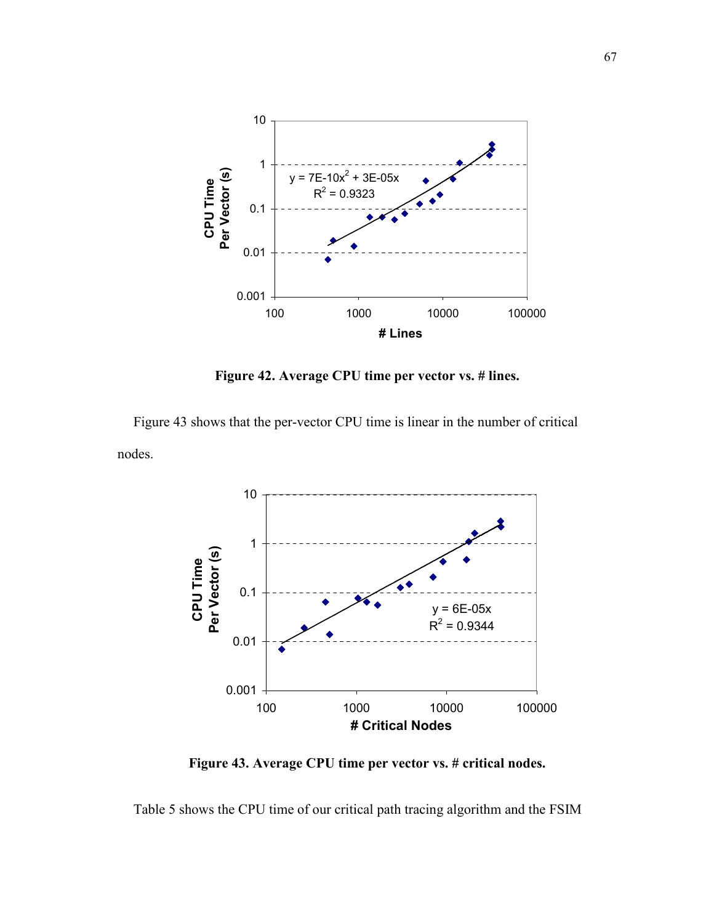

Figure 42. Average CPU time per vector vs. # lines.

Figure 43 shows that the per-vector CPU time is linear in the number of critical nodes.



Figure 43. Average CPU time per vector vs. # critical nodes.

Table 5 shows the CPU time of our critical path tracing algorithm and the FSIM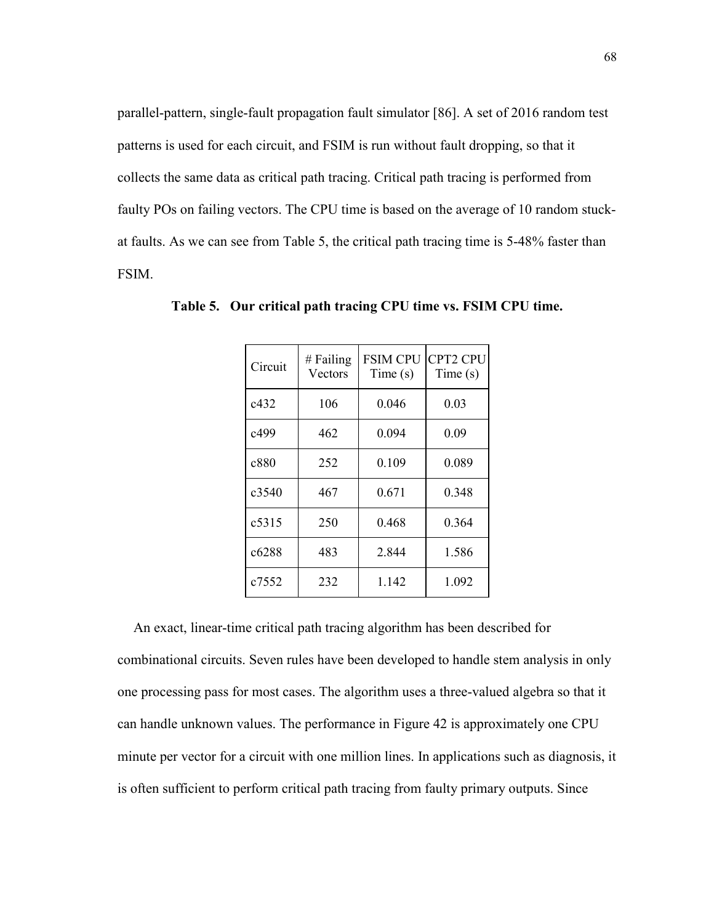parallel-pattern, single-fault propagation fault simulator [86]. A set of 2016 random test patterns is used for each circuit, and FSIM is run without fault dropping, so that it collects the same data as critical path tracing. Critical path tracing is performed from faulty POs on failing vectors. The CPU time is based on the average of 10 random stuckat faults. As we can see from Table 5, the critical path tracing time is 5-48% faster than FSIM.

| Circuit           | $#$ Failing<br>Vectors | <b>FSIM CPU</b><br>Time(s) | <b>CPT2 CPU</b><br>Time(s) |
|-------------------|------------------------|----------------------------|----------------------------|
| c432              | 106                    | 0.046                      | 0.03                       |
| c499              | 462                    | 0.094                      | 0.09                       |
| c880              | 252                    | 0.109                      | 0.089                      |
| c3540             | 467                    | 0.671                      | 0.348                      |
| c5315             | 250                    | 0.468                      | 0.364                      |
| c <sub>6288</sub> | 483                    | 2.844                      | 1.586                      |
| c7552             | 232                    | 1.142                      | 1.092                      |

Table 5. Our critical path tracing CPU time vs. FSIM CPU time.

An exact, linear-time critical path tracing algorithm has been described for combinational circuits. Seven rules have been developed to handle stem analysis in only one processing pass for most cases. The algorithm uses a three-valued algebra so that it can handle unknown values. The performance in Figure 42 is approximately one CPU minute per vector for a circuit with one million lines. In applications such as diagnosis, it is often sufficient to perform critical path tracing from faulty primary outputs. Since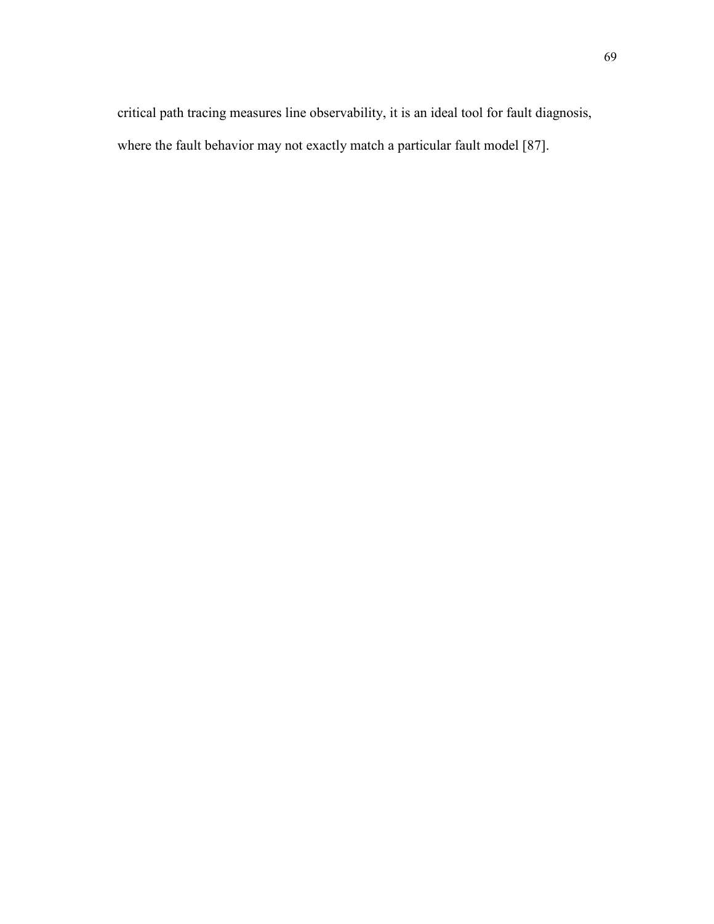critical path tracing measures line observability, it is an ideal tool for fault diagnosis, where the fault behavior may not exactly match a particular fault model [87].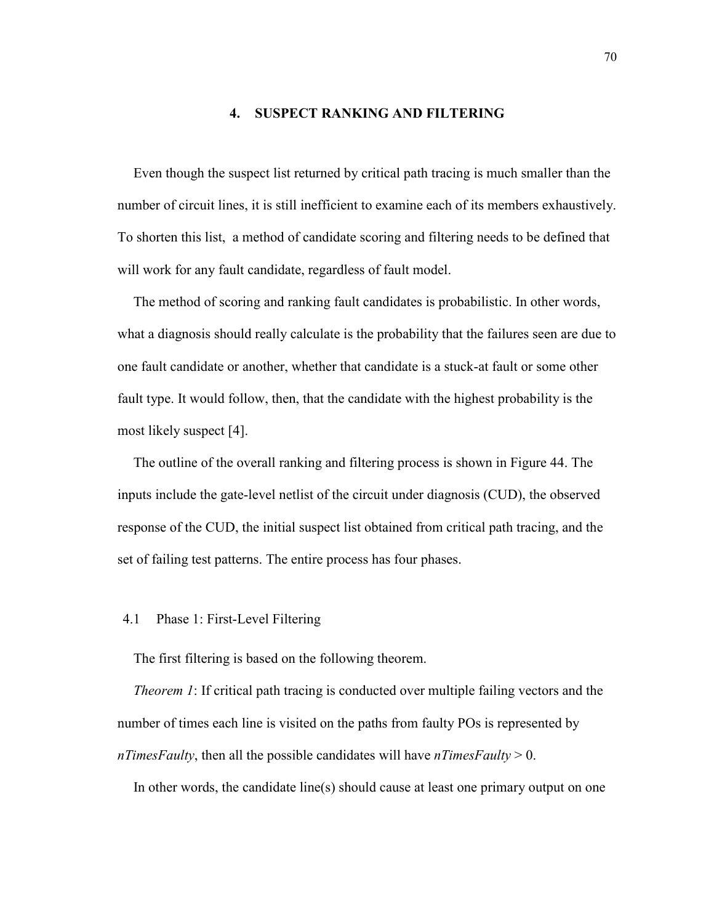### 4. SUSPECT RANKING AND FILTERING

Even though the suspect list returned by critical path tracing is much smaller than the number of circuit lines, it is still inefficient to examine each of its members exhaustively. To shorten this list, a method of candidate scoring and filtering needs to be defined that will work for any fault candidate, regardless of fault model.

The method of scoring and ranking fault candidates is probabilistic. In other words, what a diagnosis should really calculate is the probability that the failures seen are due to one fault candidate or another, whether that candidate is a stuck-at fault or some other fault type. It would follow, then, that the candidate with the highest probability is the most likely suspect [4].

The outline of the overall ranking and filtering process is shown in Figure 44. The inputs include the gate-level netlist of the circuit under diagnosis (CUD), the observed response of the CUD, the initial suspect list obtained from critical path tracing, and the set of failing test patterns. The entire process has four phases.

### 4.1 Phase 1: First-Level Filtering

The first filtering is based on the following theorem.

Theorem 1: If critical path tracing is conducted over multiple failing vectors and the number of times each line is visited on the paths from faulty POs is represented by nTimesFaulty, then all the possible candidates will have nTimesFaulty  $> 0$ .

In other words, the candidate line(s) should cause at least one primary output on one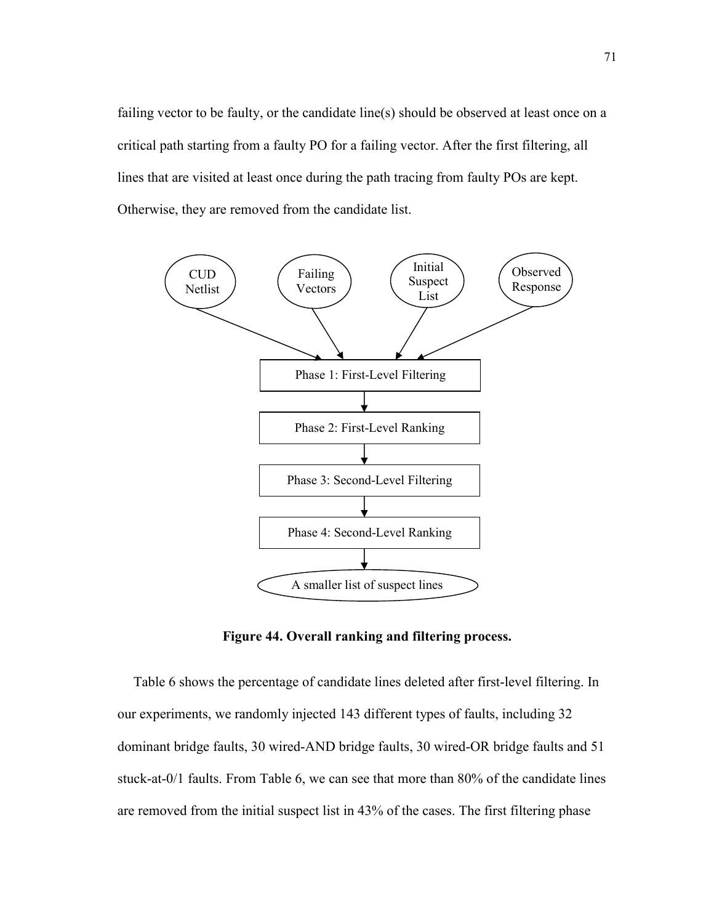failing vector to be faulty, or the candidate line(s) should be observed at least once on a critical path starting from a faulty PO for a failing vector. After the first filtering, all lines that are visited at least once during the path tracing from faulty POs are kept. Otherwise, they are removed from the candidate list.



Figure 44. Overall ranking and filtering process.

Table 6 shows the percentage of candidate lines deleted after first-level filtering. In our experiments, we randomly injected 143 different types of faults, including 32 dominant bridge faults, 30 wired-AND bridge faults, 30 wired-OR bridge faults and 51 stuck-at-0/1 faults. From Table 6, we can see that more than 80% of the candidate lines are removed from the initial suspect list in 43% of the cases. The first filtering phase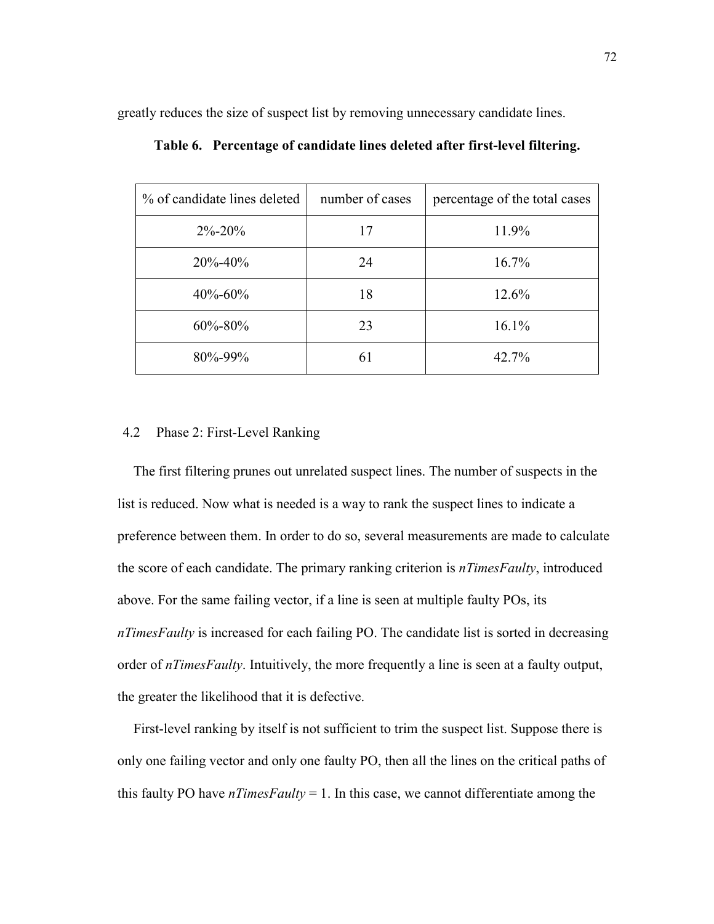greatly reduces the size of suspect list by removing unnecessary candidate lines.

| % of candidate lines deleted | number of cases | percentage of the total cases |
|------------------------------|-----------------|-------------------------------|
| $2\% - 20\%$                 | 17              | 11.9%                         |
| $20\% - 40\%$                | 24              | $16.7\%$                      |
| $40\% - 60\%$                | 18              | 12.6%                         |
| $60\% - 80\%$                | 23              | $16.1\%$                      |
| 80%-99%                      | 61              | 42.7%                         |

Table 6. Percentage of candidate lines deleted after first-level filtering.

# 4.2 Phase 2: First-Level Ranking

The first filtering prunes out unrelated suspect lines. The number of suspects in the list is reduced. Now what is needed is a way to rank the suspect lines to indicate a preference between them. In order to do so, several measurements are made to calculate the score of each candidate. The primary ranking criterion is *nTimesFaulty*, introduced above. For the same failing vector, if a line is seen at multiple faulty POs, its nTimesFaulty is increased for each failing PO. The candidate list is sorted in decreasing order of *nTimesFaulty*. Intuitively, the more frequently a line is seen at a faulty output, the greater the likelihood that it is defective.

First-level ranking by itself is not sufficient to trim the suspect list. Suppose there is only one failing vector and only one faulty PO, then all the lines on the critical paths of this faulty PO have  $nTimesFaulty = 1$ . In this case, we cannot differentiate among the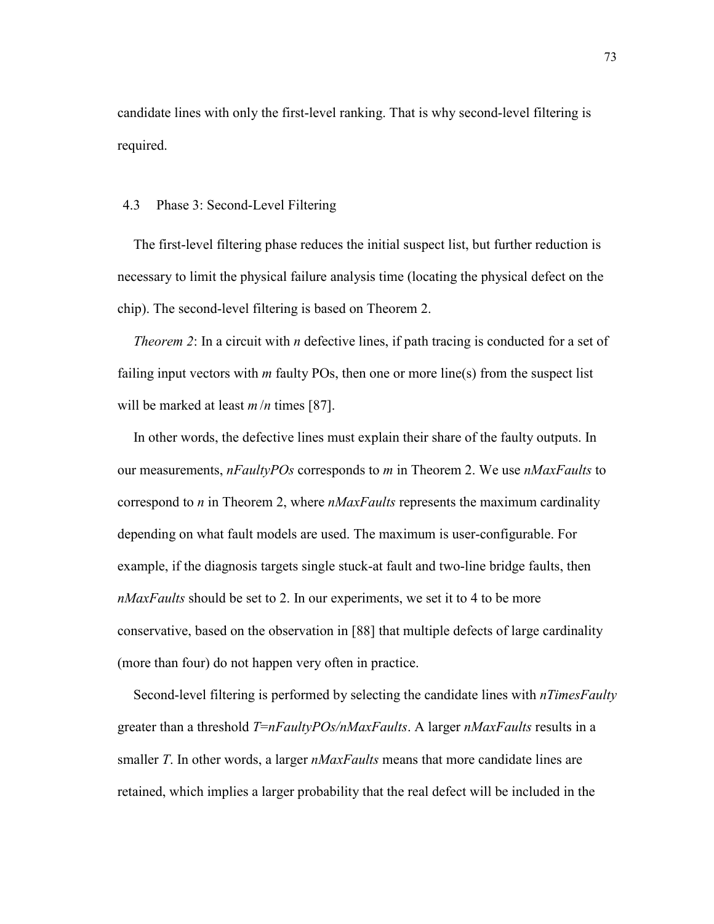candidate lines with only the first-level ranking. That is why second-level filtering is required.

### 4.3 Phase 3: Second-Level Filtering

The first-level filtering phase reduces the initial suspect list, but further reduction is necessary to limit the physical failure analysis time (locating the physical defect on the chip). The second-level filtering is based on Theorem 2.

Theorem 2: In a circuit with n defective lines, if path tracing is conducted for a set of failing input vectors with  $m$  faulty POs, then one or more line(s) from the suspect list will be marked at least  $m/n$  times [87].

In other words, the defective lines must explain their share of the faulty outputs. In our measurements,  $nFaultyPOS$  corresponds to m in Theorem 2. We use  $nMaxFaults$  to correspond to *n* in Theorem 2, where  $nMaxFaults$  represents the maximum cardinality depending on what fault models are used. The maximum is user-configurable. For example, if the diagnosis targets single stuck-at fault and two-line bridge faults, then nMaxFaults should be set to 2. In our experiments, we set it to 4 to be more conservative, based on the observation in [88] that multiple defects of large cardinality (more than four) do not happen very often in practice.

Second-level filtering is performed by selecting the candidate lines with *nTimesFaulty* greater than a threshold  $T=nFaultyPOS/nMaxFaults$ . A larger  $nMaxFaults$  results in a smaller T. In other words, a larger  $nMaxFaults$  means that more candidate lines are retained, which implies a larger probability that the real defect will be included in the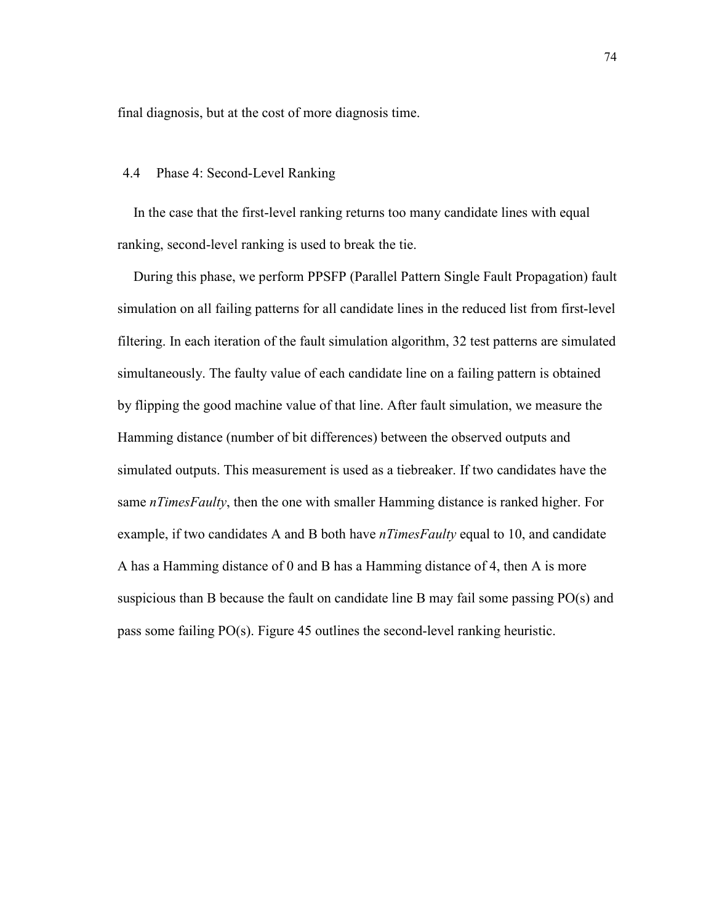final diagnosis, but at the cost of more diagnosis time.

#### 4.4 Phase 4: Second-Level Ranking

In the case that the first-level ranking returns too many candidate lines with equal ranking, second-level ranking is used to break the tie.

During this phase, we perform PPSFP (Parallel Pattern Single Fault Propagation) fault simulation on all failing patterns for all candidate lines in the reduced list from first-level filtering. In each iteration of the fault simulation algorithm, 32 test patterns are simulated simultaneously. The faulty value of each candidate line on a failing pattern is obtained by flipping the good machine value of that line. After fault simulation, we measure the Hamming distance (number of bit differences) between the observed outputs and simulated outputs. This measurement is used as a tiebreaker. If two candidates have the same  $nTimesFaulty$ , then the one with smaller Hamming distance is ranked higher. For example, if two candidates A and B both have *nTimesFaulty* equal to 10, and candidate A has a Hamming distance of 0 and B has a Hamming distance of 4, then A is more suspicious than B because the fault on candidate line B may fail some passing PO(s) and pass some failing PO(s). Figure 45 outlines the second-level ranking heuristic.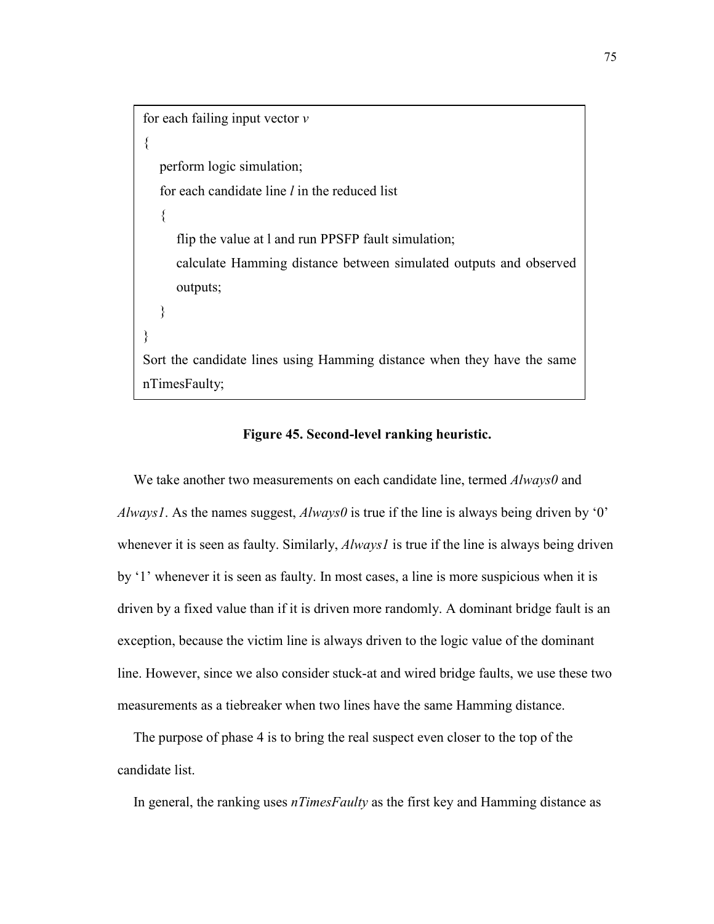for each failing input vector  $\nu$ { perform logic simulation; for each candidate line  $l$  in the reduced list  $\{$  flip the value at l and run PPSFP fault simulation; calculate Hamming distance between simulated outputs and observed outputs; } } Sort the candidate lines using Hamming distance when they have the same nTimesFaulty;

#### Figure 45. Second-level ranking heuristic.

We take another two measurements on each candidate line, termed  $\textit{Always0}$  and Always1. As the names suggest, Always0 is true if the line is always being driven by '0' whenever it is seen as faulty. Similarly, *Always1* is true if the line is always being driven by '1' whenever it is seen as faulty. In most cases, a line is more suspicious when it is driven by a fixed value than if it is driven more randomly. A dominant bridge fault is an exception, because the victim line is always driven to the logic value of the dominant line. However, since we also consider stuck-at and wired bridge faults, we use these two measurements as a tiebreaker when two lines have the same Hamming distance.

The purpose of phase 4 is to bring the real suspect even closer to the top of the candidate list.

In general, the ranking uses  $nTimesFaulty$  as the first key and Hamming distance as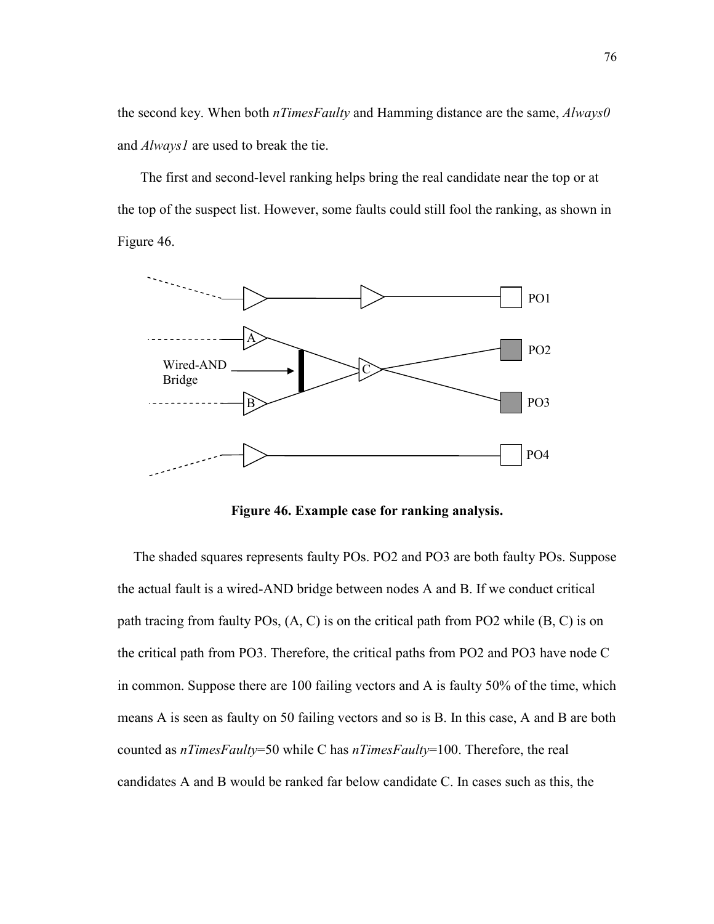the second key. When both  $nTime$  and Hamming distance are the same,  $Always0$ and *Always1* are used to break the tie.

 The first and second-level ranking helps bring the real candidate near the top or at the top of the suspect list. However, some faults could still fool the ranking, as shown in Figure 46.



Figure 46. Example case for ranking analysis.

The shaded squares represents faulty POs. PO2 and PO3 are both faulty POs. Suppose the actual fault is a wired-AND bridge between nodes A and B. If we conduct critical path tracing from faulty POs, (A, C) is on the critical path from PO2 while (B, C) is on the critical path from PO3. Therefore, the critical paths from PO2 and PO3 have node C in common. Suppose there are 100 failing vectors and A is faulty 50% of the time, which means A is seen as faulty on 50 failing vectors and so is B. In this case, A and B are both counted as nTimesFaulty=50 while C has nTimesFaulty=100. Therefore, the real candidates A and B would be ranked far below candidate C. In cases such as this, the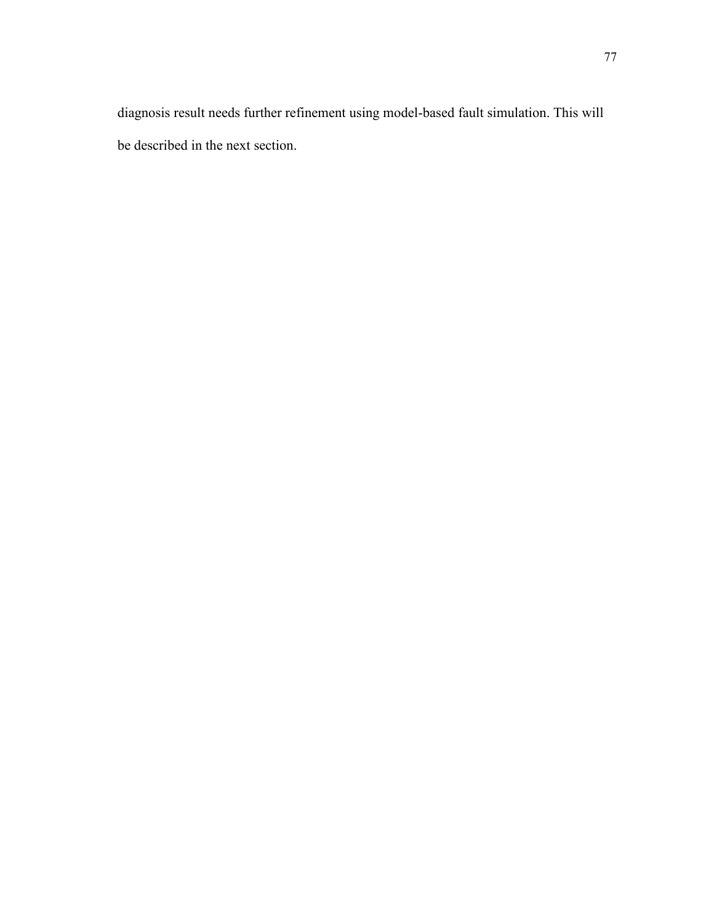diagnosis result needs further refinement using model-based fault simulation. This will be described in the next section.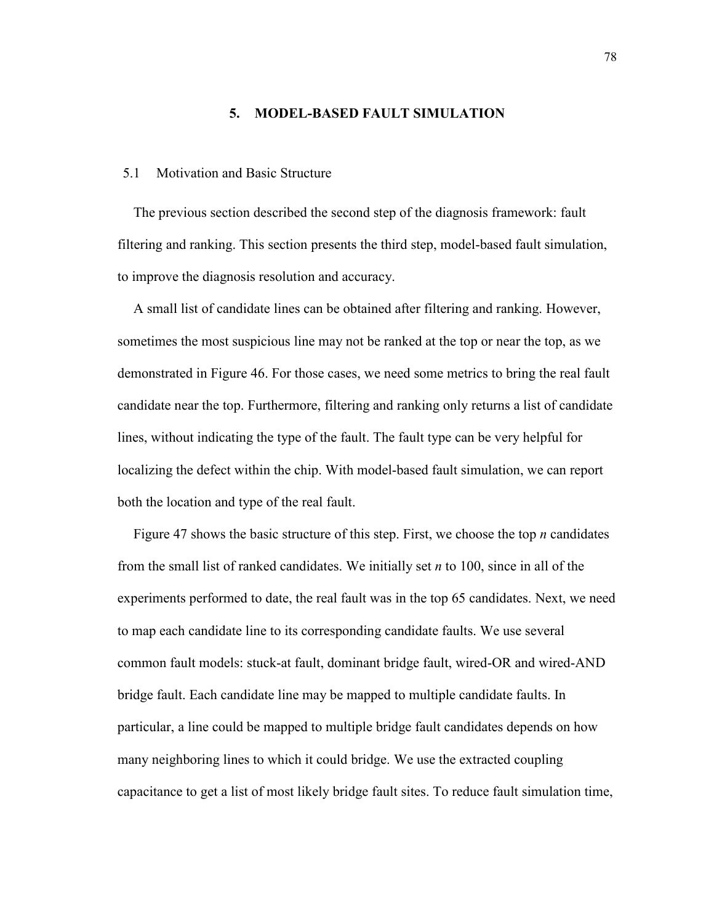#### 5. MODEL-BASED FAULT SIMULATION

#### 5.1 Motivation and Basic Structure

The previous section described the second step of the diagnosis framework: fault filtering and ranking. This section presents the third step, model-based fault simulation, to improve the diagnosis resolution and accuracy.

A small list of candidate lines can be obtained after filtering and ranking. However, sometimes the most suspicious line may not be ranked at the top or near the top, as we demonstrated in Figure 46. For those cases, we need some metrics to bring the real fault candidate near the top. Furthermore, filtering and ranking only returns a list of candidate lines, without indicating the type of the fault. The fault type can be very helpful for localizing the defect within the chip. With model-based fault simulation, we can report both the location and type of the real fault.

Figure 47 shows the basic structure of this step. First, we choose the top  $n$  candidates from the small list of ranked candidates. We initially set  $n$  to 100, since in all of the experiments performed to date, the real fault was in the top 65 candidates. Next, we need to map each candidate line to its corresponding candidate faults. We use several common fault models: stuck-at fault, dominant bridge fault, wired-OR and wired-AND bridge fault. Each candidate line may be mapped to multiple candidate faults. In particular, a line could be mapped to multiple bridge fault candidates depends on how many neighboring lines to which it could bridge. We use the extracted coupling capacitance to get a list of most likely bridge fault sites. To reduce fault simulation time,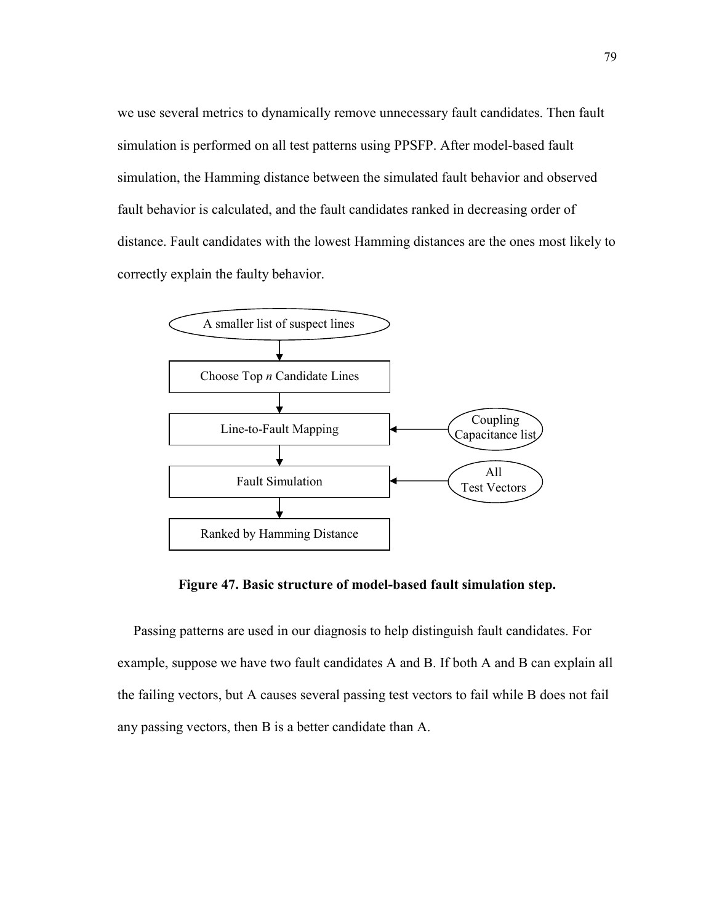we use several metrics to dynamically remove unnecessary fault candidates. Then fault simulation is performed on all test patterns using PPSFP. After model-based fault simulation, the Hamming distance between the simulated fault behavior and observed fault behavior is calculated, and the fault candidates ranked in decreasing order of distance. Fault candidates with the lowest Hamming distances are the ones most likely to correctly explain the faulty behavior.



Figure 47. Basic structure of model-based fault simulation step.

Passing patterns are used in our diagnosis to help distinguish fault candidates. For example, suppose we have two fault candidates A and B. If both A and B can explain all the failing vectors, but A causes several passing test vectors to fail while B does not fail any passing vectors, then B is a better candidate than A.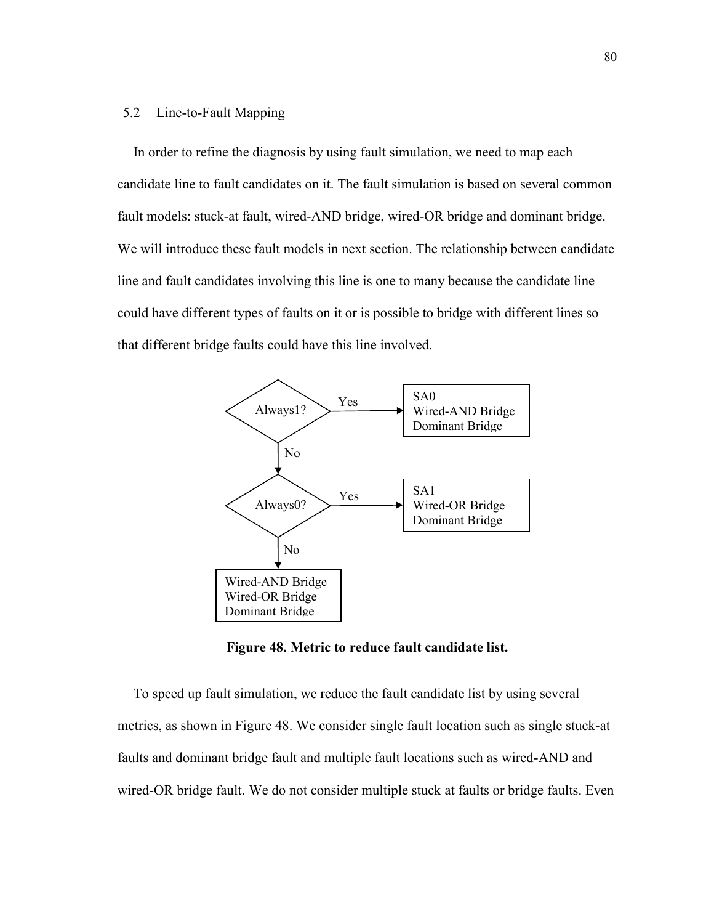## 5.2 Line-to-Fault Mapping

In order to refine the diagnosis by using fault simulation, we need to map each candidate line to fault candidates on it. The fault simulation is based on several common fault models: stuck-at fault, wired-AND bridge, wired-OR bridge and dominant bridge. We will introduce these fault models in next section. The relationship between candidate line and fault candidates involving this line is one to many because the candidate line could have different types of faults on it or is possible to bridge with different lines so that different bridge faults could have this line involved.



Figure 48. Metric to reduce fault candidate list.

To speed up fault simulation, we reduce the fault candidate list by using several metrics, as shown in Figure 48. We consider single fault location such as single stuck-at faults and dominant bridge fault and multiple fault locations such as wired-AND and wired-OR bridge fault. We do not consider multiple stuck at faults or bridge faults. Even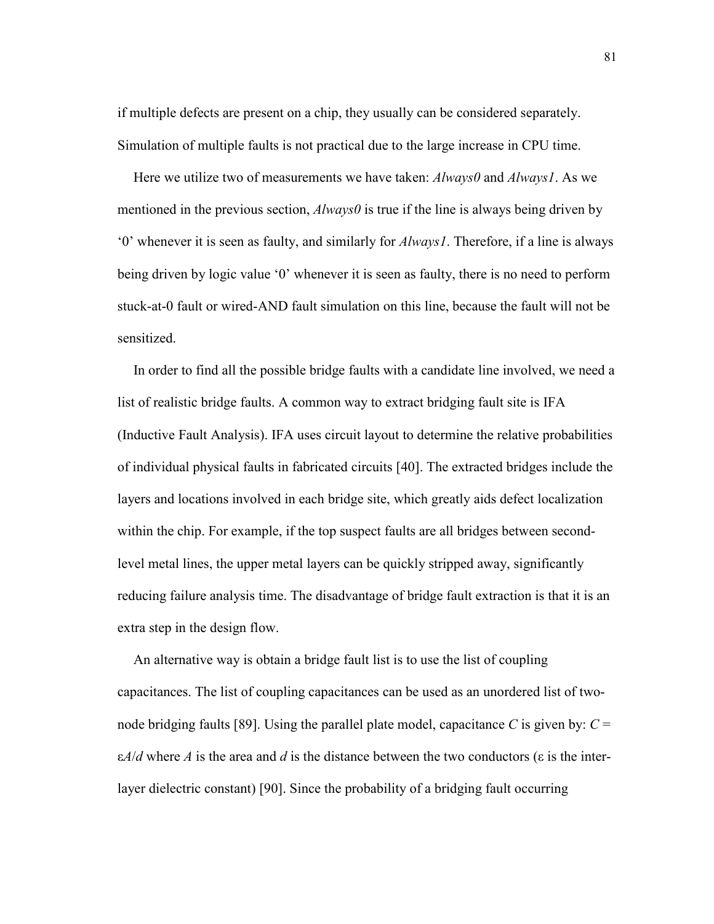if multiple defects are present on a chip, they usually can be considered separately. Simulation of multiple faults is not practical due to the large increase in CPU time.

Here we utilize two of measurements we have taken: *Always0* and *Always1*. As we mentioned in the previous section,  $\Delta lways0$  is true if the line is always being driven by '0' whenever it is seen as faulty, and similarly for Always1. Therefore, if a line is always being driven by logic value '0' whenever it is seen as faulty, there is no need to perform stuck-at-0 fault or wired-AND fault simulation on this line, because the fault will not be sensitized.

In order to find all the possible bridge faults with a candidate line involved, we need a list of realistic bridge faults. A common way to extract bridging fault site is IFA (Inductive Fault Analysis). IFA uses circuit layout to determine the relative probabilities of individual physical faults in fabricated circuits [40]. The extracted bridges include the layers and locations involved in each bridge site, which greatly aids defect localization within the chip. For example, if the top suspect faults are all bridges between secondlevel metal lines, the upper metal layers can be quickly stripped away, significantly reducing failure analysis time. The disadvantage of bridge fault extraction is that it is an extra step in the design flow.

An alternative way is obtain a bridge fault list is to use the list of coupling capacitances. The list of coupling capacitances can be used as an unordered list of twonode bridging faults [89]. Using the parallel plate model, capacitance C is given by:  $C =$  $\varepsilon A/d$  where A is the area and d is the distance between the two conductors ( $\varepsilon$  is the interlayer dielectric constant) [90]. Since the probability of a bridging fault occurring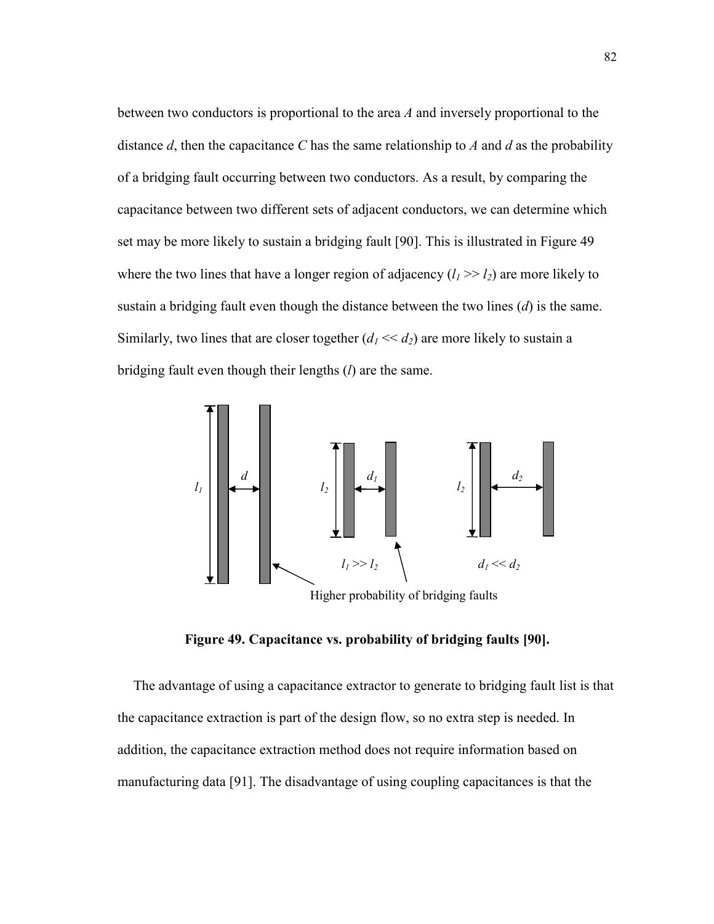between two conductors is proportional to the area A and inversely proportional to the distance d, then the capacitance C has the same relationship to A and  $d$  as the probability of a bridging fault occurring between two conductors. As a result, by comparing the capacitance between two different sets of adjacent conductors, we can determine which set may be more likely to sustain a bridging fault [90]. This is illustrated in Figure 49 where the two lines that have a longer region of adjacency  $(l_1 \gg l_2)$  are more likely to sustain a bridging fault even though the distance between the two lines  $(d)$  is the same. Similarly, two lines that are closer together  $(d_1 \ll d_2)$  are more likely to sustain a bridging fault even though their lengths  $(l)$  are the same.



Figure 49. Capacitance vs. probability of bridging faults [90].

The advantage of using a capacitance extractor to generate to bridging fault list is that the capacitance extraction is part of the design flow, so no extra step is needed. In addition, the capacitance extraction method does not require information based on manufacturing data [91]. The disadvantage of using coupling capacitances is that the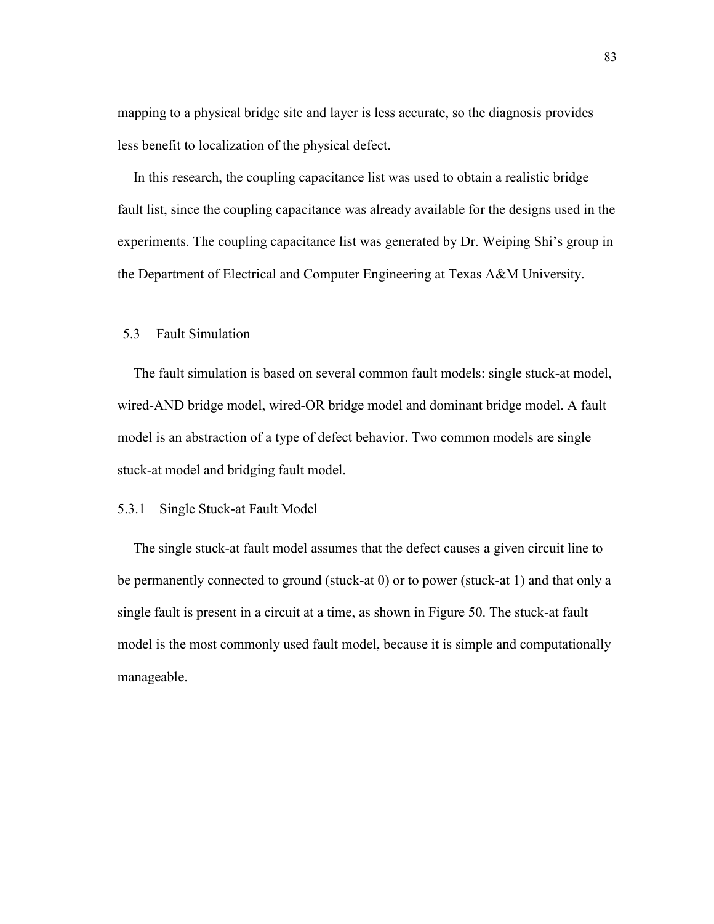mapping to a physical bridge site and layer is less accurate, so the diagnosis provides less benefit to localization of the physical defect.

In this research, the coupling capacitance list was used to obtain a realistic bridge fault list, since the coupling capacitance was already available for the designs used in the experiments. The coupling capacitance list was generated by Dr. Weiping Shi's group in the Department of Electrical and Computer Engineering at Texas A&M University.

# 5.3 Fault Simulation

The fault simulation is based on several common fault models: single stuck-at model, wired-AND bridge model, wired-OR bridge model and dominant bridge model. A fault model is an abstraction of a type of defect behavior. Two common models are single stuck-at model and bridging fault model.

## 5.3.1 Single Stuck-at Fault Model

The single stuck-at fault model assumes that the defect causes a given circuit line to be permanently connected to ground (stuck-at 0) or to power (stuck-at 1) and that only a single fault is present in a circuit at a time, as shown in Figure 50. The stuck-at fault model is the most commonly used fault model, because it is simple and computationally manageable.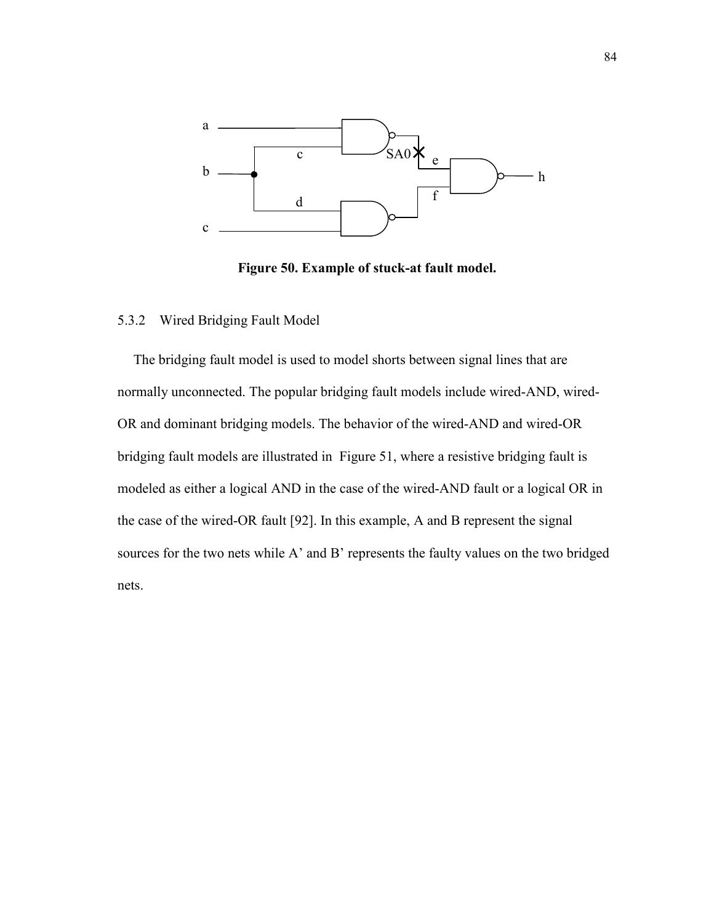

Figure 50. Example of stuck-at fault model.

# 5.3.2 Wired Bridging Fault Model

The bridging fault model is used to model shorts between signal lines that are normally unconnected. The popular bridging fault models include wired-AND, wired-OR and dominant bridging models. The behavior of the wired-AND and wired-OR bridging fault models are illustrated in Figure 51, where a resistive bridging fault is modeled as either a logical AND in the case of the wired-AND fault or a logical OR in the case of the wired-OR fault [92]. In this example, A and B represent the signal sources for the two nets while A' and B' represents the faulty values on the two bridged nets.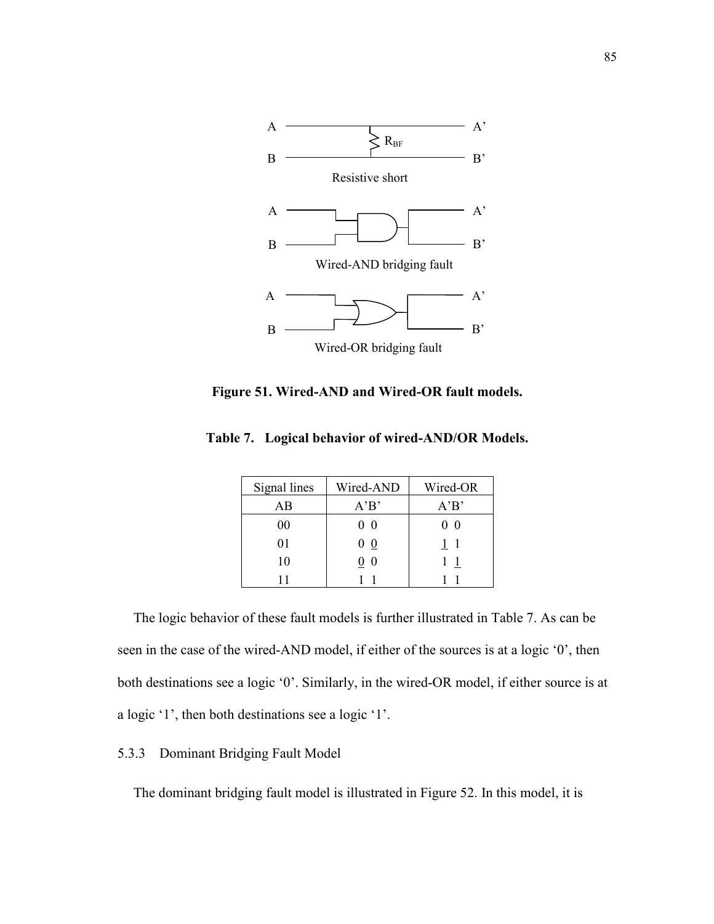

Figure 51. Wired-AND and Wired-OR fault models.

| Signal lines | Wired-AND      | Wired-OR |
|--------------|----------------|----------|
| AВ           | A'B'           | A'B'     |
| 00           | - ( )          | - ()     |
| 01           | $\bf{0}$<br>U. |          |
| 10           | O              |          |
| 11           |                |          |

Table 7. Logical behavior of wired-AND/OR Models.

The logic behavior of these fault models is further illustrated in Table 7. As can be seen in the case of the wired-AND model, if either of the sources is at a logic '0', then both destinations see a logic '0'. Similarly, in the wired-OR model, if either source is at a logic '1', then both destinations see a logic '1'.

# 5.3.3 Dominant Bridging Fault Model

The dominant bridging fault model is illustrated in Figure 52. In this model, it is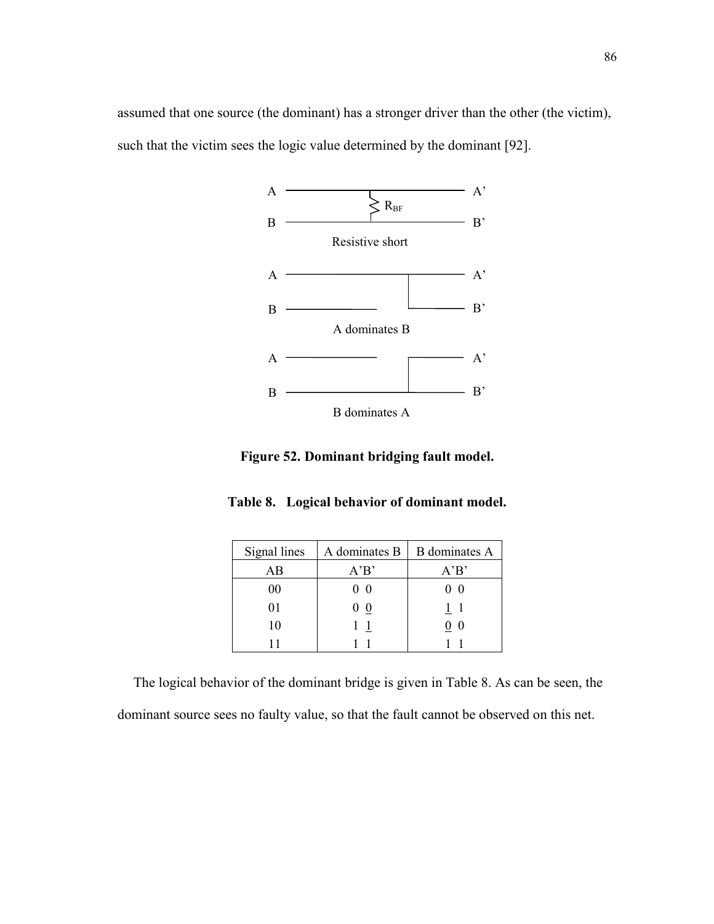assumed that one source (the dominant) has a stronger driver than the other (the victim), such that the victim sees the logic value determined by the dominant [92].



Figure 52. Dominant bridging fault model.

| Signal lines | A dominates B  | <b>B</b> dominates A |
|--------------|----------------|----------------------|
| AB           | A'B'           | A'B'                 |
| 00           | 0 <sub>0</sub> | - ()                 |
| 01           | $\theta$       | 11                   |
| 10           |                | 0                    |
|              |                |                      |

The logical behavior of the dominant bridge is given in Table 8. As can be seen, the dominant source sees no faulty value, so that the fault cannot be observed on this net.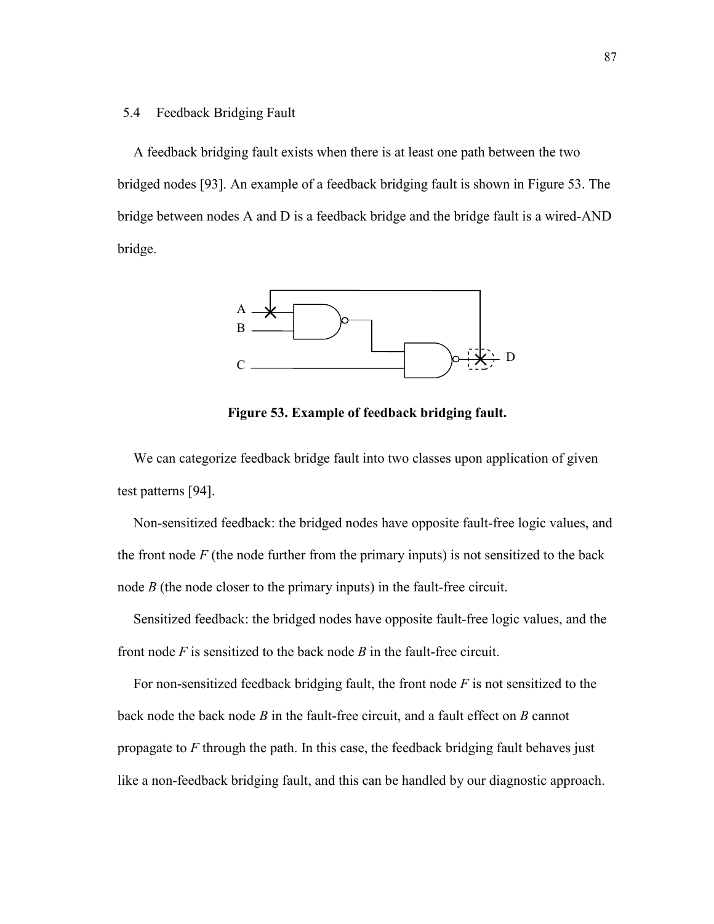### 5.4 Feedback Bridging Fault

A feedback bridging fault exists when there is at least one path between the two bridged nodes [93]. An example of a feedback bridging fault is shown in Figure 53. The bridge between nodes A and D is a feedback bridge and the bridge fault is a wired-AND bridge.



Figure 53. Example of feedback bridging fault.

We can categorize feedback bridge fault into two classes upon application of given test patterns [94].

Non-sensitized feedback: the bridged nodes have opposite fault-free logic values, and the front node  $F$  (the node further from the primary inputs) is not sensitized to the back node B (the node closer to the primary inputs) in the fault-free circuit.

Sensitized feedback: the bridged nodes have opposite fault-free logic values, and the front node  $F$  is sensitized to the back node  $B$  in the fault-free circuit.

For non-sensitized feedback bridging fault, the front node  $F$  is not sensitized to the back node the back node  $B$  in the fault-free circuit, and a fault effect on  $B$  cannot propagate to  $F$  through the path. In this case, the feedback bridging fault behaves just like a non-feedback bridging fault, and this can be handled by our diagnostic approach.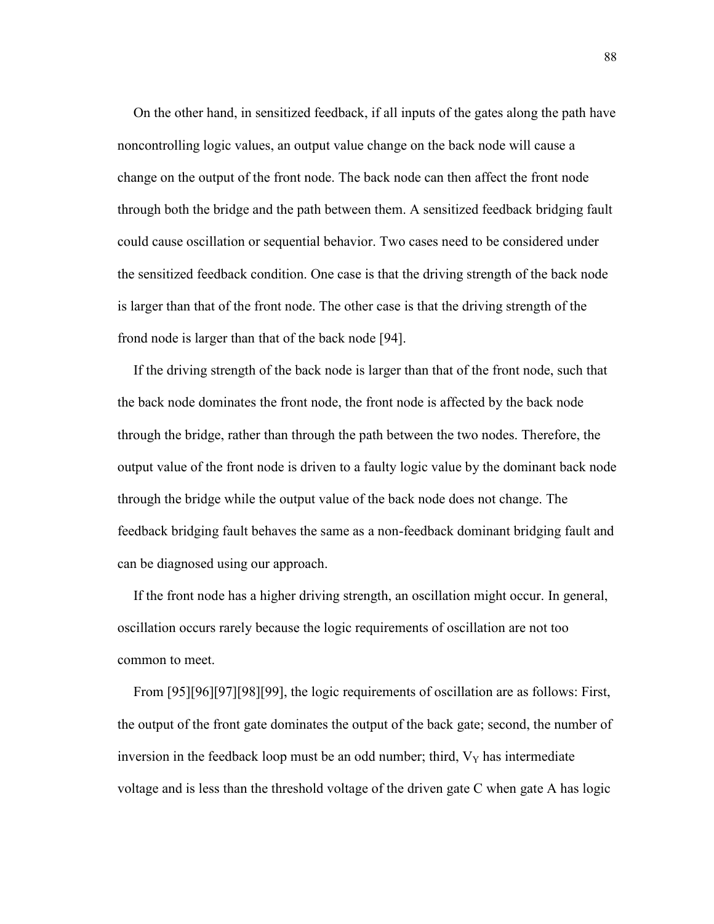On the other hand, in sensitized feedback, if all inputs of the gates along the path have noncontrolling logic values, an output value change on the back node will cause a change on the output of the front node. The back node can then affect the front node through both the bridge and the path between them. A sensitized feedback bridging fault could cause oscillation or sequential behavior. Two cases need to be considered under the sensitized feedback condition. One case is that the driving strength of the back node is larger than that of the front node. The other case is that the driving strength of the frond node is larger than that of the back node [94].

If the driving strength of the back node is larger than that of the front node, such that the back node dominates the front node, the front node is affected by the back node through the bridge, rather than through the path between the two nodes. Therefore, the output value of the front node is driven to a faulty logic value by the dominant back node through the bridge while the output value of the back node does not change. The feedback bridging fault behaves the same as a non-feedback dominant bridging fault and can be diagnosed using our approach.

If the front node has a higher driving strength, an oscillation might occur. In general, oscillation occurs rarely because the logic requirements of oscillation are not too common to meet.

From [95][96][97][98][99], the logic requirements of oscillation are as follows: First, the output of the front gate dominates the output of the back gate; second, the number of inversion in the feedback loop must be an odd number; third,  $V<sub>Y</sub>$  has intermediate voltage and is less than the threshold voltage of the driven gate C when gate A has logic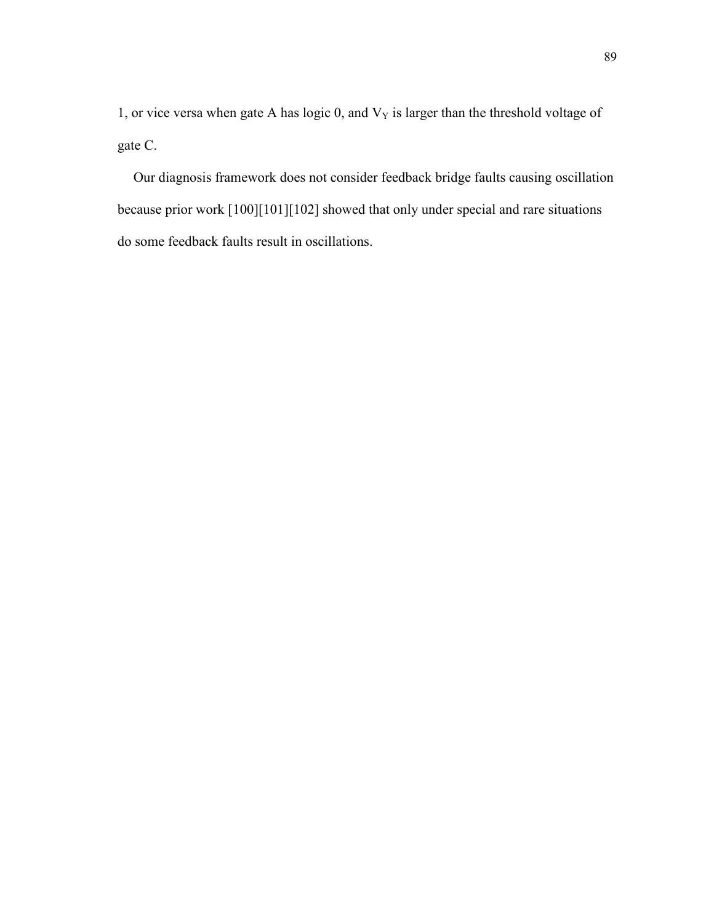1, or vice versa when gate A has logic 0, and  $V<sub>Y</sub>$  is larger than the threshold voltage of gate C.

Our diagnosis framework does not consider feedback bridge faults causing oscillation because prior work [100][101][102] showed that only under special and rare situations do some feedback faults result in oscillations.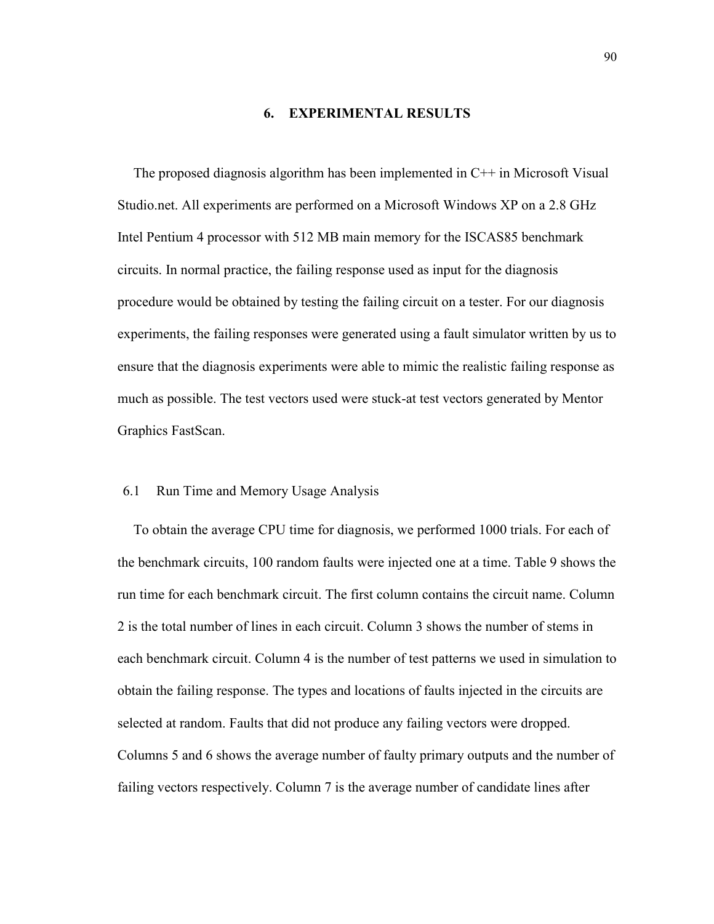#### 6. EXPERIMENTAL RESULTS

The proposed diagnosis algorithm has been implemented in C++ in Microsoft Visual Studio.net. All experiments are performed on a Microsoft Windows XP on a 2.8 GHz Intel Pentium 4 processor with 512 MB main memory for the ISCAS85 benchmark circuits. In normal practice, the failing response used as input for the diagnosis procedure would be obtained by testing the failing circuit on a tester. For our diagnosis experiments, the failing responses were generated using a fault simulator written by us to ensure that the diagnosis experiments were able to mimic the realistic failing response as much as possible. The test vectors used were stuck-at test vectors generated by Mentor Graphics FastScan.

## 6.1 Run Time and Memory Usage Analysis

To obtain the average CPU time for diagnosis, we performed 1000 trials. For each of the benchmark circuits, 100 random faults were injected one at a time. Table 9 shows the run time for each benchmark circuit. The first column contains the circuit name. Column 2 is the total number of lines in each circuit. Column 3 shows the number of stems in each benchmark circuit. Column 4 is the number of test patterns we used in simulation to obtain the failing response. The types and locations of faults injected in the circuits are selected at random. Faults that did not produce any failing vectors were dropped. Columns 5 and 6 shows the average number of faulty primary outputs and the number of failing vectors respectively. Column 7 is the average number of candidate lines after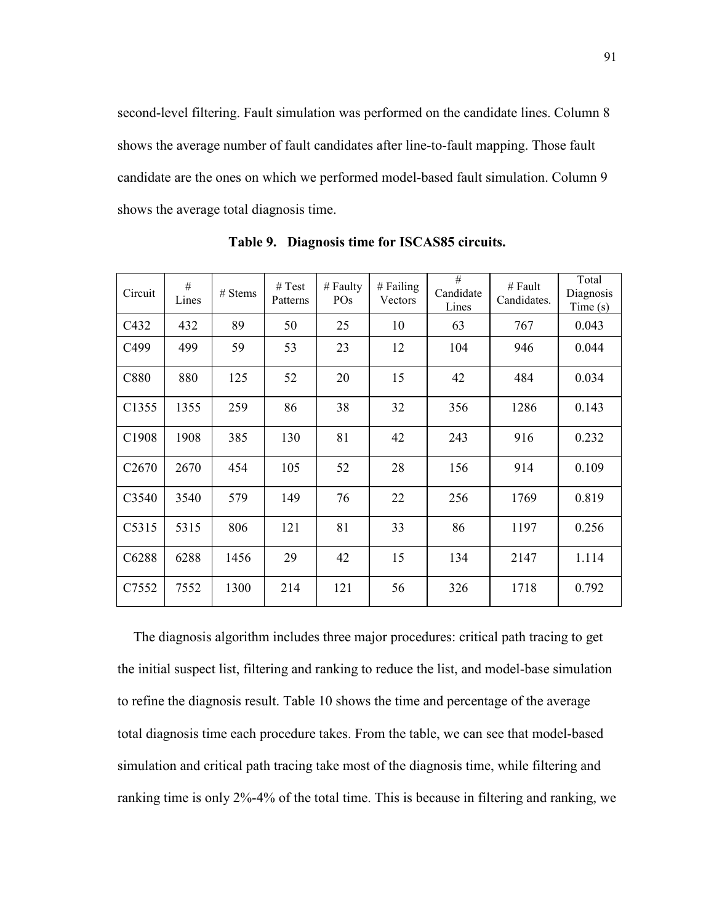second-level filtering. Fault simulation was performed on the candidate lines. Column 8 shows the average number of fault candidates after line-to-fault mapping. Those fault candidate are the ones on which we performed model-based fault simulation. Column 9 shows the average total diagnosis time.

| Circuit           | #<br>Lines | $# \,$ Stems | # Test<br>Patterns | # Faulty<br>PO <sub>s</sub> | # Failing<br>Vectors | #<br>Candidate<br>Lines | # Fault<br>Candidates. | Total<br>Diagnosis<br>Time(s) |
|-------------------|------------|--------------|--------------------|-----------------------------|----------------------|-------------------------|------------------------|-------------------------------|
| C432              | 432        | 89           | 50                 | 25                          | 10                   | 63                      | 767                    | 0.043                         |
| C <sub>499</sub>  | 499        | 59           | 53                 | 23                          | 12                   | 104                     | 946                    | 0.044                         |
| C880              | 880        | 125          | 52                 | 20                          | 15                   | 42                      | 484                    | 0.034                         |
| C1355             | 1355       | 259          | 86                 | 38                          | 32                   | 356                     | 1286                   | 0.143                         |
| C1908             | 1908       | 385          | 130                | 81                          | 42                   | 243                     | 916                    | 0.232                         |
| C <sub>2670</sub> | 2670       | 454          | 105                | 52                          | 28                   | 156                     | 914                    | 0.109                         |
| C3540             | 3540       | 579          | 149                | 76                          | 22                   | 256                     | 1769                   | 0.819                         |
| C5315             | 5315       | 806          | 121                | 81                          | 33                   | 86                      | 1197                   | 0.256                         |
| C6288             | 6288       | 1456         | 29                 | 42                          | 15                   | 134                     | 2147                   | 1.114                         |
| C7552             | 7552       | 1300         | 214                | 121                         | 56                   | 326                     | 1718                   | 0.792                         |

Table 9. Diagnosis time for ISCAS85 circuits.

The diagnosis algorithm includes three major procedures: critical path tracing to get the initial suspect list, filtering and ranking to reduce the list, and model-base simulation to refine the diagnosis result. Table 10 shows the time and percentage of the average total diagnosis time each procedure takes. From the table, we can see that model-based simulation and critical path tracing take most of the diagnosis time, while filtering and ranking time is only 2%-4% of the total time. This is because in filtering and ranking, we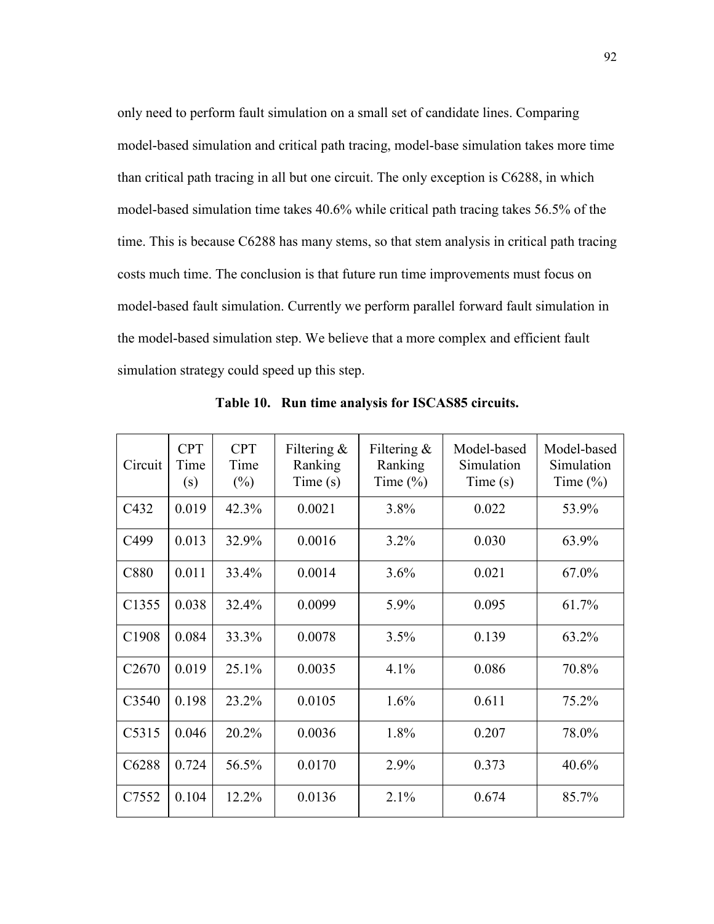only need to perform fault simulation on a small set of candidate lines. Comparing model-based simulation and critical path tracing, model-base simulation takes more time than critical path tracing in all but one circuit. The only exception is C6288, in which model-based simulation time takes 40.6% while critical path tracing takes 56.5% of the time. This is because C6288 has many stems, so that stem analysis in critical path tracing costs much time. The conclusion is that future run time improvements must focus on model-based fault simulation. Currently we perform parallel forward fault simulation in the model-based simulation step. We believe that a more complex and efficient fault simulation strategy could speed up this step.

| Circuit           | <b>CPT</b><br>Time<br>(s) | <b>CPT</b><br>Time<br>$(\%)$ | Filtering $\&$<br>Ranking<br>Time(s) | Filtering $\&$<br>Ranking<br>Time $(\%)$ | Model-based<br>Simulation<br>Time(s) | Model-based<br>Simulation<br>Time $(\%)$ |
|-------------------|---------------------------|------------------------------|--------------------------------------|------------------------------------------|--------------------------------------|------------------------------------------|
| C432              | 0.019                     | 42.3%                        | 0.0021                               | 3.8%                                     | 0.022                                | 53.9%                                    |
| C499              | 0.013                     | 32.9%                        | 0.0016                               | 3.2%                                     | 0.030                                | 63.9%                                    |
| C880              | 0.011                     | 33.4%                        | 0.0014                               | 3.6%                                     | 0.021                                | 67.0%                                    |
| C <sub>1355</sub> | 0.038                     | 32.4%                        | 0.0099                               | 5.9%                                     | 0.095                                | 61.7%                                    |
| C1908             | 0.084                     | 33.3%                        | 0.0078                               | 3.5%                                     | 0.139                                | 63.2%                                    |
| C <sub>2670</sub> | 0.019                     | 25.1%                        | 0.0035                               | 4.1%                                     | 0.086                                | 70.8%                                    |
| C3540             | 0.198                     | 23.2%                        | 0.0105                               | 1.6%                                     | 0.611                                | 75.2%                                    |
| C5315             | 0.046                     | 20.2%                        | 0.0036                               | 1.8%                                     | 0.207                                | 78.0%                                    |
| C6288             | 0.724                     | 56.5%                        | 0.0170                               | 2.9%                                     | 0.373                                | 40.6%                                    |
| C7552             | 0.104                     | 12.2%                        | 0.0136                               | 2.1%                                     | 0.674                                | 85.7%                                    |

Table 10. Run time analysis for ISCAS85 circuits.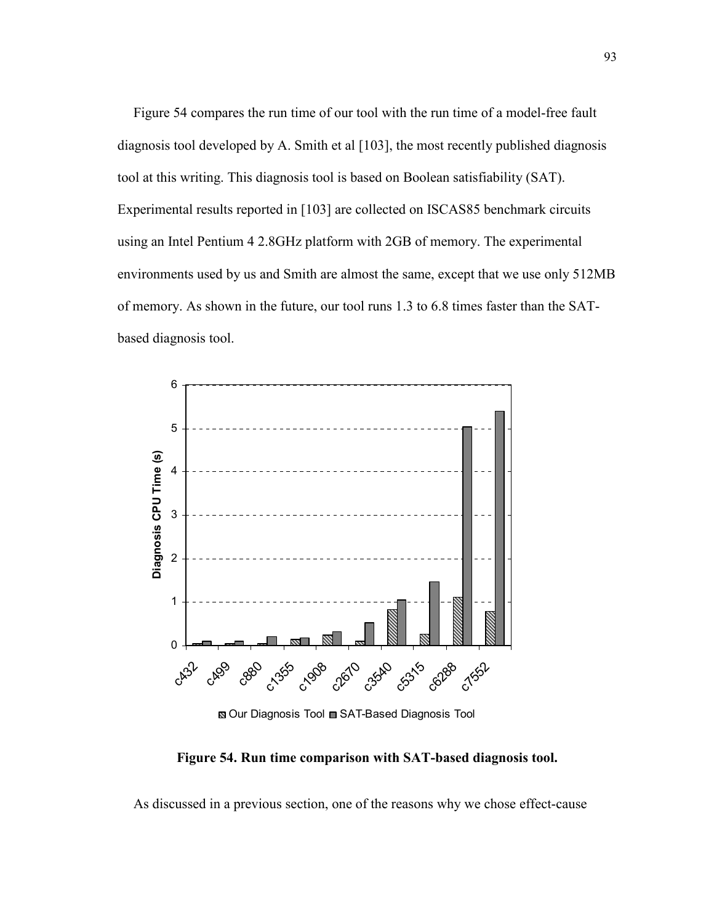Figure 54 compares the run time of our tool with the run time of a model-free fault diagnosis tool developed by A. Smith et al [103], the most recently published diagnosis tool at this writing. This diagnosis tool is based on Boolean satisfiability (SAT). Experimental results reported in [103] are collected on ISCAS85 benchmark circuits using an Intel Pentium 4 2.8GHz platform with 2GB of memory. The experimental environments used by us and Smith are almost the same, except that we use only 512MB of memory. As shown in the future, our tool runs 1.3 to 6.8 times faster than the SATbased diagnosis tool.



 $\blacksquare$  **Our Diagnosis Tool**  $\blacksquare$  **SAT-Based Diagnosis Tool** 

Figure 54. Run time comparison with SAT-based diagnosis tool.

As discussed in a previous section, one of the reasons why we chose effect-cause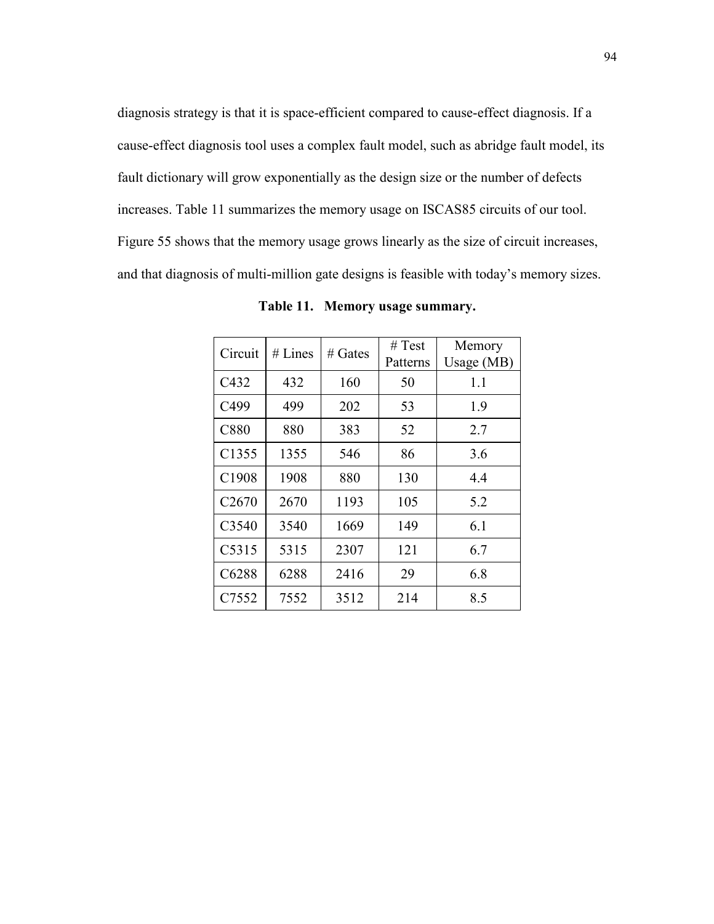diagnosis strategy is that it is space-efficient compared to cause-effect diagnosis. If a cause-effect diagnosis tool uses a complex fault model, such as abridge fault model, its fault dictionary will grow exponentially as the design size or the number of defects increases. Table 11 summarizes the memory usage on ISCAS85 circuits of our tool. Figure 55 shows that the memory usage grows linearly as the size of circuit increases, and that diagnosis of multi-million gate designs is feasible with today's memory sizes.

| Circuit           | # Lines | $#$ Gates | # Test   | Memory       |
|-------------------|---------|-----------|----------|--------------|
|                   |         |           | Patterns | Usage $(MB)$ |
| C432              | 432     | 160       | 50       | 1.1          |
| C499              | 499     | 202       | 53       | 1.9          |
| C880              | 880     | 383       | 52       | 2.7          |
| C <sub>1355</sub> | 1355    | 546       | 86       | 3.6          |
| C1908             | 1908    | 880       | 130      | 4.4          |
| C <sub>2670</sub> | 2670    | 1193      | 105      | 5.2          |
| C3540             | 3540    | 1669      | 149      | 6.1          |
| C5315             | 5315    | 2307      | 121      | 6.7          |
| C6288             | 6288    | 2416      | 29       | 6.8          |
| C7552             | 7552    | 3512      | 214      | 8.5          |

Table 11. Memory usage summary.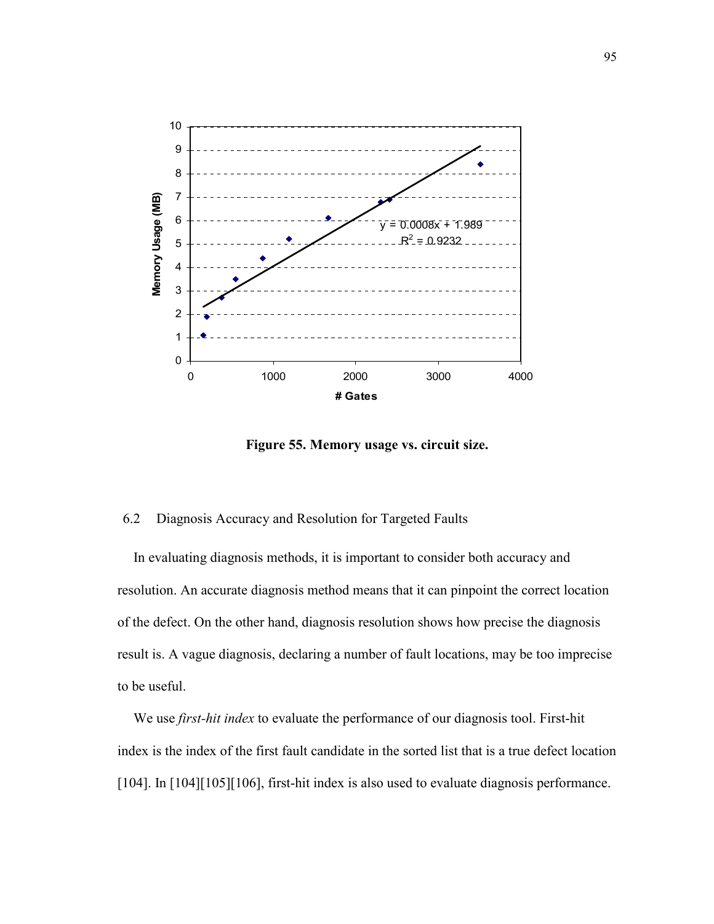

Figure 55. Memory usage vs. circuit size.

### 6.2 Diagnosis Accuracy and Resolution for Targeted Faults

In evaluating diagnosis methods, it is important to consider both accuracy and resolution. An accurate diagnosis method means that it can pinpoint the correct location of the defect. On the other hand, diagnosis resolution shows how precise the diagnosis result is. A vague diagnosis, declaring a number of fault locations, may be too imprecise to be useful.

We use *first-hit index* to evaluate the performance of our diagnosis tool. First-hit index is the index of the first fault candidate in the sorted list that is a true defect location [104]. In [104][105][106], first-hit index is also used to evaluate diagnosis performance.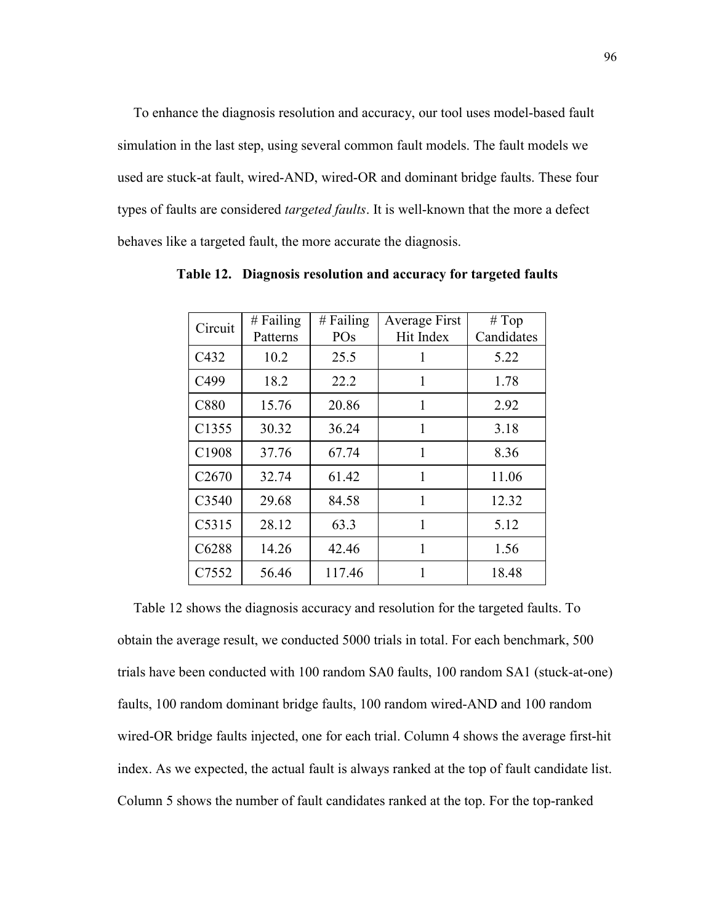To enhance the diagnosis resolution and accuracy, our tool uses model-based fault simulation in the last step, using several common fault models. The fault models we used are stuck-at fault, wired-AND, wired-OR and dominant bridge faults. These four types of faults are considered *targeted faults*. It is well-known that the more a defect behaves like a targeted fault, the more accurate the diagnosis.

| Circuit           | $#$ Failing<br>Patterns | $#$ Failing<br>PO <sub>s</sub> | Average First<br>Hit Index | # Top<br>Candidates |
|-------------------|-------------------------|--------------------------------|----------------------------|---------------------|
| C432              | 10.2                    | 25.5                           | 1                          | 5.22                |
| C499              | 18.2                    | 22.2                           | 1                          | 1.78                |
| <b>C880</b>       | 15.76                   | 20.86                          | 1                          | 2.92                |
| C <sub>1355</sub> | 30.32                   | 36.24                          | 1                          | 3.18                |
| C1908             | 37.76                   | 67.74                          | 1                          | 8.36                |
| C <sub>2670</sub> | 32.74                   | 61.42                          | 1                          | 11.06               |
| C3540             | 29.68                   | 84.58                          | 1                          | 12.32               |
| C5315             | 28.12                   | 63.3                           | 1                          | 5.12                |
| C6288             | 14.26                   | 42.46                          | 1                          | 1.56                |
| C7552             | 56.46                   | 117.46                         |                            | 18.48               |

Table 12. Diagnosis resolution and accuracy for targeted faults

Table 12 shows the diagnosis accuracy and resolution for the targeted faults. To obtain the average result, we conducted 5000 trials in total. For each benchmark, 500 trials have been conducted with 100 random SA0 faults, 100 random SA1 (stuck-at-one) faults, 100 random dominant bridge faults, 100 random wired-AND and 100 random wired-OR bridge faults injected, one for each trial. Column 4 shows the average first-hit index. As we expected, the actual fault is always ranked at the top of fault candidate list. Column 5 shows the number of fault candidates ranked at the top. For the top-ranked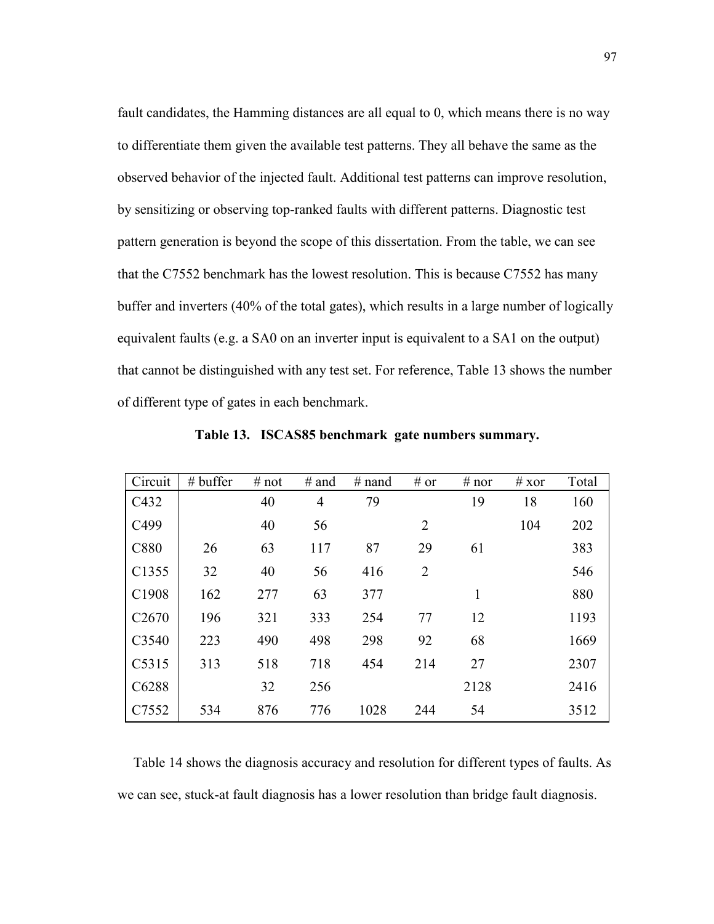fault candidates, the Hamming distances are all equal to 0, which means there is no way to differentiate them given the available test patterns. They all behave the same as the observed behavior of the injected fault. Additional test patterns can improve resolution, by sensitizing or observing top-ranked faults with different patterns. Diagnostic test pattern generation is beyond the scope of this dissertation. From the table, we can see that the C7552 benchmark has the lowest resolution. This is because C7552 has many buffer and inverters (40% of the total gates), which results in a large number of logically equivalent faults (e.g. a SA0 on an inverter input is equivalent to a SA1 on the output) that cannot be distinguished with any test set. For reference, Table 13 shows the number of different type of gates in each benchmark.

| Circuit           | $#$ buffer | # not | $#$ and        | $#$ nand | # or | # nor | # $x$ or | Total |
|-------------------|------------|-------|----------------|----------|------|-------|----------|-------|
| C432              |            | 40    | $\overline{4}$ | 79       |      | 19    | 18       | 160   |
| C499              |            | 40    | 56             |          | 2    |       | 104      | 202   |
| C880              | 26         | 63    | 117            | 87       | 29   | 61    |          | 383   |
| C1355             | 32         | 40    | 56             | 416      | 2    |       |          | 546   |
| C <sub>1908</sub> | 162        | 277   | 63             | 377      |      | 1     |          | 880   |
| C <sub>2670</sub> | 196        | 321   | 333            | 254      | 77   | 12    |          | 1193  |
| C3540             | 223        | 490   | 498            | 298      | 92   | 68    |          | 1669  |
| C5315             | 313        | 518   | 718            | 454      | 214  | 27    |          | 2307  |
| C6288             |            | 32    | 256            |          |      | 2128  |          | 2416  |
| C7552             | 534        | 876   | 776            | 1028     | 244  | 54    |          | 3512  |

Table 13. ISCAS85 benchmark gate numbers summary.

Table 14 shows the diagnosis accuracy and resolution for different types of faults. As we can see, stuck-at fault diagnosis has a lower resolution than bridge fault diagnosis.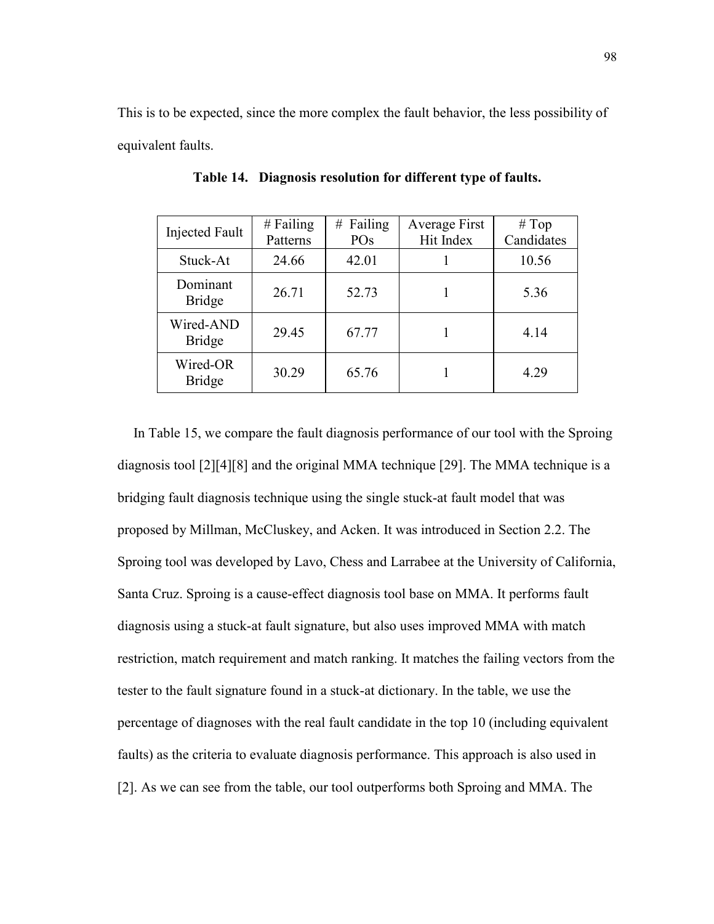This is to be expected, since the more complex the fault behavior, the less possibility of equivalent faults.

| <b>Injected Fault</b>      | $#$ Failing<br>Patterns | Failing<br>#<br>PO <sub>s</sub> | Average First<br>Hit Index | # Top<br>Candidates |
|----------------------------|-------------------------|---------------------------------|----------------------------|---------------------|
| Stuck-At                   | 24.66                   | 42.01                           |                            | 10.56               |
| Dominant<br><b>Bridge</b>  | 26.71                   | 52.73                           |                            | 5.36                |
| Wired-AND<br><b>Bridge</b> | 29.45                   | 67.77                           |                            | 4.14                |
| Wired-OR<br><b>Bridge</b>  | 30.29                   | 65.76                           |                            | 4.29                |

Table 14. Diagnosis resolution for different type of faults.

In Table 15, we compare the fault diagnosis performance of our tool with the Sproing diagnosis tool [2][4][8] and the original MMA technique [29]. The MMA technique is a bridging fault diagnosis technique using the single stuck-at fault model that was proposed by Millman, McCluskey, and Acken. It was introduced in Section 2.2. The Sproing tool was developed by Lavo, Chess and Larrabee at the University of California, Santa Cruz. Sproing is a cause-effect diagnosis tool base on MMA. It performs fault diagnosis using a stuck-at fault signature, but also uses improved MMA with match restriction, match requirement and match ranking. It matches the failing vectors from the tester to the fault signature found in a stuck-at dictionary. In the table, we use the percentage of diagnoses with the real fault candidate in the top 10 (including equivalent faults) as the criteria to evaluate diagnosis performance. This approach is also used in [2]. As we can see from the table, our tool outperforms both Sproing and MMA. The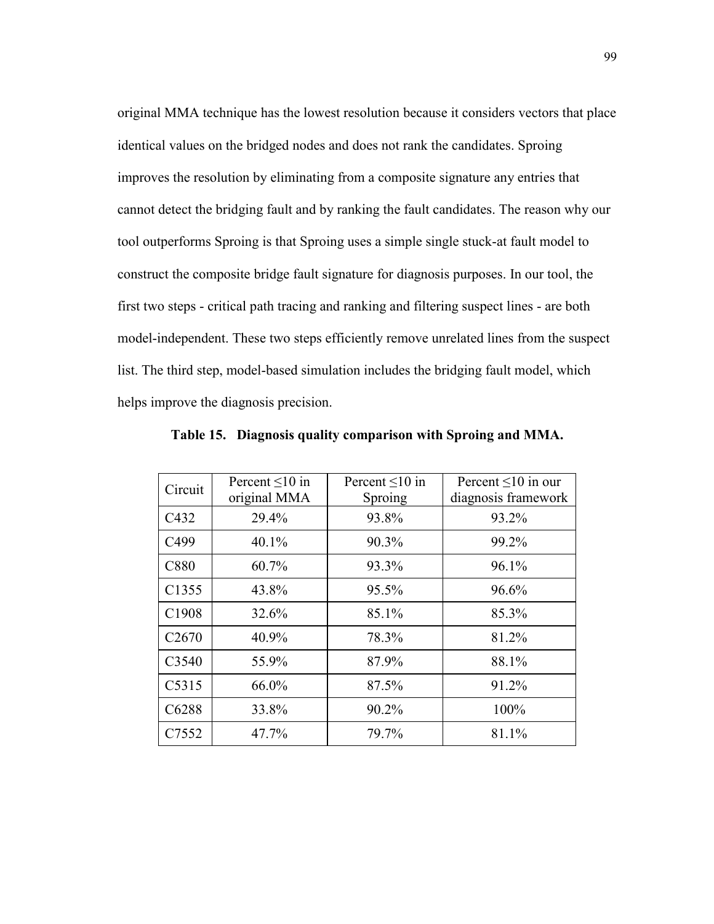original MMA technique has the lowest resolution because it considers vectors that place identical values on the bridged nodes and does not rank the candidates. Sproing improves the resolution by eliminating from a composite signature any entries that cannot detect the bridging fault and by ranking the fault candidates. The reason why our tool outperforms Sproing is that Sproing uses a simple single stuck-at fault model to construct the composite bridge fault signature for diagnosis purposes. In our tool, the first two steps - critical path tracing and ranking and filtering suspect lines - are both model-independent. These two steps efficiently remove unrelated lines from the suspect list. The third step, model-based simulation includes the bridging fault model, which helps improve the diagnosis precision.

| Circuit           | Percent $\leq 10$ in<br>original MMA | Percent $\leq 10$ in<br>Sproing | Percent $\leq 10$ in our<br>diagnosis framework |
|-------------------|--------------------------------------|---------------------------------|-------------------------------------------------|
| C432              | 29.4%                                | 93.8%                           | 93.2%                                           |
| C499              | 40.1%                                | 90.3%                           | 99.2%                                           |
| C880              | 60.7%                                | 93.3%                           | 96.1%                                           |
| C1355             | 43.8%                                | 95.5%                           | 96.6%                                           |
| C1908             | 32.6%                                | 85.1%                           | 85.3%                                           |
| C <sub>2670</sub> | 40.9%                                | 78.3%                           | 81.2%                                           |
| C3540             | 55.9%                                | 87.9%                           | 88.1%                                           |
| C5315             | 66.0%                                | 87.5%                           | 91.2%                                           |
| C6288             | 33.8%                                | 90.2%                           | 100%                                            |
| C7552             | 47.7%                                | 79.7%                           | 81.1%                                           |

Table 15. Diagnosis quality comparison with Sproing and MMA.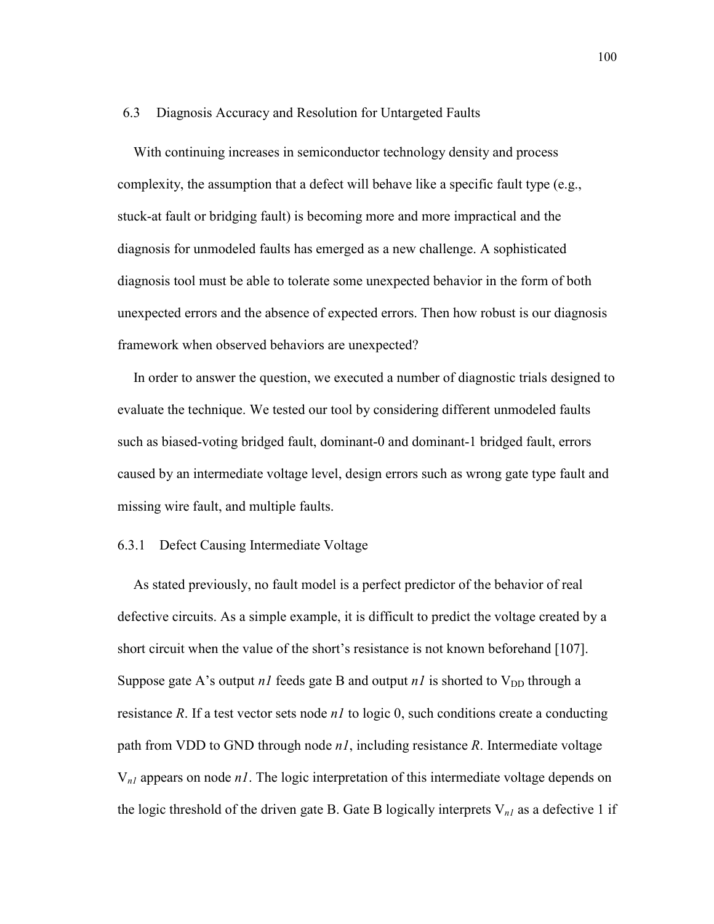#### 6.3 Diagnosis Accuracy and Resolution for Untargeted Faults

With continuing increases in semiconductor technology density and process complexity, the assumption that a defect will behave like a specific fault type (e.g., stuck-at fault or bridging fault) is becoming more and more impractical and the diagnosis for unmodeled faults has emerged as a new challenge. A sophisticated diagnosis tool must be able to tolerate some unexpected behavior in the form of both unexpected errors and the absence of expected errors. Then how robust is our diagnosis framework when observed behaviors are unexpected?

In order to answer the question, we executed a number of diagnostic trials designed to evaluate the technique. We tested our tool by considering different unmodeled faults such as biased-voting bridged fault, dominant-0 and dominant-1 bridged fault, errors caused by an intermediate voltage level, design errors such as wrong gate type fault and missing wire fault, and multiple faults.

### 6.3.1 Defect Causing Intermediate Voltage

As stated previously, no fault model is a perfect predictor of the behavior of real defective circuits. As a simple example, it is difficult to predict the voltage created by a short circuit when the value of the short's resistance is not known beforehand [107]. Suppose gate A's output *n1* feeds gate B and output *n1* is shorted to  $V_{DD}$  through a resistance R. If a test vector sets node  $nI$  to logic 0, such conditions create a conducting path from VDD to GND through node  $nI$ , including resistance R. Intermediate voltage  $V_{nl}$  appears on node *n1*. The logic interpretation of this intermediate voltage depends on the logic threshold of the driven gate B. Gate B logically interprets  $V_{nl}$  as a defective 1 if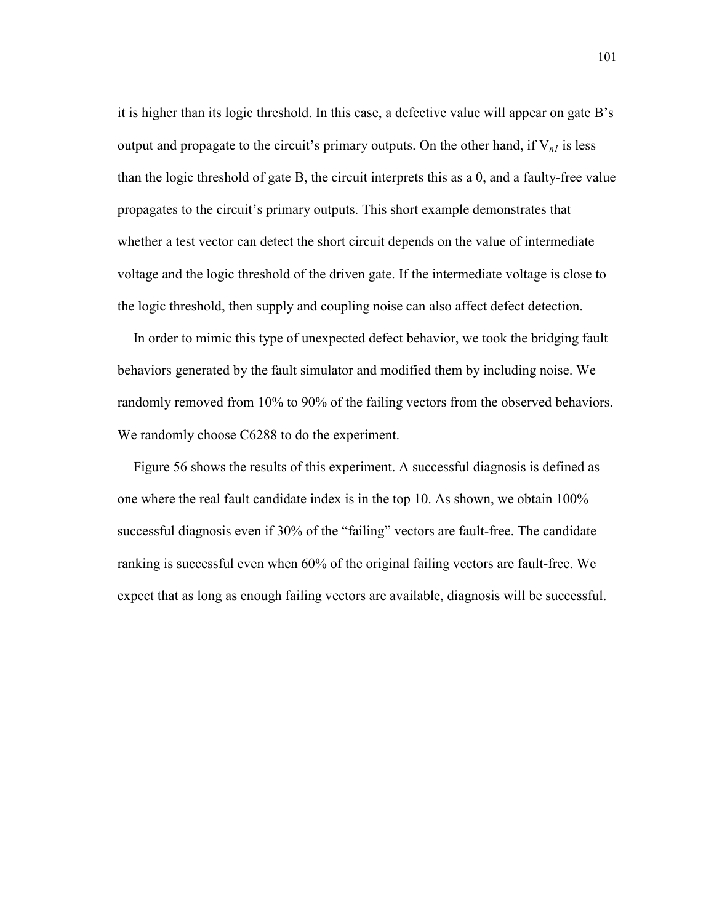it is higher than its logic threshold. In this case, a defective value will appear on gate B's output and propagate to the circuit's primary outputs. On the other hand, if  $V_{nl}$  is less than the logic threshold of gate B, the circuit interprets this as a 0, and a faulty-free value propagates to the circuit's primary outputs. This short example demonstrates that whether a test vector can detect the short circuit depends on the value of intermediate voltage and the logic threshold of the driven gate. If the intermediate voltage is close to the logic threshold, then supply and coupling noise can also affect defect detection.

In order to mimic this type of unexpected defect behavior, we took the bridging fault behaviors generated by the fault simulator and modified them by including noise. We randomly removed from 10% to 90% of the failing vectors from the observed behaviors. We randomly choose C6288 to do the experiment.

Figure 56 shows the results of this experiment. A successful diagnosis is defined as one where the real fault candidate index is in the top 10. As shown, we obtain 100% successful diagnosis even if 30% of the "failing" vectors are fault-free. The candidate ranking is successful even when 60% of the original failing vectors are fault-free. We expect that as long as enough failing vectors are available, diagnosis will be successful.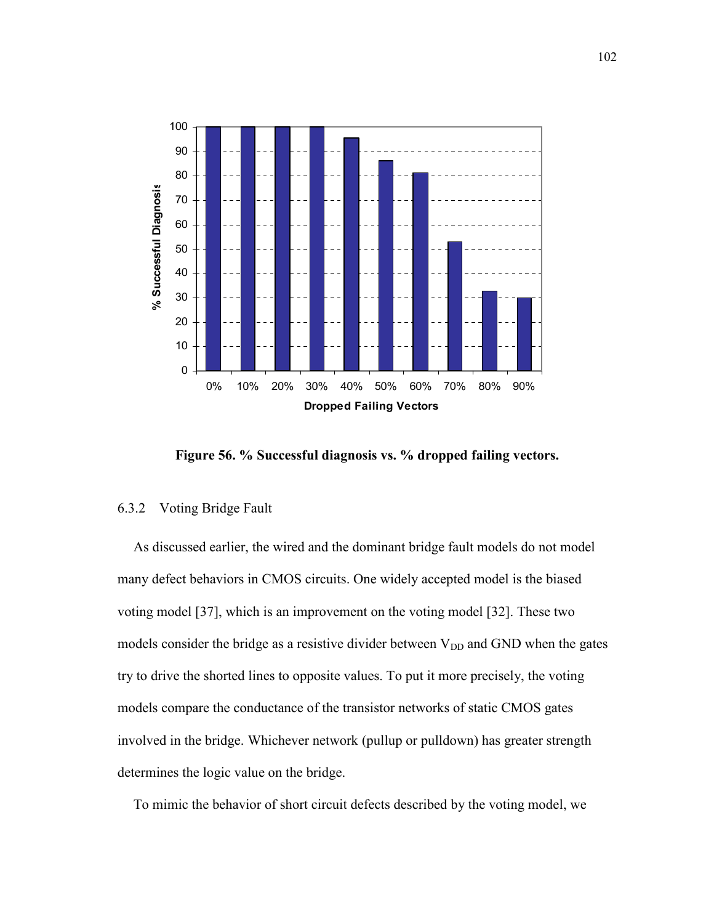

Figure 56. % Successful diagnosis vs. % dropped failing vectors.

# 6.3.2 Voting Bridge Fault

As discussed earlier, the wired and the dominant bridge fault models do not model many defect behaviors in CMOS circuits. One widely accepted model is the biased voting model [37], which is an improvement on the voting model [32]. These two models consider the bridge as a resistive divider between  $V_{DD}$  and GND when the gates try to drive the shorted lines to opposite values. To put it more precisely, the voting models compare the conductance of the transistor networks of static CMOS gates involved in the bridge. Whichever network (pullup or pulldown) has greater strength determines the logic value on the bridge.

To mimic the behavior of short circuit defects described by the voting model, we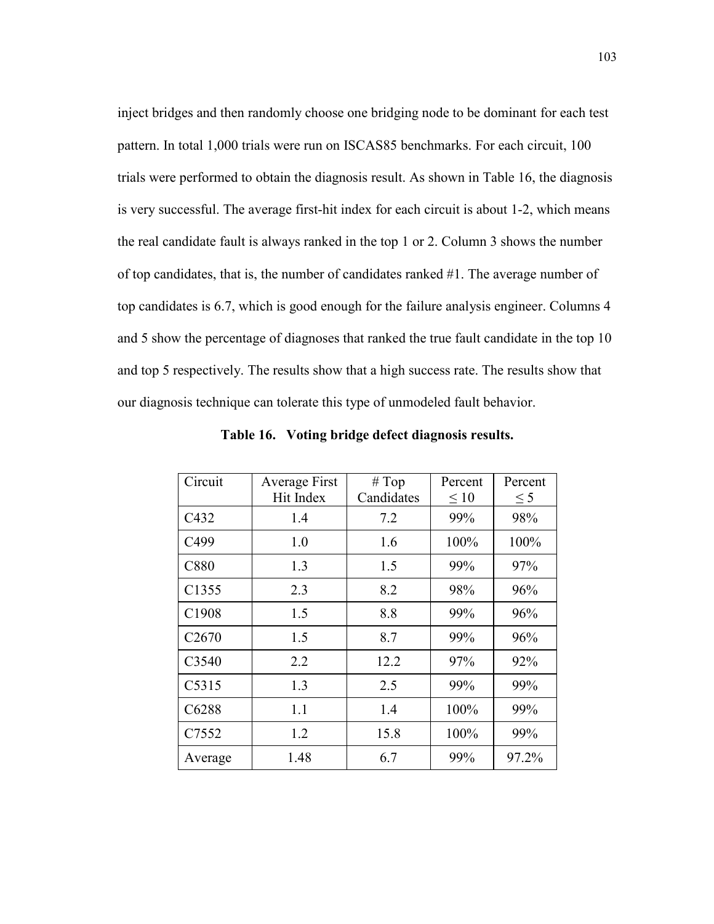inject bridges and then randomly choose one bridging node to be dominant for each test pattern. In total 1,000 trials were run on ISCAS85 benchmarks. For each circuit, 100 trials were performed to obtain the diagnosis result. As shown in Table 16, the diagnosis is very successful. The average first-hit index for each circuit is about 1-2, which means the real candidate fault is always ranked in the top 1 or 2. Column 3 shows the number of top candidates, that is, the number of candidates ranked #1. The average number of top candidates is 6.7, which is good enough for the failure analysis engineer. Columns 4 and 5 show the percentage of diagnoses that ranked the true fault candidate in the top 10 and top 5 respectively. The results show that a high success rate. The results show that our diagnosis technique can tolerate this type of unmodeled fault behavior.

| Circuit           | Average First<br>Hit Index | # Top<br>Candidates | Percent<br>$\leq 10$ | Percent<br>$\leq$ 5 |
|-------------------|----------------------------|---------------------|----------------------|---------------------|
| C432              | 1.4                        | 7.2                 | 99%                  | 98%                 |
| C499              | 1.0                        | 1.6                 | 100%                 | 100%                |
| C880              | 1.3                        | 1.5                 | 99%                  | 97%                 |
| C1355             | 2.3                        | 8.2                 | 98%                  | 96%                 |
| C1908             | 1.5                        | 8.8                 | 99%                  | 96%                 |
| C <sub>2670</sub> | 1.5                        | 8.7                 | 99%                  | 96%                 |
| C3540             | 2.2                        | 12.2                | 97%                  | 92%                 |
| C5315             | 1.3                        | 2.5                 | 99%                  | 99%                 |
| C6288             | 1.1                        | 1.4                 | 100%                 | 99%                 |
| C7552             | 1.2                        | 15.8                | 100%                 | 99%                 |
| Average           | 1.48                       | 6.7                 | 99%                  | 97.2%               |

Table 16. Voting bridge defect diagnosis results.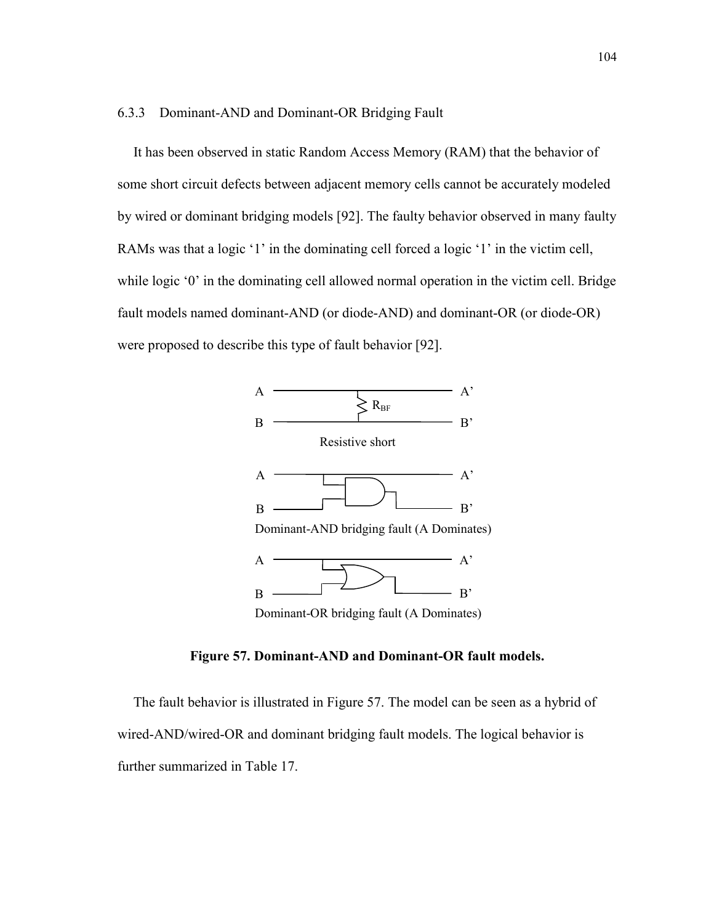#### 6.3.3 Dominant-AND and Dominant-OR Bridging Fault

It has been observed in static Random Access Memory (RAM) that the behavior of some short circuit defects between adjacent memory cells cannot be accurately modeled by wired or dominant bridging models [92]. The faulty behavior observed in many faulty RAMs was that a logic '1' in the dominating cell forced a logic '1' in the victim cell, while logic '0' in the dominating cell allowed normal operation in the victim cell. Bridge fault models named dominant-AND (or diode-AND) and dominant-OR (or diode-OR) were proposed to describe this type of fault behavior [92].



Figure 57. Dominant-AND and Dominant-OR fault models.

The fault behavior is illustrated in Figure 57. The model can be seen as a hybrid of wired-AND/wired-OR and dominant bridging fault models. The logical behavior is further summarized in Table 17.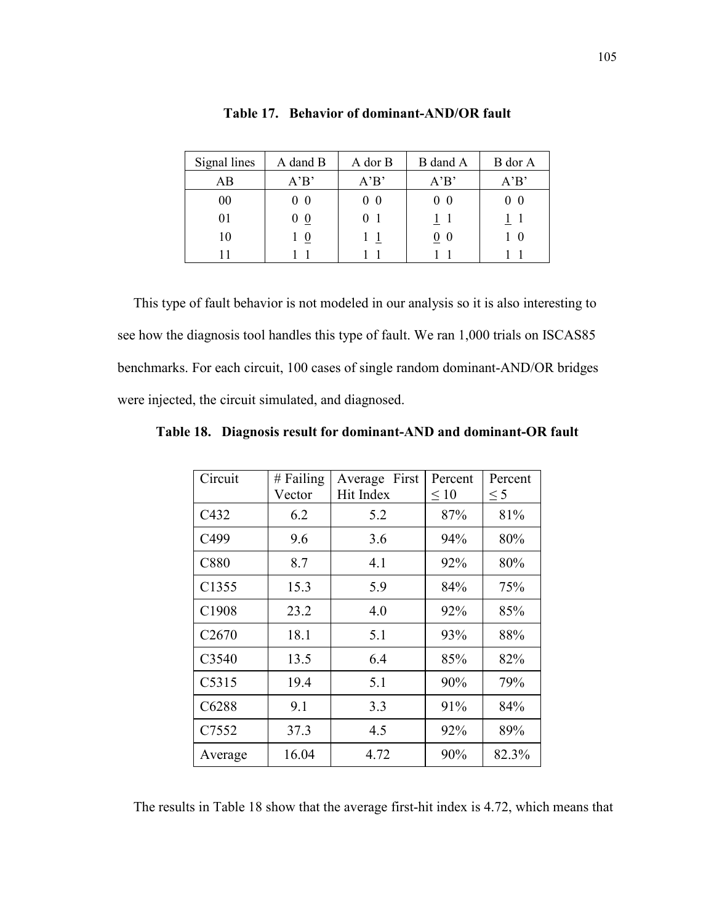| Signal lines | A dand B | A dor B | B dand A          | B dor A |
|--------------|----------|---------|-------------------|---------|
| AB           | A'B'     | A'B'    | A'B'              | A'B'    |
| $00\,$       | - 0      | $0\,0$  | $0\,0$            | 00      |
| 01           | $\bf{0}$ |         |                   |         |
| 10           | $\theta$ |         | $\underline{0}$ 0 | 10      |
|              |          |         |                   |         |

Table 17. Behavior of dominant-AND/OR fault

This type of fault behavior is not modeled in our analysis so it is also interesting to see how the diagnosis tool handles this type of fault. We ran 1,000 trials on ISCAS85 benchmarks. For each circuit, 100 cases of single random dominant-AND/OR bridges were injected, the circuit simulated, and diagnosed.

| Circuit           | $#$ Failing<br>Vector | First<br>Average<br>Hit Index | Percent<br>$\leq 10$ | Percent<br>$\leq$ 5 |
|-------------------|-----------------------|-------------------------------|----------------------|---------------------|
| C432              | 6.2                   | 5.2                           | 87%                  | 81%                 |
| C499              | 9.6                   | 3.6                           | 94%                  | 80%                 |
| C880              | 8.7                   | 4.1                           | 92%                  | 80%                 |
| C1355             | 15.3                  | 5.9                           | 84%                  | 75%                 |
| C1908             | 23.2                  | 4.0                           | 92%                  | 85%                 |
| C <sub>2670</sub> | 18.1                  | 5.1                           | 93%                  | 88%                 |
| C3540             | 13.5                  | 6.4                           | 85%                  | 82%                 |
| C5315             | 19.4                  | 5.1                           | 90%                  | 79%                 |
| C6288             | 9.1                   | 3.3                           | 91%                  | 84%                 |
| C7552             | 37.3                  | 4.5                           | 92%                  | 89%                 |
| Average           | 16.04                 | 4.72                          | 90%                  | 82.3%               |

Table 18. Diagnosis result for dominant-AND and dominant-OR fault

The results in Table 18 show that the average first-hit index is 4.72, which means that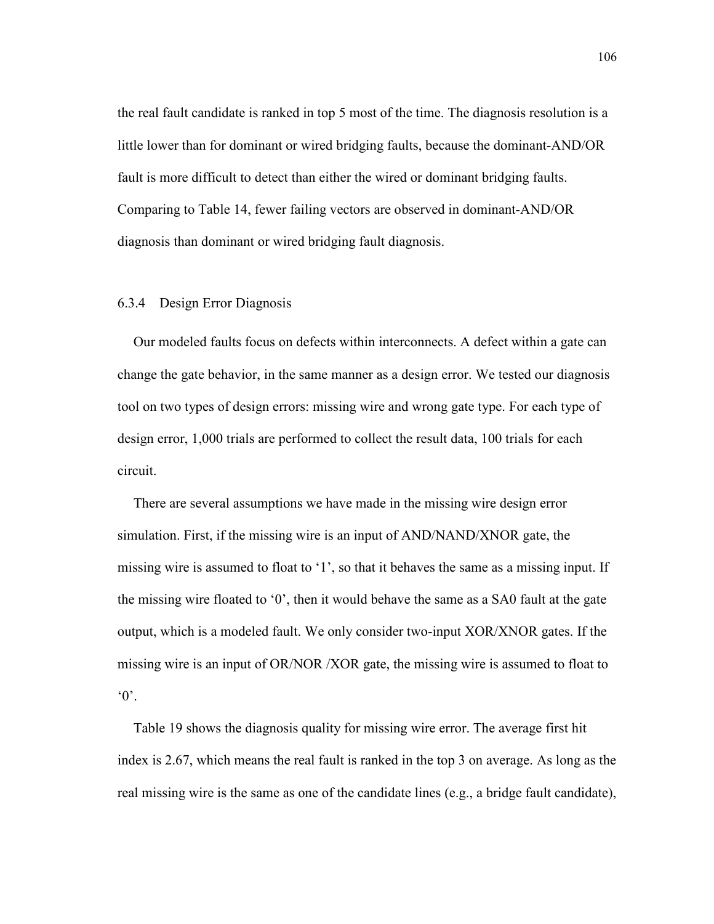the real fault candidate is ranked in top 5 most of the time. The diagnosis resolution is a little lower than for dominant or wired bridging faults, because the dominant-AND/OR fault is more difficult to detect than either the wired or dominant bridging faults. Comparing to Table 14, fewer failing vectors are observed in dominant-AND/OR diagnosis than dominant or wired bridging fault diagnosis.

### 6.3.4 Design Error Diagnosis

Our modeled faults focus on defects within interconnects. A defect within a gate can change the gate behavior, in the same manner as a design error. We tested our diagnosis tool on two types of design errors: missing wire and wrong gate type. For each type of design error, 1,000 trials are performed to collect the result data, 100 trials for each circuit.

There are several assumptions we have made in the missing wire design error simulation. First, if the missing wire is an input of AND/NAND/XNOR gate, the missing wire is assumed to float to '1', so that it behaves the same as a missing input. If the missing wire floated to '0', then it would behave the same as a SA0 fault at the gate output, which is a modeled fault. We only consider two-input XOR/XNOR gates. If the missing wire is an input of OR/NOR /XOR gate, the missing wire is assumed to float to  $^{\circ}0^{\circ}$ .

Table 19 shows the diagnosis quality for missing wire error. The average first hit index is 2.67, which means the real fault is ranked in the top 3 on average. As long as the real missing wire is the same as one of the candidate lines (e.g., a bridge fault candidate),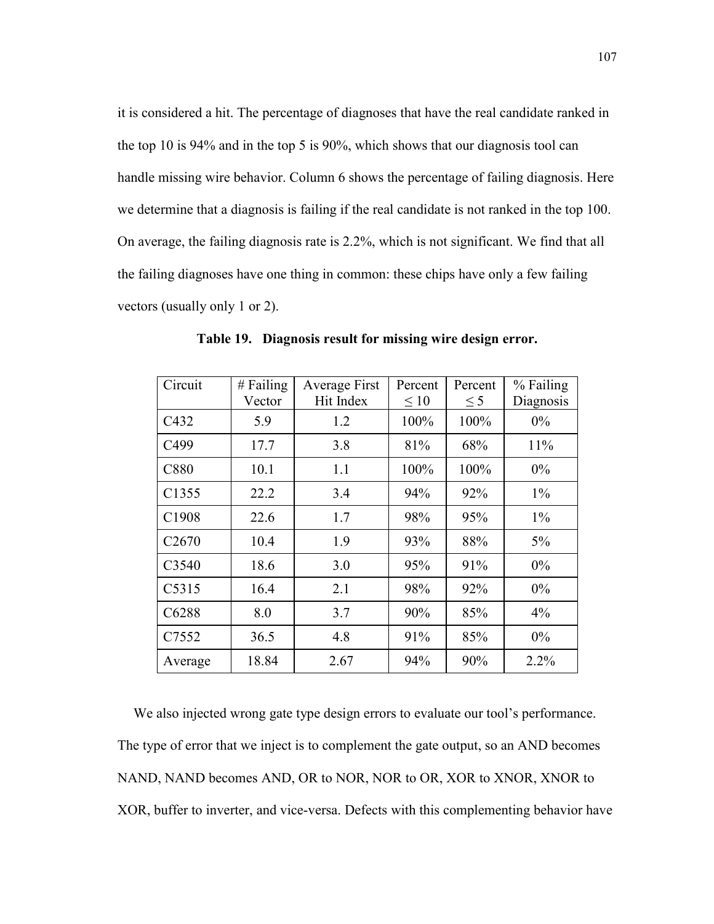it is considered a hit. The percentage of diagnoses that have the real candidate ranked in the top 10 is 94% and in the top 5 is 90%, which shows that our diagnosis tool can handle missing wire behavior. Column 6 shows the percentage of failing diagnosis. Here we determine that a diagnosis is failing if the real candidate is not ranked in the top 100. On average, the failing diagnosis rate is 2.2%, which is not significant. We find that all the failing diagnoses have one thing in common: these chips have only a few failing vectors (usually only 1 or 2).

| Circuit           | $#$ Failing | Average First | Percent   | Percent  | % Failing |
|-------------------|-------------|---------------|-----------|----------|-----------|
|                   | Vector      | Hit Index     | $\leq 10$ | $\leq$ 5 | Diagnosis |
| C432              | 5.9         | 1.2           | 100%      | 100%     | $0\%$     |
| C499              | 17.7        | 3.8           | 81%       | 68%      | 11%       |
| C880              | 10.1        | 1.1           | 100%      | 100%     | $0\%$     |
| C1355             | 22.2        | 3.4           | 94%       | 92%      | $1\%$     |
| C1908             | 22.6        | 1.7           | 98%       | 95%      | $1\%$     |
| C <sub>2670</sub> | 10.4        | 1.9           | 93%       | 88%      | $5\%$     |
| C3540             | 18.6        | 3.0           | 95%       | 91%      | $0\%$     |
| C5315             | 16.4        | 2.1           | 98%       | 92%      | $0\%$     |
| C6288             | 8.0         | 3.7           | 90%       | 85%      | 4%        |
| C7552             | 36.5        | 4.8           | 91%       | 85%      | $0\%$     |
| Average           | 18.84       | 2.67          | 94%       | 90%      | 2.2%      |

Table 19. Diagnosis result for missing wire design error.

We also injected wrong gate type design errors to evaluate our tool's performance. The type of error that we inject is to complement the gate output, so an AND becomes NAND, NAND becomes AND, OR to NOR, NOR to OR, XOR to XNOR, XNOR to XOR, buffer to inverter, and vice-versa. Defects with this complementing behavior have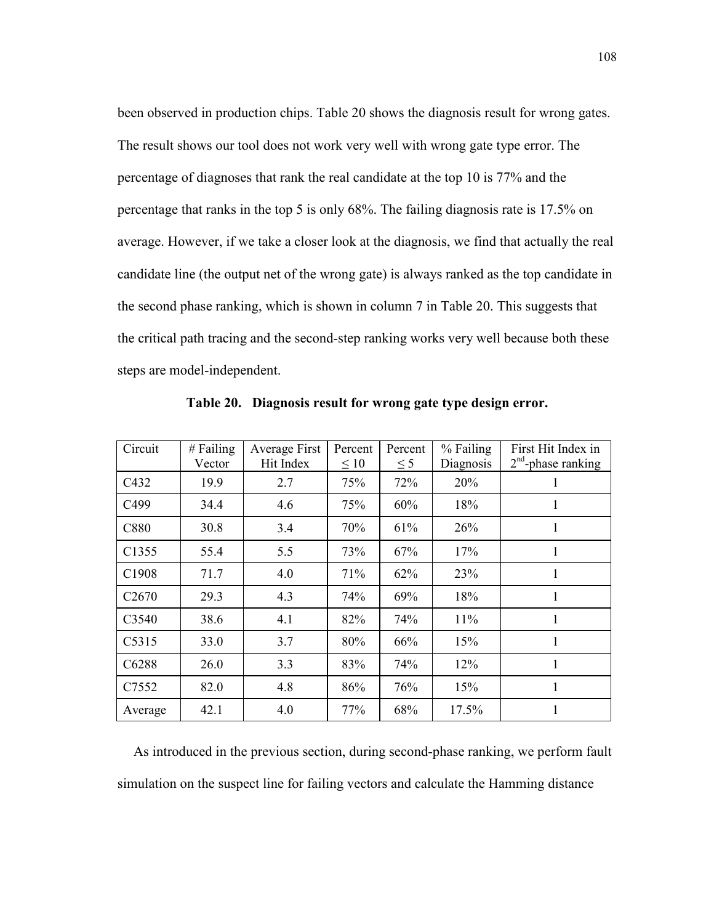been observed in production chips. Table 20 shows the diagnosis result for wrong gates. The result shows our tool does not work very well with wrong gate type error. The percentage of diagnoses that rank the real candidate at the top 10 is 77% and the percentage that ranks in the top 5 is only 68%. The failing diagnosis rate is 17.5% on average. However, if we take a closer look at the diagnosis, we find that actually the real candidate line (the output net of the wrong gate) is always ranked as the top candidate in the second phase ranking, which is shown in column 7 in Table 20. This suggests that the critical path tracing and the second-step ranking works very well because both these steps are model-independent.

| Circuit           | $#$ Failing<br>Vector | Average First<br>Hit Index | Percent<br>$\leq 10$ | Percent<br>$\leq$ 5 | % Failing<br>Diagnosis | First Hit Index in<br>$2nd$ -phase ranking |
|-------------------|-----------------------|----------------------------|----------------------|---------------------|------------------------|--------------------------------------------|
| C432              | 19.9                  | 2.7                        | 75%                  | 72%                 | 20%                    | 1                                          |
| C <sub>499</sub>  | 34.4                  | 4.6                        | 75%                  | 60%                 | 18%                    | 1                                          |
| C880              | 30.8                  | 3.4                        | 70%                  | 61%                 | 26%                    | 1                                          |
| C1355             | 55.4                  | 5.5                        | 73%                  | 67%                 | 17%                    | 1                                          |
| C1908             | 71.7                  | 4.0                        | 71%                  | 62%                 | 23%                    | 1                                          |
| C <sub>2670</sub> | 29.3                  | 4.3                        | 74%                  | 69%                 | 18%                    | 1                                          |
| C <sub>3540</sub> | 38.6                  | 4.1                        | 82%                  | 74%                 | 11%                    | 1                                          |
| C5315             | 33.0                  | 3.7                        | 80%                  | 66%                 | 15%                    | 1                                          |
| C6288             | 26.0                  | 3.3                        | 83%                  | 74%                 | 12%                    | 1                                          |
| C <sub>7552</sub> | 82.0                  | 4.8                        | 86%                  | 76%                 | 15%                    | 1                                          |
| Average           | 42.1                  | 4.0                        | 77%                  | 68%                 | 17.5%                  | 1                                          |

Table 20. Diagnosis result for wrong gate type design error.

As introduced in the previous section, during second-phase ranking, we perform fault simulation on the suspect line for failing vectors and calculate the Hamming distance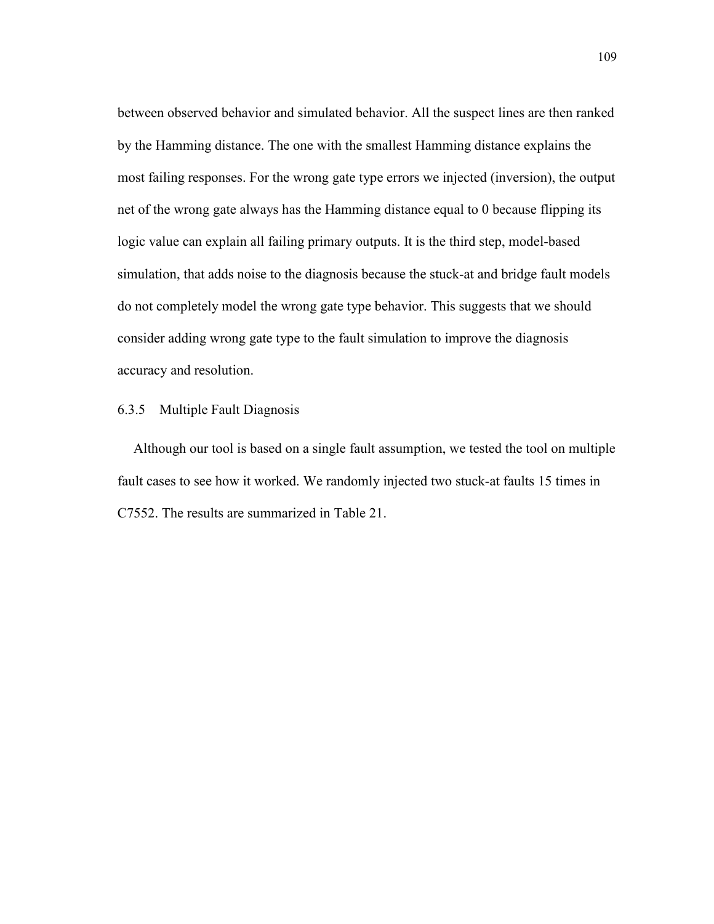between observed behavior and simulated behavior. All the suspect lines are then ranked by the Hamming distance. The one with the smallest Hamming distance explains the most failing responses. For the wrong gate type errors we injected (inversion), the output net of the wrong gate always has the Hamming distance equal to 0 because flipping its logic value can explain all failing primary outputs. It is the third step, model-based simulation, that adds noise to the diagnosis because the stuck-at and bridge fault models do not completely model the wrong gate type behavior. This suggests that we should consider adding wrong gate type to the fault simulation to improve the diagnosis accuracy and resolution.

#### 6.3.5 Multiple Fault Diagnosis

Although our tool is based on a single fault assumption, we tested the tool on multiple fault cases to see how it worked. We randomly injected two stuck-at faults 15 times in C7552. The results are summarized in Table 21.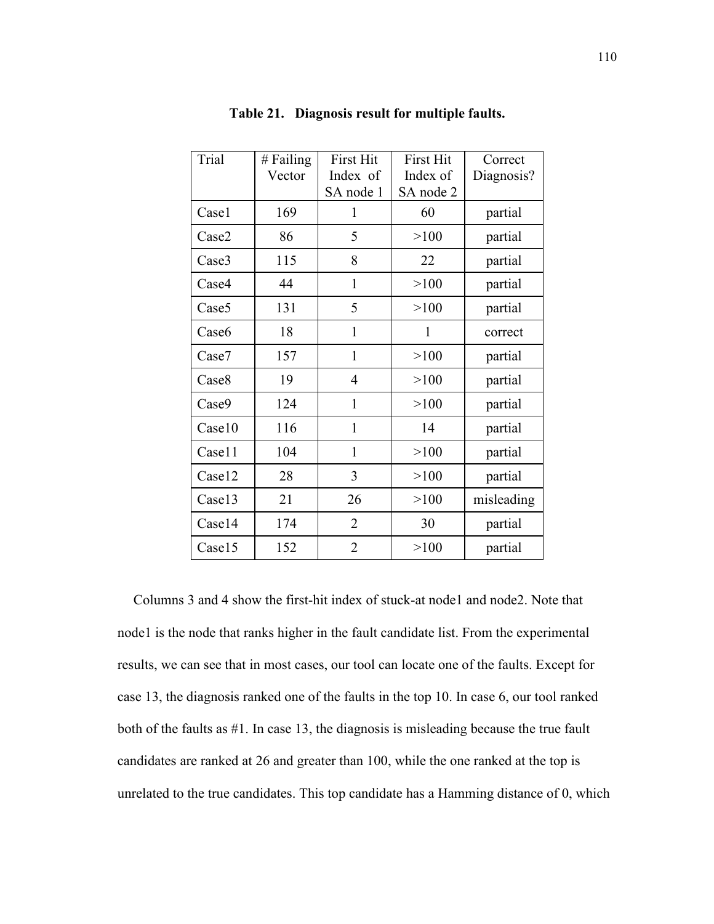| Trial             | # Failing<br>Vector | <b>First Hit</b><br>Index of | <b>First Hit</b><br>Index of | Correct<br>Diagnosis? |
|-------------------|---------------------|------------------------------|------------------------------|-----------------------|
|                   |                     | SA node 1                    | SA node 2                    |                       |
| Casel             | 169                 | 1                            | 60                           | partial               |
| Case2             | 86                  | 5                            | >100                         | partial               |
| Case3             | 115                 | 8                            | 22                           | partial               |
| Case4             | 44                  | $\mathbf{1}$                 | >100                         | partial               |
| Case <sub>5</sub> | 131                 | 5                            | >100                         | partial               |
| Case <sub>6</sub> | 18                  | $\mathbf{1}$                 | 1                            | correct               |
| Case7             | 157                 | $\mathbf{1}$                 | >100                         | partial               |
| Case <sub>8</sub> | 19                  | 4                            | >100                         | partial               |
| Case9             | 124                 | $\mathbf{1}$                 | >100                         | partial               |
| Case10            | 116                 | 1                            | 14                           | partial               |
| Case11            | 104                 | 1                            | >100                         | partial               |
| Case12            | 28                  | 3                            | >100                         | partial               |
| Case13            | 21                  | 26                           | >100                         | misleading            |
| Case14            | 174                 | $\overline{2}$               | 30                           | partial               |
| Case15            | 152                 | $\overline{2}$               | >100                         | partial               |

### Table 21. Diagnosis result for multiple faults.

Columns 3 and 4 show the first-hit index of stuck-at node1 and node2. Note that node1 is the node that ranks higher in the fault candidate list. From the experimental results, we can see that in most cases, our tool can locate one of the faults. Except for case 13, the diagnosis ranked one of the faults in the top 10. In case 6, our tool ranked both of the faults as #1. In case 13, the diagnosis is misleading because the true fault candidates are ranked at 26 and greater than 100, while the one ranked at the top is unrelated to the true candidates. This top candidate has a Hamming distance of 0, which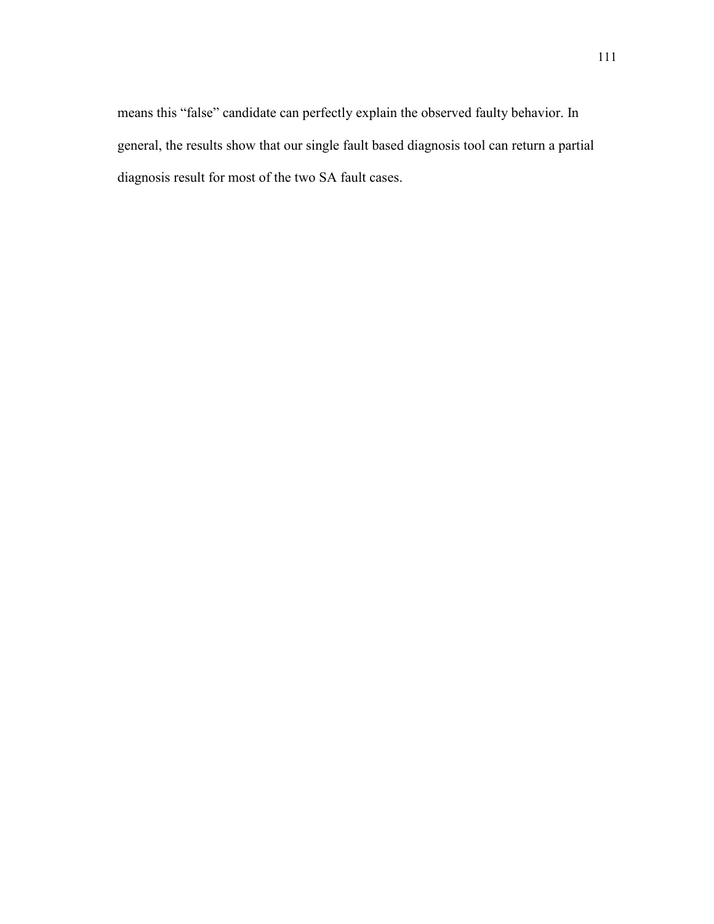means this "false" candidate can perfectly explain the observed faulty behavior. In general, the results show that our single fault based diagnosis tool can return a partial diagnosis result for most of the two SA fault cases.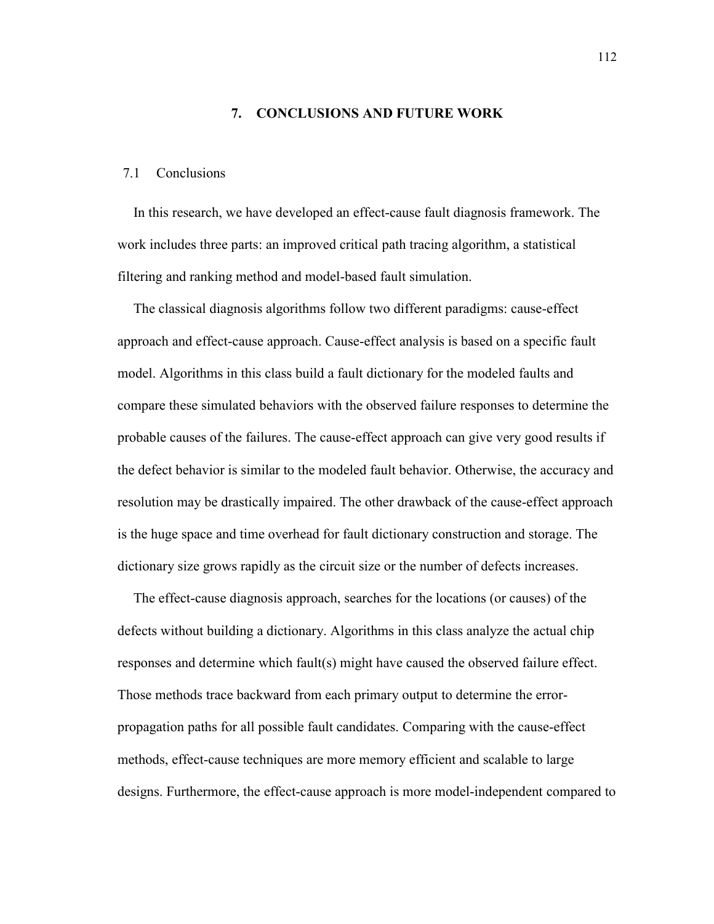### 7. CONCLUSIONS AND FUTURE WORK

## 7.1 Conclusions

In this research, we have developed an effect-cause fault diagnosis framework. The work includes three parts: an improved critical path tracing algorithm, a statistical filtering and ranking method and model-based fault simulation.

The classical diagnosis algorithms follow two different paradigms: cause-effect approach and effect-cause approach. Cause-effect analysis is based on a specific fault model. Algorithms in this class build a fault dictionary for the modeled faults and compare these simulated behaviors with the observed failure responses to determine the probable causes of the failures. The cause-effect approach can give very good results if the defect behavior is similar to the modeled fault behavior. Otherwise, the accuracy and resolution may be drastically impaired. The other drawback of the cause-effect approach is the huge space and time overhead for fault dictionary construction and storage. The dictionary size grows rapidly as the circuit size or the number of defects increases.

The effect-cause diagnosis approach, searches for the locations (or causes) of the defects without building a dictionary. Algorithms in this class analyze the actual chip responses and determine which fault(s) might have caused the observed failure effect. Those methods trace backward from each primary output to determine the errorpropagation paths for all possible fault candidates. Comparing with the cause-effect methods, effect-cause techniques are more memory efficient and scalable to large designs. Furthermore, the effect-cause approach is more model-independent compared to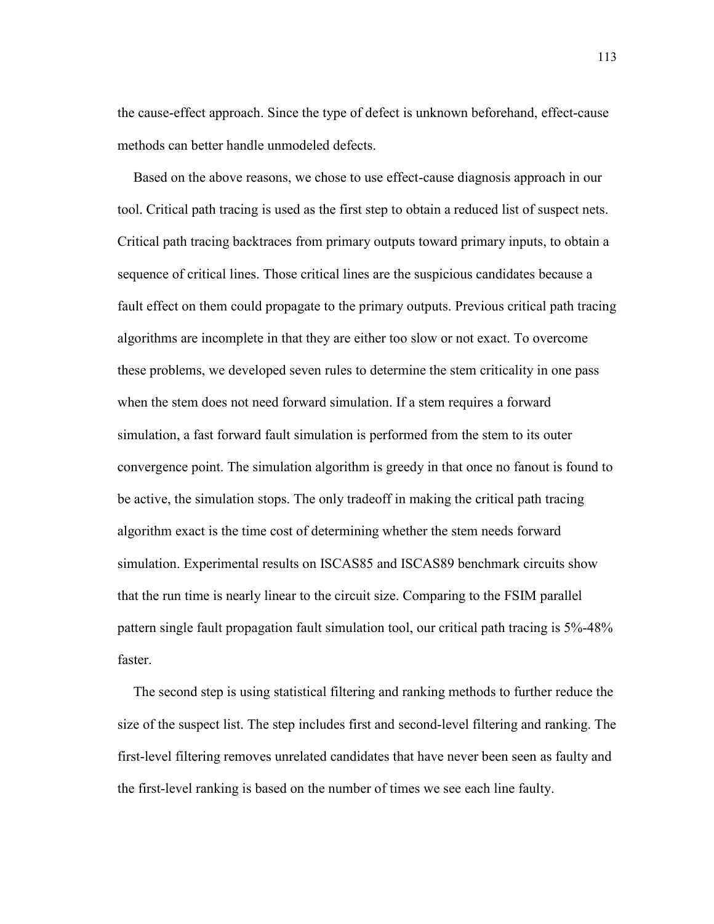the cause-effect approach. Since the type of defect is unknown beforehand, effect-cause methods can better handle unmodeled defects.

Based on the above reasons, we chose to use effect-cause diagnosis approach in our tool. Critical path tracing is used as the first step to obtain a reduced list of suspect nets. Critical path tracing backtraces from primary outputs toward primary inputs, to obtain a sequence of critical lines. Those critical lines are the suspicious candidates because a fault effect on them could propagate to the primary outputs. Previous critical path tracing algorithms are incomplete in that they are either too slow or not exact. To overcome these problems, we developed seven rules to determine the stem criticality in one pass when the stem does not need forward simulation. If a stem requires a forward simulation, a fast forward fault simulation is performed from the stem to its outer convergence point. The simulation algorithm is greedy in that once no fanout is found to be active, the simulation stops. The only tradeoff in making the critical path tracing algorithm exact is the time cost of determining whether the stem needs forward simulation. Experimental results on ISCAS85 and ISCAS89 benchmark circuits show that the run time is nearly linear to the circuit size. Comparing to the FSIM parallel pattern single fault propagation fault simulation tool, our critical path tracing is 5%-48% faster.

The second step is using statistical filtering and ranking methods to further reduce the size of the suspect list. The step includes first and second-level filtering and ranking. The first-level filtering removes unrelated candidates that have never been seen as faulty and the first-level ranking is based on the number of times we see each line faulty.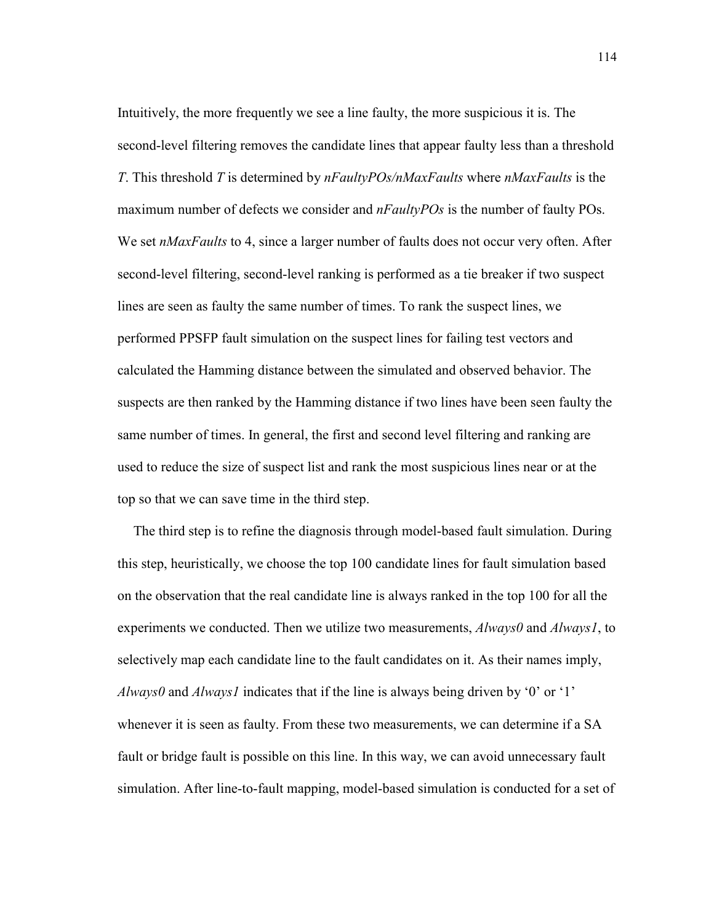Intuitively, the more frequently we see a line faulty, the more suspicious it is. The second-level filtering removes the candidate lines that appear faulty less than a threshold T. This threshold T is determined by  $nFaultyPOS/nMaxFaults$  where  $nMaxFaults$  is the maximum number of defects we consider and  $nFaultyPOS$  is the number of faulty POs. We set *nMaxFaults* to 4, since a larger number of faults does not occur very often. After second-level filtering, second-level ranking is performed as a tie breaker if two suspect lines are seen as faulty the same number of times. To rank the suspect lines, we performed PPSFP fault simulation on the suspect lines for failing test vectors and calculated the Hamming distance between the simulated and observed behavior. The suspects are then ranked by the Hamming distance if two lines have been seen faulty the same number of times. In general, the first and second level filtering and ranking are used to reduce the size of suspect list and rank the most suspicious lines near or at the top so that we can save time in the third step.

The third step is to refine the diagnosis through model-based fault simulation. During this step, heuristically, we choose the top 100 candidate lines for fault simulation based on the observation that the real candidate line is always ranked in the top 100 for all the experiments we conducted. Then we utilize two measurements,  $\text{Always0}$  and  $\text{Always1}$ , to selectively map each candidate line to the fault candidates on it. As their names imply, Always0 and Always1 indicates that if the line is always being driven by '0' or '1' whenever it is seen as faulty. From these two measurements, we can determine if a SA fault or bridge fault is possible on this line. In this way, we can avoid unnecessary fault simulation. After line-to-fault mapping, model-based simulation is conducted for a set of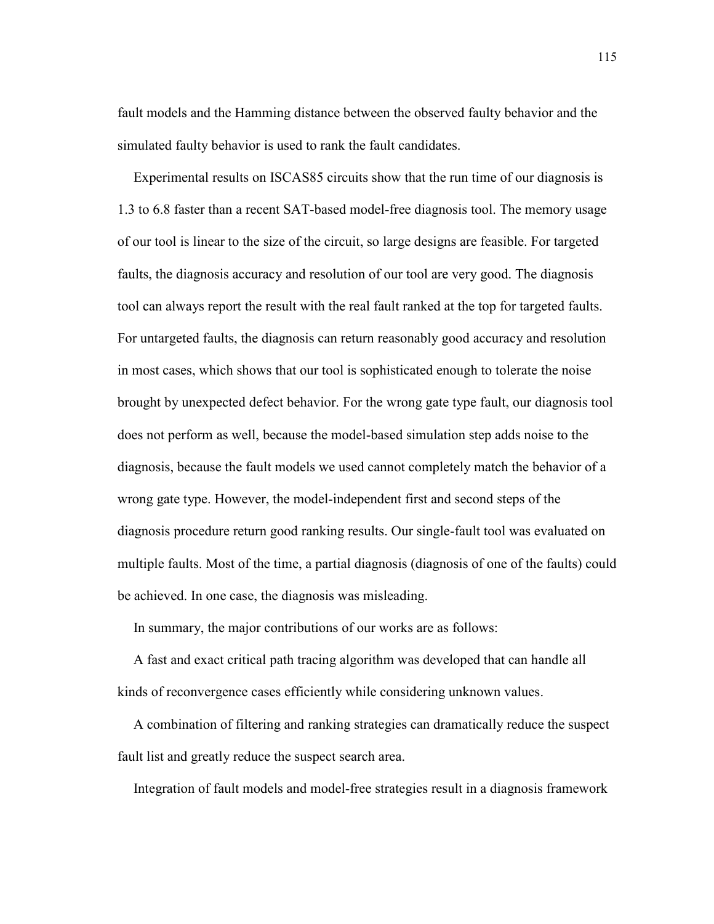fault models and the Hamming distance between the observed faulty behavior and the simulated faulty behavior is used to rank the fault candidates.

Experimental results on ISCAS85 circuits show that the run time of our diagnosis is 1.3 to 6.8 faster than a recent SAT-based model-free diagnosis tool. The memory usage of our tool is linear to the size of the circuit, so large designs are feasible. For targeted faults, the diagnosis accuracy and resolution of our tool are very good. The diagnosis tool can always report the result with the real fault ranked at the top for targeted faults. For untargeted faults, the diagnosis can return reasonably good accuracy and resolution in most cases, which shows that our tool is sophisticated enough to tolerate the noise brought by unexpected defect behavior. For the wrong gate type fault, our diagnosis tool does not perform as well, because the model-based simulation step adds noise to the diagnosis, because the fault models we used cannot completely match the behavior of a wrong gate type. However, the model-independent first and second steps of the diagnosis procedure return good ranking results. Our single-fault tool was evaluated on multiple faults. Most of the time, a partial diagnosis (diagnosis of one of the faults) could be achieved. In one case, the diagnosis was misleading.

In summary, the major contributions of our works are as follows:

A fast and exact critical path tracing algorithm was developed that can handle all kinds of reconvergence cases efficiently while considering unknown values.

A combination of filtering and ranking strategies can dramatically reduce the suspect fault list and greatly reduce the suspect search area.

Integration of fault models and model-free strategies result in a diagnosis framework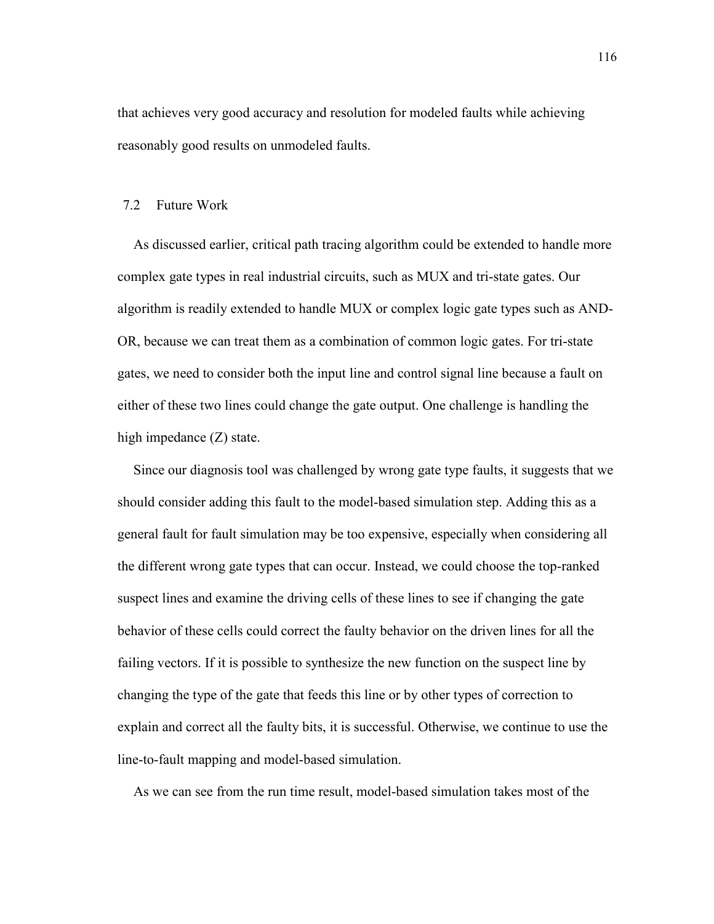that achieves very good accuracy and resolution for modeled faults while achieving reasonably good results on unmodeled faults.

# 7.2 Future Work

As discussed earlier, critical path tracing algorithm could be extended to handle more complex gate types in real industrial circuits, such as MUX and tri-state gates. Our algorithm is readily extended to handle MUX or complex logic gate types such as AND-OR, because we can treat them as a combination of common logic gates. For tri-state gates, we need to consider both the input line and control signal line because a fault on either of these two lines could change the gate output. One challenge is handling the high impedance  $(Z)$  state.

Since our diagnosis tool was challenged by wrong gate type faults, it suggests that we should consider adding this fault to the model-based simulation step. Adding this as a general fault for fault simulation may be too expensive, especially when considering all the different wrong gate types that can occur. Instead, we could choose the top-ranked suspect lines and examine the driving cells of these lines to see if changing the gate behavior of these cells could correct the faulty behavior on the driven lines for all the failing vectors. If it is possible to synthesize the new function on the suspect line by changing the type of the gate that feeds this line or by other types of correction to explain and correct all the faulty bits, it is successful. Otherwise, we continue to use the line-to-fault mapping and model-based simulation.

As we can see from the run time result, model-based simulation takes most of the

116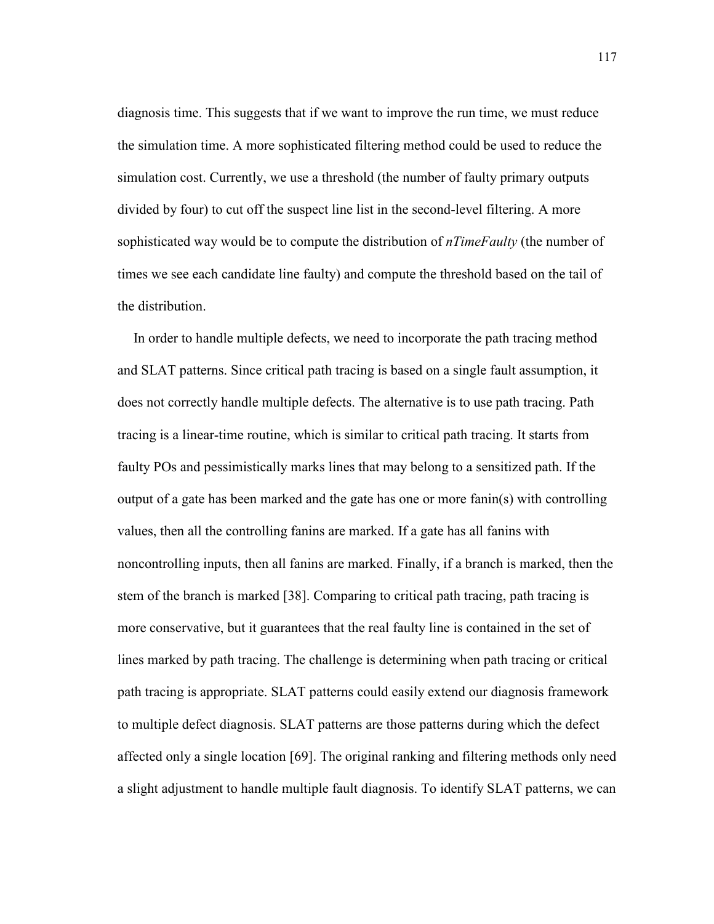diagnosis time. This suggests that if we want to improve the run time, we must reduce the simulation time. A more sophisticated filtering method could be used to reduce the simulation cost. Currently, we use a threshold (the number of faulty primary outputs divided by four) to cut off the suspect line list in the second-level filtering. A more sophisticated way would be to compute the distribution of *nTimeFaulty* (the number of times we see each candidate line faulty) and compute the threshold based on the tail of the distribution.

In order to handle multiple defects, we need to incorporate the path tracing method and SLAT patterns. Since critical path tracing is based on a single fault assumption, it does not correctly handle multiple defects. The alternative is to use path tracing. Path tracing is a linear-time routine, which is similar to critical path tracing. It starts from faulty POs and pessimistically marks lines that may belong to a sensitized path. If the output of a gate has been marked and the gate has one or more fanin(s) with controlling values, then all the controlling fanins are marked. If a gate has all fanins with noncontrolling inputs, then all fanins are marked. Finally, if a branch is marked, then the stem of the branch is marked [38]. Comparing to critical path tracing, path tracing is more conservative, but it guarantees that the real faulty line is contained in the set of lines marked by path tracing. The challenge is determining when path tracing or critical path tracing is appropriate. SLAT patterns could easily extend our diagnosis framework to multiple defect diagnosis. SLAT patterns are those patterns during which the defect affected only a single location [69]. The original ranking and filtering methods only need a slight adjustment to handle multiple fault diagnosis. To identify SLAT patterns, we can

117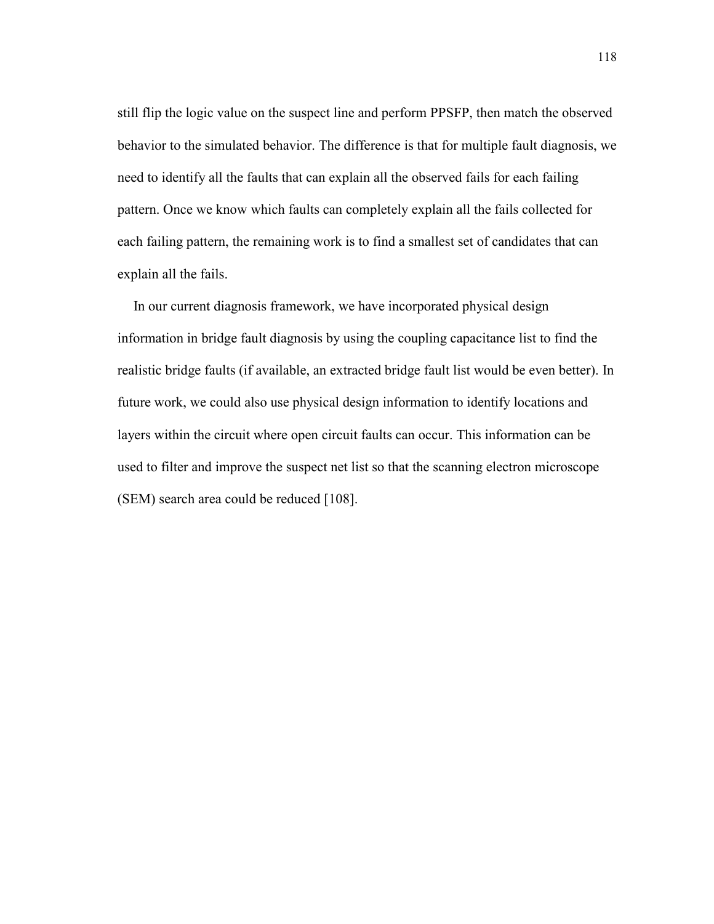still flip the logic value on the suspect line and perform PPSFP, then match the observed behavior to the simulated behavior. The difference is that for multiple fault diagnosis, we need to identify all the faults that can explain all the observed fails for each failing pattern. Once we know which faults can completely explain all the fails collected for each failing pattern, the remaining work is to find a smallest set of candidates that can explain all the fails.

In our current diagnosis framework, we have incorporated physical design information in bridge fault diagnosis by using the coupling capacitance list to find the realistic bridge faults (if available, an extracted bridge fault list would be even better). In future work, we could also use physical design information to identify locations and layers within the circuit where open circuit faults can occur. This information can be used to filter and improve the suspect net list so that the scanning electron microscope (SEM) search area could be reduced [108].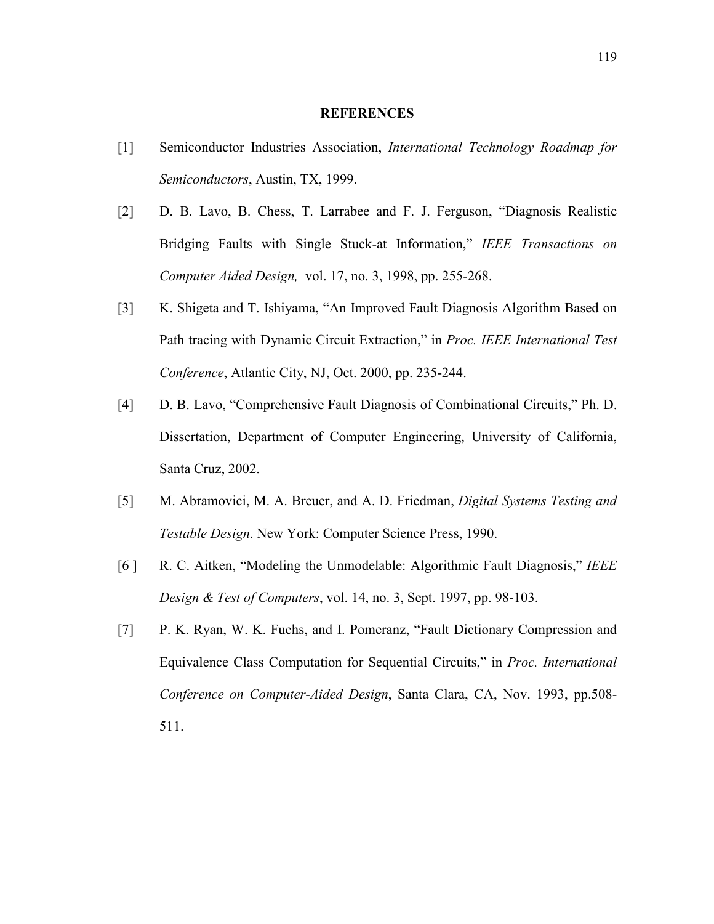#### **REFERENCES**

- [1] Semiconductor Industries Association, International Technology Roadmap for Semiconductors, Austin, TX, 1999.
- [2] D. B. Lavo, B. Chess, T. Larrabee and F. J. Ferguson, "Diagnosis Realistic Bridging Faults with Single Stuck-at Information," IEEE Transactions on Computer Aided Design, vol. 17, no. 3, 1998, pp. 255-268.
- [3] K. Shigeta and T. Ishiyama, "An Improved Fault Diagnosis Algorithm Based on Path tracing with Dynamic Circuit Extraction," in Proc. IEEE International Test Conference, Atlantic City, NJ, Oct. 2000, pp. 235-244.
- [4] D. B. Lavo, "Comprehensive Fault Diagnosis of Combinational Circuits," Ph. D. Dissertation, Department of Computer Engineering, University of California, Santa Cruz, 2002.
- [5] M. Abramovici, M. A. Breuer, and A. D. Friedman, Digital Systems Testing and Testable Design. New York: Computer Science Press, 1990.
- [6] R. C. Aitken, "Modeling the Unmodelable: Algorithmic Fault Diagnosis," IEEE Design & Test of Computers, vol. 14, no. 3, Sept. 1997, pp. 98-103.
- [7] P. K. Ryan, W. K. Fuchs, and I. Pomeranz, "Fault Dictionary Compression and Equivalence Class Computation for Sequential Circuits," in Proc. International Conference on Computer-Aided Design, Santa Clara, CA, Nov. 1993, pp.508- 511.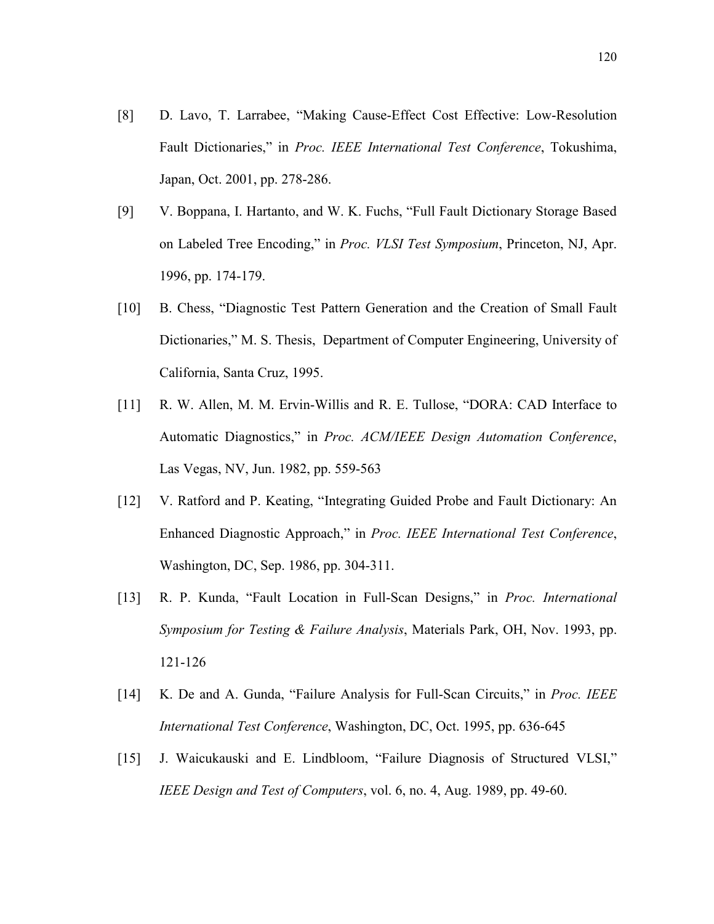- [8] D. Lavo, T. Larrabee, "Making Cause-Effect Cost Effective: Low-Resolution Fault Dictionaries," in Proc. IEEE International Test Conference, Tokushima, Japan, Oct. 2001, pp. 278-286.
- [9] V. Boppana, I. Hartanto, and W. K. Fuchs, "Full Fault Dictionary Storage Based on Labeled Tree Encoding," in Proc. VLSI Test Symposium, Princeton, NJ, Apr. 1996, pp. 174-179.
- [10] B. Chess, "Diagnostic Test Pattern Generation and the Creation of Small Fault Dictionaries," M. S. Thesis, Department of Computer Engineering, University of California, Santa Cruz, 1995.
- [11] R. W. Allen, M. M. Ervin-Willis and R. E. Tullose, "DORA: CAD Interface to Automatic Diagnostics," in Proc. ACM/IEEE Design Automation Conference, Las Vegas, NV, Jun. 1982, pp. 559-563
- [12] V. Ratford and P. Keating, "Integrating Guided Probe and Fault Dictionary: An Enhanced Diagnostic Approach," in Proc. IEEE International Test Conference, Washington, DC, Sep. 1986, pp. 304-311.
- [13] R. P. Kunda, "Fault Location in Full-Scan Designs," in Proc. International Symposium for Testing & Failure Analysis, Materials Park, OH, Nov. 1993, pp. 121-126
- [14] K. De and A. Gunda, "Failure Analysis for Full-Scan Circuits," in Proc. IEEE International Test Conference, Washington, DC, Oct. 1995, pp. 636-645
- [15] J. Waicukauski and E. Lindbloom, "Failure Diagnosis of Structured VLSI," IEEE Design and Test of Computers, vol. 6, no. 4, Aug. 1989, pp. 49-60.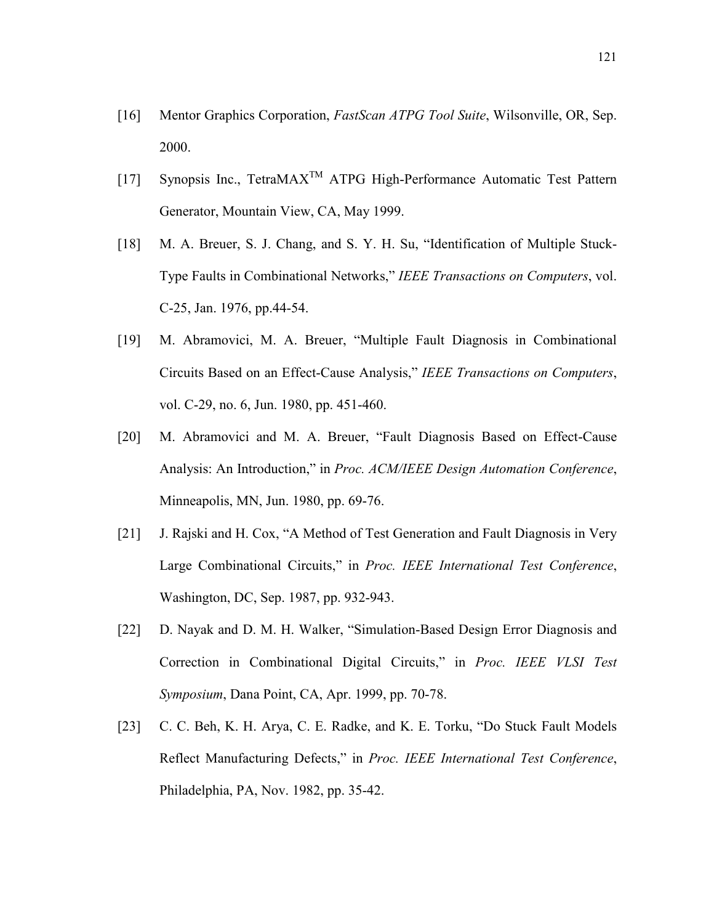- [16] Mentor Graphics Corporation, FastScan ATPG Tool Suite, Wilsonville, OR, Sep. 2000.
- [17] Synopsis Inc., TetraMAX<sup>™</sup> ATPG High-Performance Automatic Test Pattern Generator, Mountain View, CA, May 1999.
- [18] M. A. Breuer, S. J. Chang, and S. Y. H. Su, "Identification of Multiple Stuck-Type Faults in Combinational Networks," IEEE Transactions on Computers, vol. C-25, Jan. 1976, pp.44-54.
- [19] M. Abramovici, M. A. Breuer, "Multiple Fault Diagnosis in Combinational Circuits Based on an Effect-Cause Analysis," IEEE Transactions on Computers, vol. C-29, no. 6, Jun. 1980, pp. 451-460.
- [20] M. Abramovici and M. A. Breuer, "Fault Diagnosis Based on Effect-Cause Analysis: An Introduction," in Proc. ACM/IEEE Design Automation Conference, Minneapolis, MN, Jun. 1980, pp. 69-76.
- [21] J. Rajski and H. Cox, "A Method of Test Generation and Fault Diagnosis in Very Large Combinational Circuits," in Proc. IEEE International Test Conference, Washington, DC, Sep. 1987, pp. 932-943.
- [22] D. Nayak and D. M. H. Walker, "Simulation-Based Design Error Diagnosis and Correction in Combinational Digital Circuits," in Proc. IEEE VLSI Test Symposium, Dana Point, CA, Apr. 1999, pp. 70-78.
- [23] C. C. Beh, K. H. Arya, C. E. Radke, and K. E. Torku, "Do Stuck Fault Models Reflect Manufacturing Defects," in Proc. IEEE International Test Conference, Philadelphia, PA, Nov. 1982, pp. 35-42.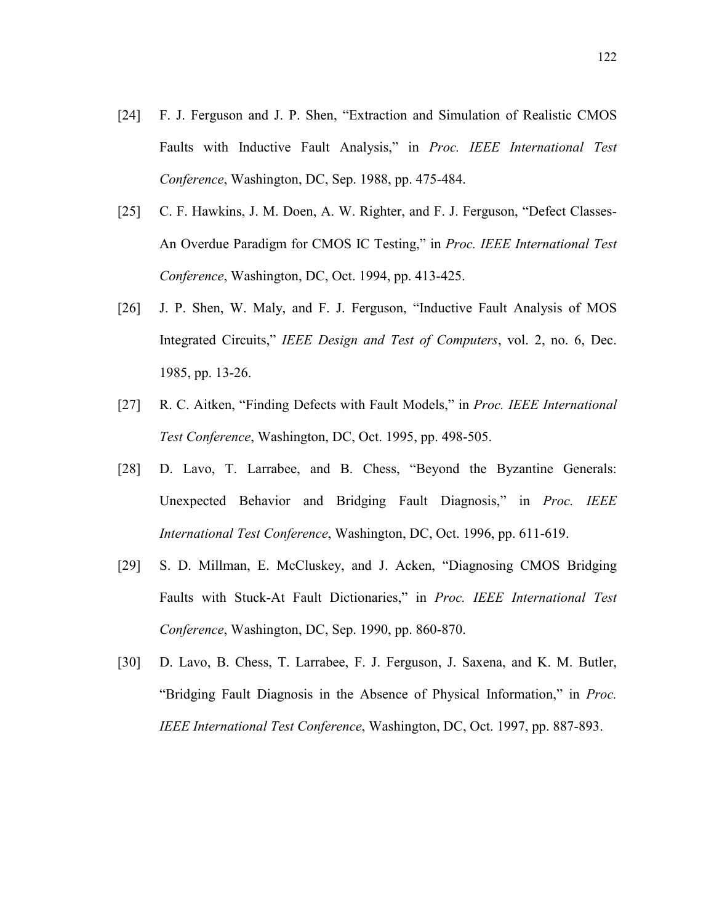- [24] F. J. Ferguson and J. P. Shen, "Extraction and Simulation of Realistic CMOS Faults with Inductive Fault Analysis," in Proc. IEEE International Test Conference, Washington, DC, Sep. 1988, pp. 475-484.
- [25] C. F. Hawkins, J. M. Doen, A. W. Righter, and F. J. Ferguson, "Defect Classes-An Overdue Paradigm for CMOS IC Testing," in Proc. IEEE International Test Conference, Washington, DC, Oct. 1994, pp. 413-425.
- [26] J. P. Shen, W. Maly, and F. J. Ferguson, "Inductive Fault Analysis of MOS Integrated Circuits," IEEE Design and Test of Computers, vol. 2, no. 6, Dec. 1985, pp. 13-26.
- [27] R. C. Aitken, "Finding Defects with Fault Models," in Proc. IEEE International Test Conference, Washington, DC, Oct. 1995, pp. 498-505.
- [28] D. Lavo, T. Larrabee, and B. Chess, "Beyond the Byzantine Generals: Unexpected Behavior and Bridging Fault Diagnosis," in *Proc. IEEE* International Test Conference, Washington, DC, Oct. 1996, pp. 611-619.
- [29] S. D. Millman, E. McCluskey, and J. Acken, "Diagnosing CMOS Bridging Faults with Stuck-At Fault Dictionaries," in Proc. IEEE International Test Conference, Washington, DC, Sep. 1990, pp. 860-870.
- [30] D. Lavo, B. Chess, T. Larrabee, F. J. Ferguson, J. Saxena, and K. M. Butler, "Bridging Fault Diagnosis in the Absence of Physical Information," in Proc. IEEE International Test Conference, Washington, DC, Oct. 1997, pp. 887-893.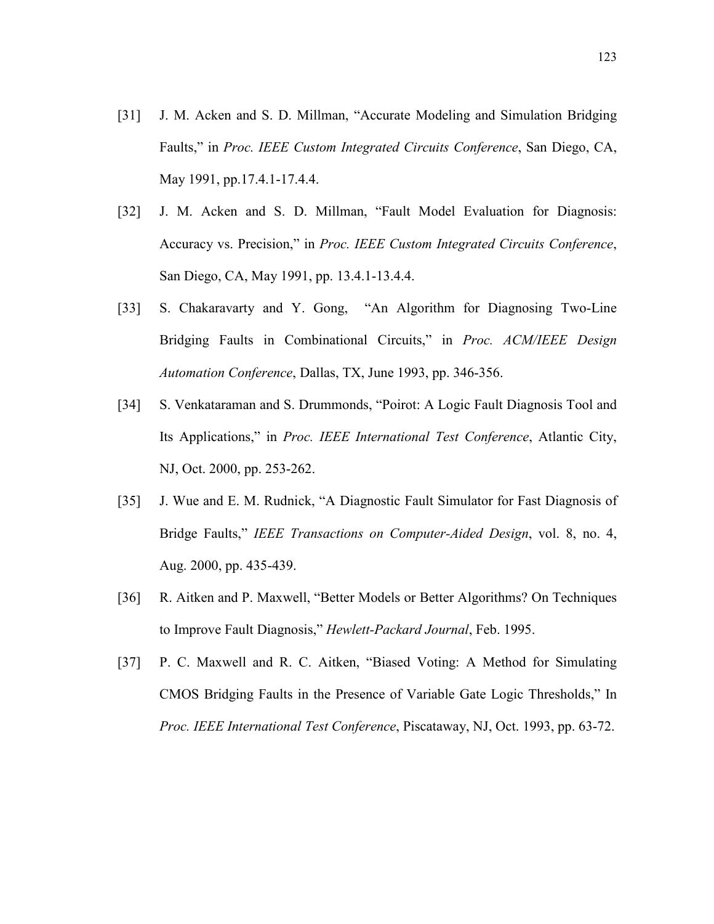- [31] J. M. Acken and S. D. Millman, "Accurate Modeling and Simulation Bridging Faults," in Proc. IEEE Custom Integrated Circuits Conference, San Diego, CA, May 1991, pp.17.4.1-17.4.4.
- [32] J. M. Acken and S. D. Millman, "Fault Model Evaluation for Diagnosis: Accuracy vs. Precision," in Proc. IEEE Custom Integrated Circuits Conference, San Diego, CA, May 1991, pp. 13.4.1-13.4.4.
- [33] S. Chakaravarty and Y. Gong, "An Algorithm for Diagnosing Two-Line Bridging Faults in Combinational Circuits," in Proc. ACM/IEEE Design Automation Conference, Dallas, TX, June 1993, pp. 346-356.
- [34] S. Venkataraman and S. Drummonds, "Poirot: A Logic Fault Diagnosis Tool and Its Applications," in Proc. IEEE International Test Conference, Atlantic City, NJ, Oct. 2000, pp. 253-262.
- [35] J. Wue and E. M. Rudnick, "A Diagnostic Fault Simulator for Fast Diagnosis of Bridge Faults," IEEE Transactions on Computer-Aided Design, vol. 8, no. 4, Aug. 2000, pp. 435-439.
- [36] R. Aitken and P. Maxwell, "Better Models or Better Algorithms? On Techniques to Improve Fault Diagnosis," Hewlett-Packard Journal, Feb. 1995.
- [37] P. C. Maxwell and R. C. Aitken, "Biased Voting: A Method for Simulating CMOS Bridging Faults in the Presence of Variable Gate Logic Thresholds," In Proc. IEEE International Test Conference, Piscataway, NJ, Oct. 1993, pp. 63-72.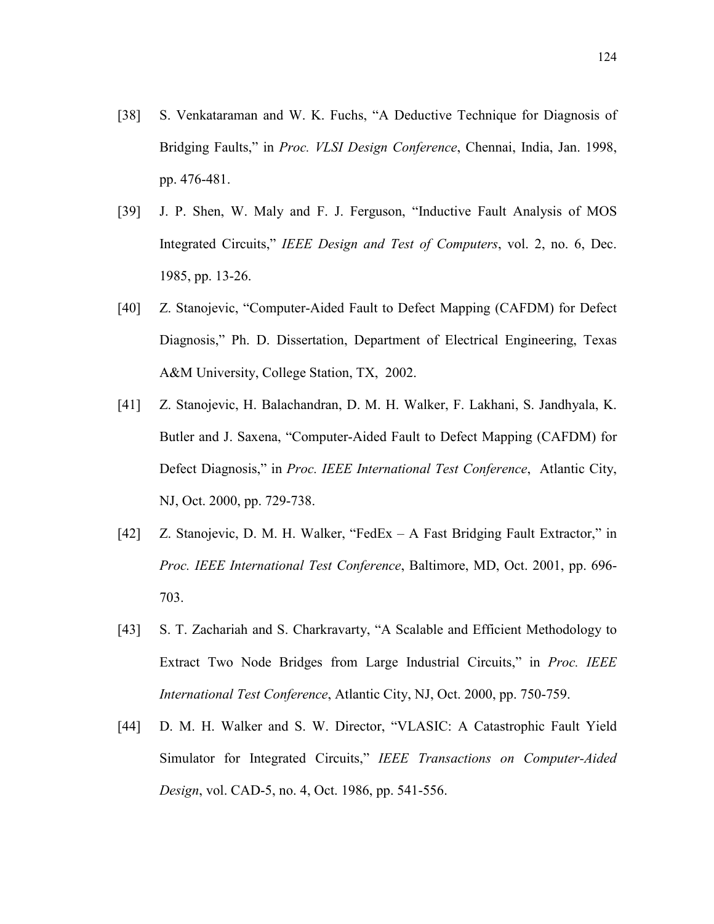- [38] S. Venkataraman and W. K. Fuchs, "A Deductive Technique for Diagnosis of Bridging Faults," in Proc. VLSI Design Conference, Chennai, India, Jan. 1998, pp. 476-481.
- [39] J. P. Shen, W. Maly and F. J. Ferguson, "Inductive Fault Analysis of MOS Integrated Circuits," IEEE Design and Test of Computers, vol. 2, no. 6, Dec. 1985, pp. 13-26.
- [40] Z. Stanojevic, "Computer-Aided Fault to Defect Mapping (CAFDM) for Defect Diagnosis," Ph. D. Dissertation, Department of Electrical Engineering, Texas A&M University, College Station, TX, 2002.
- [41] Z. Stanojevic, H. Balachandran, D. M. H. Walker, F. Lakhani, S. Jandhyala, K. Butler and J. Saxena, "Computer-Aided Fault to Defect Mapping (CAFDM) for Defect Diagnosis," in *Proc. IEEE International Test Conference*, Atlantic City, NJ, Oct. 2000, pp. 729-738.
- [42] Z. Stanojevic, D. M. H. Walker, "FedEx A Fast Bridging Fault Extractor," in Proc. IEEE International Test Conference, Baltimore, MD, Oct. 2001, pp. 696- 703.
- [43] S. T. Zachariah and S. Charkravarty, "A Scalable and Efficient Methodology to Extract Two Node Bridges from Large Industrial Circuits," in Proc. IEEE International Test Conference, Atlantic City, NJ, Oct. 2000, pp. 750-759.
- [44] D. M. H. Walker and S. W. Director, "VLASIC: A Catastrophic Fault Yield Simulator for Integrated Circuits," IEEE Transactions on Computer-Aided Design, vol. CAD-5, no. 4, Oct. 1986, pp. 541-556.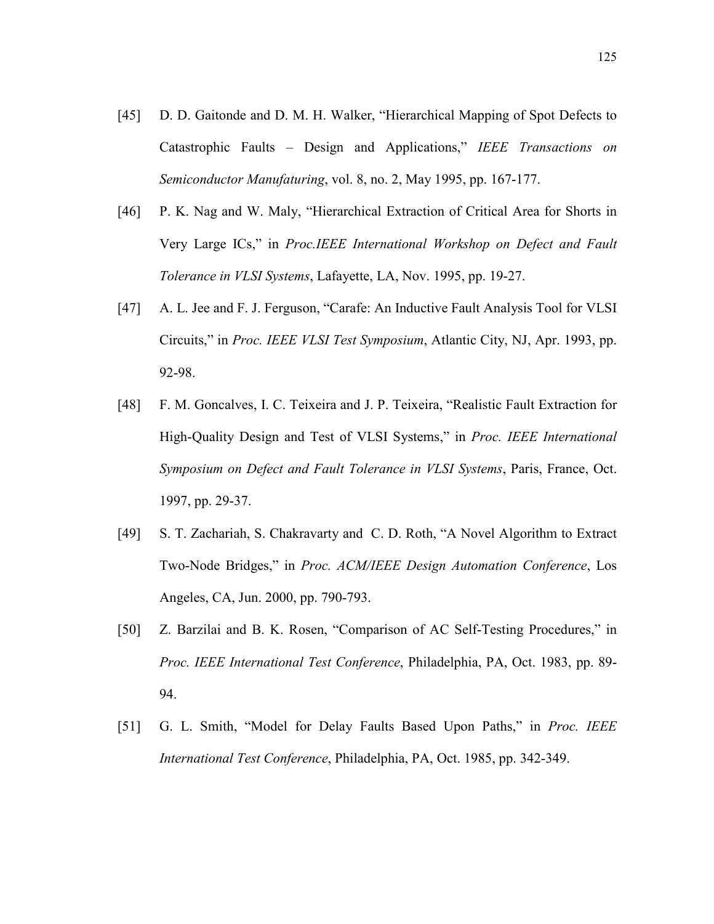- [45] D. D. Gaitonde and D. M. H. Walker, "Hierarchical Mapping of Spot Defects to Catastrophic Faults – Design and Applications," IEEE Transactions on Semiconductor Manufaturing, vol. 8, no. 2, May 1995, pp. 167-177.
- [46] P. K. Nag and W. Maly, "Hierarchical Extraction of Critical Area for Shorts in Very Large ICs," in Proc.IEEE International Workshop on Defect and Fault Tolerance in VLSI Systems, Lafayette, LA, Nov. 1995, pp. 19-27.
- [47] A. L. Jee and F. J. Ferguson, "Carafe: An Inductive Fault Analysis Tool for VLSI Circuits," in Proc. IEEE VLSI Test Symposium, Atlantic City, NJ, Apr. 1993, pp. 92-98.
- [48] F. M. Goncalves, I. C. Teixeira and J. P. Teixeira, "Realistic Fault Extraction for High-Quality Design and Test of VLSI Systems," in Proc. IEEE International Symposium on Defect and Fault Tolerance in VLSI Systems, Paris, France, Oct. 1997, pp. 29-37.
- [49] S. T. Zachariah, S. Chakravarty and C. D. Roth, "A Novel Algorithm to Extract Two-Node Bridges," in Proc. ACM/IEEE Design Automation Conference, Los Angeles, CA, Jun. 2000, pp. 790-793.
- [50] Z. Barzilai and B. K. Rosen, "Comparison of AC Self-Testing Procedures," in Proc. IEEE International Test Conference, Philadelphia, PA, Oct. 1983, pp. 89- 94.
- [51] G. L. Smith, "Model for Delay Faults Based Upon Paths," in Proc. IEEE International Test Conference, Philadelphia, PA, Oct. 1985, pp. 342-349.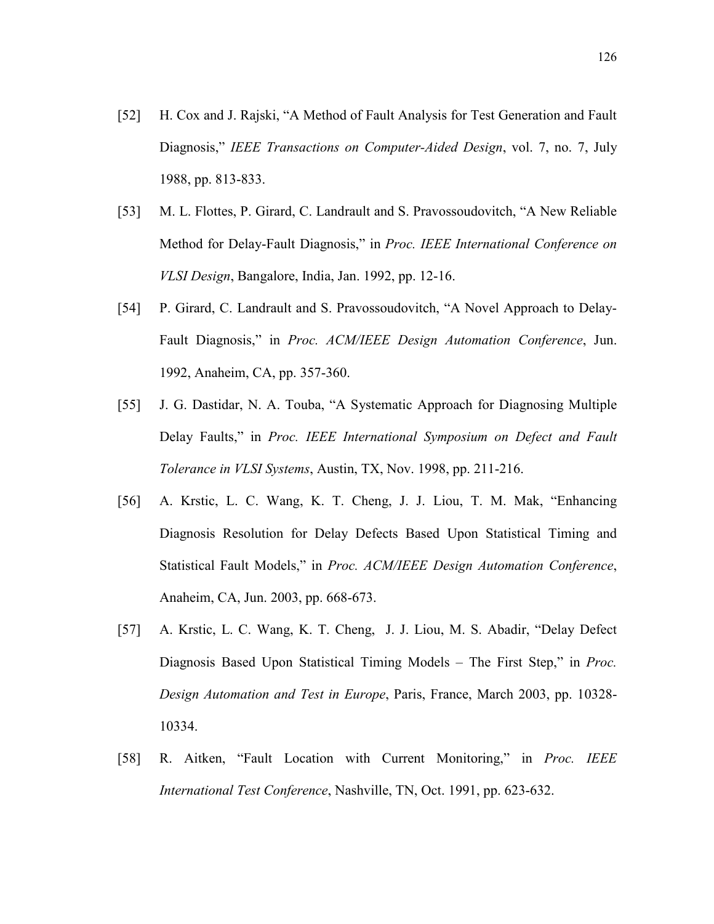- [52] H. Cox and J. Rajski, "A Method of Fault Analysis for Test Generation and Fault Diagnosis," IEEE Transactions on Computer-Aided Design, vol. 7, no. 7, July 1988, pp. 813-833.
- [53] M. L. Flottes, P. Girard, C. Landrault and S. Pravossoudovitch, "A New Reliable Method for Delay-Fault Diagnosis," in Proc. IEEE International Conference on VLSI Design, Bangalore, India, Jan. 1992, pp. 12-16.
- [54] P. Girard, C. Landrault and S. Pravossoudovitch, "A Novel Approach to Delay-Fault Diagnosis," in Proc. ACM/IEEE Design Automation Conference, Jun. 1992, Anaheim, CA, pp. 357-360.
- [55] J. G. Dastidar, N. A. Touba, "A Systematic Approach for Diagnosing Multiple Delay Faults," in Proc. IEEE International Symposium on Defect and Fault Tolerance in VLSI Systems, Austin, TX, Nov. 1998, pp. 211-216.
- [56] A. Krstic, L. C. Wang, K. T. Cheng, J. J. Liou, T. M. Mak, "Enhancing Diagnosis Resolution for Delay Defects Based Upon Statistical Timing and Statistical Fault Models," in Proc. ACM/IEEE Design Automation Conference, Anaheim, CA, Jun. 2003, pp. 668-673.
- [57] A. Krstic, L. C. Wang, K. T. Cheng, J. J. Liou, M. S. Abadir, "Delay Defect Diagnosis Based Upon Statistical Timing Models – The First Step," in *Proc.* Design Automation and Test in Europe, Paris, France, March 2003, pp. 10328- 10334.
- [58] R. Aitken, "Fault Location with Current Monitoring," in Proc. IEEE International Test Conference, Nashville, TN, Oct. 1991, pp. 623-632.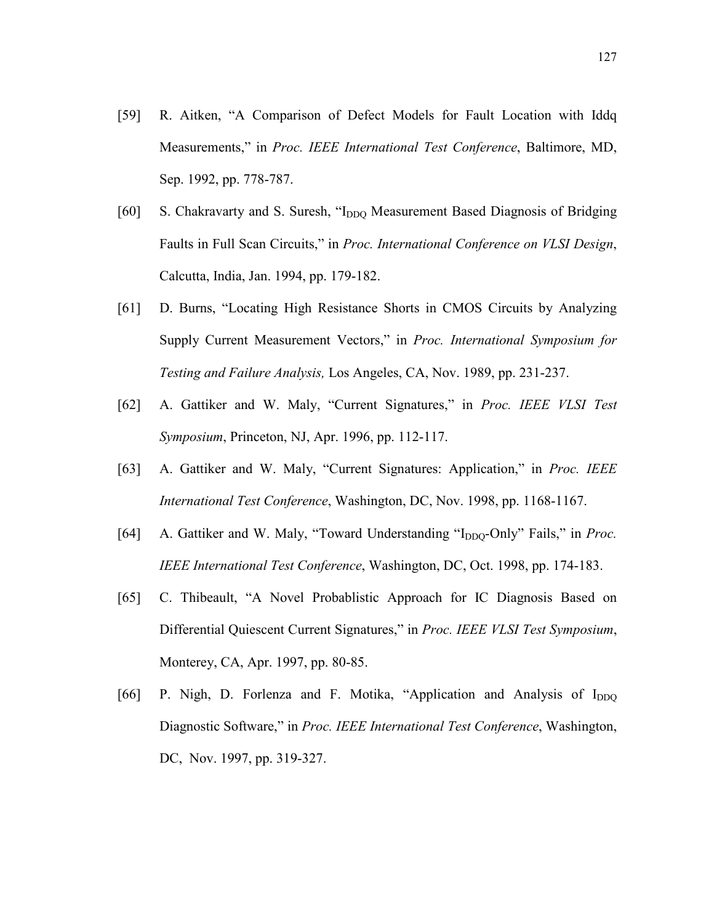- [59] R. Aitken, "A Comparison of Defect Models for Fault Location with Iddq Measurements," in Proc. IEEE International Test Conference, Baltimore, MD, Sep. 1992, pp. 778-787.
- [60] S. Chakravarty and S. Suresh, "I<sub>DDO</sub> Measurement Based Diagnosis of Bridging Faults in Full Scan Circuits," in Proc. International Conference on VLSI Design, Calcutta, India, Jan. 1994, pp. 179-182.
- [61] D. Burns, "Locating High Resistance Shorts in CMOS Circuits by Analyzing Supply Current Measurement Vectors," in Proc. International Symposium for Testing and Failure Analysis, Los Angeles, CA, Nov. 1989, pp. 231-237.
- [62] A. Gattiker and W. Maly, "Current Signatures," in Proc. IEEE VLSI Test Symposium, Princeton, NJ, Apr. 1996, pp. 112-117.
- [63] A. Gattiker and W. Maly, "Current Signatures: Application," in Proc. IEEE International Test Conference, Washington, DC, Nov. 1998, pp. 1168-1167.
- [64] A. Gattiker and W. Maly, "Toward Understanding " $I_{DDO}$ -Only" Fails," in *Proc.* IEEE International Test Conference, Washington, DC, Oct. 1998, pp. 174-183.
- [65] C. Thibeault, "A Novel Probablistic Approach for IC Diagnosis Based on Differential Quiescent Current Signatures," in Proc. IEEE VLSI Test Symposium, Monterey, CA, Apr. 1997, pp. 80-85.
- [66] P. Nigh, D. Forlenza and F. Motika, "Application and Analysis of  $I_{DDO}$ Diagnostic Software," in Proc. IEEE International Test Conference, Washington, DC, Nov. 1997, pp. 319-327.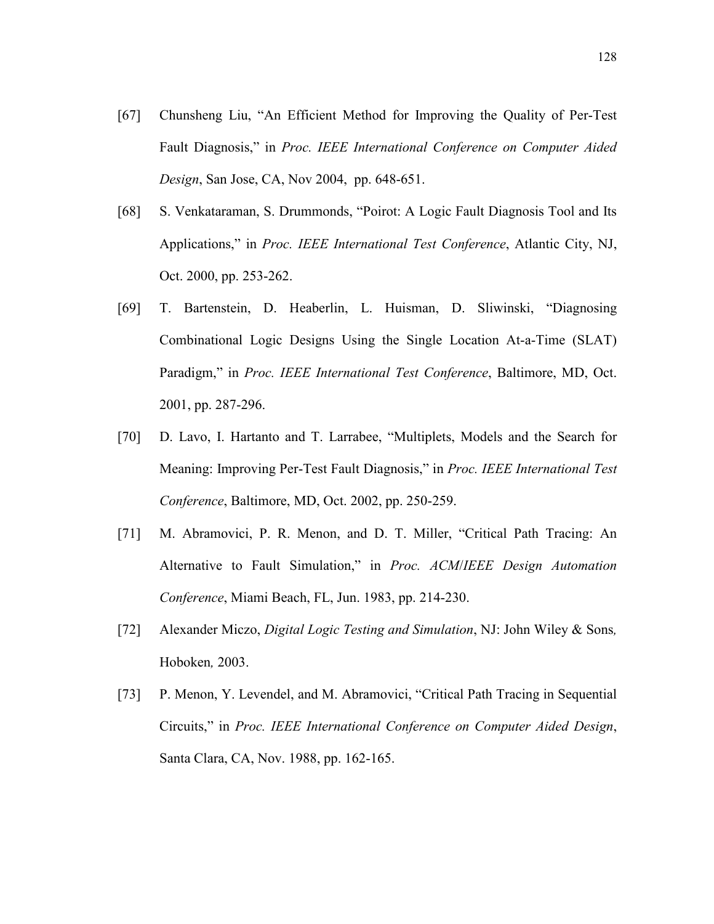- [67] Chunsheng Liu, "An Efficient Method for Improving the Quality of Per-Test Fault Diagnosis," in Proc. IEEE International Conference on Computer Aided Design, San Jose, CA, Nov 2004, pp. 648-651.
- [68] S. Venkataraman, S. Drummonds, "Poirot: A Logic Fault Diagnosis Tool and Its Applications," in Proc. IEEE International Test Conference, Atlantic City, NJ, Oct. 2000, pp. 253-262.
- [69] T. Bartenstein, D. Heaberlin, L. Huisman, D. Sliwinski, "Diagnosing Combinational Logic Designs Using the Single Location At-a-Time (SLAT) Paradigm," in Proc. IEEE International Test Conference, Baltimore, MD, Oct. 2001, pp. 287-296.
- [70] D. Lavo, I. Hartanto and T. Larrabee, "Multiplets, Models and the Search for Meaning: Improving Per-Test Fault Diagnosis," in Proc. IEEE International Test Conference, Baltimore, MD, Oct. 2002, pp. 250-259.
- [71] M. Abramovici, P. R. Menon, and D. T. Miller, "Critical Path Tracing: An Alternative to Fault Simulation," in Proc. ACM/IEEE Design Automation Conference, Miami Beach, FL, Jun. 1983, pp. 214-230.
- [72] Alexander Miczo, Digital Logic Testing and Simulation, NJ: John Wiley & Sons, Hoboken, 2003.
- [73] P. Menon, Y. Levendel, and M. Abramovici, "Critical Path Tracing in Sequential Circuits," in Proc. IEEE International Conference on Computer Aided Design, Santa Clara, CA, Nov. 1988, pp. 162-165.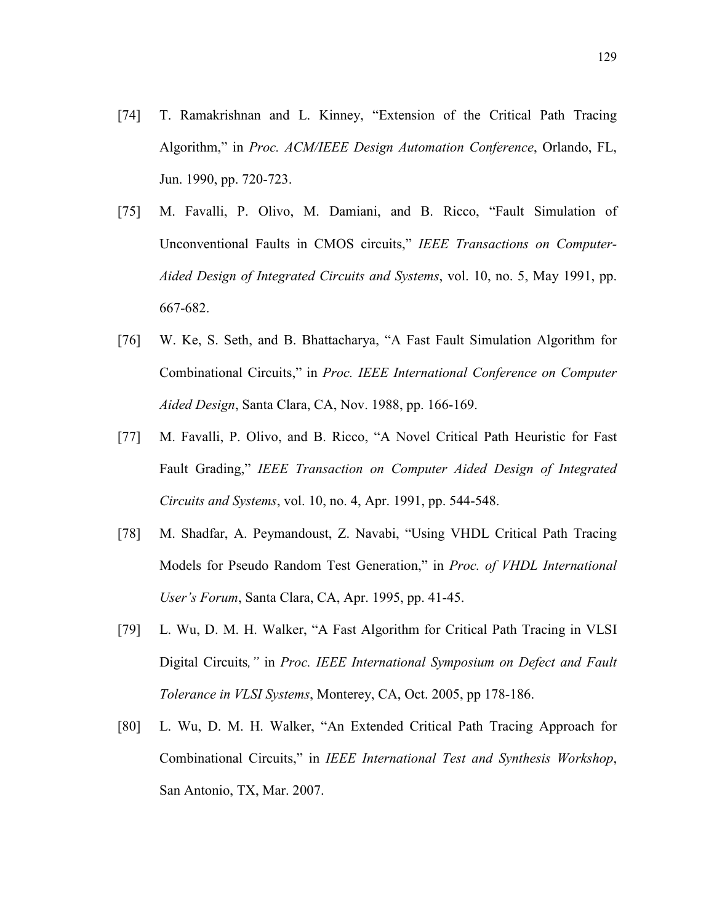- [74] T. Ramakrishnan and L. Kinney, "Extension of the Critical Path Tracing Algorithm," in Proc. ACM/IEEE Design Automation Conference, Orlando, FL, Jun. 1990, pp. 720-723.
- [75] M. Favalli, P. Olivo, M. Damiani, and B. Ricco, "Fault Simulation of Unconventional Faults in CMOS circuits," IEEE Transactions on Computer-Aided Design of Integrated Circuits and Systems, vol. 10, no. 5, May 1991, pp. 667-682.
- [76] W. Ke, S. Seth, and B. Bhattacharya, "A Fast Fault Simulation Algorithm for Combinational Circuits," in Proc. IEEE International Conference on Computer Aided Design, Santa Clara, CA, Nov. 1988, pp. 166-169.
- [77] M. Favalli, P. Olivo, and B. Ricco, "A Novel Critical Path Heuristic for Fast Fault Grading," IEEE Transaction on Computer Aided Design of Integrated Circuits and Systems, vol. 10, no. 4, Apr. 1991, pp. 544-548.
- [78] M. Shadfar, A. Peymandoust, Z. Navabi, "Using VHDL Critical Path Tracing Models for Pseudo Random Test Generation," in Proc. of VHDL International User's Forum, Santa Clara, CA, Apr. 1995, pp. 41-45.
- [79] L. Wu, D. M. H. Walker, "A Fast Algorithm for Critical Path Tracing in VLSI Digital Circuits," in Proc. IEEE International Symposium on Defect and Fault Tolerance in VLSI Systems, Monterey, CA, Oct. 2005, pp 178-186.
- [80] L. Wu, D. M. H. Walker, "An Extended Critical Path Tracing Approach for Combinational Circuits," in IEEE International Test and Synthesis Workshop, San Antonio, TX, Mar. 2007.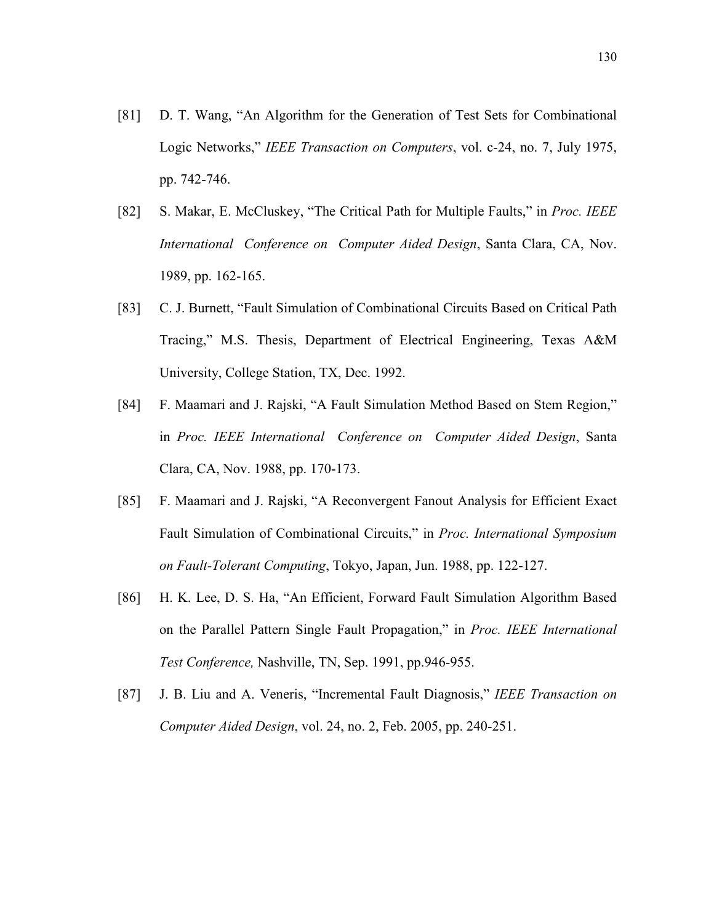- [81] D. T. Wang, "An Algorithm for the Generation of Test Sets for Combinational Logic Networks," IEEE Transaction on Computers, vol. c-24, no. 7, July 1975, pp. 742-746.
- [82] S. Makar, E. McCluskey, "The Critical Path for Multiple Faults," in Proc. IEEE International Conference on Computer Aided Design, Santa Clara, CA, Nov. 1989, pp. 162-165.
- [83] C. J. Burnett, "Fault Simulation of Combinational Circuits Based on Critical Path Tracing," M.S. Thesis, Department of Electrical Engineering, Texas A&M University, College Station, TX, Dec. 1992.
- [84] F. Maamari and J. Rajski, "A Fault Simulation Method Based on Stem Region," in Proc. IEEE International Conference on Computer Aided Design, Santa Clara, CA, Nov. 1988, pp. 170-173.
- [85] F. Maamari and J. Rajski, "A Reconvergent Fanout Analysis for Efficient Exact Fault Simulation of Combinational Circuits," in Proc. International Symposium on Fault-Tolerant Computing, Tokyo, Japan, Jun. 1988, pp. 122-127.
- [86] H. K. Lee, D. S. Ha, "An Efficient, Forward Fault Simulation Algorithm Based on the Parallel Pattern Single Fault Propagation," in Proc. IEEE International Test Conference, Nashville, TN, Sep. 1991, pp.946-955.
- [87] J. B. Liu and A. Veneris, "Incremental Fault Diagnosis," IEEE Transaction on Computer Aided Design, vol. 24, no. 2, Feb. 2005, pp. 240-251.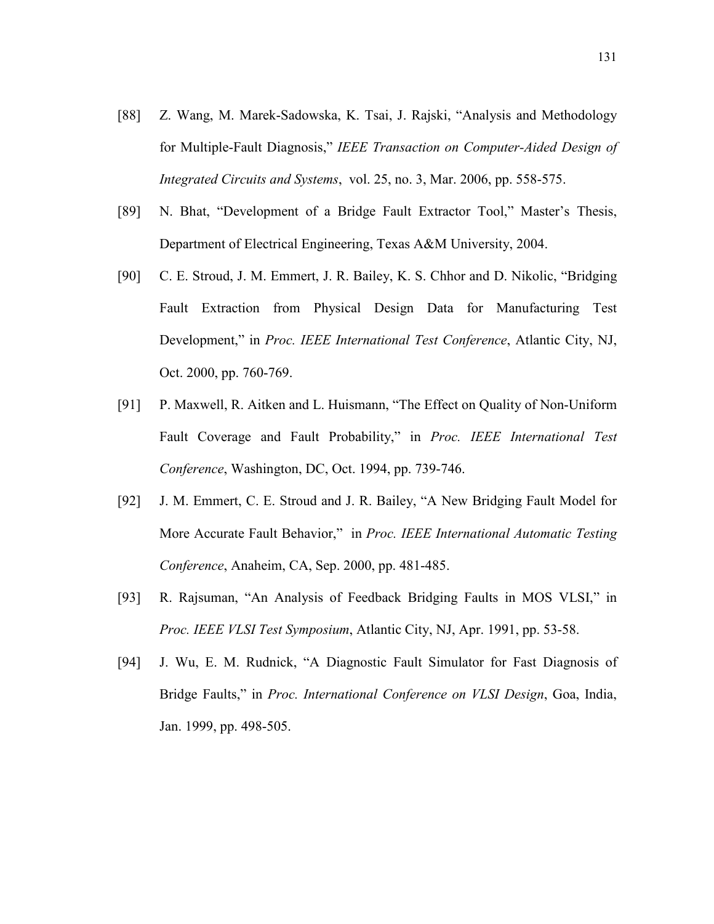- [88] Z. Wang, M. Marek-Sadowska, K. Tsai, J. Rajski, "Analysis and Methodology for Multiple-Fault Diagnosis," IEEE Transaction on Computer-Aided Design of Integrated Circuits and Systems, vol. 25, no. 3, Mar. 2006, pp. 558-575.
- [89] N. Bhat, "Development of a Bridge Fault Extractor Tool," Master's Thesis, Department of Electrical Engineering, Texas A&M University, 2004.
- [90] C. E. Stroud, J. M. Emmert, J. R. Bailey, K. S. Chhor and D. Nikolic, "Bridging Fault Extraction from Physical Design Data for Manufacturing Test Development," in Proc. IEEE International Test Conference, Atlantic City, NJ, Oct. 2000, pp. 760-769.
- [91] P. Maxwell, R. Aitken and L. Huismann, "The Effect on Quality of Non-Uniform Fault Coverage and Fault Probability," in Proc. IEEE International Test Conference, Washington, DC, Oct. 1994, pp. 739-746.
- [92] J. M. Emmert, C. E. Stroud and J. R. Bailey, "A New Bridging Fault Model for More Accurate Fault Behavior," in Proc. IEEE International Automatic Testing Conference, Anaheim, CA, Sep. 2000, pp. 481-485.
- [93] R. Rajsuman, "An Analysis of Feedback Bridging Faults in MOS VLSI," in Proc. IEEE VLSI Test Symposium, Atlantic City, NJ, Apr. 1991, pp. 53-58.
- [94] J. Wu, E. M. Rudnick, "A Diagnostic Fault Simulator for Fast Diagnosis of Bridge Faults," in Proc. International Conference on VLSI Design, Goa, India, Jan. 1999, pp. 498-505.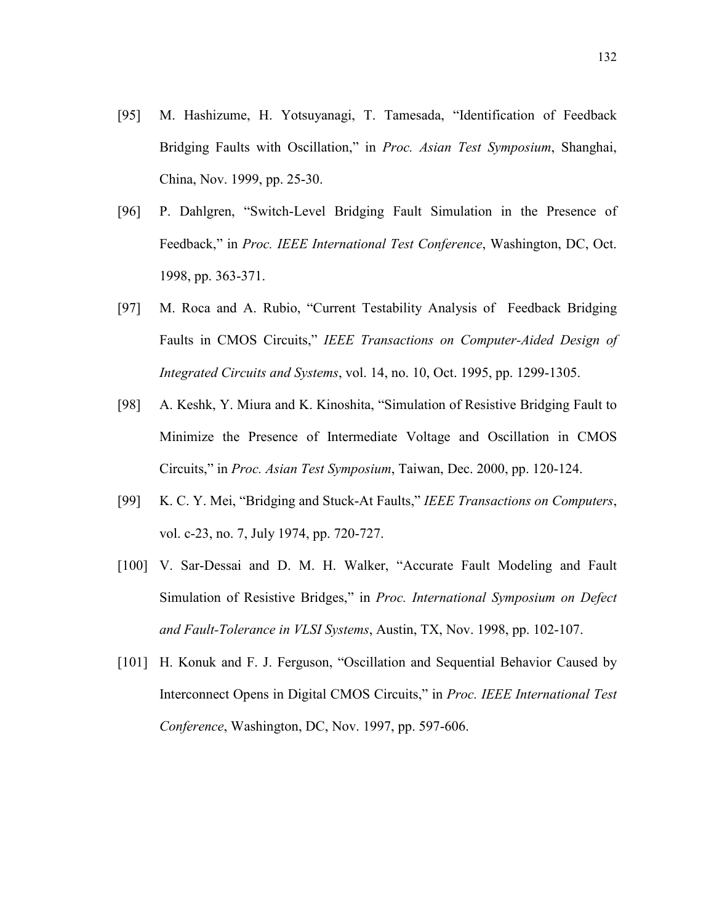- [95] M. Hashizume, H. Yotsuyanagi, T. Tamesada, "Identification of Feedback Bridging Faults with Oscillation," in Proc. Asian Test Symposium, Shanghai, China, Nov. 1999, pp. 25-30.
- [96] P. Dahlgren, "Switch-Level Bridging Fault Simulation in the Presence of Feedback," in Proc. IEEE International Test Conference, Washington, DC, Oct. 1998, pp. 363-371.
- [97] M. Roca and A. Rubio, "Current Testability Analysis of Feedback Bridging Faults in CMOS Circuits," IEEE Transactions on Computer-Aided Design of Integrated Circuits and Systems, vol. 14, no. 10, Oct. 1995, pp. 1299-1305.
- [98] A. Keshk, Y. Miura and K. Kinoshita, "Simulation of Resistive Bridging Fault to Minimize the Presence of Intermediate Voltage and Oscillation in CMOS Circuits," in Proc. Asian Test Symposium, Taiwan, Dec. 2000, pp. 120-124.
- [99] K. C. Y. Mei, "Bridging and Stuck-At Faults," IEEE Transactions on Computers, vol. c-23, no. 7, July 1974, pp. 720-727.
- [100] V. Sar-Dessai and D. M. H. Walker, "Accurate Fault Modeling and Fault Simulation of Resistive Bridges," in Proc. International Symposium on Defect and Fault-Tolerance in VLSI Systems, Austin, TX, Nov. 1998, pp. 102-107.
- [101] H. Konuk and F. J. Ferguson, "Oscillation and Sequential Behavior Caused by Interconnect Opens in Digital CMOS Circuits," in Proc. IEEE International Test Conference, Washington, DC, Nov. 1997, pp. 597-606.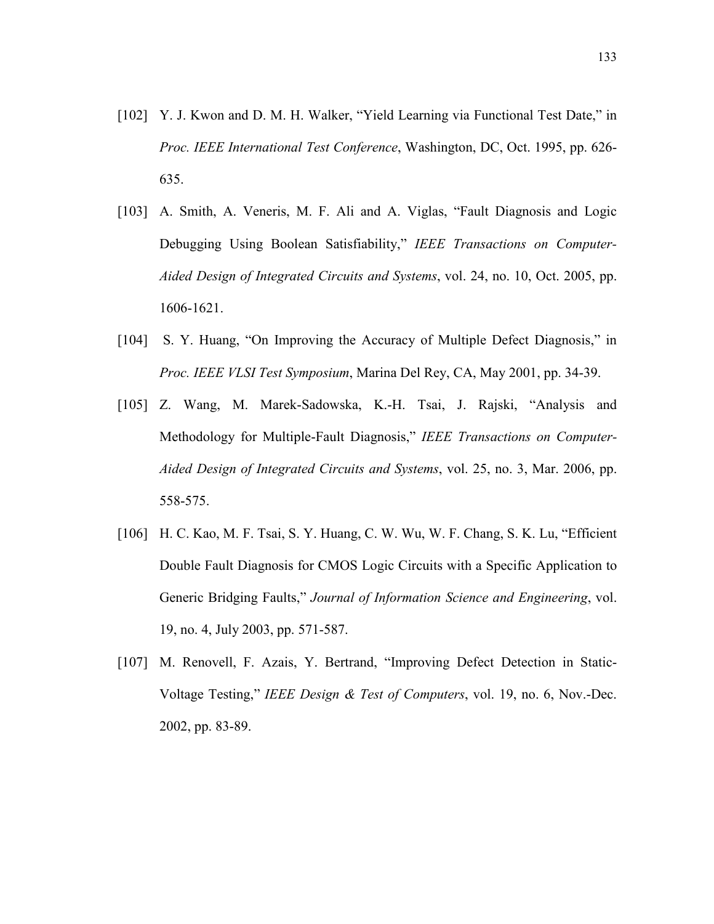- [102] Y. J. Kwon and D. M. H. Walker, "Yield Learning via Functional Test Date," in Proc. IEEE International Test Conference, Washington, DC, Oct. 1995, pp. 626- 635.
- [103] A. Smith, A. Veneris, M. F. Ali and A. Viglas, "Fault Diagnosis and Logic Debugging Using Boolean Satisfiability," IEEE Transactions on Computer-Aided Design of Integrated Circuits and Systems, vol. 24, no. 10, Oct. 2005, pp. 1606-1621.
- [104] S. Y. Huang, "On Improving the Accuracy of Multiple Defect Diagnosis," in Proc. IEEE VLSI Test Symposium, Marina Del Rey, CA, May 2001, pp. 34-39.
- [105] Z. Wang, M. Marek-Sadowska, K.-H. Tsai, J. Rajski, "Analysis and Methodology for Multiple-Fault Diagnosis," IEEE Transactions on Computer-Aided Design of Integrated Circuits and Systems, vol. 25, no. 3, Mar. 2006, pp. 558-575.
- [106] H. C. Kao, M. F. Tsai, S. Y. Huang, C. W. Wu, W. F. Chang, S. K. Lu, "Efficient" Double Fault Diagnosis for CMOS Logic Circuits with a Specific Application to Generic Bridging Faults," Journal of Information Science and Engineering, vol. 19, no. 4, July 2003, pp. 571-587.
- [107] M. Renovell, F. Azais, Y. Bertrand, "Improving Defect Detection in Static-Voltage Testing," IEEE Design & Test of Computers, vol. 19, no. 6, Nov.-Dec. 2002, pp. 83-89.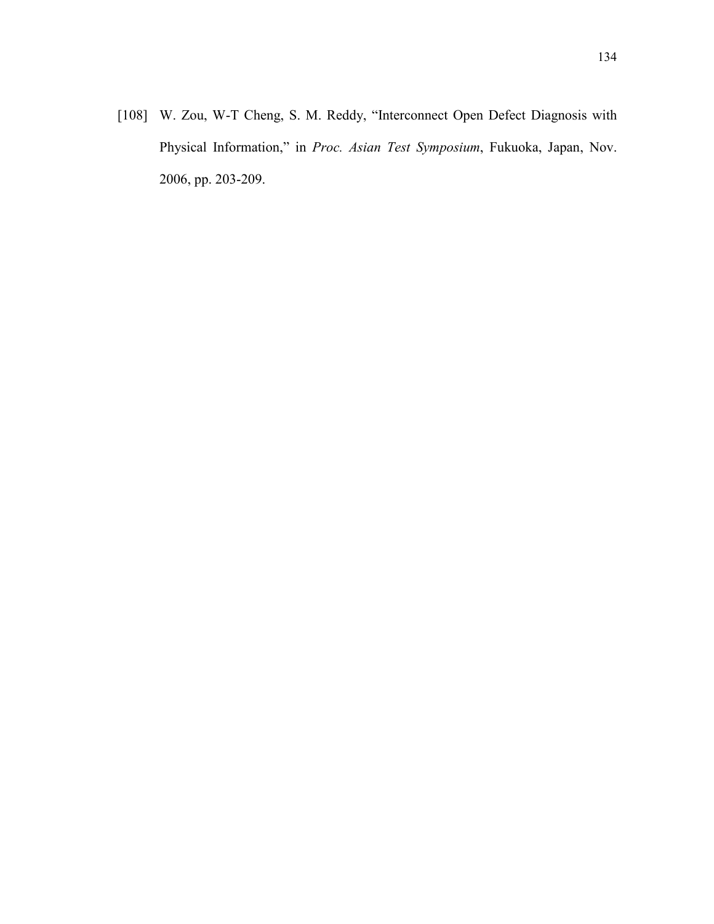[108] W. Zou, W-T Cheng, S. M. Reddy, "Interconnect Open Defect Diagnosis with Physical Information," in Proc. Asian Test Symposium, Fukuoka, Japan, Nov. 2006, pp. 203-209.